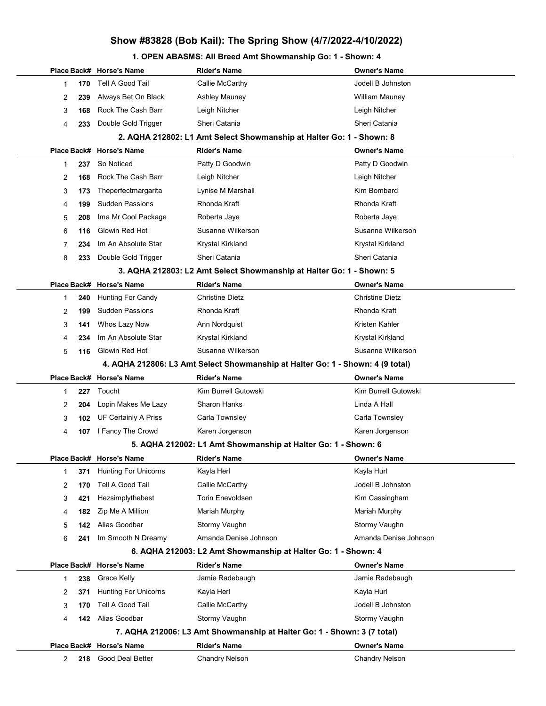#### 1. OPEN ABASMS: All Breed Amt Showmanship Go: 1 - Shown: 4

|              |     | Place Back# Horse's Name    | <b>Rider's Name</b>                                                            | <b>Owner's Name</b>    |
|--------------|-----|-----------------------------|--------------------------------------------------------------------------------|------------------------|
| 1            | 170 | Tell A Good Tail            | Callie McCarthy                                                                | Jodell B Johnston      |
| 2            | 239 | Always Bet On Black         | <b>Ashley Mauney</b>                                                           | <b>William Mauney</b>  |
| 3            | 168 | Rock The Cash Barr          | Leigh Nitcher                                                                  | Leigh Nitcher          |
| 4            | 233 | Double Gold Trigger         | Sheri Catania                                                                  | Sheri Catania          |
|              |     |                             | 2. AQHA 212802: L1 Amt Select Showmanship at Halter Go: 1 - Shown: 8           |                        |
|              |     | Place Back# Horse's Name    | <b>Rider's Name</b>                                                            | <b>Owner's Name</b>    |
| 1            | 237 | So Noticed                  | Patty D Goodwin                                                                | Patty D Goodwin        |
| 2            | 168 | Rock The Cash Barr          | Leigh Nitcher                                                                  | Leigh Nitcher          |
| 3            | 173 | Theperfectmargarita         | Lynise M Marshall                                                              | Kim Bombard            |
| 4            | 199 | <b>Sudden Passions</b>      | Rhonda Kraft                                                                   | Rhonda Kraft           |
| 5            | 208 | Ima Mr Cool Package         | Roberta Jaye                                                                   | Roberta Jaye           |
| 6            | 116 | Glowin Red Hot              | Susanne Wilkerson                                                              | Susanne Wilkerson      |
| 7            | 234 | Im An Absolute Star         | Krystal Kirkland                                                               | Krystal Kirkland       |
| 8            | 233 | Double Gold Trigger         | Sheri Catania                                                                  | Sheri Catania          |
|              |     |                             | 3. AQHA 212803: L2 Amt Select Showmanship at Halter Go: 1 - Shown: 5           |                        |
|              |     | Place Back# Horse's Name    | <b>Rider's Name</b>                                                            | <b>Owner's Name</b>    |
| 1            | 240 | Hunting For Candy           | <b>Christine Dietz</b>                                                         | <b>Christine Dietz</b> |
| 2            | 199 | <b>Sudden Passions</b>      | Rhonda Kraft                                                                   | Rhonda Kraft           |
| 3            | 141 | Whos Lazy Now               | Ann Nordquist                                                                  | Kristen Kahler         |
| 4            | 234 | Im An Absolute Star         | Krystal Kirkland                                                               | Krystal Kirkland       |
| 5            | 116 | Glowin Red Hot              | Susanne Wilkerson                                                              | Susanne Wilkerson      |
|              |     |                             | 4. AQHA 212806: L3 Amt Select Showmanship at Halter Go: 1 - Shown: 4 (9 total) |                        |
|              |     | Place Back# Horse's Name    | <b>Rider's Name</b>                                                            | <b>Owner's Name</b>    |
| $\mathbf{1}$ | 227 | Toucht                      | Kim Burrell Gutowski                                                           | Kim Burrell Gutowski   |
| 2            | 204 | Lopin Makes Me Lazy         | Sharon Hanks                                                                   | Linda A Hall           |
| 3            | 102 | UF Certainly A Priss        | Carla Townsley                                                                 | Carla Townsley         |
| 4            | 107 | I Fancy The Crowd           | Karen Jorgenson                                                                | Karen Jorgenson        |
|              |     |                             | 5. AQHA 212002: L1 Amt Showmanship at Halter Go: 1 - Shown: 6                  |                        |
|              |     | Place Back# Horse's Name    | <b>Rider's Name</b>                                                            | Owner's Name           |
| 1            | 371 | <b>Hunting For Unicorns</b> | Kayla Herl                                                                     | Kayla Hurl             |
| 2            | 170 | Tell A Good Tail            | Callie McCarthy                                                                | Jodell B Johnston      |
| 3            | 421 | Hezsimplythebest            | <b>Torin Enevoldsen</b>                                                        | Kim Cassingham         |
| 4            | 182 | Zip Me A Million            | Mariah Murphy                                                                  | Mariah Murphy          |
| 5            | 142 | Alias Goodbar               | Stormy Vaughn                                                                  | Stormy Vaughn          |
| 6            | 241 | Im Smooth N Dreamy          | Amanda Denise Johnson                                                          | Amanda Denise Johnson  |
|              |     |                             | 6. AQHA 212003: L2 Amt Showmanship at Halter Go: 1 - Shown: 4                  |                        |
|              |     | Place Back# Horse's Name    | <b>Rider's Name</b>                                                            | Owner's Name           |
| $\mathbf{1}$ | 238 | Grace Kelly                 | Jamie Radebaugh                                                                | Jamie Radebaugh        |
| 2            | 371 | <b>Hunting For Unicorns</b> | Kayla Herl                                                                     | Kayla Hurl             |
| 3            | 170 | Tell A Good Tail            | Callie McCarthy                                                                | Jodell B Johnston      |
| 4            | 142 | Alias Goodbar               | Stormy Vaughn                                                                  | Stormy Vaughn          |
|              |     |                             | 7. AQHA 212006: L3 Amt Showmanship at Halter Go: 1 - Shown: 3 (7 total)        |                        |
|              |     | Place Back# Horse's Name    | <b>Rider's Name</b>                                                            | Owner's Name           |
| 2            | 218 | Good Deal Better            | <b>Chandry Nelson</b>                                                          | <b>Chandry Nelson</b>  |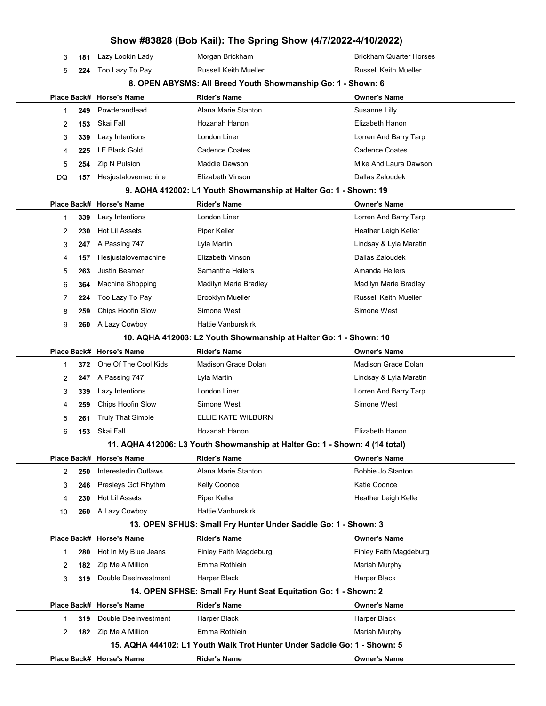|    |     |                          | Show #83828 (Bob Kail): The Spring Show (4/7/2022-4/10/2022)                |                                |
|----|-----|--------------------------|-----------------------------------------------------------------------------|--------------------------------|
| 3  | 181 | Lazy Lookin Lady         | Morgan Brickham                                                             | <b>Brickham Quarter Horses</b> |
| 5  | 224 | Too Lazy To Pay          | <b>Russell Keith Mueller</b>                                                | <b>Russell Keith Mueller</b>   |
|    |     |                          | 8. OPEN ABYSMS: All Breed Youth Showmanship Go: 1 - Shown: 6                |                                |
|    |     | Place Back# Horse's Name | <b>Rider's Name</b>                                                         | <b>Owner's Name</b>            |
| 1  | 249 | Powderandlead            | Alana Marie Stanton                                                         | Susanne Lilly                  |
| 2  | 153 | Skai Fall                | Hozanah Hanon                                                               | Elizabeth Hanon                |
| 3  | 339 | Lazy Intentions          | London Liner                                                                | Lorren And Barry Tarp          |
| 4  | 225 | <b>LF Black Gold</b>     | <b>Cadence Coates</b>                                                       | <b>Cadence Coates</b>          |
| 5  | 254 | Zip N Pulsion            | Maddie Dawson                                                               | Mike And Laura Dawson          |
| DQ | 157 | Hesjustalovemachine      | Elizabeth Vinson                                                            | Dallas Zaloudek                |
|    |     |                          | 9. AQHA 412002: L1 Youth Showmanship at Halter Go: 1 - Shown: 19            |                                |
|    |     | Place Back# Horse's Name | <b>Rider's Name</b>                                                         | <b>Owner's Name</b>            |
| 1  | 339 | Lazy Intentions          | London Liner                                                                | Lorren And Barry Tarp          |
| 2  | 230 | Hot Lil Assets           | Piper Keller                                                                | Heather Leigh Keller           |
| 3  | 247 | A Passing 747            | Lyla Martin                                                                 | Lindsay & Lyla Maratin         |
| 4  | 157 | Hesjustalovemachine      | Elizabeth Vinson                                                            | Dallas Zaloudek                |
| 5  | 263 | <b>Justin Beamer</b>     | Samantha Heilers                                                            | Amanda Heilers                 |
| 6  | 364 | Machine Shopping         | Madilyn Marie Bradley                                                       | Madilyn Marie Bradley          |
| 7  | 224 | Too Lazy To Pay          | <b>Brooklyn Mueller</b>                                                     | <b>Russell Keith Mueller</b>   |
| 8  | 259 | Chips Hoofin Slow        | Simone West                                                                 | Simone West                    |
| 9  | 260 | A Lazy Cowboy            | <b>Hattie Vanburskirk</b>                                                   |                                |
|    |     |                          | 10. AQHA 412003: L2 Youth Showmanship at Halter Go: 1 - Shown: 10           |                                |
|    |     | Place Back# Horse's Name | <b>Rider's Name</b>                                                         | <b>Owner's Name</b>            |
| 1  | 372 | One Of The Cool Kids     | <b>Madison Grace Dolan</b>                                                  | <b>Madison Grace Dolan</b>     |
| 2  | 247 | A Passing 747            | Lyla Martin                                                                 | Lindsay & Lyla Maratin         |
| 3  | 339 | Lazy Intentions          | London Liner                                                                | Lorren And Barry Tarp          |
| 4  | 259 | Chips Hoofin Slow        | Simone West                                                                 | Simone West                    |
| 5  | 261 | <b>Truly That Simple</b> | ELLIE KATE WILBURN                                                          |                                |
| 6  | 153 | Skai Fall                | Hozanah Hanon                                                               | Elizabeth Hanon                |
|    |     |                          | 11. AQHA 412006: L3 Youth Showmanship at Halter Go: 1 - Shown: 4 (14 total) |                                |
|    |     | Place Back# Horse's Name | <b>Rider's Name</b>                                                         | <b>Owner's Name</b>            |
| 2  | 250 | Interestedin Outlaws     | Alana Marie Stanton                                                         | Bobbie Jo Stanton              |
| 3  | 246 | Presleys Got Rhythm      | Kelly Coonce                                                                | Katie Coonce                   |
| 4  | 230 | <b>Hot Lil Assets</b>    | Piper Keller                                                                | Heather Leigh Keller           |
| 10 | 260 | A Lazy Cowboy            | <b>Hattie Vanburskirk</b>                                                   |                                |
|    |     |                          | 13. OPEN SFHUS: Small Fry Hunter Under Saddle Go: 1 - Shown: 3              |                                |
|    |     | Place Back# Horse's Name | <b>Rider's Name</b>                                                         | <b>Owner's Name</b>            |
| 1  | 280 | Hot In My Blue Jeans     | Finley Faith Magdeburg                                                      | Finley Faith Magdeburg         |
| 2  | 182 | Zip Me A Million         | Emma Rothlein                                                               | Mariah Murphy                  |
| 3  | 319 | Double DeeInvestment     | Harper Black                                                                | Harper Black                   |
|    |     |                          | 14. OPEN SFHSE: Small Fry Hunt Seat Equitation Go: 1 - Shown: 2             |                                |
|    |     | Place Back# Horse's Name | <b>Rider's Name</b>                                                         | <b>Owner's Name</b>            |
| 1  | 319 | Double DeeInvestment     | Harper Black                                                                | Harper Black                   |
| 2  | 182 | Zip Me A Million         | Emma Rothlein                                                               | Mariah Murphy                  |
|    |     |                          | 15. AQHA 444102: L1 Youth Walk Trot Hunter Under Saddle Go: 1 - Shown: 5    |                                |
|    |     | Place Back# Horse's Name | <b>Rider's Name</b>                                                         | <b>Owner's Name</b>            |
|    |     |                          |                                                                             |                                |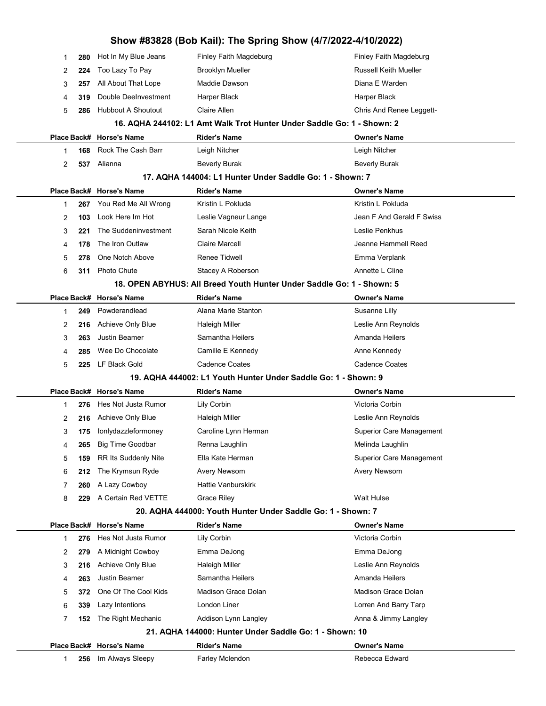| Show #83828 (Bob Kail): The Spring Show (4/7/2022-4/10/2022) |     |                           |                                                                        |                                 |  |
|--------------------------------------------------------------|-----|---------------------------|------------------------------------------------------------------------|---------------------------------|--|
| 1                                                            | 280 | Hot In My Blue Jeans      | Finley Faith Magdeburg                                                 | Finley Faith Magdeburg          |  |
| 2                                                            | 224 | Too Lazy To Pay           | <b>Brooklyn Mueller</b>                                                | <b>Russell Keith Mueller</b>    |  |
| 3                                                            | 257 | All About That Lope       | Maddie Dawson                                                          | Diana E Warden                  |  |
| 4                                                            | 319 | Double DeeInvestment      | Harper Black                                                           | Harper Black                    |  |
| 5                                                            | 286 | <b>Hubbout A Shoutout</b> | <b>Claire Allen</b>                                                    | Chris And Renee Leggett-        |  |
|                                                              |     |                           | 16. AQHA 244102: L1 Amt Walk Trot Hunter Under Saddle Go: 1 - Shown: 2 |                                 |  |
|                                                              |     | Place Back# Horse's Name  | <b>Rider's Name</b>                                                    | <b>Owner's Name</b>             |  |
| 1                                                            | 168 | Rock The Cash Barr        | Leigh Nitcher                                                          | Leigh Nitcher                   |  |
| 2                                                            | 537 | Alianna                   | <b>Beverly Burak</b>                                                   | <b>Beverly Burak</b>            |  |
|                                                              |     |                           | 17. AQHA 144004: L1 Hunter Under Saddle Go: 1 - Shown: 7               |                                 |  |
|                                                              |     | Place Back# Horse's Name  | <b>Rider's Name</b>                                                    | <b>Owner's Name</b>             |  |
| 1                                                            | 267 | You Red Me All Wrong      | Kristin L Pokluda                                                      | Kristin L Pokluda               |  |
| 2                                                            | 103 | Look Here Im Hot          | Leslie Vagneur Lange                                                   | Jean F And Gerald F Swiss       |  |
| 3                                                            | 221 | The Suddeninvestment      | Sarah Nicole Keith                                                     | Leslie Penkhus                  |  |
| 4                                                            | 178 | The Iron Outlaw           | Claire Marcell                                                         | Jeanne Hammell Reed             |  |
| 5                                                            | 278 | One Notch Above           | Renee Tidwell                                                          | Emma Verplank                   |  |
| 6                                                            | 311 | Photo Chute               | Stacey A Roberson                                                      | Annette L Cline                 |  |
|                                                              |     |                           | 18. OPEN ABYHUS: All Breed Youth Hunter Under Saddle Go: 1 - Shown: 5  |                                 |  |
|                                                              |     | Place Back# Horse's Name  | <b>Rider's Name</b>                                                    | <b>Owner's Name</b>             |  |
| 1                                                            | 249 | Powderandlead             | Alana Marie Stanton                                                    | Susanne Lilly                   |  |
| 2                                                            | 216 | Achieve Only Blue         | Haleigh Miller                                                         | Leslie Ann Reynolds             |  |
| 3                                                            | 263 | <b>Justin Beamer</b>      | Samantha Heilers                                                       | Amanda Heilers                  |  |
| 4                                                            | 285 | Wee Do Chocolate          | Camille E Kennedy                                                      | Anne Kennedy                    |  |
| 5                                                            | 225 | LF Black Gold             | <b>Cadence Coates</b>                                                  | <b>Cadence Coates</b>           |  |
|                                                              |     |                           | 19. AQHA 444002: L1 Youth Hunter Under Saddle Go: 1 - Shown: 9         |                                 |  |
|                                                              |     | Place Back# Horse's Name  | <b>Rider's Name</b>                                                    | <b>Owner's Name</b>             |  |
| 1                                                            | 276 | Hes Not Justa Rumor       | Lily Corbin                                                            | Victoria Corbin                 |  |
| 2                                                            | 216 | Achieve Only Blue         | Haleigh Miller                                                         | Leslie Ann Reynolds             |  |
| 3                                                            | 175 | Ionlydazzleformoney       | Caroline Lynn Herman                                                   | <b>Superior Care Management</b> |  |
| 4                                                            | 265 | <b>Big Time Goodbar</b>   | Renna Laughlin                                                         | Melinda Laughlin                |  |
| 5                                                            | 159 | RR Its Suddenly Nite      | Ella Kate Herman                                                       | <b>Superior Care Management</b> |  |
| 6                                                            | 212 | The Krymsun Ryde          | Avery Newsom                                                           | Avery Newsom                    |  |
| 7                                                            | 260 | A Lazy Cowboy             | <b>Hattie Vanburskirk</b>                                              |                                 |  |
| 8                                                            | 229 | A Certain Red VETTE       | <b>Grace Riley</b>                                                     | <b>Walt Hulse</b>               |  |
|                                                              |     |                           | 20. AQHA 444000: Youth Hunter Under Saddle Go: 1 - Shown: 7            |                                 |  |
|                                                              |     | Place Back# Horse's Name  | <b>Rider's Name</b>                                                    | <b>Owner's Name</b>             |  |
| 1                                                            | 276 | Hes Not Justa Rumor       | Lily Corbin                                                            | Victoria Corbin                 |  |
| 2                                                            | 279 | A Midnight Cowboy         | Emma DeJong                                                            | Emma DeJong                     |  |
| 3                                                            | 216 | Achieve Only Blue         | Haleigh Miller                                                         | Leslie Ann Reynolds             |  |
| 4                                                            | 263 | <b>Justin Beamer</b>      | Samantha Heilers                                                       | Amanda Heilers                  |  |
| 5                                                            | 372 | One Of The Cool Kids      | Madison Grace Dolan                                                    | Madison Grace Dolan             |  |
| 6                                                            | 339 | Lazy Intentions           | London Liner                                                           | Lorren And Barry Tarp           |  |
| 7                                                            | 152 | The Right Mechanic        | Addison Lynn Langley                                                   | Anna & Jimmy Langley            |  |
|                                                              |     |                           | 21. AQHA 144000: Hunter Under Saddle Go: 1 - Shown: 10                 |                                 |  |
|                                                              |     | Place Back# Horse's Name  | <b>Rider's Name</b>                                                    | <b>Owner's Name</b>             |  |
| 1                                                            | 256 | Im Always Sleepy          | Farley Mclendon                                                        | Rebecca Edward                  |  |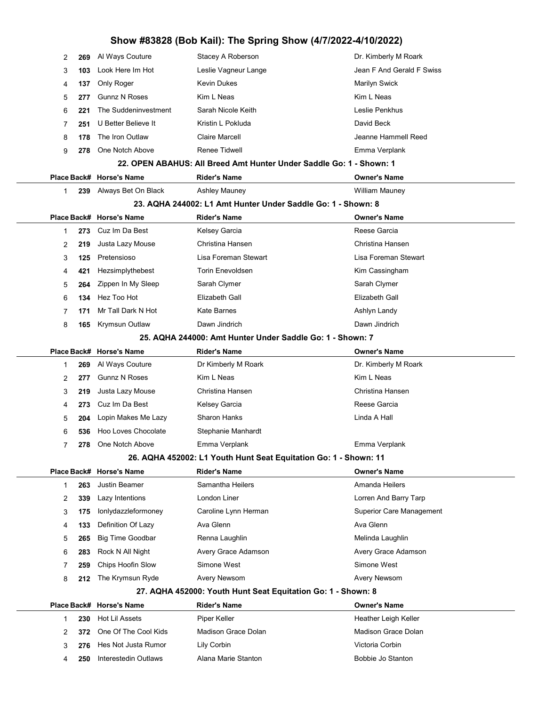|              | 269 | Al Ways Couture                                 | Stacey A Roberson                                                                    | Dr. Kimberly M Roark                         |
|--------------|-----|-------------------------------------------------|--------------------------------------------------------------------------------------|----------------------------------------------|
| 2            | 103 | Look Here Im Hot                                | Leslie Vagneur Lange                                                                 | Jean F And Gerald F Swiss                    |
| 3            |     | Only Roger                                      | Kevin Dukes                                                                          | <b>Marilyn Swick</b>                         |
| 4            | 137 | <b>Gunnz N Roses</b>                            | Kim L Neas                                                                           | Kim L Neas                                   |
| 5            | 277 | The Suddeninvestment                            | Sarah Nicole Keith                                                                   | Leslie Penkhus                               |
| 6            | 221 | U Better Believe It                             | Kristin L Pokluda                                                                    | David Beck                                   |
| 7            | 251 |                                                 |                                                                                      | Jeanne Hammell Reed                          |
| 8            | 178 | The Iron Outlaw                                 | <b>Claire Marcell</b>                                                                |                                              |
| 9            | 278 | One Notch Above                                 | Renee Tidwell<br>22. OPEN ABAHUS: All Breed Amt Hunter Under Saddle Go: 1 - Shown: 1 | Emma Verplank                                |
|              |     |                                                 |                                                                                      |                                              |
| 1            | 239 | Place Back# Horse's Name<br>Always Bet On Black | <b>Rider's Name</b><br><b>Ashley Mauney</b>                                          | <b>Owner's Name</b><br><b>William Mauney</b> |
|              |     |                                                 | 23. AQHA 244002: L1 Amt Hunter Under Saddle Go: 1 - Shown: 8                         |                                              |
|              |     | Place Back# Horse's Name                        | <b>Rider's Name</b>                                                                  | <b>Owner's Name</b>                          |
| 1            | 273 | Cuz Im Da Best                                  | Kelsey Garcia                                                                        | Reese Garcia                                 |
| 2            | 219 | Justa Lazy Mouse                                | Christina Hansen                                                                     | Christina Hansen                             |
| 3            | 125 | Pretensioso                                     | Lisa Foreman Stewart                                                                 | Lisa Foreman Stewart                         |
| 4            | 421 | Hezsimplythebest                                | <b>Torin Enevoldsen</b>                                                              | Kim Cassingham                               |
| 5            | 264 | Zippen In My Sleep                              | Sarah Clymer                                                                         | Sarah Clymer                                 |
| 6            | 134 | Hez Too Hot                                     | Elizabeth Gall                                                                       | Elizabeth Gall                               |
| 7            | 171 | Mr Tall Dark N Hot                              | <b>Kate Barnes</b>                                                                   | Ashlyn Landy                                 |
| 8            | 165 | Krymsun Outlaw                                  | Dawn Jindrich                                                                        | Dawn Jindrich                                |
|              |     |                                                 | 25. AQHA 244000: Amt Hunter Under Saddle Go: 1 - Shown: 7                            |                                              |
|              |     |                                                 |                                                                                      |                                              |
|              |     | Place Back# Horse's Name                        | <b>Rider's Name</b>                                                                  | <b>Owner's Name</b>                          |
| 1            | 269 | Al Ways Couture                                 | Dr Kimberly M Roark                                                                  | Dr. Kimberly M Roark                         |
| 2            | 277 | <b>Gunnz N Roses</b>                            | Kim L Neas                                                                           | Kim L Neas                                   |
| 3            | 219 | Justa Lazy Mouse                                | Christina Hansen                                                                     | Christina Hansen                             |
| 4            | 273 | Cuz Im Da Best                                  | Kelsey Garcia                                                                        | Reese Garcia                                 |
| 5            | 204 | Lopin Makes Me Lazy                             | <b>Sharon Hanks</b>                                                                  | Linda A Hall                                 |
| 6            | 536 | Hoo Loves Chocolate                             | Stephanie Manhardt                                                                   |                                              |
| 7            | 278 | One Notch Above                                 | Emma Verplank                                                                        | Emma Verplank                                |
|              |     |                                                 | 26. AQHA 452002: L1 Youth Hunt Seat Equitation Go: 1 - Shown: 11                     |                                              |
|              |     | Place Back# Horse's Name                        | <b>Rider's Name</b>                                                                  | <b>Owner's Name</b>                          |
| $\mathbf{1}$ | 263 | <b>Justin Beamer</b>                            | Samantha Heilers                                                                     | Amanda Heilers                               |
| 2            | 339 | Lazy Intentions                                 | London Liner                                                                         | Lorren And Barry Tarp                        |
| 3            | 175 | lonlydazzleformoney                             | Caroline Lynn Herman                                                                 | <b>Superior Care Management</b>              |
| 4            | 133 | Definition Of Lazy                              | Ava Glenn                                                                            | Ava Glenn                                    |
| 5            | 265 | <b>Big Time Goodbar</b>                         | Renna Laughlin                                                                       | Melinda Laughlin                             |
| 6            | 283 | Rock N All Night                                | Avery Grace Adamson                                                                  | Avery Grace Adamson                          |
| 7            | 259 | Chips Hoofin Slow                               | Simone West                                                                          | Simone West                                  |
| 8            | 212 | The Krymsun Ryde                                | <b>Avery Newsom</b>                                                                  | Avery Newsom                                 |
|              |     |                                                 | 27. AQHA 452000: Youth Hunt Seat Equitation Go: 1 - Shown: 8                         |                                              |
|              |     | Place Back# Horse's Name                        | <b>Rider's Name</b>                                                                  | <b>Owner's Name</b>                          |
| 1            | 230 | Hot Lil Assets                                  | Piper Keller                                                                         | Heather Leigh Keller                         |
| 2            | 372 | One Of The Cool Kids                            | Madison Grace Dolan                                                                  | <b>Madison Grace Dolan</b>                   |
| 3            | 276 | Hes Not Justa Rumor                             | Lily Corbin                                                                          | Victoria Corbin                              |
| 4            | 250 | Interestedin Outlaws                            | Alana Marie Stanton                                                                  | Bobbie Jo Stanton                            |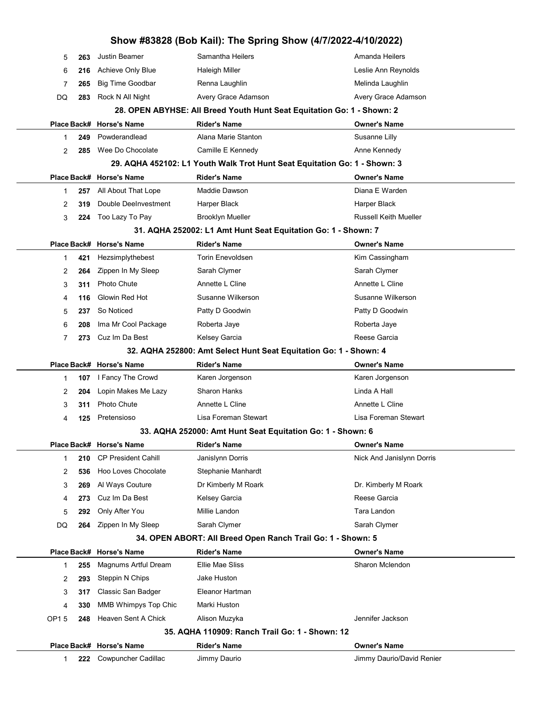|                | Show #83828 (Bob Kail): The Spring Show (4/7/2022-4/10/2022) |                            |                                                                                    |                              |  |
|----------------|--------------------------------------------------------------|----------------------------|------------------------------------------------------------------------------------|------------------------------|--|
| 5              | 263                                                          | <b>Justin Beamer</b>       | Samantha Heilers                                                                   | Amanda Heilers               |  |
| 6              | 216                                                          | <b>Achieve Only Blue</b>   | <b>Haleigh Miller</b>                                                              | Leslie Ann Reynolds          |  |
| 7              | 265                                                          | <b>Big Time Goodbar</b>    | Renna Laughlin                                                                     | Melinda Laughlin             |  |
| DQ             | 283                                                          | Rock N All Night           | Avery Grace Adamson                                                                | Avery Grace Adamson          |  |
|                |                                                              |                            | 28. OPEN ABYHSE: All Breed Youth Hunt Seat Equitation Go: 1 - Shown: 2             |                              |  |
|                |                                                              | Place Back# Horse's Name   | <b>Rider's Name</b>                                                                | <b>Owner's Name</b>          |  |
| $\mathbf 1$    | 249                                                          | Powderandlead              | Alana Marie Stanton                                                                | Susanne Lilly                |  |
| 2              | 285                                                          | Wee Do Chocolate           | Camille E Kennedy                                                                  | Anne Kennedy                 |  |
|                |                                                              |                            | 29. AQHA 452102: L1 Youth Walk Trot Hunt Seat Equitation Go: 1 - Shown: 3          |                              |  |
|                |                                                              | Place Back# Horse's Name   | <b>Rider's Name</b>                                                                | <b>Owner's Name</b>          |  |
| $\mathbf 1$    | 257                                                          | All About That Lope        | Maddie Dawson                                                                      | Diana E Warden               |  |
| 2              | 319                                                          | Double DeeInvestment       | Harper Black                                                                       | Harper Black                 |  |
| 3              | 224                                                          | Too Lazy To Pay            | <b>Brooklyn Mueller</b>                                                            | <b>Russell Keith Mueller</b> |  |
|                |                                                              |                            | 31. AQHA 252002: L1 Amt Hunt Seat Equitation Go: 1 - Shown: 7                      |                              |  |
|                |                                                              | Place Back# Horse's Name   | <b>Rider's Name</b>                                                                | <b>Owner's Name</b>          |  |
| 1              | 421                                                          | Hezsimplythebest           | <b>Torin Enevoldsen</b>                                                            | Kim Cassingham               |  |
| 2              | 264                                                          | Zippen In My Sleep         | Sarah Clymer                                                                       | Sarah Clymer                 |  |
| 3              | 311                                                          | Photo Chute                | Annette L Cline                                                                    | Annette L Cline              |  |
| 4              | 116                                                          | Glowin Red Hot             | Susanne Wilkerson                                                                  | Susanne Wilkerson            |  |
| 5              | 237                                                          | So Noticed                 | Patty D Goodwin                                                                    | Patty D Goodwin              |  |
| 6              | 208                                                          | Ima Mr Cool Package        | Roberta Jaye                                                                       | Roberta Jaye                 |  |
| $\overline{7}$ | 273                                                          | Cuz Im Da Best             | Kelsey Garcia                                                                      | Reese Garcia                 |  |
|                |                                                              |                            | 32. AQHA 252800: Amt Select Hunt Seat Equitation Go: 1 - Shown: 4                  |                              |  |
|                |                                                              | Place Back# Horse's Name   | <b>Rider's Name</b>                                                                | <b>Owner's Name</b>          |  |
|                |                                                              |                            |                                                                                    |                              |  |
| $\mathbf 1$    | 107                                                          | I Fancy The Crowd          | Karen Jorgenson                                                                    | Karen Jorgenson              |  |
| 2              | 204                                                          | Lopin Makes Me Lazy        | <b>Sharon Hanks</b>                                                                | Linda A Hall                 |  |
| 3              | 311                                                          | Photo Chute                | Annette L Cline                                                                    | Annette L Cline              |  |
| 4              | 125                                                          | Pretensioso                | Lisa Foreman Stewart                                                               | Lisa Foreman Stewart         |  |
|                |                                                              |                            | 33. AQHA 252000: Amt Hunt Seat Equitation Go: 1 - Shown: 6                         |                              |  |
|                |                                                              | Place Back# Horse's Name   | <b>Rider's Name</b>                                                                | Owner's Name                 |  |
| $\mathbf 1$    | 210                                                          | <b>CP President Cahill</b> | Janislynn Dorris                                                                   | Nick And Janislynn Dorris    |  |
| 2              | 536                                                          | Hoo Loves Chocolate        | Stephanie Manhardt                                                                 |                              |  |
| 3              | 269                                                          | Al Ways Couture            | Dr Kimberly M Roark                                                                | Dr. Kimberly M Roark         |  |
| 4              | 273                                                          | Cuz Im Da Best             | Kelsey Garcia                                                                      | Reese Garcia                 |  |
| 5              | 292                                                          | Only After You             | Millie Landon                                                                      | Tara Landon                  |  |
| DQ             | 264                                                          | Zippen In My Sleep         | Sarah Clymer                                                                       | Sarah Clymer                 |  |
|                |                                                              | Place Back# Horse's Name   | 34. OPEN ABORT: All Breed Open Ranch Trail Go: 1 - Shown: 5<br><b>Rider's Name</b> | Owner's Name                 |  |
| $\mathbf{1}$   | 255                                                          | Magnums Artful Dream       | Ellie Mae Sliss                                                                    | Sharon Mclendon              |  |
| 2              | 293                                                          | Steppin N Chips            | Jake Huston                                                                        |                              |  |
| 3              | 317                                                          | Classic San Badger         | Eleanor Hartman                                                                    |                              |  |
| 4              | 330                                                          | MMB Whimpys Top Chic       | Marki Huston                                                                       |                              |  |
| OP15           | 248                                                          | Heaven Sent A Chick        | Alison Muzyka                                                                      | Jennifer Jackson             |  |
|                |                                                              |                            | 35. AQHA 110909: Ranch Trail Go: 1 - Shown: 12                                     |                              |  |
|                |                                                              | Place Back# Horse's Name   | <b>Rider's Name</b>                                                                | <b>Owner's Name</b>          |  |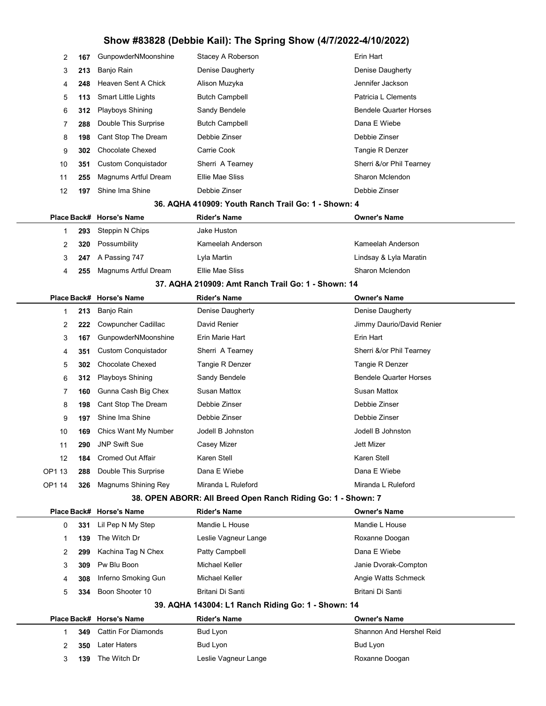| 2      | 167 | GunpowderNMoonshine         | Stacey A Roberson                                            | Erin Hart                     |
|--------|-----|-----------------------------|--------------------------------------------------------------|-------------------------------|
| 3      | 213 | Banjo Rain                  | Denise Daugherty                                             | Denise Daugherty              |
| 4      | 248 | Heaven Sent A Chick         | Alison Muzyka                                                | Jennifer Jackson              |
| 5      | 113 | <b>Smart Little Lights</b>  | <b>Butch Campbell</b>                                        | Patricia L Clements           |
| 6      | 312 | Playboys Shining            | Sandy Bendele                                                | <b>Bendele Quarter Horses</b> |
| 7      | 288 | Double This Surprise        | <b>Butch Campbell</b>                                        | Dana E Wiebe                  |
| 8      | 198 | Cant Stop The Dream         | Debbie Zinser                                                | Debbie Zinser                 |
| 9      | 302 | <b>Chocolate Chexed</b>     | Carrie Cook                                                  | Tangie R Denzer               |
| 10     | 351 | <b>Custom Conquistador</b>  | Sherri A Tearney                                             | Sherri &/or Phil Tearney      |
| 11     | 255 | Magnums Artful Dream        | <b>Ellie Mae Sliss</b>                                       | Sharon Mclendon               |
| 12     | 197 | Shine Ima Shine             | Debbie Zinser                                                | Debbie Zinser                 |
|        |     |                             | 36. AQHA 410909: Youth Ranch Trail Go: 1 - Shown: 4          |                               |
|        |     | Place Back# Horse's Name    | <b>Rider's Name</b>                                          | <b>Owner's Name</b>           |
| 1      | 293 | Steppin N Chips             | Jake Huston                                                  |                               |
| 2      | 320 | Possumbility                | Kameelah Anderson                                            | Kameelah Anderson             |
| 3      | 247 | A Passing 747               | Lyla Martin                                                  | Lindsay & Lyla Maratin        |
| 4      | 255 | <b>Magnums Artful Dream</b> | Ellie Mae Sliss                                              | Sharon Mclendon               |
|        |     |                             | 37. AQHA 210909: Amt Ranch Trail Go: 1 - Shown: 14           |                               |
|        |     | Place Back# Horse's Name    | <b>Rider's Name</b>                                          | Owner's Name                  |
| 1      | 213 | Banjo Rain                  | Denise Daugherty                                             | Denise Daugherty              |
| 2      | 222 | Cowpuncher Cadillac         | David Renier                                                 | Jimmy Daurio/David Renier     |
| 3      | 167 | GunpowderNMoonshine         | Erin Marie Hart                                              | Erin Hart                     |
| 4      | 351 | <b>Custom Conquistador</b>  | Sherri A Tearney                                             | Sherri &/or Phil Tearney      |
| 5      | 302 | <b>Chocolate Chexed</b>     | Tangie R Denzer                                              | Tangie R Denzer               |
| 6      | 312 | <b>Playboys Shining</b>     | Sandy Bendele                                                | <b>Bendele Quarter Horses</b> |
| 7      | 160 | Gunna Cash Big Chex         | Susan Mattox                                                 | <b>Susan Mattox</b>           |
| 8      | 198 | Cant Stop The Dream         | Debbie Zinser                                                | Debbie Zinser                 |
| 9      | 197 | Shine Ima Shine             | Debbie Zinser                                                | Debbie Zinser                 |
| 10     | 169 | Chics Want My Number        | Jodell B Johnston                                            | Jodell B Johnston             |
| 11     | 290 | <b>JNP Swift Sue</b>        | Casey Mizer                                                  | Jett Mizer                    |
| 12     | 184 | <b>Cromed Out Affair</b>    | Karen Stell                                                  | Karen Stell                   |
| OP1 13 | 288 | Double This Surprise        | Dana E Wiebe                                                 | Dana E Wiebe                  |
| OP1 14 | 326 | Magnums Shining Rey         | Miranda L Ruleford                                           | Miranda L Ruleford            |
|        |     |                             | 38. OPEN ABORR: All Breed Open Ranch Riding Go: 1 - Shown: 7 |                               |
|        |     | Place Back# Horse's Name    | <b>Rider's Name</b>                                          | Owner's Name                  |
| 0      | 331 | Lil Pep N My Step           | Mandie L House                                               | Mandie L House                |
| 1      | 139 | The Witch Dr                | Leslie Vagneur Lange                                         | Roxanne Doogan                |
| 2      | 299 | Kachina Tag N Chex          | Patty Campbell                                               | Dana E Wiebe                  |
| 3      | 309 | Pw Blu Boon                 | Michael Keller                                               | Janie Dvorak-Compton          |
| 4      | 308 | Inferno Smoking Gun         | Michael Keller                                               | Angie Watts Schmeck           |
| 5      | 334 | Boon Shooter 10             | Britani Di Santi                                             | Britani Di Santi              |
|        |     |                             | 39. AQHA 143004: L1 Ranch Riding Go: 1 - Shown: 14           |                               |
|        |     | Place Back# Horse's Name    | <b>Rider's Name</b>                                          | Owner's Name                  |
| 1      | 349 | <b>Cattin For Diamonds</b>  | Bud Lyon                                                     | Shannon And Hershel Reid      |
| 2      | 350 | <b>Later Haters</b>         | Bud Lyon                                                     | <b>Bud Lyon</b>               |
| 3      | 139 | The Witch Dr                | Leslie Vagneur Lange                                         | Roxanne Doogan                |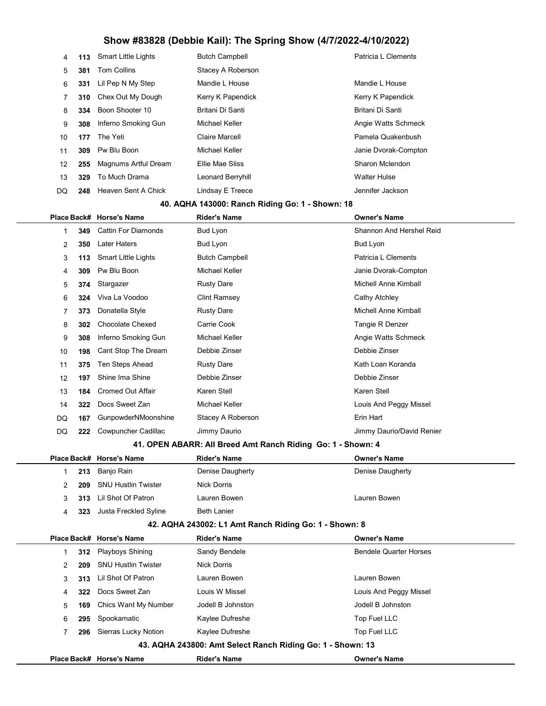| 4  | 113 | <b>Smart Little Lights</b> | <b>Butch Campbell</b> | Patricia L Clements  |
|----|-----|----------------------------|-----------------------|----------------------|
| 5  | 381 | <b>Tom Collins</b>         | Stacey A Roberson     |                      |
| 6  | 331 | Lil Pep N My Step          | Mandie L House        | Mandie L House       |
| 7  | 310 | Chex Out My Dough          | Kerry K Papendick     | Kerry K Papendick    |
| 8  | 334 | Boon Shooter 10            | Britani Di Santi      | Britani Di Santi     |
| 9  | 308 | Inferno Smoking Gun        | Michael Keller        | Angie Watts Schmeck  |
| 10 | 177 | The Yeti                   | Claire Marcell        | Pamela Quakenbush    |
| 11 | 309 | Pw Blu Boon                | Michael Keller        | Janie Dvorak-Compton |
| 12 | 255 | Magnums Artful Dream       | Ellie Mae Sliss       | Sharon Mclendon      |
| 13 | 329 | To Much Drama              | Leonard Berryhill     | <b>Walter Hulse</b>  |
| DQ | 248 | Heaven Sent A Chick        | Lindsay E Treece      | Jennifer Jackson     |

#### 40. AQHA 143000: Ranch Riding Go: 1 - Shown: 18

|    |     | Place Back# Horse's Name   | <b>Rider's Name</b>   | <b>Owner's Name</b>       |
|----|-----|----------------------------|-----------------------|---------------------------|
|    | 349 | <b>Cattin For Diamonds</b> | Bud Lyon              | Shannon And Hershel Reid  |
| 2  | 350 | Later Haters               | Bud Lyon              | Bud Lyon                  |
| 3  | 113 | <b>Smart Little Lights</b> | <b>Butch Campbell</b> | Patricia L Clements       |
| 4  | 309 | Pw Blu Boon                | Michael Keller        | Janie Dvorak-Compton      |
| 5  | 374 | Stargazer                  | <b>Rusty Dare</b>     | Michell Anne Kimball      |
| 6  | 324 | Viva La Voodoo             | <b>Clint Ramsey</b>   | Cathy Atchley             |
| 7  | 373 | Donatella Style            | <b>Rusty Dare</b>     | Michell Anne Kimball      |
| 8  | 302 | <b>Chocolate Chexed</b>    | Carrie Cook           | Tangie R Denzer           |
| 9  | 308 | Inferno Smoking Gun        | Michael Keller        | Angie Watts Schmeck       |
| 10 | 198 | Cant Stop The Dream        | Debbie Zinser         | Debbie Zinser             |
| 11 | 375 | Ten Steps Ahead            | <b>Rusty Dare</b>     | Kath Loan Koranda         |
| 12 | 197 | Shine Ima Shine            | Debbie Zinser         | Debbie Zinser             |
| 13 | 184 | <b>Cromed Out Affair</b>   | Karen Stell           | Karen Stell               |
| 14 | 322 | Docs Sweet Zan             | Michael Keller        | Louis And Peggy Missel    |
| DQ | 167 | GunpowderNMoonshine        | Stacey A Roberson     | Erin Hart                 |
| DQ | 222 | Cowpuncher Cadillac        | Jimmy Daurio          | Jimmy Daurio/David Renier |
|    |     |                            |                       |                           |

#### 41. OPEN ABARR: All Breed Amt Ranch Riding Go: 1 - Shown: 4

|  |     | Place Back# Horse's Name   | Rider's Name       | <b>Owner's Name</b> |
|--|-----|----------------------------|--------------------|---------------------|
|  |     | 213 Banjo Rain             | Denise Daugherty   | Denise Daugherty    |
|  | 209 | <b>SNU Hustlin Twister</b> | Nick Dorris        |                     |
|  |     | 313 Lil Shot Of Patron     | Lauren Bowen       | Lauren Bowen        |
|  | 323 | Justa Freckled Syline      | <b>Beth Lanier</b> |                     |

#### 42. AQHA 243002: L1 Amt Ranch Riding Go: 1 - Shown: 8

|    |                                                            | Place Back# Horse's Name   | <b>Rider's Name</b> | <b>Owner's Name</b>           |  |  |
|----|------------------------------------------------------------|----------------------------|---------------------|-------------------------------|--|--|
|    | 312                                                        | Playboys Shining           | Sandy Bendele       | <b>Bendele Quarter Horses</b> |  |  |
|    | 209                                                        | <b>SNU Hustlin Twister</b> | Nick Dorris         |                               |  |  |
| 3  | 313                                                        | Lil Shot Of Patron         | Lauren Bowen        | Lauren Bowen                  |  |  |
| 4  | 322                                                        | Docs Sweet Zan             | Louis W Missel      | Louis And Peggy Missel        |  |  |
| 5  | 169                                                        | Chics Want My Number       | Jodell B Johnston   | Jodell B Johnston             |  |  |
| 6. | 295                                                        | Spookamatic                | Kaylee Dufreshe     | Top Fuel LLC                  |  |  |
|    | 296                                                        | Sierras Lucky Notion       | Kaylee Dufreshe     | Top Fuel LLC                  |  |  |
|    | 43. AQHA 243800: Amt Select Ranch Riding Go: 1 - Shown: 13 |                            |                     |                               |  |  |
|    |                                                            | Place Back# Horse's Name   | <b>Rider's Name</b> | <b>Owner's Name</b>           |  |  |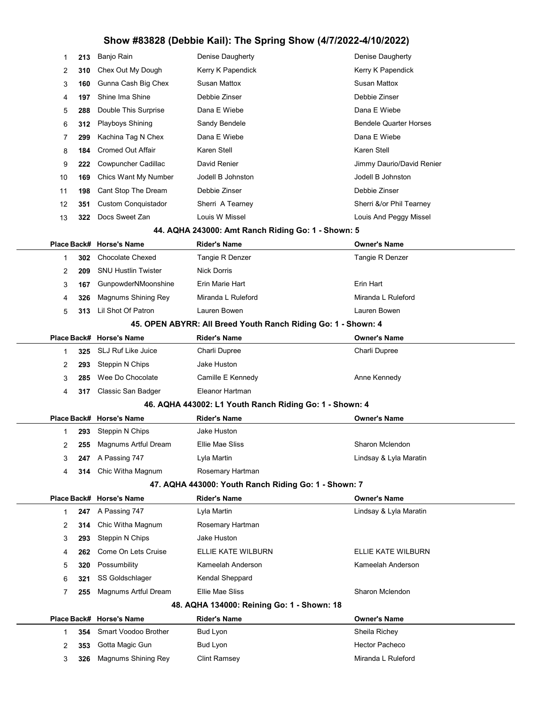| 1           | 213 | Banjo Rain                                  | Denise Daugherty                                              | Denise Daugherty                     |
|-------------|-----|---------------------------------------------|---------------------------------------------------------------|--------------------------------------|
| 2           | 310 | Chex Out My Dough                           | Kerry K Papendick                                             | Kerry K Papendick                    |
| 3           | 160 | Gunna Cash Big Chex                         | <b>Susan Mattox</b>                                           | <b>Susan Mattox</b>                  |
| 4           | 197 | Shine Ima Shine                             | Debbie Zinser                                                 | Debbie Zinser                        |
| 5           | 288 | Double This Surprise                        | Dana E Wiebe                                                  | Dana E Wiebe                         |
| 6           | 312 | Playboys Shining                            | Sandy Bendele                                                 | <b>Bendele Quarter Horses</b>        |
| 7           | 299 | Kachina Tag N Chex                          | Dana E Wiebe                                                  | Dana E Wiebe                         |
| 8           | 184 | <b>Cromed Out Affair</b>                    | Karen Stell                                                   | Karen Stell                          |
| 9           | 222 | Cowpuncher Cadillac                         | David Renier                                                  | Jimmy Daurio/David Renier            |
| 10          | 169 | Chics Want My Number                        | Jodell B Johnston                                             | Jodell B Johnston                    |
| 11          | 198 | Cant Stop The Dream                         | Debbie Zinser                                                 | Debbie Zinser                        |
| 12          | 351 | <b>Custom Conquistador</b>                  | Sherri A Tearney                                              | Sherri &/or Phil Tearney             |
| 13          | 322 | Docs Sweet Zan                              | Louis W Missel                                                | Louis And Peggy Missel               |
|             |     |                                             | 44. AQHA 243000: Amt Ranch Riding Go: 1 - Shown: 5            |                                      |
| Place Back# |     | <b>Horse's Name</b>                         | <b>Rider's Name</b>                                           | <b>Owner's Name</b>                  |
| 1           | 302 | <b>Chocolate Chexed</b>                     | Tangie R Denzer                                               | Tangie R Denzer                      |
| 2           | 209 | <b>SNU Hustlin Twister</b>                  | <b>Nick Dorris</b>                                            |                                      |
| 3           | 167 | <b>GunpowderNMoonshine</b>                  | Erin Marie Hart                                               | Erin Hart                            |
| 4           | 326 | Magnums Shining Rey                         | Miranda L Ruleford                                            | Miranda L Ruleford                   |
| 5           | 313 | Lil Shot Of Patron                          | Lauren Bowen                                                  | Lauren Bowen                         |
|             |     |                                             | 45. OPEN ABYRR: All Breed Youth Ranch Riding Go: 1 - Shown: 4 |                                      |
|             |     | Place Back# Horse's Name                    | <b>Rider's Name</b>                                           | <b>Owner's Name</b>                  |
| $\mathbf 1$ | 325 | <b>SLJ Ruf Like Juice</b>                   | Charli Dupree                                                 | Charli Dupree                        |
| 2           | 293 | Steppin N Chips                             | Jake Huston                                                   |                                      |
| 3           | 285 | Wee Do Chocolate                            | Camille E Kennedy                                             | Anne Kennedy                         |
| 4           | 317 | Classic San Badger                          | Eleanor Hartman                                               |                                      |
|             |     |                                             | 46. AQHA 443002: L1 Youth Ranch Riding Go: 1 - Shown: 4       |                                      |
|             |     | Place Back# Horse's Name                    | <b>Rider's Name</b>                                           | <b>Owner's Name</b>                  |
| 1           | 293 | Steppin N Chips                             | Jake Huston                                                   |                                      |
| 2           |     | 255 Magnums Artful Dream                    | Ellie Mae Sliss                                               | Sharon Mclendon                      |
| 3           | 247 | A Passing 747                               | Lyla Martin                                                   | Lindsay & Lyla Maratin               |
| 4           | 314 | Chic Witha Magnum                           | Rosemary Hartman                                              |                                      |
|             |     |                                             | 47. AQHA 443000: Youth Ranch Riding Go: 1 - Shown: 7          |                                      |
|             |     | Place Back# Horse's Name                    | <b>Rider's Name</b>                                           | <b>Owner's Name</b>                  |
| 1           | 247 | A Passing 747                               | Lyla Martin                                                   | Lindsay & Lyla Maratin               |
| 2           | 314 | Chic Witha Magnum                           | Rosemary Hartman                                              |                                      |
| 3           | 293 | Steppin N Chips                             | Jake Huston                                                   |                                      |
| 4           | 262 | Come On Lets Cruise                         | ELLIE KATE WILBURN                                            | ELLIE KATE WILBURN                   |
| 5           | 320 | Possumbility                                | Kameelah Anderson                                             | Kameelah Anderson                    |
| 6           | 321 | SS Goldschlager                             | Kendal Sheppard                                               |                                      |
| 7           | 255 | Magnums Artful Dream                        | Ellie Mae Sliss                                               | Sharon Mclendon                      |
|             |     |                                             | 48. AQHA 134000: Reining Go: 1 - Shown: 18                    |                                      |
| Place Back# |     | <b>Horse's Name</b><br>Smart Voodoo Brother | <b>Rider's Name</b><br>Bud Lyon                               | <b>Owner's Name</b><br>Sheila Richey |
| 1           | 354 | Gotta Magic Gun                             | Bud Lyon                                                      | Hector Pacheco                       |
| 2           | 353 |                                             |                                                               | Miranda L Ruleford                   |
| 3           | 326 | Magnums Shining Rey                         | <b>Clint Ramsey</b>                                           |                                      |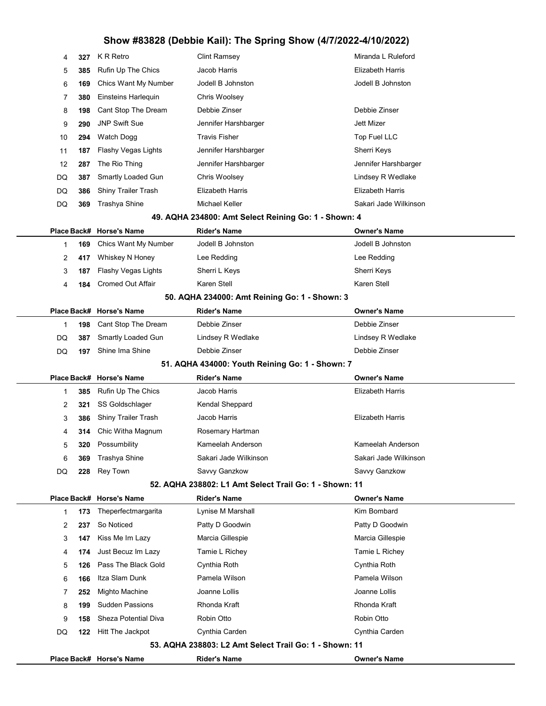|                |     |                            | - - - - - - - - - - - <sub>-</sub> -                   |                         |
|----------------|-----|----------------------------|--------------------------------------------------------|-------------------------|
| 4              | 327 | K R Retro                  | Clint Ramsey                                           | Miranda L Ruleford      |
| 5              | 385 | Rufin Up The Chics         | Jacob Harris                                           | <b>Elizabeth Harris</b> |
| 6              | 169 | Chics Want My Number       | Jodell B Johnston                                      | Jodell B Johnston       |
| 7              | 380 | Einsteins Harleguin        | Chris Woolsey                                          |                         |
| 8              | 198 | Cant Stop The Dream        | Debbie Zinser                                          | Debbie Zinser           |
| 9              | 290 | <b>JNP Swift Sue</b>       | Jennifer Harshbarger                                   | <b>Jett Mizer</b>       |
| 10             | 294 | <b>Watch Dogg</b>          | <b>Travis Fisher</b>                                   | Top Fuel LLC            |
| 11             | 187 | Flashy Vegas Lights        | Jennifer Harshbarger                                   | Sherri Keys             |
| 12             | 287 | The Rio Thing              | Jennifer Harshbarger                                   | Jennifer Harshbarger    |
| DQ             | 387 | Smartly Loaded Gun         | Chris Woolsey                                          | Lindsey R Wedlake       |
| DQ             | 386 | Shiny Trailer Trash        | Elizabeth Harris                                       | <b>Elizabeth Harris</b> |
| DQ             | 369 | Trashya Shine              | Michael Keller                                         | Sakari Jade Wilkinson   |
|                |     |                            | 49. AQHA 234800: Amt Select Reining Go: 1 - Shown: 4   |                         |
|                |     | Place Back# Horse's Name   | <b>Rider's Name</b>                                    | <b>Owner's Name</b>     |
| 1              | 169 | Chics Want My Number       | Jodell B Johnston                                      | Jodell B Johnston       |
| 2              | 417 | Whiskey N Honey            | Lee Redding                                            | Lee Redding             |
| 3              | 187 | Flashy Vegas Lights        | Sherri L Keys                                          | Sherri Keys             |
| 4              | 184 | Cromed Out Affair          | Karen Stell                                            | Karen Stell             |
|                |     |                            | 50. AQHA 234000: Amt Reining Go: 1 - Shown: 3          |                         |
|                |     | Place Back# Horse's Name   | <b>Rider's Name</b>                                    | <b>Owner's Name</b>     |
| 1              | 198 | Cant Stop The Dream        | Debbie Zinser                                          | Debbie Zinser           |
| DQ             | 387 | Smartly Loaded Gun         | Lindsey R Wedlake                                      | Lindsey R Wedlake       |
| DQ             | 197 | Shine Ima Shine            | Debbie Zinser                                          | Debbie Zinser           |
|                |     |                            | 51. AQHA 434000: Youth Reining Go: 1 - Shown: 7        |                         |
|                |     | Place Back# Horse's Name   | <b>Rider's Name</b>                                    | <b>Owner's Name</b>     |
| 1              | 385 | Rufin Up The Chics         | Jacob Harris                                           | <b>Elizabeth Harris</b> |
| 2              | 321 | SS Goldschlager            | Kendal Sheppard                                        |                         |
| 3              | 386 | <b>Shiny Trailer Trash</b> | Jacob Harris                                           | <b>Elizabeth Harris</b> |
| 4              | 314 | Chic Witha Magnum          | Rosemary Hartman                                       |                         |
| $\ddot{\circ}$ | 320 | Possumbility               | Kameelah Anderson                                      | Kameelah Anderson       |
| 6              | 369 | Trashya Shine              | Sakari Jade Wilkinson                                  | Sakari Jade Wilkinson   |
| DQ             | 228 | Rey Town                   | Savvy Ganzkow                                          | Savvy Ganzkow           |
|                |     |                            | 52. AQHA 238802: L1 Amt Select Trail Go: 1 - Shown: 11 |                         |
|                |     | Place Back# Horse's Name   | <b>Rider's Name</b>                                    | <b>Owner's Name</b>     |
| 1              | 173 | Theperfectmargarita        | Lynise M Marshall                                      | Kim Bombard             |
| 2              | 237 | So Noticed                 | Patty D Goodwin                                        | Patty D Goodwin         |
| 3              | 147 | Kiss Me Im Lazy            | Marcia Gillespie                                       | Marcia Gillespie        |
| 4              | 174 | Just Becuz Im Lazy         | Tamie L Richey                                         | Tamie L Richey          |
| 5              | 126 | Pass The Black Gold        | Cynthia Roth                                           | Cynthia Roth            |
| 6              | 166 | Itza Slam Dunk             | Pamela Wilson                                          | Pamela Wilson           |
| 7              | 252 | Mighto Machine             | Joanne Lollis                                          | Joanne Lollis           |
| 8              | 199 | <b>Sudden Passions</b>     | Rhonda Kraft                                           | Rhonda Kraft            |
| 9              | 158 | Sheza Potential Diva       | Robin Otto                                             | Robin Otto              |
| DQ             | 122 | Hitt The Jackpot           | Cynthia Carden                                         | Cynthia Carden          |

53. AQHA 238803: L2 Amt Select Trail Go: 1 - Shown: 11

Place Back# Horse's Name **Rider's Name Communist Communist Communist** Owner's Name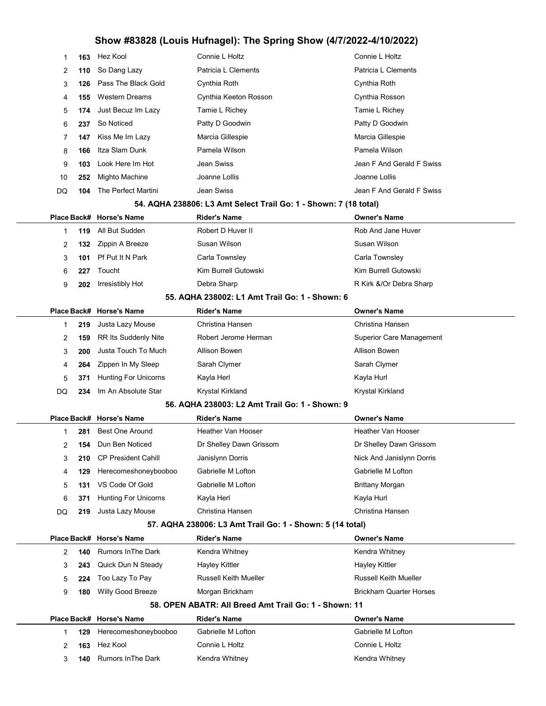| Patricia L Clements<br>Patricia L Clements<br>So Dang Lazy<br>2<br>110<br>Pass The Black Gold<br>Cynthia Roth<br>Cynthia Roth<br>3<br>126<br><b>Western Dreams</b><br>Cynthia Keeton Rosson<br>Cynthia Rosson<br>155<br>4<br>Just Becuz Im Lazy<br>Tamie L Richey<br>Tamie L Richey<br>5<br>174<br>So Noticed<br>Patty D Goodwin<br>Patty D Goodwin<br>6<br>237<br>Kiss Me Im Lazy<br>Marcia Gillespie<br>Marcia Gillespie<br>7<br>147<br>Itza Slam Dunk<br>Pamela Wilson<br>Pamela Wilson<br>8<br>166<br>Jean Swiss<br>Jean F And Gerald F Swiss<br>Look Here Im Hot<br>9<br>103<br>Mighto Machine<br>Joanne Lollis<br>Joanne Lollis<br>10<br>252<br>The Perfect Martini<br>Jean Swiss<br>Jean F And Gerald F Swiss<br>DQ<br>104<br>54. AQHA 238806: L3 Amt Select Trail Go: 1 - Shown: 7 (18 total)<br><b>Rider's Name</b><br>Place Back# Horse's Name<br><b>Owner's Name</b><br>Robert D Huver II<br>Rob And Jane Huver<br>All But Sudden<br>119<br>1<br>Susan Wilson<br>Susan Wilson<br>Zippin A Breeze<br>2<br>132<br>Pf Put It N Park<br>Carla Townsley<br>Carla Townsley<br>3<br>101<br>Kim Burrell Gutowski<br>Kim Burrell Gutowski<br>Toucht<br>6<br>227<br>Irresistibly Hot<br>Debra Sharp<br>R Kirk &/Or Debra Sharp<br>9<br>202<br>55. AQHA 238002: L1 Amt Trail Go: 1 - Shown: 6<br>Place Back# Horse's Name<br><b>Rider's Name</b><br><b>Owner's Name</b><br>Christina Hansen<br>Christina Hansen<br>Justa Lazy Mouse<br>219<br>1<br>Robert Jerome Herman<br>RR Its Suddenly Nite<br><b>Superior Care Management</b><br>2<br>159<br>Justa Touch To Much<br>Allison Bowen<br>Allison Bowen<br>3<br>200<br>Zippen In My Sleep<br>Sarah Clymer<br>Sarah Clymer<br>4<br>264<br><b>Hunting For Unicorns</b><br>Kayla Herl<br>Kayla Hurl<br>5<br>371<br>Im An Absolute Star<br>Krystal Kirkland<br>DQ<br>Krystal Kirkland<br>234<br>56. AQHA 238003: L2 Amt Trail Go: 1 - Shown: 9<br><b>Owner's Name</b><br>Place Back# Horse's Name<br><b>Rider's Name</b><br><b>Best One Around</b><br>Heather Van Hooser<br>Heather Van Hooser<br>281<br>1<br>Dun Ben Noticed<br>Dr Shelley Dawn Grissom<br>Dr Shelley Dawn Grissom<br>2<br>154<br><b>CP President Cahill</b><br>Janislynn Dorris<br>Nick And Janislynn Dorris<br>3<br>210<br>Gabrielle M Lofton<br>Gabrielle M Lofton<br>Herecomeshoneybooboo<br>129<br>4<br>VS Code Of Gold<br>Gabrielle M Lofton<br><b>Brittany Morgan</b><br>5<br>131<br><b>Hunting For Unicorns</b><br>Kayla Herl<br>Kayla Hurl<br>6<br>371<br>Justa Lazy Mouse<br>Christina Hansen<br>Christina Hansen<br>DQ<br>219<br>57. AQHA 238006: L3 Amt Trail Go: 1 - Shown: 5 (14 total)<br>Place Back# Horse's Name<br><b>Rider's Name</b><br><b>Owner's Name</b><br><b>Rumors In The Dark</b><br>Kendra Whitney<br>Kendra Whitney<br>2<br>140<br>Quick Dun N Steady<br><b>Hayley Kittler</b><br><b>Hayley Kittler</b><br>3<br>243<br><b>Russell Keith Mueller</b><br>Too Lazy To Pay<br>Russell Keith Mueller<br>5<br>224<br>Willy Good Breeze<br>Morgan Brickham<br><b>Brickham Quarter Horses</b><br>9<br>180<br>58. OPEN ABATR: All Breed Amt Trail Go: 1 - Shown: 11<br>Place Back# Horse's Name<br><b>Rider's Name</b><br><b>Owner's Name</b><br>Gabrielle M Lofton<br>Gabrielle M Lofton<br>Herecomeshoneybooboo<br>129<br>1<br>Hez Kool<br>Connie L Holtz<br>Connie L Holtz<br>2<br>163<br><b>Rumors In The Dark</b><br>Kendra Whitney<br>Kendra Whitney<br>3<br>140 | 1 | 163 | Hez Kool | Connie L Holtz | Connie L Holtz |
|---------------------------------------------------------------------------------------------------------------------------------------------------------------------------------------------------------------------------------------------------------------------------------------------------------------------------------------------------------------------------------------------------------------------------------------------------------------------------------------------------------------------------------------------------------------------------------------------------------------------------------------------------------------------------------------------------------------------------------------------------------------------------------------------------------------------------------------------------------------------------------------------------------------------------------------------------------------------------------------------------------------------------------------------------------------------------------------------------------------------------------------------------------------------------------------------------------------------------------------------------------------------------------------------------------------------------------------------------------------------------------------------------------------------------------------------------------------------------------------------------------------------------------------------------------------------------------------------------------------------------------------------------------------------------------------------------------------------------------------------------------------------------------------------------------------------------------------------------------------------------------------------------------------------------------------------------------------------------------------------------------------------------------------------------------------------------------------------------------------------------------------------------------------------------------------------------------------------------------------------------------------------------------------------------------------------------------------------------------------------------------------------------------------------------------------------------------------------------------------------------------------------------------------------------------------------------------------------------------------------------------------------------------------------------------------------------------------------------------------------------------------------------------------------------------------------------------------------------------------------------------------------------------------------------------------------------------------------------------------------------------------------------------------------------------------------------------------------------------------------------------------------------------------------------------------------------------------------------------------------------------------------------------------------------------------------------------------------------------------------------------------------------------|---|-----|----------|----------------|----------------|
|                                                                                                                                                                                                                                                                                                                                                                                                                                                                                                                                                                                                                                                                                                                                                                                                                                                                                                                                                                                                                                                                                                                                                                                                                                                                                                                                                                                                                                                                                                                                                                                                                                                                                                                                                                                                                                                                                                                                                                                                                                                                                                                                                                                                                                                                                                                                                                                                                                                                                                                                                                                                                                                                                                                                                                                                                                                                                                                                                                                                                                                                                                                                                                                                                                                                                                                                                                                                         |   |     |          |                |                |
|                                                                                                                                                                                                                                                                                                                                                                                                                                                                                                                                                                                                                                                                                                                                                                                                                                                                                                                                                                                                                                                                                                                                                                                                                                                                                                                                                                                                                                                                                                                                                                                                                                                                                                                                                                                                                                                                                                                                                                                                                                                                                                                                                                                                                                                                                                                                                                                                                                                                                                                                                                                                                                                                                                                                                                                                                                                                                                                                                                                                                                                                                                                                                                                                                                                                                                                                                                                                         |   |     |          |                |                |
|                                                                                                                                                                                                                                                                                                                                                                                                                                                                                                                                                                                                                                                                                                                                                                                                                                                                                                                                                                                                                                                                                                                                                                                                                                                                                                                                                                                                                                                                                                                                                                                                                                                                                                                                                                                                                                                                                                                                                                                                                                                                                                                                                                                                                                                                                                                                                                                                                                                                                                                                                                                                                                                                                                                                                                                                                                                                                                                                                                                                                                                                                                                                                                                                                                                                                                                                                                                                         |   |     |          |                |                |
|                                                                                                                                                                                                                                                                                                                                                                                                                                                                                                                                                                                                                                                                                                                                                                                                                                                                                                                                                                                                                                                                                                                                                                                                                                                                                                                                                                                                                                                                                                                                                                                                                                                                                                                                                                                                                                                                                                                                                                                                                                                                                                                                                                                                                                                                                                                                                                                                                                                                                                                                                                                                                                                                                                                                                                                                                                                                                                                                                                                                                                                                                                                                                                                                                                                                                                                                                                                                         |   |     |          |                |                |
|                                                                                                                                                                                                                                                                                                                                                                                                                                                                                                                                                                                                                                                                                                                                                                                                                                                                                                                                                                                                                                                                                                                                                                                                                                                                                                                                                                                                                                                                                                                                                                                                                                                                                                                                                                                                                                                                                                                                                                                                                                                                                                                                                                                                                                                                                                                                                                                                                                                                                                                                                                                                                                                                                                                                                                                                                                                                                                                                                                                                                                                                                                                                                                                                                                                                                                                                                                                                         |   |     |          |                |                |
|                                                                                                                                                                                                                                                                                                                                                                                                                                                                                                                                                                                                                                                                                                                                                                                                                                                                                                                                                                                                                                                                                                                                                                                                                                                                                                                                                                                                                                                                                                                                                                                                                                                                                                                                                                                                                                                                                                                                                                                                                                                                                                                                                                                                                                                                                                                                                                                                                                                                                                                                                                                                                                                                                                                                                                                                                                                                                                                                                                                                                                                                                                                                                                                                                                                                                                                                                                                                         |   |     |          |                |                |
|                                                                                                                                                                                                                                                                                                                                                                                                                                                                                                                                                                                                                                                                                                                                                                                                                                                                                                                                                                                                                                                                                                                                                                                                                                                                                                                                                                                                                                                                                                                                                                                                                                                                                                                                                                                                                                                                                                                                                                                                                                                                                                                                                                                                                                                                                                                                                                                                                                                                                                                                                                                                                                                                                                                                                                                                                                                                                                                                                                                                                                                                                                                                                                                                                                                                                                                                                                                                         |   |     |          |                |                |
|                                                                                                                                                                                                                                                                                                                                                                                                                                                                                                                                                                                                                                                                                                                                                                                                                                                                                                                                                                                                                                                                                                                                                                                                                                                                                                                                                                                                                                                                                                                                                                                                                                                                                                                                                                                                                                                                                                                                                                                                                                                                                                                                                                                                                                                                                                                                                                                                                                                                                                                                                                                                                                                                                                                                                                                                                                                                                                                                                                                                                                                                                                                                                                                                                                                                                                                                                                                                         |   |     |          |                |                |
|                                                                                                                                                                                                                                                                                                                                                                                                                                                                                                                                                                                                                                                                                                                                                                                                                                                                                                                                                                                                                                                                                                                                                                                                                                                                                                                                                                                                                                                                                                                                                                                                                                                                                                                                                                                                                                                                                                                                                                                                                                                                                                                                                                                                                                                                                                                                                                                                                                                                                                                                                                                                                                                                                                                                                                                                                                                                                                                                                                                                                                                                                                                                                                                                                                                                                                                                                                                                         |   |     |          |                |                |
|                                                                                                                                                                                                                                                                                                                                                                                                                                                                                                                                                                                                                                                                                                                                                                                                                                                                                                                                                                                                                                                                                                                                                                                                                                                                                                                                                                                                                                                                                                                                                                                                                                                                                                                                                                                                                                                                                                                                                                                                                                                                                                                                                                                                                                                                                                                                                                                                                                                                                                                                                                                                                                                                                                                                                                                                                                                                                                                                                                                                                                                                                                                                                                                                                                                                                                                                                                                                         |   |     |          |                |                |
|                                                                                                                                                                                                                                                                                                                                                                                                                                                                                                                                                                                                                                                                                                                                                                                                                                                                                                                                                                                                                                                                                                                                                                                                                                                                                                                                                                                                                                                                                                                                                                                                                                                                                                                                                                                                                                                                                                                                                                                                                                                                                                                                                                                                                                                                                                                                                                                                                                                                                                                                                                                                                                                                                                                                                                                                                                                                                                                                                                                                                                                                                                                                                                                                                                                                                                                                                                                                         |   |     |          |                |                |
|                                                                                                                                                                                                                                                                                                                                                                                                                                                                                                                                                                                                                                                                                                                                                                                                                                                                                                                                                                                                                                                                                                                                                                                                                                                                                                                                                                                                                                                                                                                                                                                                                                                                                                                                                                                                                                                                                                                                                                                                                                                                                                                                                                                                                                                                                                                                                                                                                                                                                                                                                                                                                                                                                                                                                                                                                                                                                                                                                                                                                                                                                                                                                                                                                                                                                                                                                                                                         |   |     |          |                |                |
|                                                                                                                                                                                                                                                                                                                                                                                                                                                                                                                                                                                                                                                                                                                                                                                                                                                                                                                                                                                                                                                                                                                                                                                                                                                                                                                                                                                                                                                                                                                                                                                                                                                                                                                                                                                                                                                                                                                                                                                                                                                                                                                                                                                                                                                                                                                                                                                                                                                                                                                                                                                                                                                                                                                                                                                                                                                                                                                                                                                                                                                                                                                                                                                                                                                                                                                                                                                                         |   |     |          |                |                |
|                                                                                                                                                                                                                                                                                                                                                                                                                                                                                                                                                                                                                                                                                                                                                                                                                                                                                                                                                                                                                                                                                                                                                                                                                                                                                                                                                                                                                                                                                                                                                                                                                                                                                                                                                                                                                                                                                                                                                                                                                                                                                                                                                                                                                                                                                                                                                                                                                                                                                                                                                                                                                                                                                                                                                                                                                                                                                                                                                                                                                                                                                                                                                                                                                                                                                                                                                                                                         |   |     |          |                |                |
|                                                                                                                                                                                                                                                                                                                                                                                                                                                                                                                                                                                                                                                                                                                                                                                                                                                                                                                                                                                                                                                                                                                                                                                                                                                                                                                                                                                                                                                                                                                                                                                                                                                                                                                                                                                                                                                                                                                                                                                                                                                                                                                                                                                                                                                                                                                                                                                                                                                                                                                                                                                                                                                                                                                                                                                                                                                                                                                                                                                                                                                                                                                                                                                                                                                                                                                                                                                                         |   |     |          |                |                |
|                                                                                                                                                                                                                                                                                                                                                                                                                                                                                                                                                                                                                                                                                                                                                                                                                                                                                                                                                                                                                                                                                                                                                                                                                                                                                                                                                                                                                                                                                                                                                                                                                                                                                                                                                                                                                                                                                                                                                                                                                                                                                                                                                                                                                                                                                                                                                                                                                                                                                                                                                                                                                                                                                                                                                                                                                                                                                                                                                                                                                                                                                                                                                                                                                                                                                                                                                                                                         |   |     |          |                |                |
|                                                                                                                                                                                                                                                                                                                                                                                                                                                                                                                                                                                                                                                                                                                                                                                                                                                                                                                                                                                                                                                                                                                                                                                                                                                                                                                                                                                                                                                                                                                                                                                                                                                                                                                                                                                                                                                                                                                                                                                                                                                                                                                                                                                                                                                                                                                                                                                                                                                                                                                                                                                                                                                                                                                                                                                                                                                                                                                                                                                                                                                                                                                                                                                                                                                                                                                                                                                                         |   |     |          |                |                |
|                                                                                                                                                                                                                                                                                                                                                                                                                                                                                                                                                                                                                                                                                                                                                                                                                                                                                                                                                                                                                                                                                                                                                                                                                                                                                                                                                                                                                                                                                                                                                                                                                                                                                                                                                                                                                                                                                                                                                                                                                                                                                                                                                                                                                                                                                                                                                                                                                                                                                                                                                                                                                                                                                                                                                                                                                                                                                                                                                                                                                                                                                                                                                                                                                                                                                                                                                                                                         |   |     |          |                |                |
|                                                                                                                                                                                                                                                                                                                                                                                                                                                                                                                                                                                                                                                                                                                                                                                                                                                                                                                                                                                                                                                                                                                                                                                                                                                                                                                                                                                                                                                                                                                                                                                                                                                                                                                                                                                                                                                                                                                                                                                                                                                                                                                                                                                                                                                                                                                                                                                                                                                                                                                                                                                                                                                                                                                                                                                                                                                                                                                                                                                                                                                                                                                                                                                                                                                                                                                                                                                                         |   |     |          |                |                |
|                                                                                                                                                                                                                                                                                                                                                                                                                                                                                                                                                                                                                                                                                                                                                                                                                                                                                                                                                                                                                                                                                                                                                                                                                                                                                                                                                                                                                                                                                                                                                                                                                                                                                                                                                                                                                                                                                                                                                                                                                                                                                                                                                                                                                                                                                                                                                                                                                                                                                                                                                                                                                                                                                                                                                                                                                                                                                                                                                                                                                                                                                                                                                                                                                                                                                                                                                                                                         |   |     |          |                |                |
|                                                                                                                                                                                                                                                                                                                                                                                                                                                                                                                                                                                                                                                                                                                                                                                                                                                                                                                                                                                                                                                                                                                                                                                                                                                                                                                                                                                                                                                                                                                                                                                                                                                                                                                                                                                                                                                                                                                                                                                                                                                                                                                                                                                                                                                                                                                                                                                                                                                                                                                                                                                                                                                                                                                                                                                                                                                                                                                                                                                                                                                                                                                                                                                                                                                                                                                                                                                                         |   |     |          |                |                |
|                                                                                                                                                                                                                                                                                                                                                                                                                                                                                                                                                                                                                                                                                                                                                                                                                                                                                                                                                                                                                                                                                                                                                                                                                                                                                                                                                                                                                                                                                                                                                                                                                                                                                                                                                                                                                                                                                                                                                                                                                                                                                                                                                                                                                                                                                                                                                                                                                                                                                                                                                                                                                                                                                                                                                                                                                                                                                                                                                                                                                                                                                                                                                                                                                                                                                                                                                                                                         |   |     |          |                |                |
|                                                                                                                                                                                                                                                                                                                                                                                                                                                                                                                                                                                                                                                                                                                                                                                                                                                                                                                                                                                                                                                                                                                                                                                                                                                                                                                                                                                                                                                                                                                                                                                                                                                                                                                                                                                                                                                                                                                                                                                                                                                                                                                                                                                                                                                                                                                                                                                                                                                                                                                                                                                                                                                                                                                                                                                                                                                                                                                                                                                                                                                                                                                                                                                                                                                                                                                                                                                                         |   |     |          |                |                |
|                                                                                                                                                                                                                                                                                                                                                                                                                                                                                                                                                                                                                                                                                                                                                                                                                                                                                                                                                                                                                                                                                                                                                                                                                                                                                                                                                                                                                                                                                                                                                                                                                                                                                                                                                                                                                                                                                                                                                                                                                                                                                                                                                                                                                                                                                                                                                                                                                                                                                                                                                                                                                                                                                                                                                                                                                                                                                                                                                                                                                                                                                                                                                                                                                                                                                                                                                                                                         |   |     |          |                |                |
|                                                                                                                                                                                                                                                                                                                                                                                                                                                                                                                                                                                                                                                                                                                                                                                                                                                                                                                                                                                                                                                                                                                                                                                                                                                                                                                                                                                                                                                                                                                                                                                                                                                                                                                                                                                                                                                                                                                                                                                                                                                                                                                                                                                                                                                                                                                                                                                                                                                                                                                                                                                                                                                                                                                                                                                                                                                                                                                                                                                                                                                                                                                                                                                                                                                                                                                                                                                                         |   |     |          |                |                |
|                                                                                                                                                                                                                                                                                                                                                                                                                                                                                                                                                                                                                                                                                                                                                                                                                                                                                                                                                                                                                                                                                                                                                                                                                                                                                                                                                                                                                                                                                                                                                                                                                                                                                                                                                                                                                                                                                                                                                                                                                                                                                                                                                                                                                                                                                                                                                                                                                                                                                                                                                                                                                                                                                                                                                                                                                                                                                                                                                                                                                                                                                                                                                                                                                                                                                                                                                                                                         |   |     |          |                |                |
|                                                                                                                                                                                                                                                                                                                                                                                                                                                                                                                                                                                                                                                                                                                                                                                                                                                                                                                                                                                                                                                                                                                                                                                                                                                                                                                                                                                                                                                                                                                                                                                                                                                                                                                                                                                                                                                                                                                                                                                                                                                                                                                                                                                                                                                                                                                                                                                                                                                                                                                                                                                                                                                                                                                                                                                                                                                                                                                                                                                                                                                                                                                                                                                                                                                                                                                                                                                                         |   |     |          |                |                |
|                                                                                                                                                                                                                                                                                                                                                                                                                                                                                                                                                                                                                                                                                                                                                                                                                                                                                                                                                                                                                                                                                                                                                                                                                                                                                                                                                                                                                                                                                                                                                                                                                                                                                                                                                                                                                                                                                                                                                                                                                                                                                                                                                                                                                                                                                                                                                                                                                                                                                                                                                                                                                                                                                                                                                                                                                                                                                                                                                                                                                                                                                                                                                                                                                                                                                                                                                                                                         |   |     |          |                |                |
|                                                                                                                                                                                                                                                                                                                                                                                                                                                                                                                                                                                                                                                                                                                                                                                                                                                                                                                                                                                                                                                                                                                                                                                                                                                                                                                                                                                                                                                                                                                                                                                                                                                                                                                                                                                                                                                                                                                                                                                                                                                                                                                                                                                                                                                                                                                                                                                                                                                                                                                                                                                                                                                                                                                                                                                                                                                                                                                                                                                                                                                                                                                                                                                                                                                                                                                                                                                                         |   |     |          |                |                |
|                                                                                                                                                                                                                                                                                                                                                                                                                                                                                                                                                                                                                                                                                                                                                                                                                                                                                                                                                                                                                                                                                                                                                                                                                                                                                                                                                                                                                                                                                                                                                                                                                                                                                                                                                                                                                                                                                                                                                                                                                                                                                                                                                                                                                                                                                                                                                                                                                                                                                                                                                                                                                                                                                                                                                                                                                                                                                                                                                                                                                                                                                                                                                                                                                                                                                                                                                                                                         |   |     |          |                |                |
|                                                                                                                                                                                                                                                                                                                                                                                                                                                                                                                                                                                                                                                                                                                                                                                                                                                                                                                                                                                                                                                                                                                                                                                                                                                                                                                                                                                                                                                                                                                                                                                                                                                                                                                                                                                                                                                                                                                                                                                                                                                                                                                                                                                                                                                                                                                                                                                                                                                                                                                                                                                                                                                                                                                                                                                                                                                                                                                                                                                                                                                                                                                                                                                                                                                                                                                                                                                                         |   |     |          |                |                |
|                                                                                                                                                                                                                                                                                                                                                                                                                                                                                                                                                                                                                                                                                                                                                                                                                                                                                                                                                                                                                                                                                                                                                                                                                                                                                                                                                                                                                                                                                                                                                                                                                                                                                                                                                                                                                                                                                                                                                                                                                                                                                                                                                                                                                                                                                                                                                                                                                                                                                                                                                                                                                                                                                                                                                                                                                                                                                                                                                                                                                                                                                                                                                                                                                                                                                                                                                                                                         |   |     |          |                |                |
|                                                                                                                                                                                                                                                                                                                                                                                                                                                                                                                                                                                                                                                                                                                                                                                                                                                                                                                                                                                                                                                                                                                                                                                                                                                                                                                                                                                                                                                                                                                                                                                                                                                                                                                                                                                                                                                                                                                                                                                                                                                                                                                                                                                                                                                                                                                                                                                                                                                                                                                                                                                                                                                                                                                                                                                                                                                                                                                                                                                                                                                                                                                                                                                                                                                                                                                                                                                                         |   |     |          |                |                |
|                                                                                                                                                                                                                                                                                                                                                                                                                                                                                                                                                                                                                                                                                                                                                                                                                                                                                                                                                                                                                                                                                                                                                                                                                                                                                                                                                                                                                                                                                                                                                                                                                                                                                                                                                                                                                                                                                                                                                                                                                                                                                                                                                                                                                                                                                                                                                                                                                                                                                                                                                                                                                                                                                                                                                                                                                                                                                                                                                                                                                                                                                                                                                                                                                                                                                                                                                                                                         |   |     |          |                |                |
|                                                                                                                                                                                                                                                                                                                                                                                                                                                                                                                                                                                                                                                                                                                                                                                                                                                                                                                                                                                                                                                                                                                                                                                                                                                                                                                                                                                                                                                                                                                                                                                                                                                                                                                                                                                                                                                                                                                                                                                                                                                                                                                                                                                                                                                                                                                                                                                                                                                                                                                                                                                                                                                                                                                                                                                                                                                                                                                                                                                                                                                                                                                                                                                                                                                                                                                                                                                                         |   |     |          |                |                |
|                                                                                                                                                                                                                                                                                                                                                                                                                                                                                                                                                                                                                                                                                                                                                                                                                                                                                                                                                                                                                                                                                                                                                                                                                                                                                                                                                                                                                                                                                                                                                                                                                                                                                                                                                                                                                                                                                                                                                                                                                                                                                                                                                                                                                                                                                                                                                                                                                                                                                                                                                                                                                                                                                                                                                                                                                                                                                                                                                                                                                                                                                                                                                                                                                                                                                                                                                                                                         |   |     |          |                |                |
|                                                                                                                                                                                                                                                                                                                                                                                                                                                                                                                                                                                                                                                                                                                                                                                                                                                                                                                                                                                                                                                                                                                                                                                                                                                                                                                                                                                                                                                                                                                                                                                                                                                                                                                                                                                                                                                                                                                                                                                                                                                                                                                                                                                                                                                                                                                                                                                                                                                                                                                                                                                                                                                                                                                                                                                                                                                                                                                                                                                                                                                                                                                                                                                                                                                                                                                                                                                                         |   |     |          |                |                |
|                                                                                                                                                                                                                                                                                                                                                                                                                                                                                                                                                                                                                                                                                                                                                                                                                                                                                                                                                                                                                                                                                                                                                                                                                                                                                                                                                                                                                                                                                                                                                                                                                                                                                                                                                                                                                                                                                                                                                                                                                                                                                                                                                                                                                                                                                                                                                                                                                                                                                                                                                                                                                                                                                                                                                                                                                                                                                                                                                                                                                                                                                                                                                                                                                                                                                                                                                                                                         |   |     |          |                |                |
|                                                                                                                                                                                                                                                                                                                                                                                                                                                                                                                                                                                                                                                                                                                                                                                                                                                                                                                                                                                                                                                                                                                                                                                                                                                                                                                                                                                                                                                                                                                                                                                                                                                                                                                                                                                                                                                                                                                                                                                                                                                                                                                                                                                                                                                                                                                                                                                                                                                                                                                                                                                                                                                                                                                                                                                                                                                                                                                                                                                                                                                                                                                                                                                                                                                                                                                                                                                                         |   |     |          |                |                |
|                                                                                                                                                                                                                                                                                                                                                                                                                                                                                                                                                                                                                                                                                                                                                                                                                                                                                                                                                                                                                                                                                                                                                                                                                                                                                                                                                                                                                                                                                                                                                                                                                                                                                                                                                                                                                                                                                                                                                                                                                                                                                                                                                                                                                                                                                                                                                                                                                                                                                                                                                                                                                                                                                                                                                                                                                                                                                                                                                                                                                                                                                                                                                                                                                                                                                                                                                                                                         |   |     |          |                |                |
|                                                                                                                                                                                                                                                                                                                                                                                                                                                                                                                                                                                                                                                                                                                                                                                                                                                                                                                                                                                                                                                                                                                                                                                                                                                                                                                                                                                                                                                                                                                                                                                                                                                                                                                                                                                                                                                                                                                                                                                                                                                                                                                                                                                                                                                                                                                                                                                                                                                                                                                                                                                                                                                                                                                                                                                                                                                                                                                                                                                                                                                                                                                                                                                                                                                                                                                                                                                                         |   |     |          |                |                |
|                                                                                                                                                                                                                                                                                                                                                                                                                                                                                                                                                                                                                                                                                                                                                                                                                                                                                                                                                                                                                                                                                                                                                                                                                                                                                                                                                                                                                                                                                                                                                                                                                                                                                                                                                                                                                                                                                                                                                                                                                                                                                                                                                                                                                                                                                                                                                                                                                                                                                                                                                                                                                                                                                                                                                                                                                                                                                                                                                                                                                                                                                                                                                                                                                                                                                                                                                                                                         |   |     |          |                |                |
|                                                                                                                                                                                                                                                                                                                                                                                                                                                                                                                                                                                                                                                                                                                                                                                                                                                                                                                                                                                                                                                                                                                                                                                                                                                                                                                                                                                                                                                                                                                                                                                                                                                                                                                                                                                                                                                                                                                                                                                                                                                                                                                                                                                                                                                                                                                                                                                                                                                                                                                                                                                                                                                                                                                                                                                                                                                                                                                                                                                                                                                                                                                                                                                                                                                                                                                                                                                                         |   |     |          |                |                |
|                                                                                                                                                                                                                                                                                                                                                                                                                                                                                                                                                                                                                                                                                                                                                                                                                                                                                                                                                                                                                                                                                                                                                                                                                                                                                                                                                                                                                                                                                                                                                                                                                                                                                                                                                                                                                                                                                                                                                                                                                                                                                                                                                                                                                                                                                                                                                                                                                                                                                                                                                                                                                                                                                                                                                                                                                                                                                                                                                                                                                                                                                                                                                                                                                                                                                                                                                                                                         |   |     |          |                |                |
|                                                                                                                                                                                                                                                                                                                                                                                                                                                                                                                                                                                                                                                                                                                                                                                                                                                                                                                                                                                                                                                                                                                                                                                                                                                                                                                                                                                                                                                                                                                                                                                                                                                                                                                                                                                                                                                                                                                                                                                                                                                                                                                                                                                                                                                                                                                                                                                                                                                                                                                                                                                                                                                                                                                                                                                                                                                                                                                                                                                                                                                                                                                                                                                                                                                                                                                                                                                                         |   |     |          |                |                |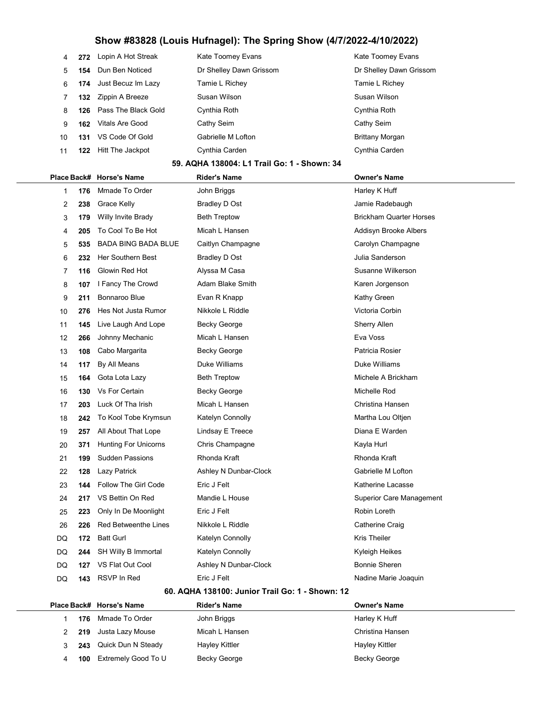| 4  |     | 272 Lopin A Hot Streak        | Kate Toomey Evans                           | Kate Toomey Evans       |
|----|-----|-------------------------------|---------------------------------------------|-------------------------|
| 5. |     | 154 Dun Ben Noticed           | Dr Shelley Dawn Grissom                     | Dr Shelley Dawn Grissom |
| 6  |     | <b>174</b> Just Becuz Im Lazy | Tamie L Richey                              | Tamie L Richey          |
|    |     | 132 Zippin A Breeze           | Susan Wilson                                | Susan Wilson            |
| 8  |     | 126 Pass The Black Gold       | Cynthia Roth                                | Cynthia Roth            |
| 9  | 162 | Vitals Are Good               | Cathy Seim                                  | Cathy Seim              |
| 10 | 131 | VS Code Of Gold               | Gabrielle M Lofton                          | <b>Brittany Morgan</b>  |
| 11 | 122 | Hitt The Jackpot              | Cynthia Carden                              | Cynthia Carden          |
|    |     |                               | 59. AQHA 138004: L1 Trail Go: 1 - Shown: 34 |                         |

## Place Back# Horse's Name Rider's Name Owner's Name 1 176 Mmade To Order **Matter State John Briggs Harley K Huff** Huff Huff Harley K Huff 2 238 Grace Kelly **Bradley D Ost** Chromogen Constants and Heradebaugh Chromogen Chromogen Chromogen Chromogen Chromogen Chromogen Chromogen Chromogen Chromogen Chromogen Chromogen Chromogen Chromogen Chromogen Chromogen Ch 3 179 Willy Invite Brady Beth Treptow Britannia Brickham Quarter Horses 4 205 To Cool To Be Hot Micah L Hansen Addisyn Brooke Albers 5 535 BADA BING BADA BLUE Caitlyn Champagne Carolyn Champagne Carolyn Champagne 6 232 Her Southern Best Bradley D Ost Contract Branderson 7 116 Glowin Red Hot **Alyssa M Casa** Susanne Wilkerson 8 107 I Fancy The Crowd Adam Blake Smith Karen Jorgenson 9 211 Bonnaroo Blue **Evan R Knapp Communist Communist Communist** Kathy Green 10 276 Hes Not Justa Rumor Nikkole L Riddle Nicola Corbin Victoria Corbin 11 145 Live Laugh And Lope Becky George Sherry Allen 12 266 Johnny Mechanic Micah L Hansen **Eva Voss** Eva Voss 13 108 Cabo Margarita **Becky George Patricia Rosier** Patricia Rosier 14 117 By All Means Duke Williams Duke Williams 15 **164** Gota Lota Lazy **Beth Treptow** Beth Beth A Brickham 16 130 Vs For Certain **Becky George Michelle Rod** Michelle Rod 17 203 Luck Of Tha Irish Micah L Hansen Christina Hansen Christina Hansen 18 242 To Kool Tobe Krymsun Katelyn Connolly Martha Lou Oltjen 19 257 All About That Lope Lindsay E Treece **Diana E Warden** 20 371 Hunting For Unicorns Chris Champagne The Chris Champagne Kayla Hurl 21 199 Sudden Passions Rhonda Kraft Rhonda Kraft 22 128 Lazy Patrick **Ashley N Dunbar-Clock** Gabrielle M Lofton 23 144 Follow The Girl Code Eric J Felt Eric Heritage Communication Control Actherine Lacasse 24 217 VS Bettin On Red Mandie L House Superior Care Management 25 223 Only In De Moonlight Eric J Felt Eric Health Robin Loreth Robin Loreth 26 226 Red Betweenthe Lines Nikkole L Riddle Catherine Craig Catherine Craig DQ 172 Batt Gurl Katelyn Connolly Katelyn Connolly Kris Theiler DQ 244 SH Willy B Immortal Katelyn Connolly Kyleigh Heikes DQ 127 VS Flat Out Cool Ashley N Dunbar-Clock Bonnie Sheren DQ 143 RSVP In Red Eric J Felt Eric Helt Nadine Marie Joaquin

#### 60. AQHA 138100: Junior Trail Go: 1 - Shown: 12

|  |     | Place Back# Horse's Name  | <b>Rider's Name</b> | <b>Owner's Name</b> |
|--|-----|---------------------------|---------------------|---------------------|
|  |     | <b>176</b> Mmade To Order | John Briggs         | Harley K Huff       |
|  |     | 219 Justa Lazy Mouse      | Micah L Hansen      | Christina Hansen    |
|  |     | 243 Quick Dun N Steady    | Hayley Kittler      | Hayley Kittler      |
|  | 100 | Extremely Good To U       | Becky George        | Becky George        |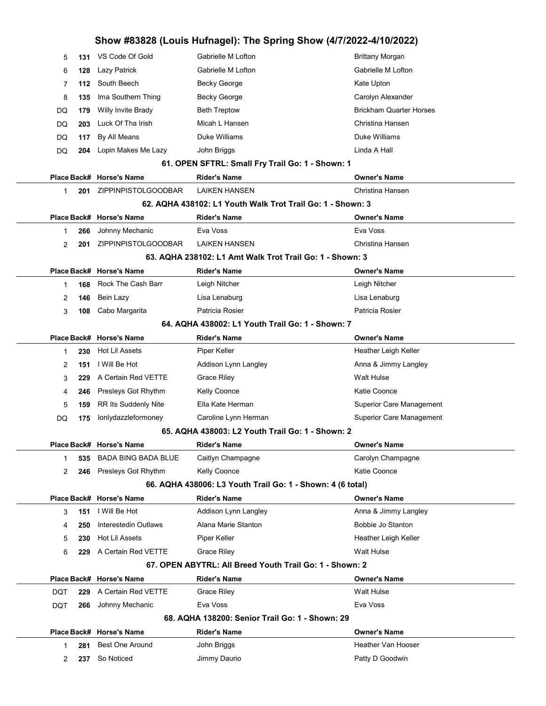|     | 5<br>131 | VS Code Of Gold            | Gabrielle M Lofton                                         | <b>Brittany Morgan</b>          |
|-----|----------|----------------------------|------------------------------------------------------------|---------------------------------|
|     | 6<br>128 | Lazy Patrick               | Gabrielle M Lofton                                         | Gabrielle M Lofton              |
|     | 7<br>112 | South Beech                | Becky George                                               | Kate Upton                      |
| 8   | 135      | Ima Southern Thing         | Becky George                                               | Carolyn Alexander               |
| DQ  | 179      | Willy Invite Brady         | <b>Beth Treptow</b>                                        | <b>Brickham Quarter Horses</b>  |
| DQ  | 203      | Luck Of Tha Irish          | Micah L Hansen                                             | Christina Hansen                |
| DQ  | 117      | By All Means               | Duke Williams                                              | Duke Williams                   |
| DQ  |          | 204 Lopin Makes Me Lazy    | John Briggs                                                | Linda A Hall                    |
|     |          |                            | 61. OPEN SFTRL: Small Fry Trail Go: 1 - Shown: 1           |                                 |
|     |          | Place Back# Horse's Name   | <b>Rider's Name</b>                                        | <b>Owner's Name</b>             |
|     | 1<br>201 | ZIPPINPISTOLGOODBAR        | <b>LAIKEN HANSEN</b>                                       | Christina Hansen                |
|     |          |                            | 62. AQHA 438102: L1 Youth Walk Trot Trail Go: 1 - Shown: 3 |                                 |
|     |          | Place Back# Horse's Name   | Rider's Name                                               | <b>Owner's Name</b>             |
|     | 266<br>1 | Johnny Mechanic            | Eva Voss                                                   | Eva Voss                        |
|     | 2<br>201 | ZIPPINPISTOLGOODBAR        | <b>LAIKEN HANSEN</b>                                       | Christina Hansen                |
|     |          |                            | 63. AQHA 238102: L1 Amt Walk Trot Trail Go: 1 - Shown: 3   |                                 |
|     |          | Place Back# Horse's Name   | Rider's Name                                               | <b>Owner's Name</b>             |
|     | 168<br>1 | Rock The Cash Barr         | Leigh Nitcher                                              | Leigh Nitcher                   |
|     | 2<br>146 | Bein Lazy                  | Lisa Lenaburg                                              | Lisa Lenaburg                   |
|     | 3<br>108 | Cabo Margarita             | Patricia Rosier                                            | Patricia Rosier                 |
|     |          |                            | 64. AQHA 438002: L1 Youth Trail Go: 1 - Shown: 7           |                                 |
|     |          | Place Back# Horse's Name   | Rider's Name                                               | <b>Owner's Name</b>             |
|     | 230<br>1 | Hot Lil Assets             | Piper Keller                                               | Heather Leigh Keller            |
|     | 2<br>151 | I Will Be Hot              | Addison Lynn Langley                                       | Anna & Jimmy Langley            |
|     | 3<br>229 | A Certain Red VETTE        | Grace Riley                                                | <b>Walt Hulse</b>               |
|     | 4<br>246 | Presleys Got Rhythm        | Kelly Coonce                                               | Katie Coonce                    |
|     | 5<br>159 | RR Its Suddenly Nite       | Ella Kate Herman                                           | <b>Superior Care Management</b> |
| DQ  | 175      | lonlydazzleformoney        | Caroline Lynn Herman                                       | <b>Superior Care Management</b> |
|     |          |                            | 65. AQHA 438003: L2 Youth Trail Go: 1 - Shown: 2           |                                 |
|     |          | Place Back# Horse's Name   | <b>Rider's Name</b>                                        | <b>Owner's Name</b>             |
|     | 535<br>1 | <b>BADA BING BADA BLUE</b> | Caitlyn Champagne                                          | Carolyn Champagne               |
|     | 2<br>246 | Presleys Got Rhythm        | Kelly Coonce                                               | Katie Coonce                    |
|     |          |                            | 66. AQHA 438006: L3 Youth Trail Go: 1 - Shown: 4 (6 total) |                                 |
|     |          | Place Back# Horse's Name   | <b>Rider's Name</b>                                        | <b>Owner's Name</b>             |
|     | 151<br>3 | I Will Be Hot              | Addison Lynn Langley                                       | Anna & Jimmy Langley            |
|     | 4<br>250 | Interestedin Outlaws       | Alana Marie Stanton                                        | Bobbie Jo Stanton               |
|     | 5<br>230 | Hot Lil Assets             | Piper Keller                                               | Heather Leigh Keller            |
|     | 6<br>229 | A Certain Red VETTE        | <b>Grace Riley</b>                                         | Walt Hulse                      |
|     |          |                            | 67. OPEN ABYTRL: All Breed Youth Trail Go: 1 - Shown: 2    |                                 |
|     |          | Place Back# Horse's Name   | <b>Rider's Name</b>                                        | <b>Owner's Name</b>             |
| DQT | 229      | A Certain Red VETTE        | <b>Grace Riley</b>                                         | <b>Walt Hulse</b>               |
| DQT | 266      | Johnny Mechanic            | Eva Voss                                                   | Eva Voss                        |
|     |          |                            | 68. AQHA 138200: Senior Trail Go: 1 - Shown: 29            |                                 |
|     |          | Place Back# Horse's Name   | Rider's Name                                               | <b>Owner's Name</b>             |
|     | 281<br>1 | <b>Best One Around</b>     | John Briggs                                                | Heather Van Hooser              |
|     | 2<br>237 | So Noticed                 | Jimmy Daurio                                               | Patty D Goodwin                 |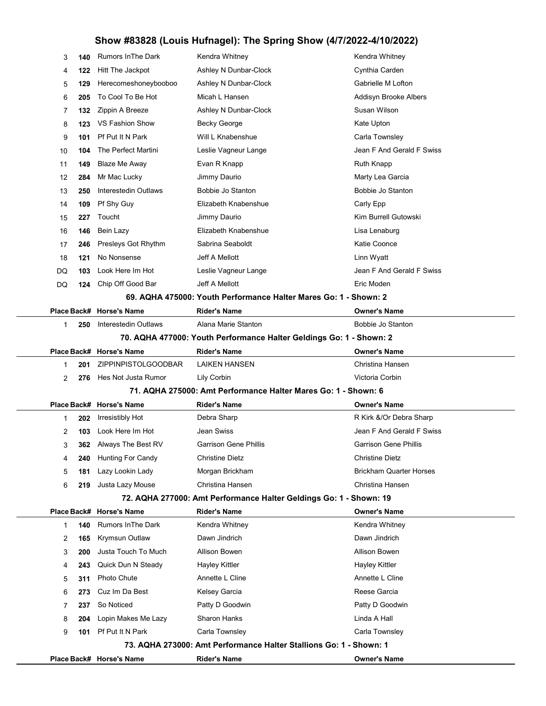| 3           | 140  | <b>Rumors In The Dark</b> | Kendra Whitney                                                      | Kendra Whitney                 |
|-------------|------|---------------------------|---------------------------------------------------------------------|--------------------------------|
| 4           | 122  | Hitt The Jackpot          | Ashley N Dunbar-Clock                                               | Cynthia Carden                 |
| 5           | 129  | Herecomeshoneybooboo      | Ashley N Dunbar-Clock                                               | Gabrielle M Lofton             |
| 6           | 205  | To Cool To Be Hot         | Micah L Hansen                                                      | Addisyn Brooke Albers          |
| 7           | 132  | Zippin A Breeze           | Ashley N Dunbar-Clock                                               | Susan Wilson                   |
| 8           | 123  | VS Fashion Show           | <b>Becky George</b>                                                 | Kate Upton                     |
| 9           | 101  | Pf Put It N Park          | Will L Knabenshue                                                   | Carla Townsley                 |
| 10          | 104  | The Perfect Martini       | Leslie Vagneur Lange                                                | Jean F And Gerald F Swiss      |
| 11          | 149  | Blaze Me Away             | Evan R Knapp                                                        | Ruth Knapp                     |
| 12          | 284  | Mr Mac Lucky              | Jimmy Daurio                                                        | Marty Lea Garcia               |
| 13          | 250  | Interestedin Outlaws      | Bobbie Jo Stanton                                                   | Bobbie Jo Stanton              |
| 14          | 109  | Pf Shy Guy                | Elizabeth Knabenshue                                                | Carly Epp                      |
| 15          | 227  | Toucht                    | Jimmy Daurio                                                        | Kim Burrell Gutowski           |
| 16          | 146  | Bein Lazy                 | Elizabeth Knabenshue                                                | Lisa Lenaburg                  |
| 17          | 246  | Presleys Got Rhythm       | Sabrina Seaboldt                                                    | Katie Coonce                   |
| 18          | 121  | No Nonsense               | Jeff A Mellott                                                      | Linn Wyatt                     |
| DQ          | 103  | Look Here Im Hot          | Leslie Vagneur Lange                                                | Jean F And Gerald F Swiss      |
| DQ          | 124  | Chip Off Good Bar         | Jeff A Mellott                                                      | Eric Moden                     |
|             |      |                           | 69. AQHA 475000: Youth Performance Halter Mares Go: 1 - Shown: 2    |                                |
|             |      | Place Back# Horse's Name  | <b>Rider's Name</b>                                                 | <b>Owner's Name</b>            |
| 1           | 250  | Interestedin Outlaws      | Alana Marie Stanton                                                 | Bobbie Jo Stanton              |
|             |      |                           | 70. AQHA 477000: Youth Performance Halter Geldings Go: 1 - Shown: 2 |                                |
|             |      | Place Back# Horse's Name  | <b>Rider's Name</b>                                                 | <b>Owner's Name</b>            |
| 1           | 201  | ZIPPINPISTOLGOODBAR       | LAIKEN HANSEN                                                       | Christina Hansen               |
| 2           | 276  | Hes Not Justa Rumor       | Lily Corbin                                                         | Victoria Corbin                |
|             |      |                           | 71. AQHA 275000: Amt Performance Halter Mares Go: 1 - Shown: 6      |                                |
|             |      | Place Back# Horse's Name  | Rider's Name                                                        | <b>Owner's Name</b>            |
| -1          | 202  | Irresistibly Hot          | Debra Sharp                                                         | R Kirk &/Or Debra Sharp        |
| 2           | 103  | Look Here Im Hot          | Jean Swiss                                                          | Jean F And Gerald F Swiss      |
| 3           | 362. | Always The Best RV        | Garrison Gene Phillis                                               | Garrison Gene Phillis          |
| 4           | 240  | <b>Hunting For Candy</b>  | Christine Dietz                                                     | Christine Dietz                |
| 5           | 181  | Lazy Lookin Lady          | Morgan Brickham                                                     | <b>Brickham Quarter Horses</b> |
| 6           | 219  | Justa Lazy Mouse          | Christina Hansen                                                    | Christina Hansen               |
|             |      |                           | 72. AQHA 277000: Amt Performance Halter Geldings Go: 1 - Shown: 19  |                                |
|             |      | Place Back# Horse's Name  | <b>Rider's Name</b>                                                 | <b>Owner's Name</b>            |
| $\mathbf 1$ | 140  | <b>Rumors In The Dark</b> | Kendra Whitney                                                      | Kendra Whitney                 |
| 2           | 165  | Krymsun Outlaw            | Dawn Jindrich                                                       | Dawn Jindrich                  |
| 3           | 200  | Justa Touch To Much       | Allison Bowen                                                       | Allison Bowen                  |
| 4           | 243  | Quick Dun N Steady        | <b>Hayley Kittler</b>                                               | Hayley Kittler                 |
| 5           | 311  | Photo Chute               | Annette L Cline                                                     | Annette L Cline                |
| 6           | 273  | Cuz Im Da Best            | Kelsey Garcia                                                       | Reese Garcia                   |
| 7           | 237  | So Noticed                | Patty D Goodwin                                                     | Patty D Goodwin                |
| 8           | 204  | Lopin Makes Me Lazy       | <b>Sharon Hanks</b>                                                 | Linda A Hall                   |
| 9           | 101  | Pf Put It N Park          | Carla Townsley                                                      | Carla Townsley                 |
|             |      |                           | 73. AQHA 273000: Amt Performance Halter Stallions Go: 1 - Shown: 1  |                                |
|             |      | Place Back# Horse's Name  | <b>Rider's Name</b>                                                 | <b>Owner's Name</b>            |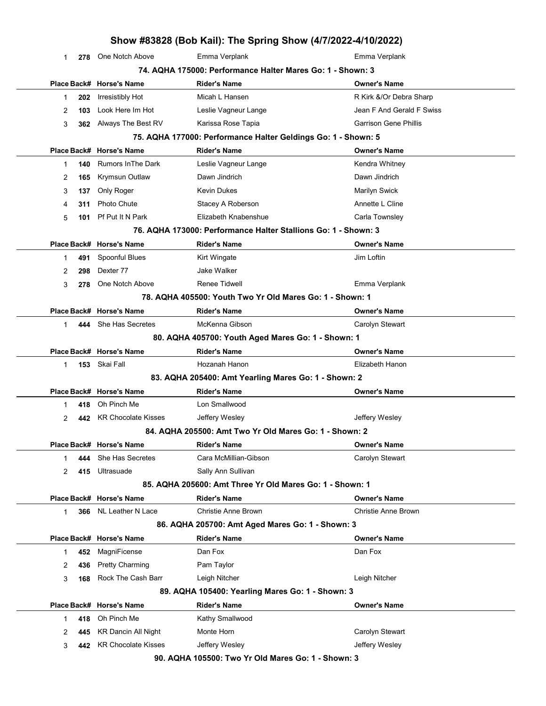|   |     |                            | Show #83828 (Bob Kail): The Spring Show (4/7/2022-4/10/2022)   |                              |
|---|-----|----------------------------|----------------------------------------------------------------|------------------------------|
| 1 | 278 | One Notch Above            | Emma Verplank                                                  | Emma Verplank                |
|   |     |                            | 74. AQHA 175000: Performance Halter Mares Go: 1 - Shown: 3     |                              |
|   |     | Place Back# Horse's Name   | <b>Rider's Name</b>                                            | <b>Owner's Name</b>          |
| 1 | 202 | <b>Irresistibly Hot</b>    | Micah L Hansen                                                 | R Kirk &/Or Debra Sharp      |
| 2 | 103 | Look Here Im Hot           | Leslie Vagneur Lange                                           | Jean F And Gerald F Swiss    |
| 3 | 362 | Always The Best RV         | Karissa Rose Tapia                                             | <b>Garrison Gene Phillis</b> |
|   |     |                            | 75. AQHA 177000: Performance Halter Geldings Go: 1 - Shown: 5  |                              |
|   |     | Place Back# Horse's Name   | <b>Rider's Name</b>                                            | <b>Owner's Name</b>          |
| 1 | 140 | <b>Rumors In The Dark</b>  | Leslie Vagneur Lange                                           | Kendra Whitney               |
| 2 | 165 | Krymsun Outlaw             | Dawn Jindrich                                                  | Dawn Jindrich                |
| 3 | 137 | Only Roger                 | <b>Kevin Dukes</b>                                             | Marilyn Swick                |
| 4 | 311 | <b>Photo Chute</b>         | Stacey A Roberson                                              | Annette L Cline              |
| 5 | 101 | Pf Put It N Park           | Elizabeth Knabenshue                                           | Carla Townsley               |
|   |     |                            | 76. AQHA 173000: Performance Halter Stallions Go: 1 - Shown: 3 |                              |
|   |     | Place Back# Horse's Name   | <b>Rider's Name</b>                                            | <b>Owner's Name</b>          |
| 1 | 491 | Spoonful Blues             | Kirt Wingate                                                   | Jim Loftin                   |
| 2 | 298 | Dexter 77                  | Jake Walker                                                    |                              |
| 3 | 278 | One Notch Above            | Renee Tidwell                                                  | Emma Verplank                |
|   |     |                            | 78. AQHA 405500: Youth Two Yr Old Mares Go: 1 - Shown: 1       |                              |
|   |     | Place Back# Horse's Name   | <b>Rider's Name</b>                                            | <b>Owner's Name</b>          |
| 1 | 444 | She Has Secretes           | McKenna Gibson                                                 | Carolyn Stewart              |
|   |     |                            | 80. AQHA 405700: Youth Aged Mares Go: 1 - Shown: 1             |                              |
|   |     | Place Back# Horse's Name   | <b>Rider's Name</b>                                            | <b>Owner's Name</b>          |
| 1 |     | 153 Skai Fall              | Hozanah Hanon                                                  | Elizabeth Hanon              |
|   |     |                            | 83. AQHA 205400: Amt Yearling Mares Go: 1 - Shown: 2           |                              |
|   |     | Place Back# Horse's Name   | <b>Rider's Name</b>                                            | <b>Owner's Name</b>          |
| 1 | 418 | Oh Pinch Me                | Lon Smallwood                                                  |                              |
| 2 | 442 | <b>KR Chocolate Kisses</b> | Jeffery Wesley                                                 | Jeffery Wesley               |
|   |     |                            | 84. AQHA 205500: Amt Two Yr Old Mares Go: 1 - Shown: 2         |                              |
|   |     | Place Back# Horse's Name   | Rider's Name                                                   | <b>Owner's Name</b>          |
| 1 | 444 | She Has Secretes           | Cara McMillian-Gibson                                          | Carolyn Stewart              |
| 2 | 415 | Ultrasuade                 | Sally Ann Sullivan                                             |                              |
|   |     |                            | 85. AQHA 205600: Amt Three Yr Old Mares Go: 1 - Shown: 1       |                              |
|   |     | Place Back# Horse's Name   | <b>Rider's Name</b>                                            | <b>Owner's Name</b>          |
| 1 |     | 366 NL Leather N Lace      | <b>Christie Anne Brown</b>                                     | <b>Christie Anne Brown</b>   |
|   |     |                            | 86. AQHA 205700: Amt Aged Mares Go: 1 - Shown: 3               |                              |
|   |     | Place Back# Horse's Name   | <b>Rider's Name</b>                                            | <b>Owner's Name</b>          |
| 1 | 452 | MagniFicense               | Dan Fox                                                        | Dan Fox                      |
| 2 | 436 | <b>Pretty Charming</b>     | Pam Taylor                                                     |                              |
| 3 | 168 | Rock The Cash Barr         | Leigh Nitcher                                                  | Leigh Nitcher                |
|   |     |                            | 89. AQHA 105400: Yearling Mares Go: 1 - Shown: 3               |                              |
|   |     | Place Back# Horse's Name   | <b>Rider's Name</b>                                            | <b>Owner's Name</b>          |
| 1 | 418 | Oh Pinch Me                | Kathy Smallwood                                                |                              |
| 2 | 445 | <b>KR Dancin All Night</b> | Monte Horn                                                     | Carolyn Stewart              |
| 3 | 442 | <b>KR Chocolate Kisses</b> | Jeffery Wesley                                                 | Jeffery Wesley               |
|   |     |                            | 90. AQHA 105500: Two Yr Old Mares Go: 1 - Shown: 3             |                              |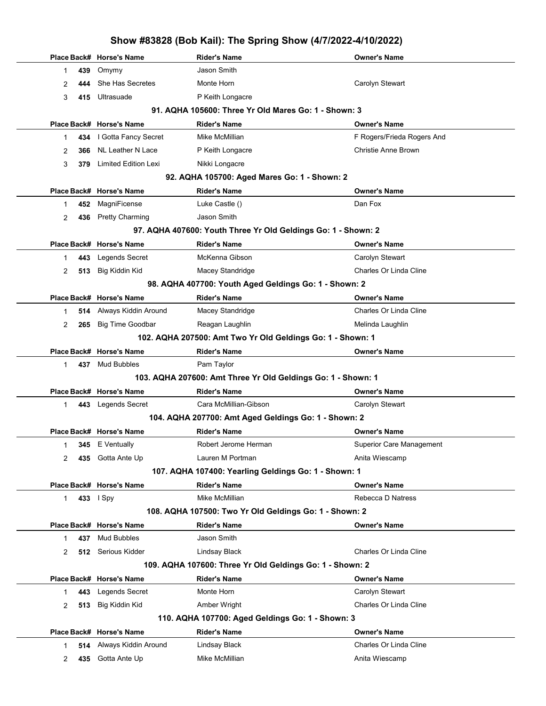|              |     | Place Back# Horse's Name | Rider's Name                                                  | <b>Owner's Name</b>        |
|--------------|-----|--------------------------|---------------------------------------------------------------|----------------------------|
| 1            | 439 | Omymy                    | Jason Smith                                                   |                            |
| 2            |     | 444 She Has Secretes     | Monte Horn                                                    | Carolyn Stewart            |
| 3            |     | 415 Ultrasuade           | P Keith Longacre                                              |                            |
|              |     |                          | 91. AQHA 105600: Three Yr Old Mares Go: 1 - Shown: 3          |                            |
|              |     | Place Back# Horse's Name | <b>Rider's Name</b>                                           | <b>Owner's Name</b>        |
| 1            |     | 434   Gotta Fancy Secret | Mike McMillian                                                | F Rogers/Frieda Rogers And |
| 2            | 366 | NL Leather N Lace        | P Keith Longacre                                              | Christie Anne Brown        |
| 3            |     | 379 Limited Edition Lexi | Nikki Longacre                                                |                            |
|              |     |                          | 92. AQHA 105700: Aged Mares Go: 1 - Shown: 2                  |                            |
|              |     | Place Back# Horse's Name | <b>Rider's Name</b>                                           | <b>Owner's Name</b>        |
| 1            | 452 | MagniFicense             | Luke Castle ()                                                | Dan Fox                    |
| 2            |     | 436 Pretty Charming      | Jason Smith                                                   |                            |
|              |     |                          | 97. AQHA 407600: Youth Three Yr Old Geldings Go: 1 - Shown: 2 |                            |
|              |     | Place Back# Horse's Name | <b>Rider's Name</b>                                           | <b>Owner's Name</b>        |
| 1            | 443 | Legends Secret           | McKenna Gibson                                                | Carolyn Stewart            |
| 2            | 513 | Big Kiddin Kid           | Macey Standridge                                              | Charles Or Linda Cline     |
|              |     |                          | 98. AQHA 407700: Youth Aged Geldings Go: 1 - Shown: 2         |                            |
|              |     | Place Back# Horse's Name | <b>Rider's Name</b>                                           | <b>Owner's Name</b>        |
| 1            |     | 514 Always Kiddin Around | Macey Standridge                                              | Charles Or Linda Cline     |
| 2            | 265 | <b>Big Time Goodbar</b>  | Reagan Laughlin                                               | Melinda Laughlin           |
|              |     |                          | 102. AQHA 207500: Amt Two Yr Old Geldings Go: 1 - Shown: 1    |                            |
|              |     | Place Back# Horse's Name | <b>Rider's Name</b>                                           | <b>Owner's Name</b>        |
| $\mathbf{1}$ |     | 437 Mud Bubbles          | Pam Taylor                                                    |                            |
|              |     |                          | 103. AQHA 207600: Amt Three Yr Old Geldings Go: 1 - Shown: 1  |                            |
|              |     | Place Back# Horse's Name | <b>Rider's Name</b>                                           | <b>Owner's Name</b>        |
| 1            |     | 443 Legends Secret       | Cara McMillian-Gibson                                         | Carolyn Stewart            |
|              |     |                          | 104. AQHA 207700: Amt Aged Geldings Go: 1 - Shown: 2          |                            |
|              |     | Place Back# Horse's Name | <b>Rider's Name</b>                                           | <b>Owner's Name</b>        |
| 1.           |     | <b>345</b> E Ventually   | Robert Jerome Herman                                          | Superior Care Management   |
| 2            |     | 435 Gotta Ante Up        | Lauren M Portman                                              | Anita Wiescamp             |
|              |     |                          | 107. AQHA 107400: Yearling Geldings Go: 1 - Shown: 1          |                            |
|              |     | Place Back# Horse's Name | <b>Rider's Name</b>                                           | <b>Owner's Name</b>        |
| 1            |     | 433 I Spy                | Mike McMillian                                                | Rebecca D Natress          |
|              |     |                          | 108. AQHA 107500: Two Yr Old Geldings Go: 1 - Shown: 2        |                            |
|              |     | Place Back# Horse's Name | <b>Rider's Name</b>                                           | <b>Owner's Name</b>        |
| 1            | 437 | Mud Bubbles              | Jason Smith                                                   |                            |
| 2            |     | 512 Serious Kidder       | Lindsay Black                                                 | Charles Or Linda Cline     |
|              |     |                          | 109. AQHA 107600: Three Yr Old Geldings Go: 1 - Shown: 2      |                            |
|              |     | Place Back# Horse's Name | <b>Rider's Name</b>                                           | <b>Owner's Name</b>        |
| 1            | 443 | Legends Secret           | Monte Horn                                                    | Carolyn Stewart            |
| 2            | 513 | Big Kiddin Kid           | Amber Wright                                                  | Charles Or Linda Cline     |
|              |     |                          | 110. AQHA 107700: Aged Geldings Go: 1 - Shown: 3              |                            |
|              |     | Place Back# Horse's Name | <b>Rider's Name</b>                                           | <b>Owner's Name</b>        |
| 1            |     | 514 Always Kiddin Around | Lindsay Black                                                 | Charles Or Linda Cline     |
| 2            | 435 | Gotta Ante Up            | Mike McMillian                                                | Anita Wiescamp             |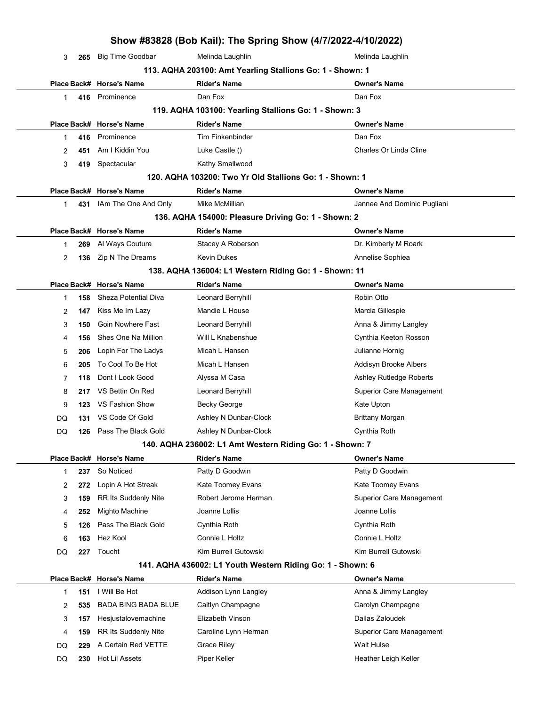|    |     |                             | Show #83828 (Bob Kail): The Spring Show (4/7/2022-4/10/2022) |                                 |
|----|-----|-----------------------------|--------------------------------------------------------------|---------------------------------|
| 3  | 265 | <b>Big Time Goodbar</b>     | Melinda Laughlin                                             | Melinda Laughlin                |
|    |     |                             | 113. AQHA 203100: Amt Yearling Stallions Go: 1 - Shown: 1    |                                 |
|    |     | Place Back# Horse's Name    | <b>Rider's Name</b>                                          | <b>Owner's Name</b>             |
| 1  | 416 | Prominence                  | Dan Fox                                                      | Dan Fox                         |
|    |     |                             | 119. AQHA 103100: Yearling Stallions Go: 1 - Shown: 3        |                                 |
|    |     | Place Back# Horse's Name    | <b>Rider's Name</b>                                          | <b>Owner's Name</b>             |
| 1. | 416 | Prominence                  | <b>Tim Finkenbinder</b>                                      | Dan Fox                         |
| 2  | 451 | Am I Kiddin You             | Luke Castle ()                                               | Charles Or Linda Cline          |
| 3  | 419 | Spectacular                 | Kathy Smallwood                                              |                                 |
|    |     |                             | 120. AQHA 103200: Two Yr Old Stallions Go: 1 - Shown: 1      |                                 |
|    |     | Place Back# Horse's Name    | <b>Rider's Name</b>                                          | <b>Owner's Name</b>             |
| 1. | 431 | IAm The One And Only        | Mike McMillian                                               | Jannee And Dominic Pugliani     |
|    |     |                             | 136. AQHA 154000: Pleasure Driving Go: 1 - Shown: 2          |                                 |
|    |     | Place Back# Horse's Name    | <b>Rider's Name</b>                                          | <b>Owner's Name</b>             |
| 1  | 269 | Al Ways Couture             | Stacey A Roberson                                            | Dr. Kimberly M Roark            |
| 2  | 136 | Zip N The Dreams            | Kevin Dukes                                                  | Annelise Sophiea                |
|    |     |                             | 138. AQHA 136004: L1 Western Riding Go: 1 - Shown: 11        |                                 |
|    |     | Place Back# Horse's Name    | <b>Rider's Name</b>                                          | <b>Owner's Name</b>             |
| 1  | 158 | <b>Sheza Potential Diva</b> | Leonard Berryhill                                            | Robin Otto                      |
| 2  | 147 | Kiss Me Im Lazy             | Mandie L House                                               | Marcia Gillespie                |
| 3  | 150 | Goin Nowhere Fast           | Leonard Berryhill                                            | Anna & Jimmy Langley            |
| 4  | 156 | Shes One Na Million         | Will L Knabenshue                                            | Cynthia Keeton Rosson           |
| 5  | 206 | Lopin For The Ladys         | Micah L Hansen                                               | Julianne Hornig                 |
| 6  | 205 | To Cool To Be Hot           | Micah L Hansen                                               | Addisyn Brooke Albers           |
| 7  | 118 | Dont I Look Good            | Alyssa M Casa                                                | Ashley Rutledge Roberts         |
| 8  | 217 | VS Bettin On Red            | Leonard Berryhill                                            | <b>Superior Care Management</b> |
| 9  | 123 | <b>VS Fashion Show</b>      | Becky George                                                 | Kate Upton                      |
| DQ | 131 | VS Code Of Gold             | Ashley N Dunbar-Clock                                        | <b>Brittany Morgan</b>          |
| DQ | 126 | Pass The Black Gold         | Ashley N Dunbar-Clock                                        | Cynthia Roth                    |
|    |     |                             | 140. AQHA 236002: L1 Amt Western Riding Go: 1 - Shown: 7     |                                 |
|    |     | Place Back# Horse's Name    | <b>Rider's Name</b>                                          | <b>Owner's Name</b>             |
| 1  | 237 | So Noticed                  | Patty D Goodwin                                              | Patty D Goodwin                 |
| 2  | 272 | Lopin A Hot Streak          | Kate Toomey Evans                                            | Kate Toomey Evans               |
| 3  | 159 | RR Its Suddenly Nite        | Robert Jerome Herman                                         | <b>Superior Care Management</b> |
| 4  | 252 | Mighto Machine              | Joanne Lollis                                                | Joanne Lollis                   |
| 5  | 126 | Pass The Black Gold         | Cynthia Roth                                                 | Cynthia Roth                    |
| 6  | 163 | Hez Kool                    | Connie L Holtz                                               | Connie L Holtz                  |
| DQ | 227 | Toucht                      | Kim Burrell Gutowski                                         | Kim Burrell Gutowski            |
|    |     |                             | 141. AQHA 436002: L1 Youth Western Riding Go: 1 - Shown: 6   |                                 |
|    |     | Place Back# Horse's Name    | <b>Rider's Name</b>                                          | <b>Owner's Name</b>             |
| 1  | 151 | I Will Be Hot               | Addison Lynn Langley                                         | Anna & Jimmy Langley            |
| 2  | 535 | <b>BADA BING BADA BLUE</b>  | Caitlyn Champagne                                            | Carolyn Champagne               |
| 3  | 157 | Hesjustalovemachine         | Elizabeth Vinson                                             | Dallas Zaloudek                 |
| 4  | 159 | RR Its Suddenly Nite        | Caroline Lynn Herman                                         | Superior Care Management        |
| DQ | 229 | A Certain Red VETTE         | <b>Grace Riley</b>                                           | Walt Hulse                      |
| DQ | 230 | Hot Lil Assets              | Piper Keller                                                 | Heather Leigh Keller            |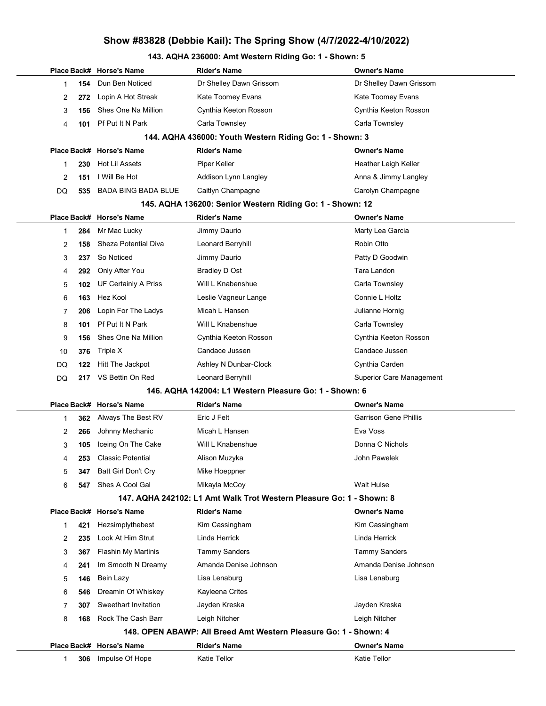### 143. AQHA 236000: Amt Western Riding Go: 1 - Shown: 5

|              |     | Place Back# Horse's Name   | <b>Rider's Name</b>                                                  | <b>Owner's Name</b>             |
|--------------|-----|----------------------------|----------------------------------------------------------------------|---------------------------------|
| 1            | 154 | Dun Ben Noticed            | Dr Shelley Dawn Grissom                                              | Dr Shelley Dawn Grissom         |
| 2            | 272 | Lopin A Hot Streak         | Kate Toomey Evans                                                    | Kate Toomey Evans               |
| 3            | 156 | Shes One Na Million        | Cynthia Keeton Rosson                                                | Cynthia Keeton Rosson           |
| 4            | 101 | Pf Put It N Park           | Carla Townsley                                                       | Carla Townsley                  |
|              |     |                            | 144. AQHA 436000: Youth Western Riding Go: 1 - Shown: 3              |                                 |
|              |     | Place Back# Horse's Name   | <b>Rider's Name</b>                                                  | <b>Owner's Name</b>             |
| 1            | 230 | <b>Hot Lil Assets</b>      | Piper Keller                                                         | Heather Leigh Keller            |
| 2            | 151 | I Will Be Hot              | Addison Lynn Langley                                                 | Anna & Jimmy Langley            |
| DQ           | 535 | BADA BING BADA BLUE        | Caitlyn Champagne                                                    | Carolyn Champagne               |
|              |     |                            | 145. AQHA 136200: Senior Western Riding Go: 1 - Shown: 12            |                                 |
|              |     | Place Back# Horse's Name   | <b>Rider's Name</b>                                                  | <b>Owner's Name</b>             |
| 1            | 284 | Mr Mac Lucky               | Jimmy Daurio                                                         | Marty Lea Garcia                |
| 2            | 158 | Sheza Potential Diva       | Leonard Berryhill                                                    | Robin Otto                      |
| 3            | 237 | So Noticed                 | Jimmy Daurio                                                         | Patty D Goodwin                 |
| 4            | 292 | Only After You             | Bradley D Ost                                                        | Tara Landon                     |
| 5            | 102 | UF Certainly A Priss       | Will L Knabenshue                                                    | Carla Townsley                  |
| 6            | 163 | Hez Kool                   | Leslie Vagneur Lange                                                 | Connie L Holtz                  |
| 7            | 206 | Lopin For The Ladys        | Micah L Hansen                                                       | Julianne Hornig                 |
| 8            | 101 | Pf Put It N Park           | Will L Knabenshue                                                    | Carla Townsley                  |
| 9            | 156 | Shes One Na Million        | Cynthia Keeton Rosson                                                | Cynthia Keeton Rosson           |
| 10           | 376 | Triple X                   | Candace Jussen                                                       | Candace Jussen                  |
| DQ           | 122 | Hitt The Jackpot           | Ashley N Dunbar-Clock                                                | Cynthia Carden                  |
| DQ           | 217 | VS Bettin On Red           | Leonard Berryhill                                                    | <b>Superior Care Management</b> |
|              |     |                            | 146. AQHA 142004: L1 Western Pleasure Go: 1 - Shown: 6               |                                 |
|              |     | Place Back# Horse's Name   | <b>Rider's Name</b>                                                  | <b>Owner's Name</b>             |
| 1            | 362 | Always The Best RV         | Eric J Felt                                                          | <b>Garrison Gene Phillis</b>    |
| 2            | 266 | Johnny Mechanic            | Micah L Hansen                                                       | Eva Voss                        |
| 3            | 105 | Iceing On The Cake         | Will L Knabenshue                                                    | Donna C Nichols                 |
| 4            | 253 | <b>Classic Potential</b>   | Alison Muzyka                                                        | John Pawelek                    |
| 5            | 347 | Batt Girl Don't Cry        | Mike Hoeppner                                                        |                                 |
| 6            | 547 | Shes A Cool Gal            | Mikayla McCoy                                                        | Walt Hulse                      |
|              |     |                            | 147. AQHA 242102: L1 Amt Walk Trot Western Pleasure Go: 1 - Shown: 8 |                                 |
|              |     | Place Back# Horse's Name   | <b>Rider's Name</b>                                                  | <b>Owner's Name</b>             |
| 1            | 421 | Hezsimplythebest           | Kim Cassingham                                                       | Kim Cassingham                  |
| 2            | 235 | Look At Him Strut          | Linda Herrick                                                        | Linda Herrick                   |
| 3            | 367 | <b>Flashin My Martinis</b> | <b>Tammy Sanders</b>                                                 | <b>Tammy Sanders</b>            |
| 4            | 241 | Im Smooth N Dreamy         | Amanda Denise Johnson                                                | Amanda Denise Johnson           |
| 5            | 146 | Bein Lazy                  | Lisa Lenaburg                                                        | Lisa Lenaburg                   |
| 6            | 546 | Dreamin Of Whiskey         | Kayleena Crites                                                      |                                 |
| 7            | 307 | Sweethart Invitation       | Jayden Kreska                                                        | Jayden Kreska                   |
| 8            | 168 | Rock The Cash Barr         | Leigh Nitcher                                                        | Leigh Nitcher                   |
|              |     |                            | 148. OPEN ABAWP: All Breed Amt Western Pleasure Go: 1 - Shown: 4     |                                 |
|              |     | Place Back# Horse's Name   | <b>Rider's Name</b>                                                  | <b>Owner's Name</b>             |
| $\mathbf{1}$ | 306 | Impulse Of Hope            | Katie Tellor                                                         | <b>Katie Tellor</b>             |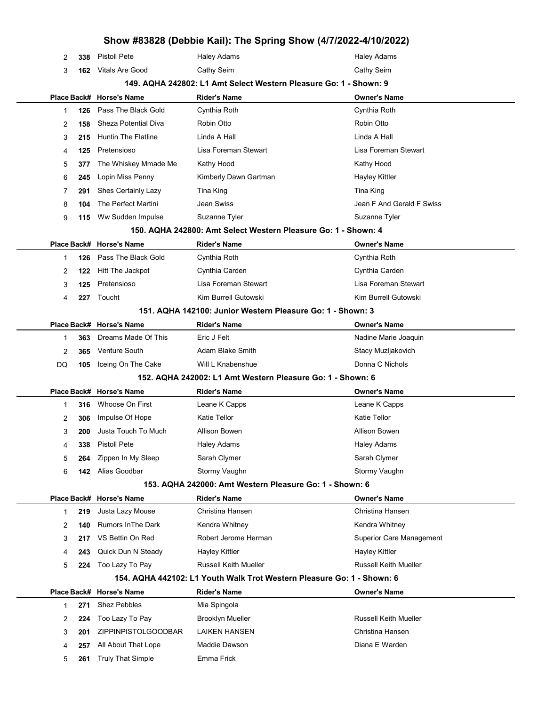| 2         | 338 | <b>Pistoll Pete</b>        | <b>Haley Adams</b>                                                     | <b>Haley Adams</b>              |
|-----------|-----|----------------------------|------------------------------------------------------------------------|---------------------------------|
| 3         | 162 | Vitals Are Good            | Cathy Seim                                                             | Cathy Seim                      |
|           |     |                            | 149. AQHA 242802: L1 Amt Select Western Pleasure Go: 1 - Shown: 9      |                                 |
|           |     | Place Back# Horse's Name   | <b>Rider's Name</b>                                                    | Owner's Name                    |
| 1         | 126 | Pass The Black Gold        | Cynthia Roth                                                           | Cynthia Roth                    |
| 2         | 158 | Sheza Potential Diva       | Robin Otto                                                             | Robin Otto                      |
| 3         | 215 | <b>Huntin The Flatline</b> | Linda A Hall                                                           | Linda A Hall                    |
| 4         | 125 | Pretensioso                | Lisa Foreman Stewart                                                   | Lisa Foreman Stewart            |
| 5         | 377 | The Whiskey Mmade Me       | Kathy Hood                                                             | Kathy Hood                      |
| 6         | 245 | Lopin Miss Penny           | Kimberly Dawn Gartman                                                  | <b>Hayley Kittler</b>           |
| 7         | 291 | Shes Certainly Lazy        | Tina King                                                              | Tina King                       |
| 8         | 104 | The Perfect Martini        | Jean Swiss                                                             | Jean F And Gerald F Swiss       |
| 9         | 115 | Ww Sudden Impulse          | Suzanne Tyler                                                          | Suzanne Tyler                   |
|           |     |                            | 150. AQHA 242800: Amt Select Western Pleasure Go: 1 - Shown: 4         |                                 |
|           |     | Place Back# Horse's Name   | <b>Rider's Name</b>                                                    | <b>Owner's Name</b>             |
| 1         | 126 | Pass The Black Gold        | Cynthia Roth                                                           | Cynthia Roth                    |
| 2         | 122 | Hitt The Jackpot           | Cynthia Carden                                                         | Cynthia Carden                  |
| 3         | 125 | Pretensioso                | Lisa Foreman Stewart                                                   | Lisa Foreman Stewart            |
| 4         | 227 | Toucht                     | Kim Burrell Gutowski                                                   | Kim Burrell Gutowski            |
|           |     |                            | 151. AQHA 142100: Junior Western Pleasure Go: 1 - Shown: 3             |                                 |
|           |     | Place Back# Horse's Name   | <b>Rider's Name</b>                                                    | <b>Owner's Name</b>             |
| 1         | 363 | Dreams Made Of This        | Eric J Felt                                                            | Nadine Marie Joaquin            |
| 2         | 365 | Venture South              | Adam Blake Smith                                                       | Stacy Muzljakovich              |
| DQ        | 105 | Iceing On The Cake         | Will L Knabenshue                                                      | Donna C Nichols                 |
|           |     |                            | 152. AQHA 242002: L1 Amt Western Pleasure Go: 1 - Shown: 6             |                                 |
|           |     | Place Back# Horse's Name   | <b>Rider's Name</b>                                                    | <b>Owner's Name</b>             |
| 1         | 316 | Whoose On First            | Leane K Capps                                                          | Leane K Capps                   |
| 2         | 306 | Impulse Of Hope            | <b>Katie Tellor</b>                                                    | <b>Katie Tellor</b>             |
| 3         | 200 | Justa Touch To Much        | Allison Bowen                                                          | Allison Bowen                   |
| $\Lambda$ | 338 | Pistoll Pete               | <b>Haley Adams</b>                                                     | <b>Haley Adams</b>              |
| 5         | 264 | Zippen In My Sleep         | Sarah Clymer                                                           | Sarah Clymer                    |
| 6         | 142 | Alias Goodbar              | Stormy Vaughn                                                          | Stormy Vaughn                   |
|           |     |                            | 153. AQHA 242000: Amt Western Pleasure Go: 1 - Shown: 6                |                                 |
|           |     | Place Back# Horse's Name   | <b>Rider's Name</b>                                                    | <b>Owner's Name</b>             |
| 1         | 219 | Justa Lazy Mouse           | Christina Hansen                                                       | Christina Hansen                |
| 2         | 140 | <b>Rumors In The Dark</b>  | Kendra Whitney                                                         | Kendra Whitney                  |
| 3         | 217 | VS Bettin On Red           | Robert Jerome Herman                                                   | <b>Superior Care Management</b> |
| 4         | 243 | Quick Dun N Steady         | <b>Hayley Kittler</b>                                                  | Hayley Kittler                  |
| 5         | 224 | Too Lazy To Pay            | <b>Russell Keith Mueller</b>                                           | <b>Russell Keith Mueller</b>    |
|           |     |                            | 154. AQHA 442102: L1 Youth Walk Trot Western Pleasure Go: 1 - Shown: 6 |                                 |
|           |     | Place Back# Horse's Name   | <b>Rider's Name</b>                                                    | Owner's Name                    |
| 1         | 271 | <b>Shez Pebbles</b>        | Mia Spingola                                                           |                                 |
| 2         | 224 | Too Lazy To Pay            | <b>Brooklyn Mueller</b>                                                | <b>Russell Keith Mueller</b>    |
| 3         | 201 | ZIPPINPISTOLGOODBAR        | <b>LAIKEN HANSEN</b>                                                   | Christina Hansen                |
| 4         | 257 | All About That Lope        | Maddie Dawson                                                          | Diana E Warden                  |
| 5         | 261 | <b>Truly That Simple</b>   | Emma Frick                                                             |                                 |
|           |     |                            |                                                                        |                                 |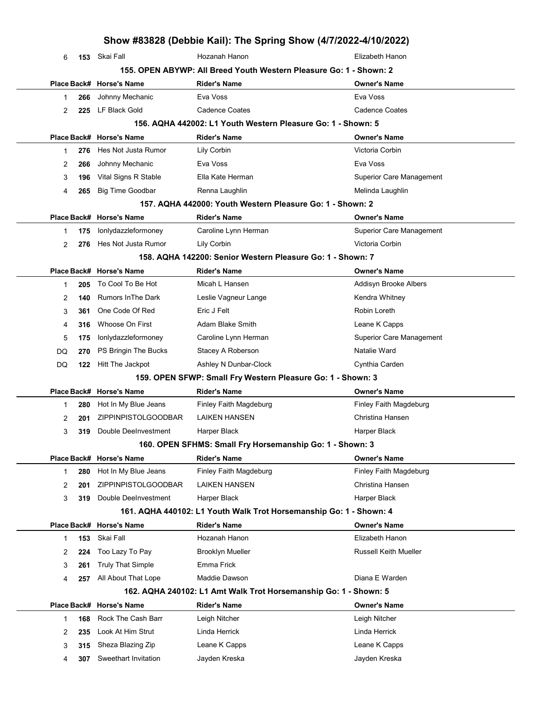|              |     |                                                | Show #83828 (Debbie Kail): The Spring Show (4/7/2022-4/10/2022)    |                                        |
|--------------|-----|------------------------------------------------|--------------------------------------------------------------------|----------------------------------------|
| 6            |     | 153 Skai Fall                                  | Hozanah Hanon                                                      | Elizabeth Hanon                        |
|              |     |                                                | 155. OPEN ABYWP: All Breed Youth Western Pleasure Go: 1 - Shown: 2 |                                        |
|              |     | Place Back# Horse's Name                       | Rider's Name                                                       | <b>Owner's Name</b>                    |
| 1            | 266 | Johnny Mechanic                                | Eva Voss                                                           | Eva Voss                               |
| 2            | 225 | LF Black Gold                                  | <b>Cadence Coates</b>                                              | <b>Cadence Coates</b>                  |
|              |     |                                                | 156. AQHA 442002: L1 Youth Western Pleasure Go: 1 - Shown: 5       |                                        |
|              |     | Place Back# Horse's Name                       | Rider's Name                                                       | <b>Owner's Name</b>                    |
| 1            | 276 | Hes Not Justa Rumor                            | Lily Corbin                                                        | Victoria Corbin                        |
| 2            | 266 | Johnny Mechanic                                | Eva Voss                                                           | Eva Voss                               |
| 3            | 196 | Vital Signs R Stable                           | Ella Kate Herman                                                   | <b>Superior Care Management</b>        |
| 4            | 265 | <b>Big Time Goodbar</b>                        | Renna Laughlin                                                     | Melinda Laughlin                       |
|              |     |                                                | 157. AQHA 442000: Youth Western Pleasure Go: 1 - Shown: 2          |                                        |
|              |     | Place Back# Horse's Name                       | Rider's Name                                                       | <b>Owner's Name</b>                    |
| 1            | 175 | lonlydazzleformoney                            | Caroline Lynn Herman                                               | <b>Superior Care Management</b>        |
| 2            | 276 | Hes Not Justa Rumor                            | Lily Corbin                                                        | Victoria Corbin                        |
|              |     |                                                | 158. AQHA 142200: Senior Western Pleasure Go: 1 - Shown: 7         |                                        |
|              |     | Place Back# Horse's Name                       | Rider's Name                                                       | <b>Owner's Name</b>                    |
| 1            | 205 | To Cool To Be Hot                              | Micah L Hansen                                                     | Addisyn Brooke Albers                  |
| 2            | 140 | <b>Rumors In The Dark</b>                      | Leslie Vagneur Lange                                               | Kendra Whitney                         |
| 3            | 361 | One Code Of Red                                | Eric J Felt                                                        | Robin Loreth                           |
| 4            | 316 | Whoose On First                                | Adam Blake Smith                                                   | Leane K Capps                          |
| 5            | 175 | lonlydazzleformoney                            | Caroline Lynn Herman                                               | <b>Superior Care Management</b>        |
| DQ           | 270 | PS Bringin The Bucks                           | Stacey A Roberson                                                  | Natalie Ward                           |
| DQ           | 122 | Hitt The Jackpot                               | Ashley N Dunbar-Clock                                              | Cynthia Carden                         |
|              |     |                                                | 159. OPEN SFWP: Small Fry Western Pleasure Go: 1 - Shown: 3        |                                        |
|              |     | Place Back# Horse's Name                       | <b>Rider's Name</b>                                                | Owner's Name                           |
| 1            | 280 | Hot In My Blue Jeans                           | Finley Faith Magdeburg                                             | Finley Faith Magdeburg                 |
| 2            | 201 | <b>ZIPPINPISTOLGOODBAR</b>                     | LAIKEN HANSEN                                                      | Christina Hansen                       |
| 3            | 319 | Double DeeInvestment                           | Harper Black                                                       | Harper Black                           |
|              |     |                                                | 160. OPEN SFHMS: Small Fry Horsemanship Go: 1 - Shown: 3           |                                        |
|              |     | Place Back# Horse's Name                       | <b>Rider's Name</b>                                                | <b>Owner's Name</b>                    |
| $\mathbf 1$  | 280 | Hot In My Blue Jeans                           | Finley Faith Magdeburg                                             | Finley Faith Magdeburg                 |
| 2            | 201 | ZIPPINPISTOLGOODBAR                            | <b>LAIKEN HANSEN</b>                                               | Christina Hansen                       |
| 3            | 319 | Double DeeInvestment                           | <b>Harper Black</b>                                                | Harper Black                           |
|              |     |                                                | 161. AQHA 440102: L1 Youth Walk Trot Horsemanship Go: 1 - Shown: 4 |                                        |
|              |     | Place Back# Horse's Name<br>Skai Fall          | <b>Rider's Name</b><br>Hozanah Hanon                               | <b>Owner's Name</b><br>Elizabeth Hanon |
| $\mathbf{1}$ | 153 |                                                | <b>Brooklyn Mueller</b>                                            | <b>Russell Keith Mueller</b>           |
| 2            | 224 | Too Lazy To Pay                                | Emma Frick                                                         |                                        |
| 3            | 261 | <b>Truly That Simple</b>                       | Maddie Dawson                                                      | Diana E Warden                         |
| 4            | 257 | All About That Lope                            | 162. AQHA 240102: L1 Amt Walk Trot Horsemanship Go: 1 - Shown: 5   |                                        |
|              |     |                                                |                                                                    |                                        |
| $\mathbf 1$  | 168 | Place Back# Horse's Name<br>Rock The Cash Barr | <b>Rider's Name</b><br>Leigh Nitcher                               | Owner's Name<br>Leigh Nitcher          |
| 2            | 235 | Look At Him Strut                              | Linda Herrick                                                      | Linda Herrick                          |
| 3            | 315 | Sheza Blazing Zip                              | Leane K Capps                                                      | Leane K Capps                          |
|              | 307 | Sweethart Invitation                           | Jayden Kreska                                                      | Jayden Kreska                          |
| 4            |     |                                                |                                                                    |                                        |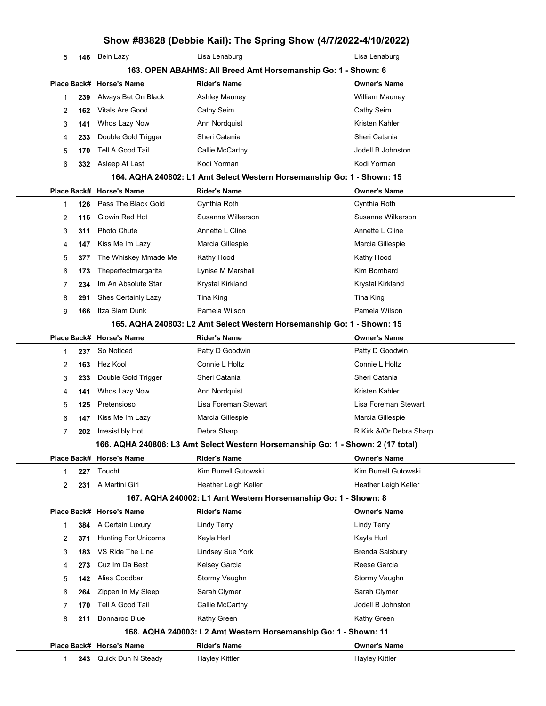| 5            | 146 | Bein Lazy                   | Lisa Lenaburg                                                                    | Lisa Lenaburg           |
|--------------|-----|-----------------------------|----------------------------------------------------------------------------------|-------------------------|
|              |     |                             | 163. OPEN ABAHMS: All Breed Amt Horsemanship Go: 1 - Shown: 6                    |                         |
|              |     | Place Back# Horse's Name    | <b>Rider's Name</b>                                                              | <b>Owner's Name</b>     |
| 1            | 239 | Always Bet On Black         | Ashley Mauney                                                                    | <b>William Mauney</b>   |
| 2            | 162 | Vitals Are Good             | Cathy Seim                                                                       | Cathy Seim              |
| 3            | 141 | Whos Lazy Now               | Ann Nordquist                                                                    | Kristen Kahler          |
| 4            | 233 | Double Gold Trigger         | Sheri Catania                                                                    | Sheri Catania           |
| 5            | 170 | Tell A Good Tail            | Callie McCarthy                                                                  | Jodell B Johnston       |
| 6            | 332 | Asleep At Last              | Kodi Yorman                                                                      | Kodi Yorman             |
|              |     |                             | 164. AQHA 240802: L1 Amt Select Western Horsemanship Go: 1 - Shown: 15           |                         |
|              |     | Place Back# Horse's Name    | <b>Rider's Name</b>                                                              | <b>Owner's Name</b>     |
| 1            | 126 | Pass The Black Gold         | Cynthia Roth                                                                     | Cynthia Roth            |
| 2            | 116 | Glowin Red Hot              | Susanne Wilkerson                                                                | Susanne Wilkerson       |
| 3            | 311 | <b>Photo Chute</b>          | Annette L Cline                                                                  | Annette L Cline         |
| 4            | 147 | Kiss Me Im Lazy             | Marcia Gillespie                                                                 | Marcia Gillespie        |
| 5            | 377 | The Whiskey Mmade Me        | Kathy Hood                                                                       | Kathy Hood              |
| 6            | 173 | Theperfectmargarita         | Lynise M Marshall                                                                | Kim Bombard             |
| 7            | 234 | Im An Absolute Star         | Krystal Kirkland                                                                 | Krystal Kirkland        |
| 8            | 291 | Shes Certainly Lazy         | Tina King                                                                        | Tina King               |
| 9            | 166 | Itza Slam Dunk              | Pamela Wilson                                                                    | Pamela Wilson           |
|              |     |                             | 165. AQHA 240803: L2 Amt Select Western Horsemanship Go: 1 - Shown: 15           |                         |
|              |     | Place Back# Horse's Name    | <b>Rider's Name</b>                                                              | <b>Owner's Name</b>     |
| 1            | 237 | So Noticed                  | Patty D Goodwin                                                                  | Patty D Goodwin         |
| 2            | 163 | Hez Kool                    | Connie L Holtz                                                                   | Connie L Holtz          |
| 3            | 233 | Double Gold Trigger         | Sheri Catania                                                                    | Sheri Catania           |
| 4            | 141 | Whos Lazy Now               | Ann Nordquist                                                                    | Kristen Kahler          |
| 5            | 125 | Pretensioso                 | Lisa Foreman Stewart                                                             | Lisa Foreman Stewart    |
| 6            | 147 | Kiss Me Im Lazy             | Marcia Gillespie                                                                 | Marcia Gillespie        |
| 7            | 202 | Irresistibly Hot            | Debra Sharp                                                                      | R Kirk &/Or Debra Sharp |
|              |     |                             | 166. AQHA 240806: L3 Amt Select Western Horsemanship Go: 1 - Shown: 2 (17 total) |                         |
|              |     | Place Back# Horse's Name    | <b>Rider's Name</b>                                                              | Owner's Name            |
| 1            | 227 | Toucht                      | Kim Burrell Gutowski                                                             | Kim Burrell Gutowski    |
| 2            | 231 | A Martini Girl              | Heather Leigh Keller                                                             | Heather Leigh Keller    |
|              |     |                             | 167. AQHA 240002: L1 Amt Western Horsemanship Go: 1 - Shown: 8                   |                         |
|              |     | Place Back# Horse's Name    | <b>Rider's Name</b>                                                              | <b>Owner's Name</b>     |
| 1            | 384 | A Certain Luxury            | <b>Lindy Terry</b>                                                               | <b>Lindy Terry</b>      |
| 2            | 371 | <b>Hunting For Unicorns</b> | Kayla Herl                                                                       | Kayla Hurl              |
| 3            | 183 | VS Ride The Line            | Lindsey Sue York                                                                 | <b>Brenda Salsbury</b>  |
| 4            | 273 | Cuz Im Da Best              | Kelsey Garcia                                                                    | Reese Garcia            |
| 5            | 142 | Alias Goodbar               | Stormy Vaughn                                                                    | Stormy Vaughn           |
| 6            | 264 | Zippen In My Sleep          | Sarah Clymer                                                                     | Sarah Clymer            |
| 7            | 170 | Tell A Good Tail            | Callie McCarthy                                                                  | Jodell B Johnston       |
| 8            | 211 | Bonnaroo Blue               | Kathy Green                                                                      | Kathy Green             |
|              |     |                             | 168. AQHA 240003: L2 Amt Western Horsemanship Go: 1 - Shown: 11                  |                         |
|              |     | Place Back# Horse's Name    | <b>Rider's Name</b>                                                              | <b>Owner's Name</b>     |
| $\mathbf{1}$ | 243 | Quick Dun N Steady          | <b>Hayley Kittler</b>                                                            | <b>Hayley Kittler</b>   |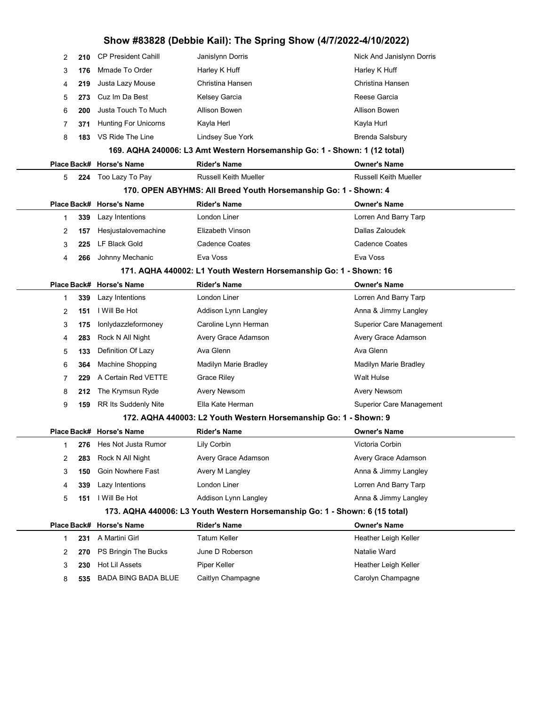| 2  | 210 | <b>CP President Cahill</b>                                        | Janislynn Dorris                                                            | Nick And Janislynn Dorris       |
|----|-----|-------------------------------------------------------------------|-----------------------------------------------------------------------------|---------------------------------|
| 3  | 176 | Mmade To Order                                                    | Harley K Huff                                                               | Harley K Huff                   |
| 4  | 219 | Justa Lazy Mouse                                                  | Christina Hansen                                                            | Christina Hansen                |
| 5  | 273 | Cuz Im Da Best                                                    | Kelsey Garcia                                                               | Reese Garcia                    |
| 6  | 200 | Justa Touch To Much                                               | Allison Bowen                                                               | Allison Bowen                   |
| 7  | 371 | <b>Hunting For Unicorns</b>                                       | Kayla Herl                                                                  | Kayla Hurl                      |
| 8  | 183 | VS Ride The Line                                                  | Lindsey Sue York                                                            | <b>Brenda Salsbury</b>          |
|    |     |                                                                   | 169. AQHA 240006: L3 Amt Western Horsemanship Go: 1 - Shown: 1 (12 total)   |                                 |
|    |     | Place Back# Horse's Name                                          | <b>Rider's Name</b>                                                         | <b>Owner's Name</b>             |
| 5  |     | 224 Too Lazy To Pay                                               | <b>Russell Keith Mueller</b>                                                | <b>Russell Keith Mueller</b>    |
|    |     |                                                                   | 170. OPEN ABYHMS: All Breed Youth Horsemanship Go: 1 - Shown: 4             |                                 |
|    |     | Place Back# Horse's Name                                          | <b>Rider's Name</b>                                                         | <b>Owner's Name</b>             |
| 1  | 339 | Lazy Intentions                                                   | London Liner                                                                | Lorren And Barry Tarp           |
| 2  | 157 | Hesjustalovemachine                                               | Elizabeth Vinson                                                            | Dallas Zaloudek                 |
| 3  | 225 | LF Black Gold                                                     | Cadence Coates                                                              | <b>Cadence Coates</b>           |
| 4  | 266 | Johnny Mechanic                                                   | Eva Voss                                                                    | Eva Voss                        |
|    |     | 171. AQHA 440002: L1 Youth Western Horsemanship Go: 1 - Shown: 16 |                                                                             |                                 |
|    |     | Place Back# Horse's Name                                          | <b>Rider's Name</b>                                                         | <b>Owner's Name</b>             |
| 1  | 339 | Lazy Intentions                                                   | London Liner                                                                | Lorren And Barry Tarp           |
| 2  | 151 | I Will Be Hot                                                     | Addison Lynn Langley                                                        | Anna & Jimmy Langley            |
| 3  | 175 | lonlydazzleformoney                                               | Caroline Lynn Herman                                                        | Superior Care Management        |
| 4  | 283 | Rock N All Night                                                  | Avery Grace Adamson                                                         | Avery Grace Adamson             |
| 5  | 133 | Definition Of Lazy                                                | Ava Glenn                                                                   | Ava Glenn                       |
| 6  | 364 | <b>Machine Shopping</b>                                           | Madilyn Marie Bradley                                                       | Madilyn Marie Bradley           |
| 7  | 229 | A Certain Red VETTE                                               | Grace Riley                                                                 | Walt Hulse                      |
| 8  | 212 | The Krymsun Ryde                                                  | <b>Avery Newsom</b>                                                         | Avery Newsom                    |
| 9  | 159 | RR Its Suddenly Nite                                              | Ella Kate Herman                                                            | <b>Superior Care Management</b> |
|    |     |                                                                   | 172. AQHA 440003: L2 Youth Western Horsemanship Go: 1 - Shown: 9            |                                 |
|    |     | Place Back# Horse's Name                                          | <b>Rider's Name</b>                                                         | <b>Owner's Name</b>             |
| 1. |     | 276 Hes Not Justa Rumor                                           | Lily Corbin                                                                 | Victoria Corbin                 |
| 2  | 283 | Rock N All Night                                                  | Avery Grace Adamson                                                         | Avery Grace Adamson             |
| 3  | 150 | Goin Nowhere Fast                                                 | Avery M Langley                                                             | Anna & Jimmy Langley            |
| 4  | 339 | Lazy Intentions                                                   | London Liner                                                                | Lorren And Barry Tarp           |
| 5  | 151 | I Will Be Hot                                                     | Addison Lynn Langley                                                        | Anna & Jimmy Langley            |
|    |     |                                                                   | 173. AQHA 440006: L3 Youth Western Horsemanship Go: 1 - Shown: 6 (15 total) |                                 |
|    |     | Place Back# Horse's Name                                          | <b>Rider's Name</b>                                                         | <b>Owner's Name</b>             |
| 1  | 231 | A Martini Girl                                                    | Tatum Keller                                                                | Heather Leigh Keller            |
| 2  | 270 | PS Bringin The Bucks                                              | June D Roberson                                                             | Natalie Ward                    |
| 3  | 230 | Hot Lil Assets                                                    | Piper Keller                                                                | Heather Leigh Keller            |
| 8  | 535 | <b>BADA BING BADA BLUE</b>                                        | Caitlyn Champagne                                                           | Carolyn Champagne               |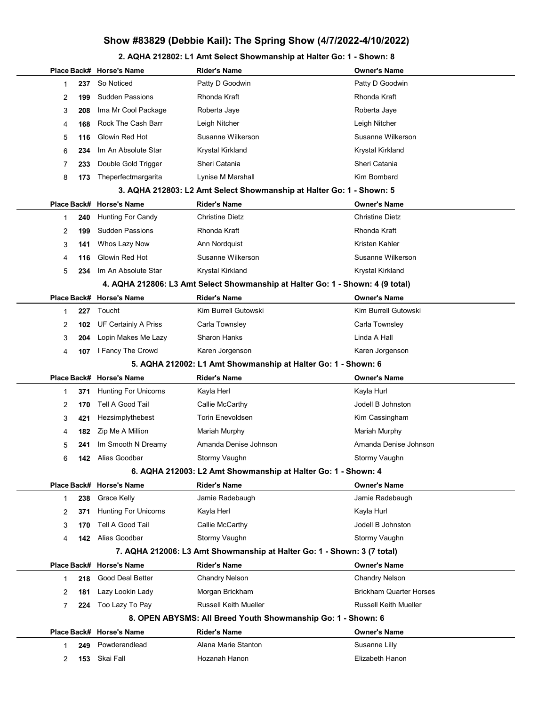#### 2. AQHA 212802: L1 Amt Select Showmanship at Halter Go: 1 - Shown: 8

|   |     | Place Back# Horse's Name    | <b>Rider's Name</b>                                                            | Owner's Name                   |
|---|-----|-----------------------------|--------------------------------------------------------------------------------|--------------------------------|
| 1 | 237 | So Noticed                  | Patty D Goodwin                                                                | Patty D Goodwin                |
| 2 | 199 | <b>Sudden Passions</b>      | Rhonda Kraft                                                                   | Rhonda Kraft                   |
| 3 | 208 | Ima Mr Cool Package         | Roberta Jaye                                                                   | Roberta Jaye                   |
| 4 | 168 | Rock The Cash Barr          | Leigh Nitcher                                                                  | Leigh Nitcher                  |
| 5 | 116 | Glowin Red Hot              | Susanne Wilkerson                                                              | Susanne Wilkerson              |
| 6 | 234 | Im An Absolute Star         | Krystal Kirkland                                                               | Krystal Kirkland               |
| 7 | 233 | Double Gold Trigger         | Sheri Catania                                                                  | Sheri Catania                  |
| 8 | 173 | Theperfectmargarita         | Lynise M Marshall                                                              | Kim Bombard                    |
|   |     |                             | 3. AQHA 212803: L2 Amt Select Showmanship at Halter Go: 1 - Shown: 5           |                                |
|   |     | Place Back# Horse's Name    | <b>Rider's Name</b>                                                            | <b>Owner's Name</b>            |
| 1 | 240 | Hunting For Candy           | <b>Christine Dietz</b>                                                         | <b>Christine Dietz</b>         |
| 2 | 199 | <b>Sudden Passions</b>      | Rhonda Kraft                                                                   | Rhonda Kraft                   |
| 3 | 141 | Whos Lazy Now               | Ann Nordquist                                                                  | Kristen Kahler                 |
| 4 | 116 | Glowin Red Hot              | Susanne Wilkerson                                                              | Susanne Wilkerson              |
| 5 | 234 | Im An Absolute Star         | Krystal Kirkland                                                               | Krystal Kirkland               |
|   |     |                             | 4. AQHA 212806: L3 Amt Select Showmanship at Halter Go: 1 - Shown: 4 (9 total) |                                |
|   |     | Place Back# Horse's Name    | <b>Rider's Name</b>                                                            | <b>Owner's Name</b>            |
| 1 | 227 | Toucht                      | Kim Burrell Gutowski                                                           | Kim Burrell Gutowski           |
| 2 | 102 | UF Certainly A Priss        | Carla Townsley                                                                 | Carla Townsley                 |
| 3 | 204 | Lopin Makes Me Lazy         | <b>Sharon Hanks</b>                                                            | Linda A Hall                   |
| 4 | 107 | I Fancy The Crowd           | Karen Jorgenson                                                                | Karen Jorgenson                |
|   |     |                             | 5. AQHA 212002: L1 Amt Showmanship at Halter Go: 1 - Shown: 6                  |                                |
|   |     | Place Back# Horse's Name    | <b>Rider's Name</b>                                                            | <b>Owner's Name</b>            |
| 1 | 371 | <b>Hunting For Unicorns</b> | Kayla Herl                                                                     | Kayla Hurl                     |
| 2 | 170 | Tell A Good Tail            | Callie McCarthy                                                                | Jodell B Johnston              |
| 3 | 421 | Hezsimplythebest            | Torin Enevoldsen                                                               | Kim Cassingham                 |
| 4 | 182 | Zip Me A Million            | Mariah Murphy                                                                  | Mariah Murphy                  |
| 5 | 241 | Im Smooth N Dreamy          | Amanda Denise Johnson                                                          | Amanda Denise Johnson          |
| 6 | 142 | Alias Goodbar               | Stormy Vaughn                                                                  | Stormy Vaughn                  |
|   |     |                             | 6. AQHA 212003: L2 Amt Showmanship at Halter Go: 1 - Shown: 4                  |                                |
|   |     | Place Back# Horse's Name    | <b>Rider's Name</b>                                                            | <b>Owner's Name</b>            |
| 1 | 238 | <b>Grace Kelly</b>          | Jamie Radebaugh                                                                | Jamie Radebaugh                |
| 2 | 371 | <b>Hunting For Unicorns</b> | Kayla Herl                                                                     | Kayla Hurl                     |
| 3 | 170 | Tell A Good Tail            | Callie McCarthy                                                                | Jodell B Johnston              |
| 4 | 142 | Alias Goodbar               | Stormy Vaughn                                                                  | Stormy Vaughn                  |
|   |     |                             | 7. AQHA 212006: L3 Amt Showmanship at Halter Go: 1 - Shown: 3 (7 total)        |                                |
|   |     | Place Back# Horse's Name    | <b>Rider's Name</b>                                                            | <b>Owner's Name</b>            |
| 1 |     | 218 Good Deal Better        | <b>Chandry Nelson</b>                                                          | <b>Chandry Nelson</b>          |
| 2 | 181 | Lazy Lookin Lady            | Morgan Brickham                                                                | <b>Brickham Quarter Horses</b> |
| 7 | 224 | Too Lazy To Pay             | <b>Russell Keith Mueller</b>                                                   | <b>Russell Keith Mueller</b>   |
|   |     |                             | 8. OPEN ABYSMS: All Breed Youth Showmanship Go: 1 - Shown: 6                   |                                |
|   |     | Place Back# Horse's Name    | <b>Rider's Name</b>                                                            | <b>Owner's Name</b>            |
| 1 | 249 | Powderandlead               | Alana Marie Stanton                                                            | Susanne Lilly                  |
| 2 |     | <b>153</b> Skai Fall        | Hozanah Hanon                                                                  | Elizabeth Hanon                |
|   |     |                             |                                                                                |                                |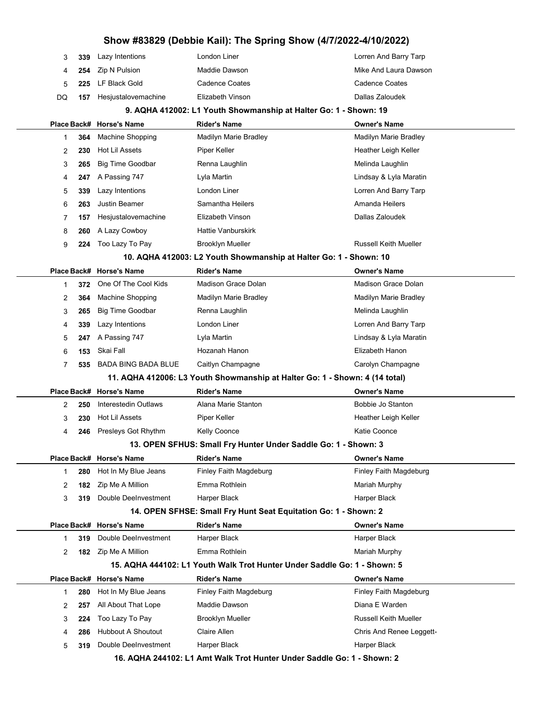|    | 3<br>339 | Lazy Intentions                                                             | London Liner                                                             | Lorren And Barry Tarp        |
|----|----------|-----------------------------------------------------------------------------|--------------------------------------------------------------------------|------------------------------|
|    | 254<br>4 | Zip N Pulsion                                                               | Maddie Dawson                                                            | Mike And Laura Dawson        |
|    | 5<br>225 | LF Black Gold                                                               | <b>Cadence Coates</b>                                                    | <b>Cadence Coates</b>        |
| DQ | 157      | Hesjustalovemachine                                                         | Elizabeth Vinson                                                         | Dallas Zaloudek              |
|    |          |                                                                             | 9. AQHA 412002: L1 Youth Showmanship at Halter Go: 1 - Shown: 19         |                              |
|    |          | Place Back# Horse's Name                                                    | <b>Rider's Name</b>                                                      | <b>Owner's Name</b>          |
|    | 364<br>1 | Machine Shopping                                                            | Madilyn Marie Bradley                                                    | Madilyn Marie Bradley        |
|    | 230<br>2 | Hot Lil Assets                                                              | Piper Keller                                                             | Heather Leigh Keller         |
|    | 3<br>265 | <b>Big Time Goodbar</b>                                                     | Renna Laughlin                                                           | Melinda Laughlin             |
|    | 247<br>4 | A Passing 747                                                               | Lyla Martin                                                              | Lindsay & Lyla Maratin       |
|    | 5<br>339 | Lazy Intentions                                                             | London Liner                                                             | Lorren And Barry Tarp        |
|    | 6<br>263 | <b>Justin Beamer</b>                                                        | Samantha Heilers                                                         | Amanda Heilers               |
|    | 7<br>157 | Hesjustalovemachine                                                         | Elizabeth Vinson                                                         | Dallas Zaloudek              |
|    | 8<br>260 | A Lazy Cowboy                                                               | <b>Hattie Vanburskirk</b>                                                |                              |
|    | 9<br>224 | Too Lazy To Pay                                                             | <b>Brooklyn Mueller</b>                                                  | <b>Russell Keith Mueller</b> |
|    |          |                                                                             | 10. AQHA 412003: L2 Youth Showmanship at Halter Go: 1 - Shown: 10        |                              |
|    |          | Place Back# Horse's Name                                                    | <b>Rider's Name</b>                                                      | <b>Owner's Name</b>          |
|    | 372<br>1 | One Of The Cool Kids                                                        | Madison Grace Dolan                                                      | Madison Grace Dolan          |
|    | 364<br>2 | Machine Shopping                                                            | Madilyn Marie Bradley                                                    | Madilyn Marie Bradley        |
|    | 3<br>265 | <b>Big Time Goodbar</b>                                                     | Renna Laughlin                                                           | Melinda Laughlin             |
|    | 339<br>4 | Lazy Intentions                                                             | London Liner                                                             | Lorren And Barry Tarp        |
|    | 5<br>247 | A Passing 747                                                               | Lyla Martin                                                              | Lindsay & Lyla Maratin       |
|    | 6<br>153 | Skai Fall                                                                   | Hozanah Hanon                                                            | Elizabeth Hanon              |
|    | 7<br>535 | <b>BADA BING BADA BLUE</b>                                                  | Caitlyn Champagne                                                        | Carolyn Champagne            |
|    |          | 11. AQHA 412006: L3 Youth Showmanship at Halter Go: 1 - Shown: 4 (14 total) |                                                                          |                              |
|    |          | Place Back# Horse's Name                                                    | <b>Rider's Name</b>                                                      | <b>Owner's Name</b>          |
|    | 2<br>250 | Interestedin Outlaws                                                        | Alana Marie Stanton                                                      | Bobbie Jo Stanton            |
|    | 3<br>230 | Hot Lil Assets                                                              | Piper Keller                                                             | Heather Leigh Keller         |
|    | 4<br>246 | Presleys Got Rhythm                                                         | <b>Kelly Coonce</b>                                                      | Katie Coonce                 |
|    |          |                                                                             | 13. OPEN SFHUS: Small Fry Hunter Under Saddle Go: 1 - Shown: 3           |                              |
|    |          | Place Back# Horse's Name                                                    | <b>Rider's Name</b>                                                      | <b>Owner's Name</b>          |
|    | 280<br>1 | Hot In My Blue Jeans                                                        | Finley Faith Magdeburg                                                   | Finley Faith Magdeburg       |
|    | 182<br>2 | Zip Me A Million                                                            | Emma Rothlein                                                            | Mariah Murphy                |
|    | 3<br>319 | Double DeeInvestment                                                        | Harper Black                                                             | Harper Black                 |
|    |          |                                                                             | 14. OPEN SFHSE: Small Fry Hunt Seat Equitation Go: 1 - Shown: 2          |                              |
|    |          | Place Back# Horse's Name                                                    | <b>Rider's Name</b>                                                      | <b>Owner's Name</b>          |
|    | 319<br>1 | Double DeeInvestment                                                        | Harper Black                                                             | Harper Black                 |
|    | 2        | <b>182</b> Zip Me A Million                                                 | Emma Rothlein                                                            | Mariah Murphy                |
|    |          |                                                                             | 15. AQHA 444102: L1 Youth Walk Trot Hunter Under Saddle Go: 1 - Shown: 5 |                              |
|    |          | Place Back# Horse's Name                                                    | <b>Rider's Name</b>                                                      | <b>Owner's Name</b>          |
|    | 280<br>1 | Hot In My Blue Jeans                                                        | Finley Faith Magdeburg                                                   | Finley Faith Magdeburg       |
|    | 2<br>257 | All About That Lope                                                         | Maddie Dawson                                                            | Diana E Warden               |
|    | 3<br>224 | Too Lazy To Pay                                                             | <b>Brooklyn Mueller</b>                                                  | <b>Russell Keith Mueller</b> |
|    | 286<br>4 | <b>Hubbout A Shoutout</b>                                                   | Claire Allen                                                             | Chris And Renee Leggett-     |
|    | 5<br>319 | Double DeeInvestment                                                        | Harper Black                                                             | Harper Black                 |
|    |          |                                                                             |                                                                          |                              |

16. AQHA 244102: L1 Amt Walk Trot Hunter Under Saddle Go: 1 - Shown: 2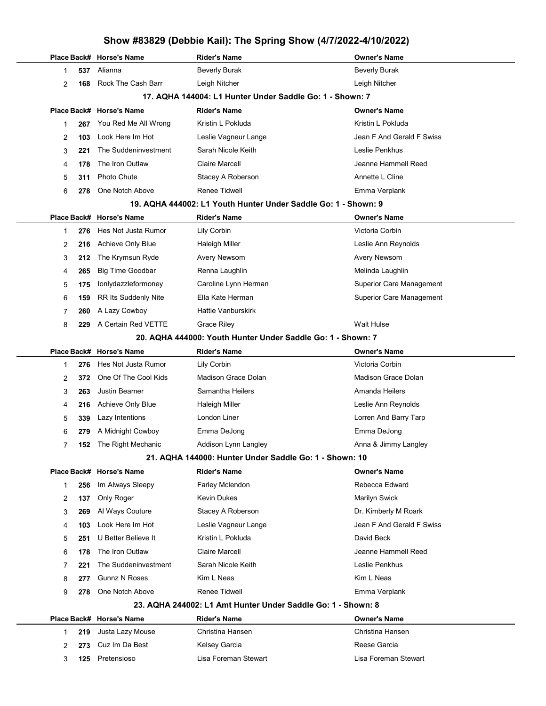|                                                          |     | Place Back# Horse's Name | <b>Rider's Name</b>                                            | Owner's Name                    |
|----------------------------------------------------------|-----|--------------------------|----------------------------------------------------------------|---------------------------------|
| 1                                                        | 537 | Alianna                  | <b>Beverly Burak</b>                                           | <b>Beverly Burak</b>            |
| 2                                                        | 168 | Rock The Cash Barr       | Leigh Nitcher                                                  | Leigh Nitcher                   |
| 17. AQHA 144004: L1 Hunter Under Saddle Go: 1 - Shown: 7 |     |                          |                                                                |                                 |
|                                                          |     | Place Back# Horse's Name | <b>Rider's Name</b>                                            | Owner's Name                    |
| 1                                                        | 267 | You Red Me All Wrong     | Kristin L Pokluda                                              | Kristin L Pokluda               |
| 2                                                        | 103 | Look Here Im Hot         | Leslie Vagneur Lange                                           | Jean F And Gerald F Swiss       |
| 3                                                        | 221 | The Suddeninvestment     | Sarah Nicole Keith                                             | Leslie Penkhus                  |
| 4                                                        | 178 | The Iron Outlaw          | <b>Claire Marcell</b>                                          | Jeanne Hammell Reed             |
| 5                                                        | 311 | <b>Photo Chute</b>       | Stacey A Roberson                                              | Annette L Cline                 |
| 6                                                        | 278 | One Notch Above          | Renee Tidwell                                                  | Emma Verplank                   |
|                                                          |     |                          | 19. AQHA 444002: L1 Youth Hunter Under Saddle Go: 1 - Shown: 9 |                                 |
|                                                          |     | Place Back# Horse's Name | <b>Rider's Name</b>                                            | Owner's Name                    |
| 1                                                        | 276 | Hes Not Justa Rumor      | Lily Corbin                                                    | Victoria Corbin                 |
| 2                                                        | 216 | Achieve Only Blue        | <b>Haleigh Miller</b>                                          | Leslie Ann Reynolds             |
| 3                                                        | 212 | The Krymsun Ryde         | Avery Newsom                                                   | Avery Newsom                    |
| 4                                                        | 265 | <b>Big Time Goodbar</b>  | Renna Laughlin                                                 | Melinda Laughlin                |
| 5                                                        | 175 | Ionlydazzleformoney      | Caroline Lynn Herman                                           | <b>Superior Care Management</b> |
| 6                                                        | 159 | RR Its Suddenly Nite     | Ella Kate Herman                                               | <b>Superior Care Management</b> |
| 7                                                        | 260 | A Lazy Cowboy            | <b>Hattie Vanburskirk</b>                                      |                                 |
| 8                                                        | 229 | A Certain Red VETTE      | <b>Grace Riley</b>                                             | <b>Walt Hulse</b>               |
|                                                          |     |                          | 20. AQHA 444000: Youth Hunter Under Saddle Go: 1 - Shown: 7    |                                 |
|                                                          |     | Place Back# Horse's Name | <b>Rider's Name</b>                                            | <b>Owner's Name</b>             |
| 1                                                        | 276 | Hes Not Justa Rumor      | Lily Corbin                                                    | Victoria Corbin                 |
| 2                                                        | 372 | One Of The Cool Kids     | <b>Madison Grace Dolan</b>                                     | Madison Grace Dolan             |
| 3                                                        | 263 | Justin Beamer            | Samantha Heilers                                               | Amanda Heilers                  |
| 4                                                        | 216 | Achieve Only Blue        | <b>Haleigh Miller</b>                                          | Leslie Ann Reynolds             |
| 5                                                        | 339 | Lazy Intentions          | London Liner                                                   | Lorren And Barry Tarp           |
| 6                                                        | 279 | A Midnight Cowboy        | Emma DeJong                                                    | Emma DeJong                     |
| 7                                                        | 152 | The Right Mechanic       | Addison Lynn Langley                                           | Anna & Jimmy Langley            |
|                                                          |     |                          | 21. AQHA 144000: Hunter Under Saddle Go: 1 - Shown: 10         |                                 |
|                                                          |     | Place Back# Horse's Name | <b>Rider's Name</b>                                            | Owner's Name                    |
| 1                                                        | 256 | Im Always Sleepy         | Farley Mclendon                                                | Rebecca Edward                  |
| 2                                                        | 137 | Only Roger               | Kevin Dukes                                                    | Marilyn Swick                   |
| 3                                                        | 269 | Al Ways Couture          | Stacey A Roberson                                              | Dr. Kimberly M Roark            |
| 4                                                        | 103 | Look Here Im Hot         | Leslie Vagneur Lange                                           | Jean F And Gerald F Swiss       |
| 5                                                        | 251 | U Better Believe It      | Kristin L Pokluda                                              | David Beck                      |
| 6                                                        | 178 | The Iron Outlaw          | <b>Claire Marcell</b>                                          | Jeanne Hammell Reed             |
| 7                                                        | 221 | The Suddeninvestment     | Sarah Nicole Keith                                             | Leslie Penkhus                  |
| 8                                                        | 277 | <b>Gunnz N Roses</b>     | Kim L Neas                                                     | Kim L Neas                      |
| 9                                                        | 278 | One Notch Above          | Renee Tidwell                                                  | Emma Verplank                   |
|                                                          |     |                          | 23. AQHA 244002: L1 Amt Hunter Under Saddle Go: 1 - Shown: 8   |                                 |
|                                                          |     | Place Back# Horse's Name | <b>Rider's Name</b>                                            | Owner's Name                    |
| 1                                                        | 219 | Justa Lazy Mouse         | Christina Hansen                                               | Christina Hansen                |
| 2                                                        | 273 | Cuz Im Da Best           | Kelsey Garcia                                                  | Reese Garcia                    |
| 3                                                        | 125 | Pretensioso              | Lisa Foreman Stewart                                           | Lisa Foreman Stewart            |
|                                                          |     |                          |                                                                |                                 |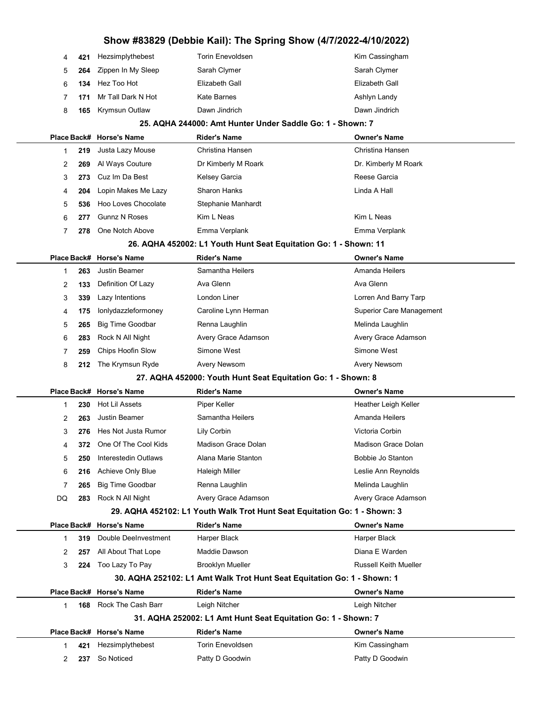| 4  | 421 | Hezsimplythebest            | <b>Torin Enevoldsen</b>                                                   | Kim Cassingham               |
|----|-----|-----------------------------|---------------------------------------------------------------------------|------------------------------|
| 5  | 264 | Zippen In My Sleep          | Sarah Clymer                                                              | Sarah Clymer                 |
| 6  | 134 | Hez Too Hot                 | Elizabeth Gall                                                            | Elizabeth Gall               |
| 7  | 171 | Mr Tall Dark N Hot          | <b>Kate Barnes</b>                                                        | Ashlyn Landy                 |
| 8  | 165 | <b>Krymsun Outlaw</b>       | Dawn Jindrich                                                             | Dawn Jindrich                |
|    |     |                             | 25. AQHA 244000: Amt Hunter Under Saddle Go: 1 - Shown: 7                 |                              |
|    |     | Place Back# Horse's Name    | <b>Rider's Name</b>                                                       | <b>Owner's Name</b>          |
| 1  | 219 | Justa Lazy Mouse            | Christina Hansen                                                          | Christina Hansen             |
| 2  | 269 | Al Ways Couture             | Dr Kimberly M Roark                                                       | Dr. Kimberly M Roark         |
| 3  | 273 | Cuz Im Da Best              | Kelsey Garcia                                                             | Reese Garcia                 |
| 4  | 204 | Lopin Makes Me Lazy         | <b>Sharon Hanks</b>                                                       | Linda A Hall                 |
| 5  | 536 | Hoo Loves Chocolate         | Stephanie Manhardt                                                        |                              |
| 6  | 277 | <b>Gunnz N Roses</b>        | Kim L Neas                                                                | Kim L Neas                   |
| 7  | 278 | One Notch Above             | Emma Verplank                                                             | Emma Verplank                |
|    |     |                             | 26. AQHA 452002: L1 Youth Hunt Seat Equitation Go: 1 - Shown: 11          |                              |
|    |     | Place Back# Horse's Name    | <b>Rider's Name</b>                                                       | <b>Owner's Name</b>          |
| 1  | 263 | <b>Justin Beamer</b>        | Samantha Heilers                                                          | Amanda Heilers               |
| 2  | 133 | Definition Of Lazy          | Ava Glenn                                                                 | Ava Glenn                    |
| 3  | 339 | Lazy Intentions             | London Liner                                                              | Lorren And Barry Tarp        |
| 4  | 175 | lonlydazzleformoney         | Caroline Lynn Herman                                                      | Superior Care Management     |
| 5  | 265 | <b>Big Time Goodbar</b>     | Renna Laughlin                                                            | Melinda Laughlin             |
| 6  | 283 | Rock N All Night            | Avery Grace Adamson                                                       | Avery Grace Adamson          |
| 7  | 259 | Chips Hoofin Slow           | Simone West                                                               | Simone West                  |
| 8  | 212 | The Krymsun Ryde            | Avery Newsom                                                              | Avery Newsom                 |
|    |     |                             | 27. AQHA 452000: Youth Hunt Seat Equitation Go: 1 - Shown: 8              |                              |
|    |     | Place Back# Horse's Name    | <b>Rider's Name</b>                                                       | <b>Owner's Name</b>          |
| 1  | 230 | Hot Lil Assets              | Piper Keller                                                              | Heather Leigh Keller         |
| 2  | 263 | <b>Justin Beamer</b>        | Samantha Heilers                                                          | Amanda Heilers               |
| 3  | 276 | Hes Not Justa Rumor         | Lily Corbin                                                               | Victoria Corbin              |
| 4  | 372 | One Of The Cool Kids        | Madison Grace Dolan                                                       | Madison Grace Dolan          |
| 5  | 250 | <b>Interestedin Outlaws</b> | Alana Marie Stanton                                                       | Bobbie Jo Stanton            |
| 6  | 216 | Achieve Only Blue           | Haleigh Miller                                                            | Leslie Ann Reynolds          |
| 7  | 265 | <b>Big Time Goodbar</b>     | Renna Laughlin                                                            | Melinda Laughlin             |
| DQ | 283 | Rock N All Night            | Avery Grace Adamson                                                       | Avery Grace Adamson          |
|    |     |                             | 29. AQHA 452102: L1 Youth Walk Trot Hunt Seat Equitation Go: 1 - Shown: 3 |                              |
|    |     | Place Back# Horse's Name    | <b>Rider's Name</b>                                                       | <b>Owner's Name</b>          |
| 1  | 319 | Double DeeInvestment        | Harper Black                                                              | Harper Black                 |
| 2  | 257 | All About That Lope         | Maddie Dawson                                                             | Diana E Warden               |
| 3  | 224 | Too Lazy To Pay             | <b>Brooklyn Mueller</b>                                                   | <b>Russell Keith Mueller</b> |
|    |     |                             | 30. AQHA 252102: L1 Amt Walk Trot Hunt Seat Equitation Go: 1 - Shown: 1   |                              |
|    |     | Place Back# Horse's Name    | <b>Rider's Name</b>                                                       | <b>Owner's Name</b>          |
| 1  | 168 | Rock The Cash Barr          | Leigh Nitcher                                                             | Leigh Nitcher                |
|    |     |                             | 31. AQHA 252002: L1 Amt Hunt Seat Equitation Go: 1 - Shown: 7             |                              |
|    |     | Place Back# Horse's Name    | <b>Rider's Name</b>                                                       | <b>Owner's Name</b>          |
| 1  | 421 | Hezsimplythebest            | <b>Torin Enevoldsen</b>                                                   | Kim Cassingham               |
| 2  | 237 | So Noticed                  | Patty D Goodwin                                                           | Patty D Goodwin              |
|    |     |                             |                                                                           |                              |

 $\overline{a}$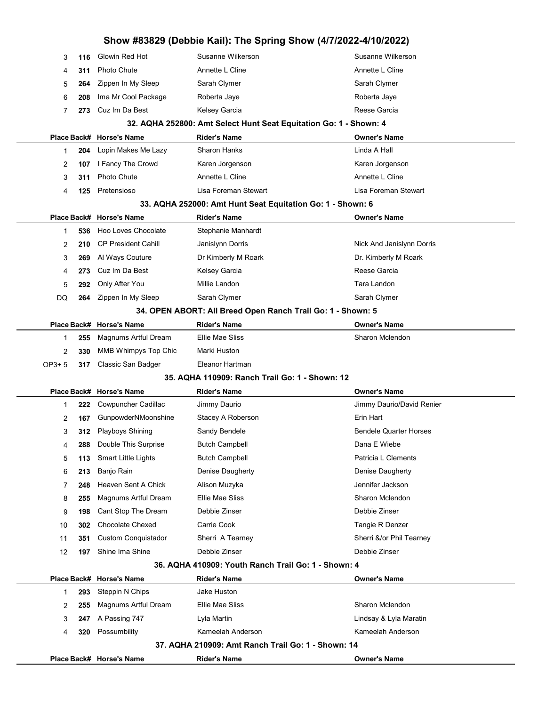| 3     | 116 | Glowin Red Hot              | Susanne Wilkerson                                                         | Susanne Wilkerson             |
|-------|-----|-----------------------------|---------------------------------------------------------------------------|-------------------------------|
| 4     | 311 | <b>Photo Chute</b>          | Annette L Cline                                                           | Annette L Cline               |
| 5     | 264 | Zippen In My Sleep          | Sarah Clymer                                                              | Sarah Clymer                  |
| 6     | 208 | Ima Mr Cool Package         | Roberta Jaye                                                              | Roberta Jaye                  |
| 7     | 273 | Cuz Im Da Best              | Kelsey Garcia                                                             | Reese Garcia                  |
|       |     |                             | 32. AQHA 252800: Amt Select Hunt Seat Equitation Go: 1 - Shown: 4         |                               |
|       |     | Place Back# Horse's Name    | <b>Rider's Name</b>                                                       | <b>Owner's Name</b>           |
| 1     | 204 | Lopin Makes Me Lazy         | <b>Sharon Hanks</b>                                                       | Linda A Hall                  |
| 2     | 107 | I Fancy The Crowd           | Karen Jorgenson                                                           | Karen Jorgenson               |
| 3     | 311 | <b>Photo Chute</b>          | Annette L Cline                                                           | Annette L Cline               |
| 4     | 125 | Pretensioso                 | Lisa Foreman Stewart                                                      | Lisa Foreman Stewart          |
|       |     |                             | 33. AQHA 252000: Amt Hunt Seat Equitation Go: 1 - Shown: 6                |                               |
|       |     | Place Back# Horse's Name    | <b>Rider's Name</b>                                                       | Owner's Name                  |
| 1     | 536 | Hoo Loves Chocolate         | Stephanie Manhardt                                                        |                               |
| 2     | 210 | <b>CP President Cahill</b>  | Janislynn Dorris                                                          | Nick And Janislynn Dorris     |
| 3     | 269 | Al Ways Couture             | Dr Kimberly M Roark                                                       | Dr. Kimberly M Roark          |
| 4     | 273 | Cuz Im Da Best              | Kelsey Garcia                                                             | Reese Garcia                  |
| 5     | 292 | Only After You              | Millie Landon                                                             | Tara Landon                   |
| DQ    | 264 | Zippen In My Sleep          | Sarah Clymer                                                              | Sarah Clymer                  |
|       |     |                             | 34. OPEN ABORT: All Breed Open Ranch Trail Go: 1 - Shown: 5               |                               |
|       |     | Place Back# Horse's Name    | <b>Rider's Name</b>                                                       | <b>Owner's Name</b>           |
| 1     | 255 | Magnums Artful Dream        | Ellie Mae Sliss                                                           | Sharon Mclendon               |
| 2     | 330 | MMB Whimpys Top Chic        | Marki Huston                                                              |                               |
|       | 317 | Classic San Badger          | Eleanor Hartman                                                           |                               |
| OP3+5 |     |                             |                                                                           |                               |
|       |     |                             | 35. AQHA 110909: Ranch Trail Go: 1 - Shown: 12                            |                               |
|       |     | Place Back# Horse's Name    | <b>Rider's Name</b>                                                       | <b>Owner's Name</b>           |
| 1     | 222 | Cowpuncher Cadillac         | Jimmy Daurio                                                              | Jimmy Daurio/David Renier     |
| 2     | 167 | GunpowderNMoonshine         | Stacey A Roberson                                                         | Erin Hart                     |
| 3     | 312 | <b>Playboys Shining</b>     | Sandy Bendele                                                             | <b>Bendele Quarter Horses</b> |
| 4     | 288 | Double This Surprise        | <b>Butch Campbell</b>                                                     | Dana E Wiebe                  |
| 5     | 113 | <b>Smart Little Lights</b>  | <b>Butch Campbell</b>                                                     | Patricia L Clements           |
| 6     | 213 | Banjo Rain                  | Denise Daugherty                                                          | Denise Daugherty              |
| 7     | 248 | Heaven Sent A Chick         | Alison Muzyka                                                             | Jennifer Jackson              |
| 8     | 255 | <b>Magnums Artful Dream</b> | Ellie Mae Sliss                                                           | Sharon Mclendon               |
| 9     | 198 | Cant Stop The Dream         | Debbie Zinser                                                             | Debbie Zinser                 |
| 10    | 302 | <b>Chocolate Chexed</b>     | Carrie Cook                                                               | Tangie R Denzer               |
| 11    | 351 | <b>Custom Conquistador</b>  | Sherri A Tearney                                                          | Sherri &/or Phil Tearney      |
| 12    | 197 | Shine Ima Shine             | Debbie Zinser                                                             | Debbie Zinser                 |
|       |     |                             | 36. AQHA 410909: Youth Ranch Trail Go: 1 - Shown: 4                       |                               |
|       |     | Place Back# Horse's Name    | <b>Rider's Name</b>                                                       | <b>Owner's Name</b>           |
| 1     | 293 | Steppin N Chips             | Jake Huston                                                               |                               |
| 2     | 255 | Magnums Artful Dream        | Ellie Mae Sliss                                                           | Sharon Mclendon               |
| 3     | 247 | A Passing 747               | Lyla Martin                                                               | Lindsay & Lyla Maratin        |
| 4     | 320 | Possumbility                | Kameelah Anderson                                                         | Kameelah Anderson             |
|       |     |                             | 37. AQHA 210909: Amt Ranch Trail Go: 1 - Shown: 14<br><b>Rider's Name</b> | <b>Owner's Name</b>           |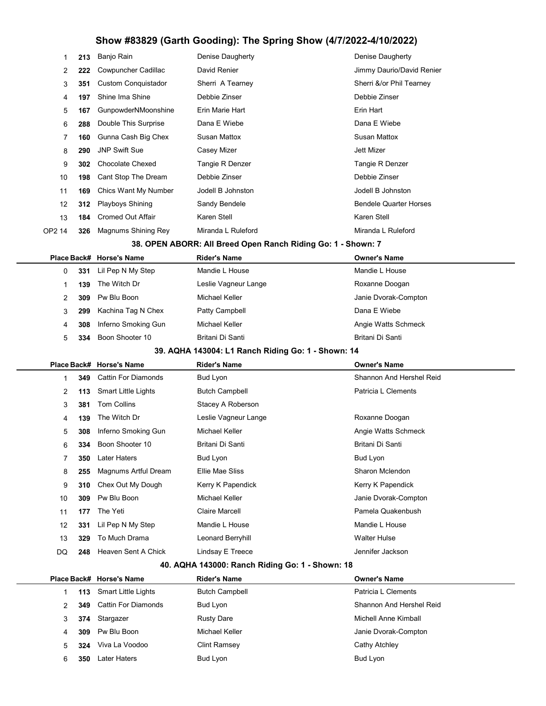| 1<br>2<br>3<br>4<br>5<br>6<br>7<br>8<br>9<br>10<br>11 | 349<br>113<br>381<br>139<br>308<br>334<br>350<br>255<br>310<br>309<br>177 | <b>Cattin For Diamonds</b><br><b>Smart Little Lights</b><br><b>Tom Collins</b><br>The Witch Dr<br>Inferno Smoking Gun<br>Boon Shooter 10<br><b>Later Haters</b><br>Magnums Artful Dream<br>Chex Out My Dough<br>Pw Blu Boon<br>The Yeti | Bud Lyon<br><b>Butch Campbell</b><br>Stacey A Roberson<br>Leslie Vagneur Lange<br>Michael Keller<br>Britani Di Santi<br>Bud Lyon<br>Ellie Mae Sliss<br>Kerry K Papendick<br>Michael Keller<br><b>Claire Marcell</b> | Shannon And Hershel Reid<br>Patricia L Clements<br>Roxanne Doogan<br>Angie Watts Schmeck<br>Britani Di Santi<br>Bud Lyon<br>Sharon Mclendon<br>Kerry K Papendick<br>Janie Dvorak-Compton<br>Pamela Quakenbush |  |
|-------------------------------------------------------|---------------------------------------------------------------------------|-----------------------------------------------------------------------------------------------------------------------------------------------------------------------------------------------------------------------------------------|---------------------------------------------------------------------------------------------------------------------------------------------------------------------------------------------------------------------|---------------------------------------------------------------------------------------------------------------------------------------------------------------------------------------------------------------|--|
|                                                       |                                                                           |                                                                                                                                                                                                                                         |                                                                                                                                                                                                                     |                                                                                                                                                                                                               |  |
|                                                       |                                                                           |                                                                                                                                                                                                                                         |                                                                                                                                                                                                                     |                                                                                                                                                                                                               |  |
|                                                       |                                                                           |                                                                                                                                                                                                                                         |                                                                                                                                                                                                                     |                                                                                                                                                                                                               |  |
|                                                       |                                                                           |                                                                                                                                                                                                                                         |                                                                                                                                                                                                                     |                                                                                                                                                                                                               |  |
|                                                       |                                                                           |                                                                                                                                                                                                                                         |                                                                                                                                                                                                                     |                                                                                                                                                                                                               |  |
|                                                       |                                                                           |                                                                                                                                                                                                                                         |                                                                                                                                                                                                                     |                                                                                                                                                                                                               |  |
|                                                       |                                                                           |                                                                                                                                                                                                                                         |                                                                                                                                                                                                                     |                                                                                                                                                                                                               |  |
|                                                       |                                                                           |                                                                                                                                                                                                                                         |                                                                                                                                                                                                                     |                                                                                                                                                                                                               |  |
|                                                       |                                                                           |                                                                                                                                                                                                                                         |                                                                                                                                                                                                                     |                                                                                                                                                                                                               |  |
|                                                       |                                                                           |                                                                                                                                                                                                                                         |                                                                                                                                                                                                                     |                                                                                                                                                                                                               |  |
|                                                       |                                                                           |                                                                                                                                                                                                                                         |                                                                                                                                                                                                                     |                                                                                                                                                                                                               |  |
|                                                       |                                                                           | Place Back# Horse's Name                                                                                                                                                                                                                | <b>Rider's Name</b>                                                                                                                                                                                                 | <b>Owner's Name</b>                                                                                                                                                                                           |  |
|                                                       |                                                                           |                                                                                                                                                                                                                                         | 39. AQHA 143004: L1 Ranch Riding Go: 1 - Shown: 14                                                                                                                                                                  |                                                                                                                                                                                                               |  |
| 5                                                     | 334                                                                       | Boon Shooter 10                                                                                                                                                                                                                         | Britani Di Santi                                                                                                                                                                                                    | Britani Di Santi                                                                                                                                                                                              |  |
| 4                                                     | 308                                                                       | Inferno Smoking Gun                                                                                                                                                                                                                     | Michael Keller                                                                                                                                                                                                      | Angie Watts Schmeck                                                                                                                                                                                           |  |
| 3                                                     | 299                                                                       | Kachina Tag N Chex                                                                                                                                                                                                                      | Patty Campbell                                                                                                                                                                                                      | Dana E Wiebe                                                                                                                                                                                                  |  |
| 2                                                     | 309                                                                       | Pw Blu Boon                                                                                                                                                                                                                             | Michael Keller                                                                                                                                                                                                      | Janie Dvorak-Compton                                                                                                                                                                                          |  |
| 1                                                     | 139                                                                       | The Witch Dr                                                                                                                                                                                                                            | Leslie Vagneur Lange                                                                                                                                                                                                | Roxanne Doogan                                                                                                                                                                                                |  |
| 0                                                     | 331                                                                       | Lil Pep N My Step                                                                                                                                                                                                                       | Mandie L House                                                                                                                                                                                                      | Mandie L House                                                                                                                                                                                                |  |
|                                                       |                                                                           | Place Back# Horse's Name                                                                                                                                                                                                                | <b>Rider's Name</b>                                                                                                                                                                                                 | <b>Owner's Name</b>                                                                                                                                                                                           |  |
|                                                       |                                                                           |                                                                                                                                                                                                                                         | 38. OPEN ABORR: All Breed Open Ranch Riding Go: 1 - Shown: 7                                                                                                                                                        |                                                                                                                                                                                                               |  |
| OP2 14                                                | 326                                                                       | Magnums Shining Rey                                                                                                                                                                                                                     | Miranda L Ruleford                                                                                                                                                                                                  | Miranda L Ruleford                                                                                                                                                                                            |  |
| 13                                                    | 184                                                                       | <b>Cromed Out Affair</b>                                                                                                                                                                                                                | Karen Stell                                                                                                                                                                                                         | Karen Stell                                                                                                                                                                                                   |  |
| 12                                                    | 312                                                                       | Playboys Shining                                                                                                                                                                                                                        | Sandy Bendele                                                                                                                                                                                                       | <b>Bendele Quarter Horses</b>                                                                                                                                                                                 |  |
| 11                                                    | 169                                                                       | Chics Want My Number                                                                                                                                                                                                                    | Jodell B Johnston                                                                                                                                                                                                   | Jodell B Johnston                                                                                                                                                                                             |  |
| 10                                                    | 198                                                                       | Cant Stop The Dream                                                                                                                                                                                                                     | Debbie Zinser                                                                                                                                                                                                       | Debbie Zinser                                                                                                                                                                                                 |  |
| 9                                                     | 302                                                                       | <b>Chocolate Chexed</b>                                                                                                                                                                                                                 | Tangie R Denzer                                                                                                                                                                                                     | Tangie R Denzer                                                                                                                                                                                               |  |
| 8                                                     | 290                                                                       | <b>JNP Swift Sue</b>                                                                                                                                                                                                                    | Casey Mizer                                                                                                                                                                                                         | <b>Jett Mizer</b>                                                                                                                                                                                             |  |
| 7                                                     | 160                                                                       | Gunna Cash Big Chex                                                                                                                                                                                                                     | Susan Mattox                                                                                                                                                                                                        | <b>Susan Mattox</b>                                                                                                                                                                                           |  |
| 6                                                     | 288                                                                       | Double This Surprise                                                                                                                                                                                                                    | Dana E Wiebe                                                                                                                                                                                                        | Dana E Wiebe                                                                                                                                                                                                  |  |
| 5                                                     | 167                                                                       | GunpowderNMoonshine                                                                                                                                                                                                                     | Erin Marie Hart                                                                                                                                                                                                     | Erin Hart                                                                                                                                                                                                     |  |
| 4                                                     | 197                                                                       | Shine Ima Shine                                                                                                                                                                                                                         | Debbie Zinser                                                                                                                                                                                                       | Debbie Zinser                                                                                                                                                                                                 |  |
| 3                                                     | 351                                                                       | <b>Custom Conquistador</b>                                                                                                                                                                                                              | Sherri A Tearney                                                                                                                                                                                                    | Sherri &/or Phil Tearney                                                                                                                                                                                      |  |
| 2                                                     | 222                                                                       | Cowpuncher Cadillac                                                                                                                                                                                                                     | David Renier                                                                                                                                                                                                        | Jimmy Daurio/David Renier                                                                                                                                                                                     |  |
|                                                       | 213                                                                       | Banjo Rain                                                                                                                                                                                                                              | Denise Daugherty                                                                                                                                                                                                    | Denise Daugherty                                                                                                                                                                                              |  |

|    |     | Place Back# Horse's Name | <b>Rider's Name</b>   | <b>Owner's Name</b>      |
|----|-----|--------------------------|-----------------------|--------------------------|
|    | 113 | Smart Little Lights      | <b>Butch Campbell</b> | Patricia L Clements      |
|    | 349 | Cattin For Diamonds      | Bud Lyon              | Shannon And Hershel Reid |
| 3  |     | 374 Stargazer            | <b>Rusty Dare</b>     | Michell Anne Kimball     |
| 4  | 309 | Pw Blu Boon              | Michael Keller        | Janie Dvorak-Compton     |
| 5. | 324 | Viva La Voodoo           | Clint Ramsey          | Cathy Atchley            |
| 6  | 350 | Later Haters             | Bud Lyon              | <b>Bud Lyon</b>          |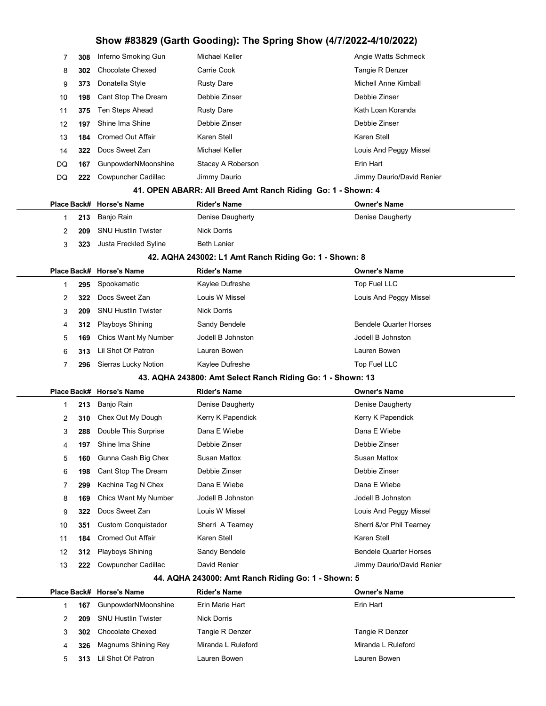| 7              | 308 | Inferno Smoking Gun        | <b>Michael Keller</b>                                       | Angie Watts Schmeck           |
|----------------|-----|----------------------------|-------------------------------------------------------------|-------------------------------|
| 8              | 302 | <b>Chocolate Chexed</b>    | Carrie Cook                                                 | Tangie R Denzer               |
| 9              | 373 | Donatella Style            | <b>Rusty Dare</b>                                           | Michell Anne Kimball          |
| 10             | 198 | Cant Stop The Dream        | Debbie Zinser                                               | Debbie Zinser                 |
| 11             | 375 | Ten Steps Ahead            | <b>Rusty Dare</b>                                           | Kath Loan Koranda             |
| 12             | 197 | Shine Ima Shine            | Debbie Zinser                                               | Debbie Zinser                 |
| 13             | 184 | <b>Cromed Out Affair</b>   | Karen Stell                                                 | Karen Stell                   |
| 14             | 322 | Docs Sweet Zan             | Michael Keller                                              | Louis And Peggy Missel        |
| DQ             | 167 | GunpowderNMoonshine        | Stacey A Roberson                                           | Erin Hart                     |
| DQ             | 222 | Cowpuncher Cadillac        | Jimmy Daurio                                                | Jimmy Daurio/David Renier     |
|                |     |                            | 41. OPEN ABARR: All Breed Amt Ranch Riding Go: 1 - Shown: 4 |                               |
| Place Back#    |     | <b>Horse's Name</b>        | <b>Rider's Name</b>                                         | <b>Owner's Name</b>           |
| 1              | 213 | Banjo Rain                 | Denise Daugherty                                            | Denise Daugherty              |
| 2              | 209 | <b>SNU Hustlin Twister</b> | <b>Nick Dorris</b>                                          |                               |
| 3              | 323 | Justa Freckled Syline      | <b>Beth Lanier</b>                                          |                               |
|                |     |                            | 42. AQHA 243002: L1 Amt Ranch Riding Go: 1 - Shown: 8       |                               |
|                |     | Place Back# Horse's Name   | <b>Rider's Name</b>                                         | Owner's Name                  |
| 1              | 295 | Spookamatic                | Kaylee Dufreshe                                             | Top Fuel LLC                  |
| 2              | 322 | Docs Sweet Zan             | Louis W Missel                                              | Louis And Peggy Missel        |
| 3              | 209 | <b>SNU Hustlin Twister</b> | <b>Nick Dorris</b>                                          |                               |
| 4              | 312 | <b>Playboys Shining</b>    | Sandy Bendele                                               | <b>Bendele Quarter Horses</b> |
| 5              | 169 | Chics Want My Number       | Jodell B Johnston                                           | Jodell B Johnston             |
| 6              | 313 | Lil Shot Of Patron         | Lauren Bowen                                                | Lauren Bowen                  |
| $\overline{7}$ | 296 | Sierras Lucky Notion       | Kaylee Dufreshe                                             | Top Fuel LLC                  |
|                |     |                            | 43. AQHA 243800: Amt Select Ranch Riding Go: 1 - Shown: 13  |                               |
| Place Back#    |     | <b>Horse's Name</b>        | <b>Rider's Name</b>                                         | <b>Owner's Name</b>           |
| 1              | 213 | Banjo Rain                 | Denise Daugherty                                            | Denise Daugherty              |
| 2              | 310 | Chex Out My Dough          | Kerry K Papendick                                           | Kerry K Papendick             |
| 3              | 288 | Double This Surprise       | Dana E Wiebe                                                | Dana E Wiebe                  |
| 4              | 197 | Shine Ima Shine            | Debbie Zinser                                               | Debbie Zinser                 |
| 5              | 160 | Gunna Cash Big Chex        | Susan Mattox                                                | <b>Susan Mattox</b>           |
| 6              | 198 | Cant Stop The Dream        | Debbie Zinser                                               | Debbie Zinser                 |
| 7              | 299 | Kachina Tag N Chex         | Dana E Wiebe                                                | Dana E Wiebe                  |
| 8              | 169 | Chics Want My Number       | Jodell B Johnston                                           | Jodell B Johnston             |
| 9              | 322 | Docs Sweet Zan             | Louis W Missel                                              | Louis And Peggy Missel        |
| 10             | 351 | <b>Custom Conquistador</b> | Sherri A Tearney                                            | Sherri &/or Phil Tearney      |
| 11             | 184 | <b>Cromed Out Affair</b>   | Karen Stell                                                 | Karen Stell                   |
| 12             | 312 | Playboys Shining           | Sandy Bendele                                               | <b>Bendele Quarter Horses</b> |
| 13             | 222 | Cowpuncher Cadillac        | David Renier                                                | Jimmy Daurio/David Renier     |
|                |     |                            | 44. AQHA 243000: Amt Ranch Riding Go: 1 - Shown: 5          |                               |
|                |     | Place Back# Horse's Name   | <b>Rider's Name</b>                                         | <b>Owner's Name</b>           |
| 1              | 167 | GunpowderNMoonshine        | Erin Marie Hart                                             | Erin Hart                     |

| 209 | SNU Hustlin Twister     | Nick Dorris        |                    |
|-----|-------------------------|--------------------|--------------------|
| 302 | Chocolate Chexed        | Tangie R Denzer    | Tangie R Denzer    |
|     | 326 Magnums Shining Rey | Miranda L Ruleford | Miranda L Ruleford |
|     | 313 Lil Shot Of Patron  | Lauren Bowen       | Lauren Bowen       |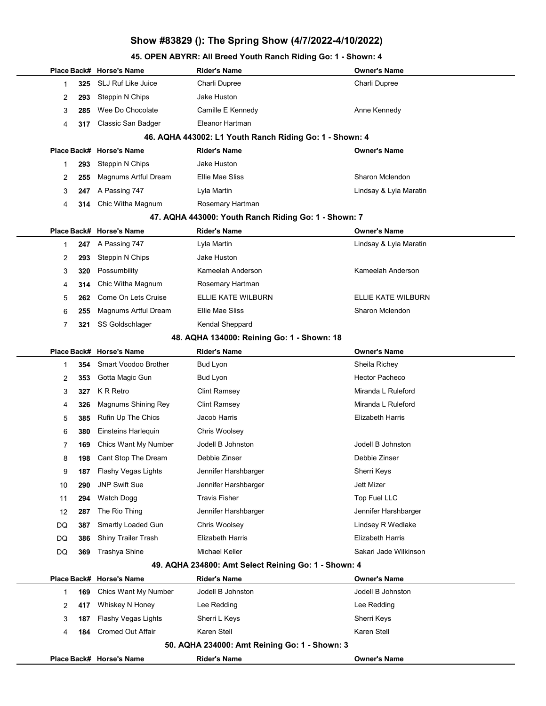### 45. OPEN ABYRR: All Breed Youth Ranch Riding Go: 1 - Shown: 4

|           | Place Back# Horse's Name  | Rider's Name                                            | <b>Owner's Name</b>     |
|-----------|---------------------------|---------------------------------------------------------|-------------------------|
| 325<br>1  | <b>SLJ Ruf Like Juice</b> | Charli Dupree                                           | Charli Dupree           |
| 2<br>293  | Steppin N Chips           | Jake Huston                                             |                         |
| 3<br>285  | Wee Do Chocolate          | Camille E Kennedy                                       | Anne Kennedy            |
| 4<br>317  | Classic San Badger        | Eleanor Hartman                                         |                         |
|           |                           | 46. AQHA 443002: L1 Youth Ranch Riding Go: 1 - Shown: 4 |                         |
|           | Place Back# Horse's Name  | <b>Rider's Name</b>                                     | <b>Owner's Name</b>     |
| 293<br>1  | Steppin N Chips           | Jake Huston                                             |                         |
| 2<br>255  | Magnums Artful Dream      | Ellie Mae Sliss                                         | Sharon Mclendon         |
| 3<br>247  | A Passing 747             | Lyla Martin                                             | Lindsay & Lyla Maratin  |
| 4         | 314 Chic Witha Magnum     | Rosemary Hartman                                        |                         |
|           |                           | 47. AQHA 443000: Youth Ranch Riding Go: 1 - Shown: 7    |                         |
|           | Place Back# Horse's Name  | Rider's Name                                            | <b>Owner's Name</b>     |
| 247<br>1  | A Passing 747             | Lyla Martin                                             | Lindsay & Lyla Maratin  |
| 2<br>293  | Steppin N Chips           | Jake Huston                                             |                         |
| 3<br>320  | Possumbility              | Kameelah Anderson                                       | Kameelah Anderson       |
| 4<br>314  | Chic Witha Magnum         | Rosemary Hartman                                        |                         |
| 5<br>262  | Come On Lets Cruise       | ELLIE KATE WILBURN                                      | ELLIE KATE WILBURN      |
| 6<br>255  | Magnums Artful Dream      | Ellie Mae Sliss                                         | Sharon Mclendon         |
| 7<br>321  | SS Goldschlager           | Kendal Sheppard                                         |                         |
|           |                           | 48. AQHA 134000: Reining Go: 1 - Shown: 18              |                         |
|           | Place Back# Horse's Name  | <b>Rider's Name</b>                                     | <b>Owner's Name</b>     |
| 354<br>1  | Smart Voodoo Brother      | Bud Lyon                                                | Sheila Richey           |
| 2<br>353  | Gotta Magic Gun           | Bud Lyon                                                | <b>Hector Pacheco</b>   |
| 3<br>327  | K R Retro                 | <b>Clint Ramsey</b>                                     | Miranda L Ruleford      |
| 326<br>4  | Magnums Shining Rey       | Clint Ramsey                                            | Miranda L Ruleford      |
| 5<br>385  | Rufin Up The Chics        | Jacob Harris                                            | Elizabeth Harris        |
| 6<br>380  | Einsteins Harlequin       | Chris Woolsey                                           |                         |
| 7<br>169  | Chics Want My Number      | Jodell B Johnston                                       | Jodell B Johnston       |
| 8<br>198  | Cant Stop The Dream       | Debbie Zinser                                           | Debbie Zinser           |
| 9<br>187  | Flashy Vegas Lights       | Jennifer Harshbarger                                    | Sherri Keys             |
| 10<br>290 | <b>JNP Swift Sue</b>      | Jennifer Harshbarger                                    | Jett Mizer              |
| 11<br>294 | Watch Dogg                | <b>Travis Fisher</b>                                    | Top Fuel LLC            |
| 12<br>287 | The Rio Thing             | Jennifer Harshbarger                                    | Jennifer Harshbarger    |
| DQ<br>387 | Smartly Loaded Gun        | Chris Woolsey                                           | Lindsey R Wedlake       |
| DQ<br>386 | Shiny Trailer Trash       | Elizabeth Harris                                        | <b>Elizabeth Harris</b> |
| DQ<br>369 | Trashya Shine             | Michael Keller                                          | Sakari Jade Wilkinson   |
|           |                           | 49. AQHA 234800: Amt Select Reining Go: 1 - Shown: 4    |                         |
|           | Place Back# Horse's Name  | <b>Rider's Name</b>                                     | <b>Owner's Name</b>     |
| 169<br>1  | Chics Want My Number      | Jodell B Johnston                                       | Jodell B Johnston       |
| 2<br>417  | Whiskey N Honey           | Lee Redding                                             | Lee Redding             |
| 3<br>187  | Flashy Vegas Lights       | Sherri L Keys                                           | Sherri Keys             |
| 184<br>4  | <b>Cromed Out Affair</b>  | Karen Stell                                             | Karen Stell             |
|           |                           | 50. AQHA 234000: Amt Reining Go: 1 - Shown: 3           |                         |
|           | Place Back# Horse's Name  | <b>Rider's Name</b>                                     | <b>Owner's Name</b>     |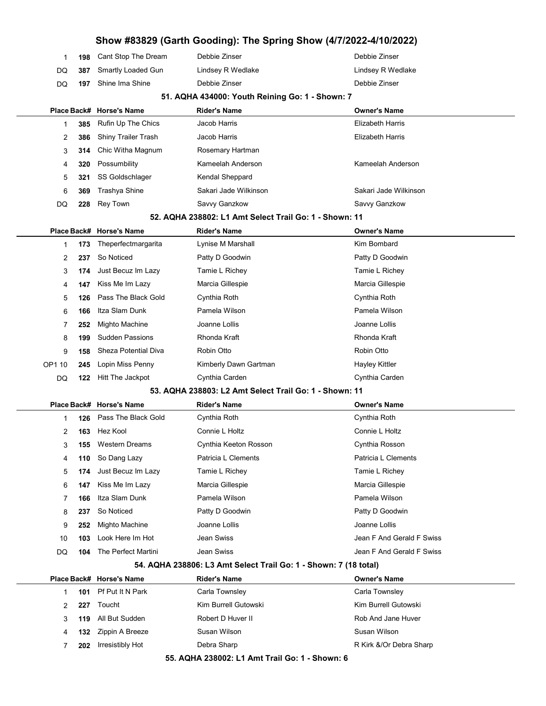| Show #83829 (Garth Gooding): The Spring Show (4/7/2022-4/10/2022) |     |                            |                                                                  |                           |
|-------------------------------------------------------------------|-----|----------------------------|------------------------------------------------------------------|---------------------------|
| 1                                                                 | 198 | Cant Stop The Dream        | Debbie Zinser                                                    | Debbie Zinser             |
| DQ                                                                | 387 | Smartly Loaded Gun         | Lindsey R Wedlake                                                | Lindsey R Wedlake         |
| DQ                                                                | 197 | Shine Ima Shine            | Debbie Zinser                                                    | Debbie Zinser             |
|                                                                   |     |                            | 51. AQHA 434000: Youth Reining Go: 1 - Shown: 7                  |                           |
|                                                                   |     | Place Back# Horse's Name   | <b>Rider's Name</b>                                              | <b>Owner's Name</b>       |
| 1                                                                 | 385 | Rufin Up The Chics         | Jacob Harris                                                     | <b>Elizabeth Harris</b>   |
| 2                                                                 | 386 | <b>Shiny Trailer Trash</b> | Jacob Harris                                                     | <b>Elizabeth Harris</b>   |
| 3                                                                 | 314 | Chic Witha Magnum          | Rosemary Hartman                                                 |                           |
| 4                                                                 | 320 | Possumbility               | Kameelah Anderson                                                | Kameelah Anderson         |
| 5                                                                 | 321 | SS Goldschlager            | Kendal Sheppard                                                  |                           |
| 6                                                                 | 369 | <b>Trashya Shine</b>       | Sakari Jade Wilkinson                                            | Sakari Jade Wilkinson     |
| DQ                                                                | 228 | <b>Rey Town</b>            | Savvy Ganzkow                                                    | Savvy Ganzkow             |
|                                                                   |     |                            | 52. AQHA 238802: L1 Amt Select Trail Go: 1 - Shown: 11           |                           |
|                                                                   |     | Place Back# Horse's Name   | <b>Rider's Name</b>                                              | <b>Owner's Name</b>       |
| 1                                                                 | 173 | Theperfectmargarita        | Lynise M Marshall                                                | Kim Bombard               |
| 2                                                                 | 237 | So Noticed                 | Patty D Goodwin                                                  | Patty D Goodwin           |
| 3                                                                 | 174 | Just Becuz Im Lazy         | Tamie L Richey                                                   | Tamie L Richey            |
| 4                                                                 | 147 | Kiss Me Im Lazy            | Marcia Gillespie                                                 | Marcia Gillespie          |
| 5                                                                 | 126 | Pass The Black Gold        | Cynthia Roth                                                     | Cynthia Roth              |
| 6                                                                 | 166 | Itza Slam Dunk             | Pamela Wilson                                                    | Pamela Wilson             |
| 7                                                                 | 252 | Mighto Machine             | Joanne Lollis                                                    | Joanne Lollis             |
| 8                                                                 | 199 | <b>Sudden Passions</b>     | Rhonda Kraft                                                     | Rhonda Kraft              |
| 9                                                                 | 158 | Sheza Potential Diva       | Robin Otto                                                       | Robin Otto                |
| OP1 10                                                            | 245 | Lopin Miss Penny           | Kimberly Dawn Gartman                                            | <b>Hayley Kittler</b>     |
| DQ                                                                | 122 | Hitt The Jackpot           | Cynthia Carden                                                   | Cynthia Carden            |
|                                                                   |     |                            | 53. AQHA 238803: L2 Amt Select Trail Go: 1 - Shown: 11           |                           |
|                                                                   |     | Place Back# Horse's Name   | <b>Rider's Name</b>                                              | <b>Owner's Name</b>       |
| 1                                                                 | 126 | Pass The Black Gold        | Cynthia Roth                                                     | Cynthia Roth              |
| 2                                                                 | 163 | Hez Kool                   | Connie L Holtz                                                   | Connie L Holtz            |
| 3                                                                 | 155 | <b>Western Dreams</b>      | Cynthia Keeton Rosson                                            | Cynthia Rosson            |
| 4                                                                 | 110 | So Dang Lazy               | Patricia L Clements                                              | Patricia L Clements       |
| 5                                                                 | 174 | Just Becuz Im Lazy         | Tamie L Richey                                                   | Tamie L Richey            |
| 6                                                                 | 147 | Kiss Me Im Lazy            | Marcia Gillespie                                                 | Marcia Gillespie          |
| 7                                                                 | 166 | Itza Slam Dunk             | Pamela Wilson                                                    | Pamela Wilson             |
| 8                                                                 | 237 | So Noticed                 | Patty D Goodwin                                                  | Patty D Goodwin           |
| 9                                                                 | 252 | Mighto Machine             | Joanne Lollis                                                    | Joanne Lollis             |
| 10                                                                | 103 | Look Here Im Hot           | Jean Swiss                                                       | Jean F And Gerald F Swiss |
| DQ                                                                | 104 | The Perfect Martini        | Jean Swiss                                                       | Jean F And Gerald F Swiss |
|                                                                   |     |                            | 54. AQHA 238806: L3 Amt Select Trail Go: 1 - Shown: 7 (18 total) |                           |
|                                                                   |     | Place Back# Horse's Name   | <b>Rider's Name</b>                                              | <b>Owner's Name</b>       |
| 1                                                                 | 101 | Pf Put It N Park           | Carla Townsley                                                   | Carla Townsley            |
| 2                                                                 | 227 | Toucht                     | Kim Burrell Gutowski                                             | Kim Burrell Gutowski      |
| 3                                                                 | 119 | All But Sudden             | Robert D Huver II                                                | Rob And Jane Huver        |
| 4                                                                 | 132 | Zippin A Breeze            | Susan Wilson                                                     | Susan Wilson              |

7 202 Irresistibly Hot Debra Sharp Debra Sharp R Kirk &/Or Debra Sharp

55. AQHA 238002: L1 Amt Trail Go: 1 - Shown: 6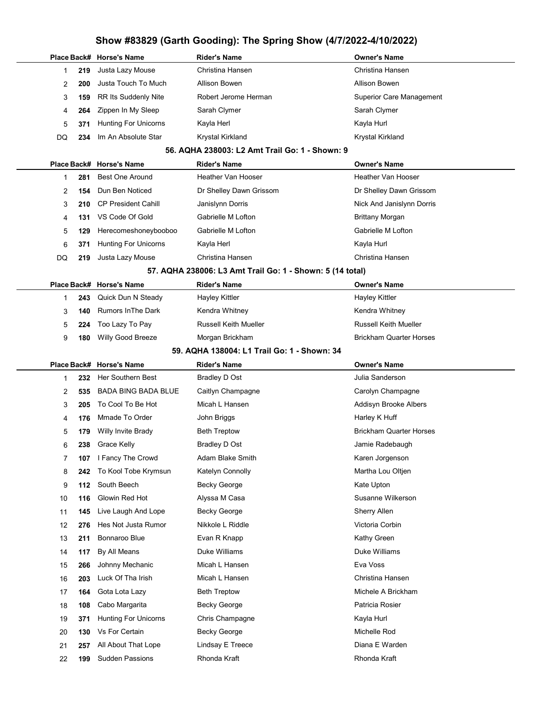|  |          |            | Place Back# Horse's Name                      | <b>Rider's Name</b>                                       | <b>Owner's Name</b>                    |
|--|----------|------------|-----------------------------------------------|-----------------------------------------------------------|----------------------------------------|
|  | 1        | 219        | Justa Lazy Mouse                              | Christina Hansen                                          | Christina Hansen                       |
|  | 2        | 200        | Justa Touch To Much                           | <b>Allison Bowen</b>                                      | Allison Bowen                          |
|  | 3        | 159        | RR Its Suddenly Nite                          | Robert Jerome Herman                                      | <b>Superior Care Management</b>        |
|  | 4        | 264        | Zippen In My Sleep                            | Sarah Clymer                                              | Sarah Clymer                           |
|  | 5        | 371        | <b>Hunting For Unicorns</b>                   | Kayla Herl                                                | Kayla Hurl                             |
|  | DQ       | 234        | Im An Absolute Star                           | Krystal Kirkland                                          | Krystal Kirkland                       |
|  |          |            |                                               | 56. AQHA 238003: L2 Amt Trail Go: 1 - Shown: 9            |                                        |
|  |          |            | Place Back# Horse's Name                      | <b>Rider's Name</b>                                       | <b>Owner's Name</b>                    |
|  | 1        | 281        | <b>Best One Around</b>                        | Heather Van Hooser                                        | Heather Van Hooser                     |
|  | 2        | 154        | Dun Ben Noticed                               | Dr Shelley Dawn Grissom                                   | Dr Shelley Dawn Grissom                |
|  | 3        | 210        | <b>CP President Cahill</b>                    | Janislynn Dorris                                          | Nick And Janislynn Dorris              |
|  | 4        | 131        | VS Code Of Gold                               | Gabrielle M Lofton                                        | <b>Brittany Morgan</b>                 |
|  | 5        | 129        | Herecomeshoneybooboo                          | Gabrielle M Lofton                                        | Gabrielle M Lofton                     |
|  | 6        | 371        | <b>Hunting For Unicorns</b>                   | Kayla Herl                                                | Kayla Hurl                             |
|  | DQ       | 219        | Justa Lazy Mouse                              | Christina Hansen                                          | Christina Hansen                       |
|  |          |            |                                               | 57. AQHA 238006: L3 Amt Trail Go: 1 - Shown: 5 (14 total) |                                        |
|  |          |            | Place Back# Horse's Name                      | <b>Rider's Name</b>                                       | Owner's Name                           |
|  | 1        | 243        | Quick Dun N Steady                            | <b>Hayley Kittler</b>                                     | Hayley Kittler                         |
|  | 3        | 140        | <b>Rumors In The Dark</b>                     | Kendra Whitney                                            | Kendra Whitney                         |
|  | 5        | 224        | Too Lazy To Pay                               | <b>Russell Keith Mueller</b>                              | <b>Russell Keith Mueller</b>           |
|  | 9        | 180        | Willy Good Breeze                             | Morgan Brickham                                           | <b>Brickham Quarter Horses</b>         |
|  |          |            |                                               | 59. AQHA 138004: L1 Trail Go: 1 - Shown: 34               |                                        |
|  |          |            |                                               |                                                           |                                        |
|  |          |            | Place Back# Horse's Name                      | Rider's Name                                              | Owner's Name                           |
|  | 1        | 232        | Her Southern Best                             | <b>Bradley D Ost</b>                                      | Julia Sanderson                        |
|  | 2        | 535        | <b>BADA BING BADA BLUE</b>                    | Caitlyn Champagne                                         | Carolyn Champagne                      |
|  | 3        | 205        | To Cool To Be Hot                             | Micah L Hansen                                            | Addisyn Brooke Albers                  |
|  | 4        | 176        | Mmade To Order                                | John Briggs                                               | Harley K Huff                          |
|  | 5        | 179        | Willy Invite Brady                            | <b>Beth Treptow</b>                                       | <b>Brickham Quarter Horses</b>         |
|  | 6        | 238        | Grace Kelly                                   | <b>Bradley D Ost</b>                                      | Jamie Radebaugh                        |
|  | 7        | 107        | I Fancy The Crowd                             | Adam Blake Smith                                          | Karen Jorgenson                        |
|  | 8        | 242        | To Kool Tobe Krymsun                          | Katelyn Connolly                                          | Martha Lou Oltjen                      |
|  | 9        | 112        | South Beech                                   | <b>Becky George</b>                                       | Kate Upton                             |
|  | 10       | 116        | Glowin Red Hot                                | Alyssa M Casa                                             | Susanne Wilkerson                      |
|  | 11       | 145        | Live Laugh And Lope                           | <b>Becky George</b>                                       | Sherry Allen                           |
|  | 12       | 276        | Hes Not Justa Rumor                           | Nikkole L Riddle                                          | Victoria Corbin                        |
|  |          |            | Bonnaroo Blue                                 |                                                           |                                        |
|  | 13       | 211        |                                               | Evan R Knapp                                              | Kathy Green<br>Duke Williams           |
|  | 14       | 117        | By All Means                                  | Duke Williams                                             | Eva Voss                               |
|  | 15       | 266        | Johnny Mechanic                               | Micah L Hansen                                            |                                        |
|  | 16       | 203        | Luck Of Tha Irish                             | Micah L Hansen                                            | Christina Hansen<br>Michele A Brickham |
|  | 17       | 164        | Gota Lota Lazy                                | <b>Beth Treptow</b>                                       |                                        |
|  | 18       | 108        | Cabo Margarita                                | Becky George                                              | Patricia Rosier                        |
|  | 19       | 371        | <b>Hunting For Unicorns</b>                   | Chris Champagne                                           | Kayla Hurl                             |
|  | 20       | 130        | Vs For Certain                                | <b>Becky George</b>                                       | Michelle Rod                           |
|  | 21<br>22 | 257<br>199 | All About That Lope<br><b>Sudden Passions</b> | Lindsay E Treece<br>Rhonda Kraft                          | Diana E Warden<br>Rhonda Kraft         |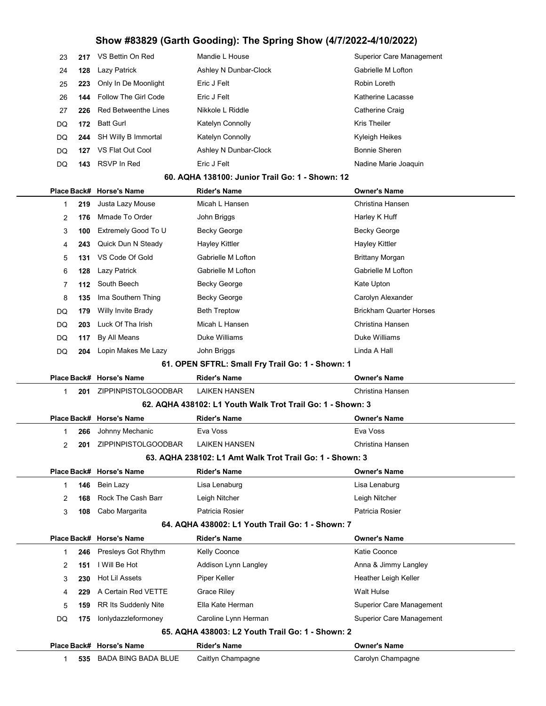|    | 23<br>217          | VS Bettin On Red            | Mandie L House                                             | <b>Superior Care Management</b> |
|----|--------------------|-----------------------------|------------------------------------------------------------|---------------------------------|
|    | 24<br>128          | Lazy Patrick                | Ashley N Dunbar-Clock                                      | Gabrielle M Lofton              |
|    | 25<br>223          | Only In De Moonlight        | Eric J Felt                                                | Robin Loreth                    |
|    | 144<br>26          | <b>Follow The Girl Code</b> | Eric J Felt                                                | Katherine Lacasse               |
|    | 27<br>226          | <b>Red Betweenthe Lines</b> | Nikkole L Riddle                                           | Catherine Craig                 |
| DQ | 172                | <b>Batt Gurl</b>            | Katelyn Connolly                                           | Kris Theiler                    |
| DQ | 244                | SH Willy B Immortal         | Katelyn Connolly                                           | Kyleigh Heikes                  |
| DQ | 127                | VS Flat Out Cool            | Ashley N Dunbar-Clock                                      | <b>Bonnie Sheren</b>            |
| DQ | 143                | RSVP In Red                 | Eric J Felt                                                | Nadine Marie Joaquin            |
|    |                    |                             | 60. AQHA 138100: Junior Trail Go: 1 - Shown: 12            |                                 |
|    |                    | Place Back# Horse's Name    | <b>Rider's Name</b>                                        | <b>Owner's Name</b>             |
|    | 219<br>1           | Justa Lazy Mouse            | Micah L Hansen                                             | Christina Hansen                |
|    | 2<br>176           | Mmade To Order              | John Briggs                                                | Harley K Huff                   |
|    | 3<br>100           | Extremely Good To U         | <b>Becky George</b>                                        | <b>Becky George</b>             |
|    | 4<br>243           | Quick Dun N Steady          | <b>Hayley Kittler</b>                                      | <b>Hayley Kittler</b>           |
|    | 5<br>131           | VS Code Of Gold             | Gabrielle M Lofton                                         | <b>Brittany Morgan</b>          |
|    | 6<br>128           | Lazy Patrick                | Gabrielle M Lofton                                         | Gabrielle M Lofton              |
|    | 7<br>112           | South Beech                 | <b>Becky George</b>                                        | Kate Upton                      |
|    | 8<br>135           | Ima Southern Thing          | <b>Becky George</b>                                        | Carolyn Alexander               |
| DQ | 179                | Willy Invite Brady          | <b>Beth Treptow</b>                                        | <b>Brickham Quarter Horses</b>  |
| DQ | 203                | Luck Of Tha Irish           | Micah L Hansen                                             | Christina Hansen                |
| DQ | 117                | By All Means                | Duke Williams                                              | Duke Williams                   |
| DQ | 204                | Lopin Makes Me Lazy         | John Briggs                                                | Linda A Hall                    |
|    |                    |                             | 61. OPEN SFTRL: Small Fry Trail Go: 1 - Shown: 1           |                                 |
|    |                    | Place Back# Horse's Name    | <b>Rider's Name</b>                                        | <b>Owner's Name</b>             |
|    | 1<br>201           | ZIPPINPISTOLGOODBAR         | <b>LAIKEN HANSEN</b>                                       | Christina Hansen                |
|    |                    |                             | 62. AQHA 438102: L1 Youth Walk Trot Trail Go: 1 - Shown: 3 |                                 |
|    |                    | Place Back# Horse's Name    | <b>Rider's Name</b>                                        | <b>Owner's Name</b>             |
|    | 266<br>1           | Johnny Mechanic             | Eva Voss                                                   | Eva Voss                        |
|    | 2<br>201           | ZIPPINPISTOLGOODBAR         | LAIKEN HANSEN                                              | Christina Hansen                |
|    |                    |                             | 63. AQHA 238102: L1 Amt Walk Trot Trail Go: 1 - Shown: 3   |                                 |
|    |                    | Place Back# Horse's Name    | <b>Rider's Name</b>                                        | Owner's Name                    |
|    | $\mathbf 1$<br>146 | Bein Lazy                   | Lisa Lenaburg                                              | Lisa Lenaburg                   |
|    | 168<br>2           | Rock The Cash Barr          | Leigh Nitcher                                              | Leigh Nitcher                   |
|    | 3<br>108           | Cabo Margarita              | Patricia Rosier                                            | Patricia Rosier                 |
|    |                    |                             | 64. AQHA 438002: L1 Youth Trail Go: 1 - Shown: 7           |                                 |
|    |                    | Place Back# Horse's Name    | <b>Rider's Name</b>                                        | Owner's Name                    |
|    | 246<br>1           | Presleys Got Rhythm         | Kelly Coonce                                               | Katie Coonce                    |
|    | 2<br>151           | I Will Be Hot               | Addison Lynn Langley                                       | Anna & Jimmy Langley            |
|    | 3<br>230           | Hot Lil Assets              | Piper Keller                                               | Heather Leigh Keller            |
|    | 4<br>229           | A Certain Red VETTE         | <b>Grace Riley</b>                                         | <b>Walt Hulse</b>               |
|    | 5<br>159           | RR Its Suddenly Nite        | Ella Kate Herman                                           | <b>Superior Care Management</b> |
| DQ | 175                | lonlydazzleformoney         | Caroline Lynn Herman                                       | <b>Superior Care Management</b> |
|    |                    |                             | 65. AQHA 438003: L2 Youth Trail Go: 1 - Shown: 2           |                                 |
|    |                    | Place Back# Horse's Name    | <b>Rider's Name</b>                                        | <b>Owner's Name</b>             |
|    | 1                  | 535 BADA BING BADA BLUE     | Caitlyn Champagne                                          | Carolyn Champagne               |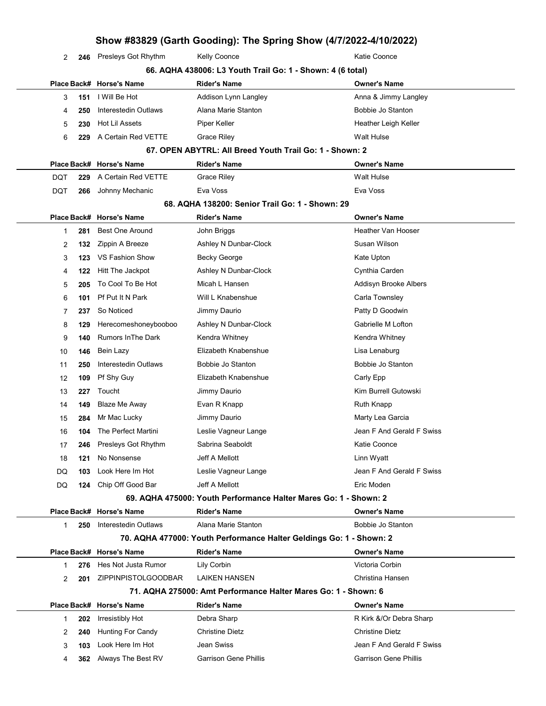| Silow #65629 (Garth Gooding): The Spring Show (4/7/2022-4/10/2022) |     |                          |                      |                      |  |  |
|--------------------------------------------------------------------|-----|--------------------------|----------------------|----------------------|--|--|
| $\mathcal{P}$                                                      | 246 | Presleys Got Rhythm      | <b>Kelly Coonce</b>  | Katie Coonce         |  |  |
| 66. AQHA 438006: L3 Youth Trail Go: 1 - Shown: 4 (6 total)         |     |                          |                      |                      |  |  |
|                                                                    |     | Place Back# Horse's Name | Rider's Name         | <b>Owner's Name</b>  |  |  |
| 3                                                                  | 151 | I Will Be Hot            | Addison Lynn Langley | Anna & Jimmy Langley |  |  |
| 4                                                                  | 250 | Interestedin Outlaws     | Alana Marie Stanton  | Bobbie Jo Stanton    |  |  |
| 5.                                                                 | 230 | Hot Lil Assets           | Piper Keller         | Heather Leigh Keller |  |  |
| 6                                                                  | 229 | A Certain Red VETTE      | <b>Grace Riley</b>   | Walt Hulse           |  |  |
|                                                                    |     |                          |                      |                      |  |  |

**Owner's Name** Walt Hulse

#### 67. OPEN ABYTRL: All Breed Youth Trail Go: 1 - Shown: 2

|     |  | Place Back# Horse's Name   | <b>Rider's Name</b> | Owner's I |
|-----|--|----------------------------|---------------------|-----------|
| DOT |  | 229 A Certain Red VETTE    | Grace Riley         | Walt Huls |
| DOT |  | <b>266</b> Johnny Mechanic | Eva Voss            | Eva Voss  |

#### 68. AQHA 138200: Senior Trail Go: 1 - Shown: 29

|              |                                                                  | Place Back# Horse's Name  | <b>Rider's Name</b>                                                 | <b>Owner's Name</b>          |
|--------------|------------------------------------------------------------------|---------------------------|---------------------------------------------------------------------|------------------------------|
| 1            | 281                                                              | <b>Best One Around</b>    | John Briggs                                                         | Heather Van Hooser           |
| 2            |                                                                  | 132 Zippin A Breeze       | Ashley N Dunbar-Clock                                               | Susan Wilson                 |
| 3            | 123                                                              | VS Fashion Show           | Becky George                                                        | Kate Upton                   |
| 4            | 122                                                              | Hitt The Jackpot          | Ashley N Dunbar-Clock                                               | Cynthia Carden               |
| 5            | 205                                                              | To Cool To Be Hot         | Micah L Hansen                                                      | Addisyn Brooke Albers        |
| 6            | 101                                                              | Pf Put It N Park          | Will L Knabenshue                                                   | Carla Townsley               |
| 7            | 237                                                              | So Noticed                | Jimmy Daurio                                                        | Patty D Goodwin              |
| 8            | 129                                                              | Herecomeshoneybooboo      | Ashley N Dunbar-Clock                                               | Gabrielle M Lofton           |
| 9            | 140                                                              | <b>Rumors In The Dark</b> | Kendra Whitney                                                      | Kendra Whitney               |
| 10           | 146                                                              | Bein Lazy                 | Elizabeth Knabenshue                                                | Lisa Lenaburg                |
| 11           | 250                                                              | Interestedin Outlaws      | Bobbie Jo Stanton                                                   | Bobbie Jo Stanton            |
| 12           | 109                                                              | Pf Shy Guy                | Elizabeth Knabenshue                                                | Carly Epp                    |
| 13           | 227                                                              | Toucht                    | Jimmy Daurio                                                        | Kim Burrell Gutowski         |
| 14           | 149                                                              | <b>Blaze Me Away</b>      | Evan R Knapp                                                        | Ruth Knapp                   |
| 15           | 284                                                              | Mr Mac Lucky              | Jimmy Daurio                                                        | Marty Lea Garcia             |
| 16           | 104                                                              | The Perfect Martini       | Leslie Vagneur Lange                                                | Jean F And Gerald F Swiss    |
| 17           | 246                                                              | Presleys Got Rhythm       | Sabrina Seaboldt                                                    | Katie Coonce                 |
| 18           | 121                                                              | No Nonsense               | Jeff A Mellott                                                      | Linn Wyatt                   |
| DQ           | 103                                                              | Look Here Im Hot          | Leslie Vagneur Lange                                                | Jean F And Gerald F Swiss    |
| DQ           | 124                                                              | Chip Off Good Bar         | Jeff A Mellott                                                      | Eric Moden                   |
|              | 69. AQHA 475000: Youth Performance Halter Mares Go: 1 - Shown: 2 |                           |                                                                     |                              |
|              |                                                                  | Place Back# Horse's Name  | <b>Rider's Name</b>                                                 | <b>Owner's Name</b>          |
| $\mathbf{1}$ | 250                                                              | Interestedin Outlaws      | Alana Marie Stanton                                                 | Bobbie Jo Stanton            |
|              |                                                                  |                           | 70. AQHA 477000: Youth Performance Halter Geldings Go: 1 - Shown: 2 |                              |
|              |                                                                  | Place Back# Horse's Name  | <b>Rider's Name</b>                                                 | <b>Owner's Name</b>          |
| 1            | 276                                                              | Hes Not Justa Rumor       | Lily Corbin                                                         | Victoria Corbin              |
| 2            | 201                                                              | ZIPPINPISTOLGOODBAR       | <b>LAIKEN HANSEN</b>                                                | Christina Hansen             |
|              |                                                                  |                           | 71. AQHA 275000: Amt Performance Halter Mares Go: 1 - Shown: 6      |                              |
|              |                                                                  | Place Back# Horse's Name  | <b>Rider's Name</b>                                                 | <b>Owner's Name</b>          |
| $\mathbf{1}$ | 202                                                              | Irresistibly Hot          | Debra Sharp                                                         | R Kirk &/Or Debra Sharp      |
| 2            | 240                                                              | <b>Hunting For Candy</b>  | <b>Christine Dietz</b>                                              | <b>Christine Dietz</b>       |
| 3            | 103                                                              | Look Here Im Hot          | Jean Swiss                                                          | Jean F And Gerald F Swiss    |
| 4            |                                                                  | 362 Always The Best RV    | Garrison Gene Phillis                                               | <b>Garrison Gene Phillis</b> |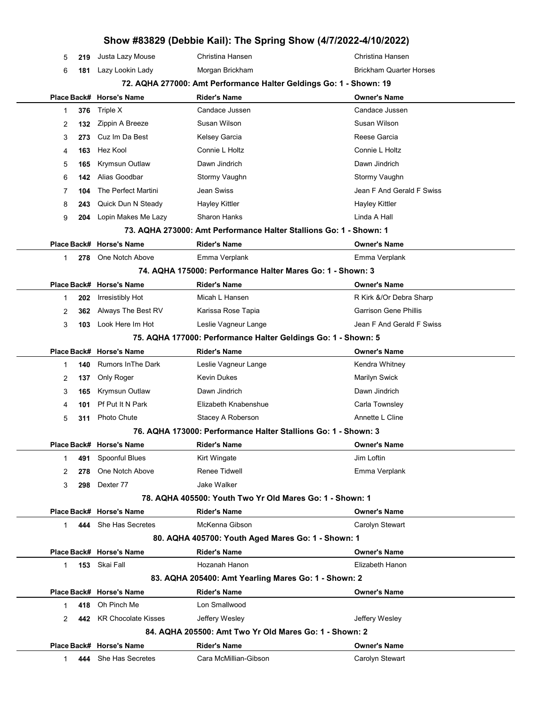## Show #83829 (Debbie Kail): The Spring Show (4/7/2022-4/10/2022) 5 219 Justa Lazy Mouse Christina Hansen Christina Hansen 6 181 Lazy Lookin Lady Morgan Brickham Brickham Quarter Horses 72. AQHA 277000: Amt Performance Halter Geldings Go: 1 - Shown: 19 Place Back# Horse's Name Rider's Name Owner's Name 1 376 Triple X Candace Jussen Candace Tussen Candace Jussen 2 132 Zippin A Breeze Susan Wilson Susan Wilson Susan Wilson 3 273 Cuz Im Da Best **Kelsey Garcia** Reese Garcia Reese Garcia 4 163 Hez Kool Connie L Holtz Connie L Holtz Connie L Holtz 5 165 Krymsun Outlaw Dawn Jindrich Dawn Jindrich 6 142 Alias Goodbar Stormy Vaughn Stormy Vaughn 7 **104** The Perfect Martini Jean Swiss Jean Ferret Swiss Jean F And Gerald F Swiss 8 243 Quick Dun N Steady Hayley Kittler Hayley Kittler Hayley Kittler 9 204 Lopin Makes Me Lazy Sharon Hanks **Communist Communist Communist Communist Communist Communist Communist Communist Communist Communist Communist Communist Communist Communist Communist Communist Communist Communist Co** 73. AQHA 273000: Amt Performance Halter Stallions Go: 1 - Shown: 1 Place Back# Horse's Name **Rider's Name Communist Accord Place Accord Communist Communist Place Back** 1 278 One Notch Above **Emma Verplank** Emma Verplank Emma Verplank 74. AQHA 175000: Performance Halter Mares Go: 1 - Shown: 3 Place Back# Horse's Name Rider's Name Owner's Name 1 202 Irresistibly Hot **Micah L Hansen** R Kirk &/Or Debra Sharp 2 362 Always The Best RV Karissa Rose Tapia Garrison Gene Phillis 3 103 Look Here Im Hot Leslie Vagneur Lange Communication Channel And Gerald F Swiss 75. AQHA 177000: Performance Halter Geldings Go: 1 - Shown: 5 Place Back# Horse's Name Rider's Name Owner's Name 1 **140** Rumors InThe Dark Leslie Vagneur Lange **Kendra Whitney** Kendra Whitney 2 137 Only Roger Kevin Dukes Kevin Gukes Marilyn Swick 3 165 Krymsun Outlaw Dawn Jindrich Dawn Jindrich 4 **101** Pf Put It N Park **Elizabeth Knabenshue** Carla Townsley 5 311 Photo Chute Stacey A Roberson **Stacey A Roberson** Annette L Cline 76. AQHA 173000: Performance Halter Stallions Go: 1 - Shown: 3 Place Back# Horse's Name **Rider's Name Communist Communist Communist** Communist Place Back Assembly Place Back 1 **491** Spoonful Blues Kirt Wingate **All Accords** Ulm Loftin 2 278 One Notch Above **Renee Tidwell Consumers Emma Verplank** 3 298 Dexter 77 Jake Walker 78. AQHA 405500: Youth Two Yr Old Mares Go: 1 - Shown: 1 Place Back# Horse's Name Rider's Name Owner's Name 1 **444** She Has Secretes McKenna Gibson Carolyn Stewart 80. AQHA 405700: Youth Aged Mares Go: 1 - Shown: 1 Place Back# Horse's Name Rider's Name Owner's Name 1 153 Skai Fall Hozanah Hanon Elizabeth Hanon 83. AQHA 205400: Amt Yearling Mares Go: 1 - Shown: 2 Place Back# Horse's Name **Rider's Name Communist Communist Communist** Owner's Name 1 418 Oh Pinch Me Lon Smallwood 2 **442** KR Chocolate Kisses Jeffery Wesley **Jeffery Wesley** Jeffery Wesley 84. AQHA 205500: Amt Two Yr Old Mares Go: 1 - Shown: 2 Place Back# Horse's Name Rider's Name Owner's Name 1 **444** She Has Secretes **Cara McMillian-Gibson** Carolyn Stewart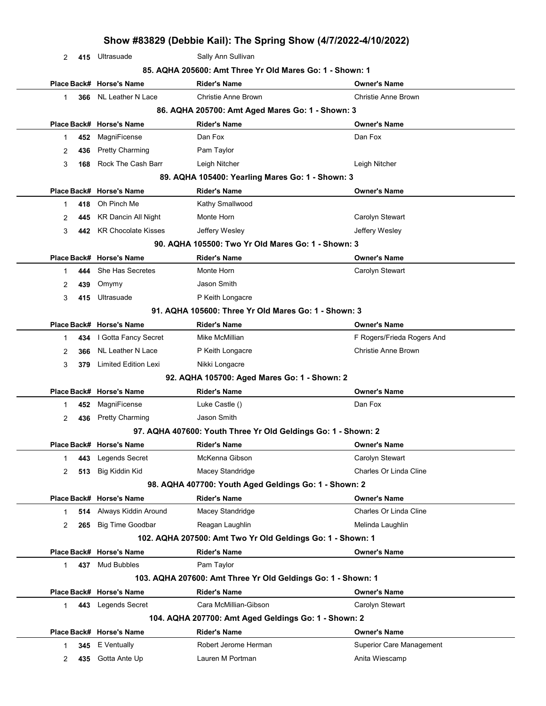|                |     |                             | Show #83829 (Debbie Kail): The Spring Show (4/7/2022-4/10/2022) |                                 |
|----------------|-----|-----------------------------|-----------------------------------------------------------------|---------------------------------|
| $\overline{2}$ | 415 | Ultrasuade                  | Sally Ann Sullivan                                              |                                 |
|                |     |                             | 85. AQHA 205600: Amt Three Yr Old Mares Go: 1 - Shown: 1        |                                 |
|                |     | Place Back# Horse's Name    | <b>Rider's Name</b>                                             | <b>Owner's Name</b>             |
| 1              | 366 | NL Leather N Lace           | <b>Christie Anne Brown</b>                                      | Christie Anne Brown             |
|                |     |                             | 86. AQHA 205700: Amt Aged Mares Go: 1 - Shown: 3                |                                 |
|                |     | Place Back# Horse's Name    | <b>Rider's Name</b>                                             | <b>Owner's Name</b>             |
| 1              | 452 | MagniFicense                | Dan Fox                                                         | Dan Fox                         |
| 2              | 436 | <b>Pretty Charming</b>      | Pam Taylor                                                      |                                 |
| 3              | 168 | Rock The Cash Barr          | Leigh Nitcher                                                   | Leigh Nitcher                   |
|                |     |                             | 89. AQHA 105400: Yearling Mares Go: 1 - Shown: 3                |                                 |
|                |     | Place Back# Horse's Name    | <b>Rider's Name</b>                                             | Owner's Name                    |
| 1              | 418 | Oh Pinch Me                 | Kathy Smallwood                                                 |                                 |
| 2              | 445 | <b>KR Dancin All Night</b>  | Monte Horn                                                      | Carolyn Stewart                 |
| 3              | 442 | <b>KR Chocolate Kisses</b>  | Jeffery Wesley                                                  | Jeffery Wesley                  |
|                |     |                             | 90. AQHA 105500: Two Yr Old Mares Go: 1 - Shown: 3              |                                 |
|                |     | Place Back# Horse's Name    | <b>Rider's Name</b>                                             | <b>Owner's Name</b>             |
| 1              | 444 | She Has Secretes            | Monte Horn                                                      | Carolyn Stewart                 |
| 2              | 439 | Omymy                       | Jason Smith                                                     |                                 |
| 3              | 415 | Ultrasuade                  | P Keith Longacre                                                |                                 |
|                |     |                             | 91. AQHA 105600: Three Yr Old Mares Go: 1 - Shown: 3            |                                 |
|                |     | Place Back# Horse's Name    | <b>Rider's Name</b>                                             | <b>Owner's Name</b>             |
| 1              | 434 | I Gotta Fancy Secret        | Mike McMillian                                                  | F Rogers/Frieda Rogers And      |
| 2              | 366 | NL Leather N Lace           | P Keith Longacre                                                | <b>Christie Anne Brown</b>      |
| 3              | 379 | <b>Limited Edition Lexi</b> | Nikki Longacre                                                  |                                 |
|                |     |                             | 92. AQHA 105700: Aged Mares Go: 1 - Shown: 2                    |                                 |
|                |     | Place Back# Horse's Name    | <b>Rider's Name</b>                                             | <b>Owner's Name</b>             |
| 1              | 452 | MagniFicense                | Luke Castle ()                                                  | Dan Fox                         |
| 2              | 436 | <b>Pretty Charming</b>      | Jason Smith                                                     |                                 |
|                |     |                             | 97. AQHA 407600: Youth Three Yr Old Geldings Go: 1 - Shown: 2   |                                 |
|                |     | Place Back# Horse's Name    | <b>Rider's Name</b>                                             | <b>Owner's Name</b>             |
| 1              | 443 | Legends Secret              | McKenna Gibson                                                  | Carolyn Stewart                 |
| 2              | 513 | Big Kiddin Kid              | Macey Standridge                                                | Charles Or Linda Cline          |
|                |     |                             | 98. AQHA 407700: Youth Aged Geldings Go: 1 - Shown: 2           |                                 |
|                |     | Place Back# Horse's Name    | <b>Rider's Name</b>                                             | <b>Owner's Name</b>             |
| 1              | 514 | Always Kiddin Around        | Macey Standridge                                                | Charles Or Linda Cline          |
| 2              | 265 | <b>Big Time Goodbar</b>     | Reagan Laughlin                                                 | Melinda Laughlin                |
|                |     |                             | 102. AQHA 207500: Amt Two Yr Old Geldings Go: 1 - Shown: 1      |                                 |
|                |     | Place Back# Horse's Name    | <b>Rider's Name</b>                                             | <b>Owner's Name</b>             |
| 1              |     | 437 Mud Bubbles             | Pam Taylor                                                      |                                 |
|                |     |                             | 103. AQHA 207600: Amt Three Yr Old Geldings Go: 1 - Shown: 1    |                                 |
|                |     | Place Back# Horse's Name    | <b>Rider's Name</b>                                             | Owner's Name                    |
| $\mathbf{1}$   | 443 | Legends Secret              | Cara McMillian-Gibson                                           | Carolyn Stewart                 |
|                |     |                             | 104. AQHA 207700: Amt Aged Geldings Go: 1 - Shown: 2            |                                 |
|                |     | Place Back# Horse's Name    | <b>Rider's Name</b>                                             | <b>Owner's Name</b>             |
| 1              | 345 | E Ventually                 | Robert Jerome Herman                                            | <b>Superior Care Management</b> |
| 2              | 435 | Gotta Ante Up               | Lauren M Portman                                                | Anita Wiescamp                  |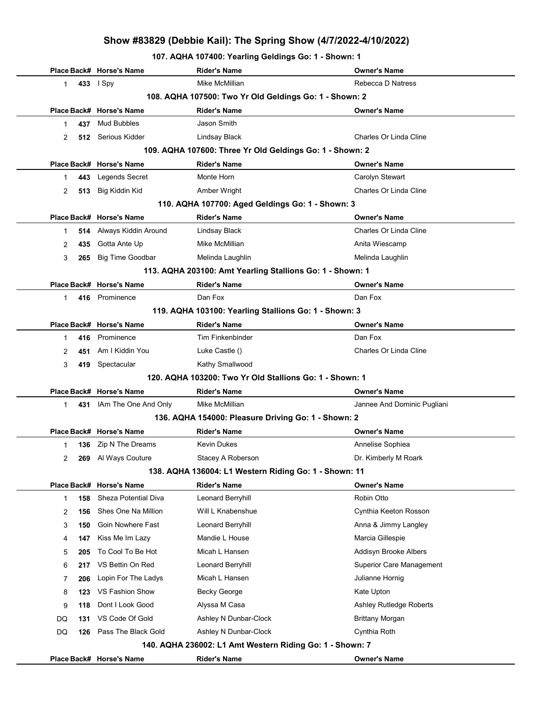107. AQHA 107400: Yearling Geldings Go: 1 - Shown: 1

|           | Place Back# Horse's Name                               | <b>Rider's Name</b>                                       | <b>Owner's Name</b>         |  |  |  |
|-----------|--------------------------------------------------------|-----------------------------------------------------------|-----------------------------|--|--|--|
| 1         | 433   Spy                                              | Mike McMillian                                            | Rebecca D Natress           |  |  |  |
|           | 108. AQHA 107500: Two Yr Old Geldings Go: 1 - Shown: 2 |                                                           |                             |  |  |  |
|           | Place Back# Horse's Name                               | <b>Rider's Name</b>                                       | <b>Owner's Name</b>         |  |  |  |
| 437<br>1  | Mud Bubbles                                            | Jason Smith                                               |                             |  |  |  |
| 2         | 512 Serious Kidder                                     | Lindsay Black                                             | Charles Or Linda Cline      |  |  |  |
|           |                                                        | 109. AQHA 107600: Three Yr Old Geldings Go: 1 - Shown: 2  |                             |  |  |  |
|           | Place Back# Horse's Name                               | <b>Rider's Name</b>                                       | <b>Owner's Name</b>         |  |  |  |
| 443<br>1  | Legends Secret                                         | Monte Horn                                                | Carolyn Stewart             |  |  |  |
| 513<br>2  | Big Kiddin Kid                                         | Amber Wright                                              | Charles Or Linda Cline      |  |  |  |
|           |                                                        | 110. AQHA 107700: Aged Geldings Go: 1 - Shown: 3          |                             |  |  |  |
|           | Place Back# Horse's Name                               | <b>Rider's Name</b>                                       | <b>Owner's Name</b>         |  |  |  |
| 514<br>1  | Always Kiddin Around                                   | Lindsay Black                                             | Charles Or Linda Cline      |  |  |  |
| 2<br>435  | Gotta Ante Up                                          | Mike McMillian                                            | Anita Wiescamp              |  |  |  |
| 3<br>265  | <b>Big Time Goodbar</b>                                | Melinda Laughlin                                          | Melinda Laughlin            |  |  |  |
|           |                                                        | 113. AQHA 203100: Amt Yearling Stallions Go: 1 - Shown: 1 |                             |  |  |  |
|           | Place Back# Horse's Name                               | <b>Rider's Name</b>                                       | <b>Owner's Name</b>         |  |  |  |
| 1         | 416 Prominence                                         | Dan Fox                                                   | Dan Fox                     |  |  |  |
|           |                                                        | 119. AQHA 103100: Yearling Stallions Go: 1 - Shown: 3     |                             |  |  |  |
|           | Place Back# Horse's Name                               | <b>Rider's Name</b>                                       | <b>Owner's Name</b>         |  |  |  |
| 416<br>1  | Prominence                                             | <b>Tim Finkenbinder</b>                                   | Dan Fox                     |  |  |  |
| 2<br>451  | Am I Kiddin You                                        | Luke Castle ()                                            | Charles Or Linda Cline      |  |  |  |
| 3         | 419 Spectacular                                        | Kathy Smallwood                                           |                             |  |  |  |
|           |                                                        | 120. AQHA 103200: Two Yr Old Stallions Go: 1 - Shown: 1   |                             |  |  |  |
|           | Place Back# Horse's Name                               | <b>Rider's Name</b>                                       | <b>Owner's Name</b>         |  |  |  |
| 431<br>1  | IAm The One And Only                                   | Mike McMillian                                            | Jannee And Dominic Pugliani |  |  |  |
|           |                                                        | 136. AQHA 154000: Pleasure Driving Go: 1 - Shown: 2       |                             |  |  |  |
|           | Place Back# Horse's Name                               | <b>Rider's Name</b>                                       | <b>Owner's Name</b>         |  |  |  |
| 1         | 136 Zip N The Dreams                                   | Kevin Dukes                                               | Annelise Sophiea            |  |  |  |
| 2<br>269  | Al Ways Couture                                        | Stacey A Roberson                                         | Dr. Kimberly M Roark        |  |  |  |
|           |                                                        | 138. AQHA 136004: L1 Western Riding Go: 1 - Shown: 11     |                             |  |  |  |
|           | Place Back# Horse's Name                               | <b>Rider's Name</b>                                       | <b>Owner's Name</b>         |  |  |  |
| 158<br>1  | Sheza Potential Diva                                   | Leonard Berryhill                                         | Robin Otto                  |  |  |  |
| 156<br>2  | Shes One Na Million                                    | Will L Knabenshue                                         | Cynthia Keeton Rosson       |  |  |  |
| 3<br>150  | Goin Nowhere Fast                                      | Leonard Berryhill                                         | Anna & Jimmy Langley        |  |  |  |
| 147<br>4  | Kiss Me Im Lazy                                        | Mandie L House                                            | Marcia Gillespie            |  |  |  |
| 5<br>205  | To Cool To Be Hot                                      | Micah L Hansen                                            | Addisyn Brooke Albers       |  |  |  |
| 6<br>217  | VS Bettin On Red                                       | Leonard Berryhill                                         | Superior Care Management    |  |  |  |
| 7<br>206  | Lopin For The Ladys                                    | Micah L Hansen                                            | Julianne Hornig             |  |  |  |
| 8<br>123  | VS Fashion Show                                        | Becky George                                              | Kate Upton                  |  |  |  |
| 9<br>118  | Dont I Look Good                                       | Alyssa M Casa                                             | Ashley Rutledge Roberts     |  |  |  |
| DQ<br>131 | VS Code Of Gold                                        | Ashley N Dunbar-Clock                                     | <b>Brittany Morgan</b>      |  |  |  |
| DQ<br>126 | Pass The Black Gold                                    | Ashley N Dunbar-Clock                                     | Cynthia Roth                |  |  |  |
|           |                                                        | 140. AQHA 236002: L1 Amt Western Riding Go: 1 - Shown: 7  |                             |  |  |  |
|           | Place Back# Horse's Name                               | <b>Rider's Name</b>                                       | <b>Owner's Name</b>         |  |  |  |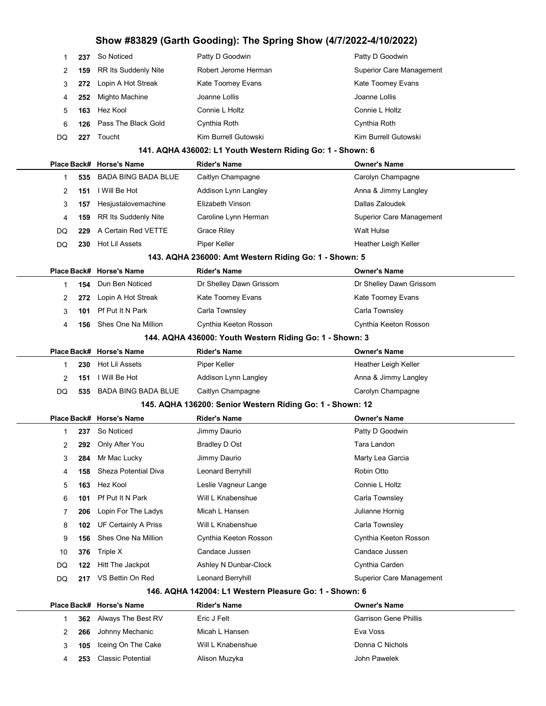|    | 237 | So Noticed                     | Patty D Goodwin      | Patty D Goodwin                 |
|----|-----|--------------------------------|----------------------|---------------------------------|
| 2  | 159 | RR Its Suddenly Nite           | Robert Jerome Herman | <b>Superior Care Management</b> |
|    |     | 272 Lopin A Hot Streak         | Kate Toomey Evans    | Kate Toomey Evans               |
| 4  | 252 | Mighto Machine                 | Joanne Lollis        | Joanne Lollis                   |
| 5  | 163 | Hez Kool                       | Connie L Holtz       | Connie L Holtz                  |
| 6  |     | <b>126</b> Pass The Black Gold | Cynthia Roth         | Cynthia Roth                    |
| DQ | 227 | Toucht                         | Kim Burrell Gutowski | Kim Burrell Gutowski            |
|    |     |                                |                      |                                 |

#### 141. AQHA 436002: L1 Youth Western Riding Go: 1 - Shown: 6

|     |     | Place Back# Horse's Name | <b>Rider's Name</b>  | <b>Owner's Name</b>      |
|-----|-----|--------------------------|----------------------|--------------------------|
|     | 535 | BADA BING BADA BLUE      | Caitlyn Champagne    | Carolyn Champagne        |
|     | 151 | I Will Be Hot            | Addison Lynn Langley | Anna & Jimmy Langley     |
| 3   | 157 | Hesjustalovemachine      | Elizabeth Vinson     | Dallas Zaloudek          |
| 4   | 159 | RR Its Suddenly Nite     | Caroline Lynn Herman | Superior Care Management |
| DQ. | 229 | A Certain Red VETTE      | <b>Grace Riley</b>   | Walt Hulse               |
| DQ  | 230 | Hot Lil Assets           | Piper Keller         | Heather Leigh Keller     |
|     |     |                          |                      |                          |

#### 143. AQHA 236000: Amt Western Riding Go: 1 - Shown: 5

|                                                         |     | Place Back# Horse's Name | <b>Rider's Name</b>     | <b>Owner's Name</b>     |  |  |
|---------------------------------------------------------|-----|--------------------------|-------------------------|-------------------------|--|--|
|                                                         | 154 | Dun Ben Noticed          | Dr Shelley Dawn Grissom | Dr Shelley Dawn Grissom |  |  |
|                                                         | 272 | Lopin A Hot Streak       | Kate Toomey Evans       | Kate Toomey Evans       |  |  |
|                                                         | 101 | Pf Put It N Park         | Carla Townsley          | Carla Townsley          |  |  |
| 4                                                       | 156 | Shes One Na Million      | Cynthia Keeton Rosson   | Cynthia Keeton Rosson   |  |  |
| 144. AQHA 436000: Youth Western Riding Go: 1 - Shown: 3 |     |                          |                         |                         |  |  |
|                                                         |     | Place Back# Horse's Name | <b>Rider's Name</b>     | <b>Owner's Name</b>     |  |  |

|    |     | $F$ iace Dac $F$ Fibrace Straine | NUEL 3 NATIE         | <b>UWITCH</b> STRAING |
|----|-----|----------------------------------|----------------------|-----------------------|
|    | 230 | Hot Lil Assets                   | Piper Keller         | Heather Leigh Keller  |
|    | 151 | I Will Be Hot                    | Addison Lynn Langley | Anna & Jimmy Langley  |
| DQ |     | 535 BADA BING BADA BLUE          | Caitlyn Champagne    | Carolyn Champagne     |
|    |     |                                  |                      |                       |

#### 145. AQHA 136200: Senior Western Riding Go: 1 - Shown: 12

|    |     | Place Back# Horse's Name | <b>Rider's Name</b>   | <b>Owner's Name</b>             |
|----|-----|--------------------------|-----------------------|---------------------------------|
|    | 237 | So Noticed               | Jimmy Daurio          | Patty D Goodwin                 |
| 2  | 292 | Only After You           | Bradley D Ost         | Tara Landon                     |
| 3  | 284 | Mr Mac Lucky             | Jimmy Daurio          | Marty Lea Garcia                |
| 4  | 158 | Sheza Potential Diva     | Leonard Berryhill     | Robin Otto                      |
| 5  | 163 | Hez Kool                 | Leslie Vagneur Lange  | Connie L Holtz                  |
| 6  | 101 | Pf Put It N Park         | Will L Knabenshue     | Carla Townsley                  |
| 7  | 206 | Lopin For The Ladys      | Micah L Hansen        | Julianne Hornig                 |
| 8  | 102 | UF Certainly A Priss     | Will L Knabenshue     | Carla Townsley                  |
| 9  | 156 | Shes One Na Million      | Cynthia Keeton Rosson | Cynthia Keeton Rosson           |
| 10 | 376 | Triple X                 | Candace Jussen        | Candace Jussen                  |
| DQ | 122 | Hitt The Jackpot         | Ashley N Dunbar-Clock | Cynthia Carden                  |
| DQ | 217 | VS Bettin On Red         | Leonard Berryhill     | <b>Superior Care Management</b> |
|    |     |                          |                       |                                 |

#### 146. AQHA 142004: L1 Western Pleasure Go: 1 - Shown: 6

|  |     | Place Back# Horse's Name | <b>Rider's Name</b> | <b>Owner's Name</b>          |
|--|-----|--------------------------|---------------------|------------------------------|
|  |     | 362 Always The Best RV   | Eric J Felt         | <b>Garrison Gene Phillis</b> |
|  |     | 266 Johnny Mechanic      | Micah L Hansen      | Eva Voss                     |
|  |     | 105 Iceing On The Cake   | Will L Knabenshue   | Donna C Nichols              |
|  | 253 | Classic Potential        | Alison Muzyka       | John Pawelek                 |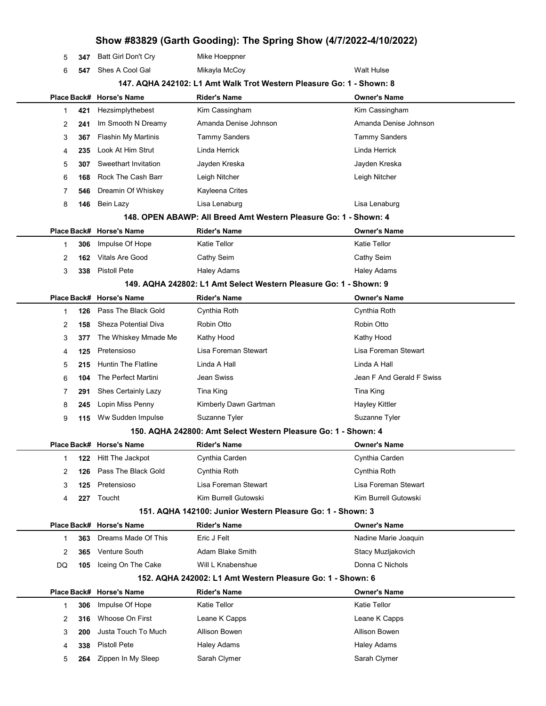## Show #83829 (Garth Gooding): The Spring Show (4/7/2022-4/10/2022) 5 347 Batt Girl Don't Cry Mike Hoeppner 6 547 Shes A Cool Gal Mikayla McCoy Null Allows Walt Hulse 147. AQHA 242102: L1 Amt Walk Trot Western Pleasure Go: 1 - Shown: 8 Place Back# Horse's Name Rider's Name Owner's Name 1 **421** Hezsimplythebest Kim Cassingham Kim Cassingham Kim Cassingham 2 241 Im Smooth N Dreamy Amanda Denise Johnson Amanda Denise Johnson 3 367 Flashin My Martinis Tammy Sanders Tammy Sanders Tammy Sanders 4 235 Look At Him Strut Linda Herrick Linda Herrick Linda Herrick 5 307 Sweethart Invitation **Jayden Kreska** Jayden Kreska Jayden Kreska 6 168 Rock The Cash Barr Leigh Nitcher Leigh Nitcher 7 546 Dreamin Of Whiskey Kayleena Crites 8 146 Bein Lazy Lisa Lenaburg Lisa Lenaburg 148. OPEN ABAWP: All Breed Amt Western Pleasure Go: 1 - Shown: 4 Place Back# Horse's Name Rider's Name Owner's Name 1 306 Impulse Of Hope **Katie Tellor** Katie Tellor **Katie Tellor** Katie Tellor 2 162 Vitals Are Good Cathy Seim Cathy Seim Cathy Seim Cathy Seim 3 338 Pistoll Pete **Haley Adams** Haley Adams **Haley Adams** Haley Adams 149. AQHA 242802: L1 Amt Select Western Pleasure Go: 1 - Shown: 9 Place Back# Horse's Name Rider's Name Owner's Name 1 126 Pass The Black Gold Cynthia Roth Cynthia Roth 2 158 Sheza Potential Diva Robin Otto Robin Otto 3 377 The Whiskey Mmade Me Kathy Hood **Kathy Hood** Kathy Hood Kathy Hood 4 125 Pretensioso Lisa Foreman Stewart Lisa Foreman Stewart 5 215 Huntin The Flatline Linda A Hall Linda A Hall 6 104 The Perfect Martini Jean Swiss Jean F And Gerald F Swiss 7 291 Shes Certainly Lazy Tina King Tina King Tina King Tina King 8 245 Lopin Miss Penny Kimberly Dawn Gartman Hayley Kittler 9 115 Ww Sudden Impulse Suzanne Tyler Suzanne Tyler Suzanne Tyler 150. AQHA 242800: Amt Select Western Pleasure Go: 1 - Shown: 4 Place Back# Horse's Name Rider's Name Owner's Name 1 122 Hitt The Jackpot Cynthia Carden Cynthia Carden 2 126 Pass The Black Gold Cynthia Roth Cynthia Roth 3 125 Pretensioso Lisa Foreman Stewart Lisa Foreman Stewart 4 227 Toucht Kim Burrell Gutowski Kim Burrell Gutowski Kim Burrell Gutowski 151. AQHA 142100: Junior Western Pleasure Go: 1 - Shown: 3 Place Back# Horse's Name Rider's Name Owner's Name 1 363 Dreams Made Of This Eric J Felt National Assemblance Marie Joaquin 2 365 Venture South **Adam Blake Smith** Stacy Muzljakovich DQ 105 Iceing On The Cake Will L Knabenshue Donna C Nichols 152. AQHA 242002: L1 Amt Western Pleasure Go: 1 - Shown: 6 Place Back# Horse's Name Rider's Name Owner's Name 1 306 Impulse Of Hope Katie Tellor Katie Tellor Katie Tellor 2 316 Whoose On First Leane K Capps Leane K Capps Leane K Capps 3 200 Justa Touch To Much Allison Bowen Allison Bowen 4 338 Pistoll Pete **Haley Adams** Haley Adams **Haley Adams** 5 264 Zippen In My Sleep Sarah Clymer Sarah Clymer Sarah Clymer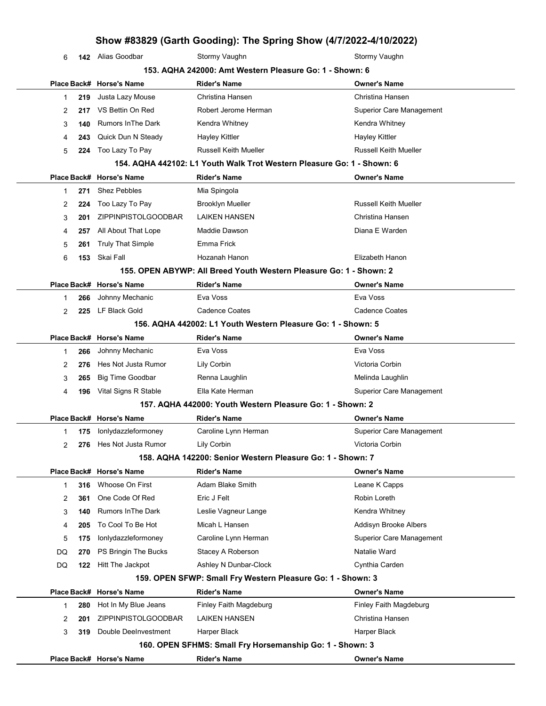6 **142** Alias Goodbar Stormy Vaughn Stormy Vaughn Stormy Vaughn

|              |     |                           | 153. AQHA 242000: Amt Western Pleasure Go: 1 - Shown: 6                |                                 |
|--------------|-----|---------------------------|------------------------------------------------------------------------|---------------------------------|
|              |     | Place Back# Horse's Name  | <b>Rider's Name</b>                                                    | <b>Owner's Name</b>             |
| 1            | 219 | Justa Lazy Mouse          | Christina Hansen                                                       | Christina Hansen                |
| 2            | 217 | VS Bettin On Red          | Robert Jerome Herman                                                   | <b>Superior Care Management</b> |
| 3            | 140 | <b>Rumors In The Dark</b> | Kendra Whitney                                                         | Kendra Whitney                  |
| 4            | 243 | Quick Dun N Steady        | <b>Hayley Kittler</b>                                                  | <b>Hayley Kittler</b>           |
| 5            | 224 | Too Lazy To Pay           | <b>Russell Keith Mueller</b>                                           | <b>Russell Keith Mueller</b>    |
|              |     |                           | 154. AQHA 442102: L1 Youth Walk Trot Western Pleasure Go: 1 - Shown: 6 |                                 |
|              |     | Place Back# Horse's Name  | <b>Rider's Name</b>                                                    | <b>Owner's Name</b>             |
| $\mathbf 1$  | 271 | <b>Shez Pebbles</b>       | Mia Spingola                                                           |                                 |
| 2            | 224 | Too Lazy To Pay           | Brooklyn Mueller                                                       | <b>Russell Keith Mueller</b>    |
| 3            | 201 | ZIPPINPISTOLGOODBAR       | <b>LAIKEN HANSEN</b>                                                   | Christina Hansen                |
| 4            | 257 | All About That Lope       | Maddie Dawson                                                          | Diana E Warden                  |
| 5            | 261 | <b>Truly That Simple</b>  | Emma Frick                                                             |                                 |
| 6            | 153 | Skai Fall                 | Hozanah Hanon                                                          | Elizabeth Hanon                 |
|              |     |                           | 155. OPEN ABYWP: All Breed Youth Western Pleasure Go: 1 - Shown: 2     |                                 |
|              |     | Place Back# Horse's Name  | Rider's Name                                                           | <b>Owner's Name</b>             |
| $\mathbf{1}$ | 266 | Johnny Mechanic           | Eva Voss                                                               | Eva Voss                        |
| 2            | 225 | LF Black Gold             | <b>Cadence Coates</b>                                                  | Cadence Coates                  |
|              |     |                           | 156. AQHA 442002: L1 Youth Western Pleasure Go: 1 - Shown: 5           |                                 |
|              |     | Place Back# Horse's Name  | <b>Rider's Name</b>                                                    | <b>Owner's Name</b>             |
| $\mathbf{1}$ | 266 | Johnny Mechanic           | Eva Voss                                                               | Eva Voss                        |
| 2            | 276 | Hes Not Justa Rumor       | Lily Corbin                                                            | Victoria Corbin                 |
| 3            | 265 | <b>Big Time Goodbar</b>   | Renna Laughlin                                                         | Melinda Laughlin                |
| 4            | 196 | Vital Signs R Stable      | Ella Kate Herman                                                       | <b>Superior Care Management</b> |
|              |     |                           | 157. AQHA 442000: Youth Western Pleasure Go: 1 - Shown: 2              |                                 |
|              |     | Place Back# Horse's Name  | Rider's Name                                                           | <b>Owner's Name</b>             |
| 1            | 175 | lonlydazzleformoney       | Caroline Lynn Herman                                                   | <b>Superior Care Management</b> |
| 2            | 276 | Hes Not Justa Rumor       | Lily Corbin                                                            | Victoria Corbin                 |
|              |     |                           | 158. AQHA 142200: Senior Western Pleasure Go: 1 - Shown: 7             |                                 |
|              |     | Place Back# Horse's Name  | Rider's Name                                                           | <b>Owner's Name</b>             |
| 1            | 316 | Whoose On First           | Adam Blake Smith                                                       | Leane K Capps                   |
| 2            | 361 | One Code Of Red           | Eric J Felt                                                            | Robin Loreth                    |
| 3            | 140 | <b>Rumors In The Dark</b> | Leslie Vagneur Lange                                                   | Kendra Whitney                  |
| 4            | 205 | To Cool To Be Hot         | Micah L Hansen                                                         | Addisyn Brooke Albers           |
| 5            | 175 | lonlydazzleformoney       | Caroline Lynn Herman                                                   | <b>Superior Care Management</b> |
| DQ           | 270 | PS Bringin The Bucks      | Stacey A Roberson                                                      | Natalie Ward                    |
| DQ           | 122 | Hitt The Jackpot          | Ashley N Dunbar-Clock                                                  | Cynthia Carden                  |
|              |     |                           | 159. OPEN SFWP: Small Fry Western Pleasure Go: 1 - Shown: 3            |                                 |
|              |     | Place Back# Horse's Name  | <b>Rider's Name</b>                                                    | <b>Owner's Name</b>             |
| $\mathbf 1$  | 280 | Hot In My Blue Jeans      | Finley Faith Magdeburg                                                 | Finley Faith Magdeburg          |
| 2            | 201 | ZIPPINPISTOLGOODBAR       | <b>LAIKEN HANSEN</b>                                                   | Christina Hansen                |
| 3            | 319 | Double DeeInvestment      | Harper Black                                                           | Harper Black                    |
|              |     |                           | 160. OPEN SFHMS: Small Fry Horsemanship Go: 1 - Shown: 3               |                                 |
|              |     | Place Back# Horse's Name  | <b>Rider's Name</b>                                                    | <b>Owner's Name</b>             |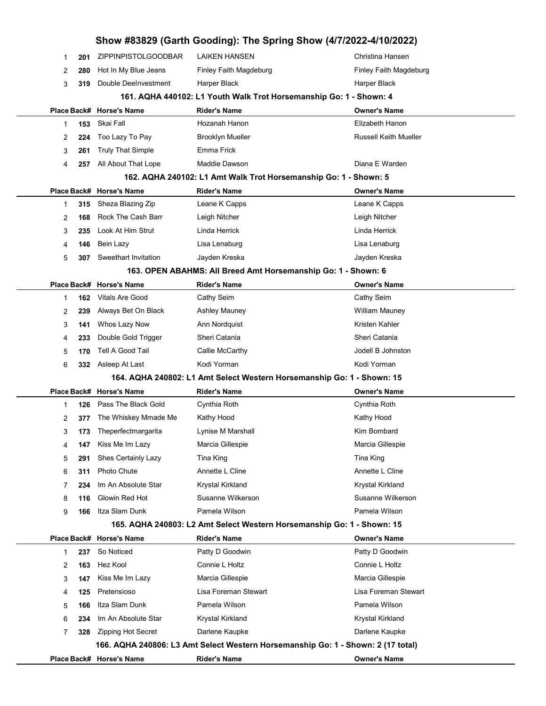|   |     |                          | Show #83829 (Garth Gooding): The Spring Show (4/7/2022-4/10/2022)                |                              |
|---|-----|--------------------------|----------------------------------------------------------------------------------|------------------------------|
| 1 | 201 | ZIPPINPISTOLGOODBAR      | <b>LAIKEN HANSEN</b>                                                             | Christina Hansen             |
| 2 | 280 | Hot In My Blue Jeans     | Finley Faith Magdeburg                                                           | Finley Faith Magdeburg       |
| 3 | 319 | Double DeeInvestment     | Harper Black                                                                     | Harper Black                 |
|   |     |                          | 161. AQHA 440102: L1 Youth Walk Trot Horsemanship Go: 1 - Shown: 4               |                              |
|   |     | Place Back# Horse's Name | <b>Rider's Name</b>                                                              | Owner's Name                 |
| 1 | 153 | Skai Fall                | Hozanah Hanon                                                                    | Elizabeth Hanon              |
| 2 | 224 | Too Lazy To Pay          | <b>Brooklyn Mueller</b>                                                          | <b>Russell Keith Mueller</b> |
| 3 | 261 | <b>Truly That Simple</b> | Emma Frick                                                                       |                              |
| 4 | 257 | All About That Lope      | Maddie Dawson                                                                    | Diana E Warden               |
|   |     |                          | 162. AQHA 240102: L1 Amt Walk Trot Horsemanship Go: 1 - Shown: 5                 |                              |
|   |     | Place Back# Horse's Name | <b>Rider's Name</b>                                                              | <b>Owner's Name</b>          |
| 1 | 315 | Sheza Blazing Zip        | Leane K Capps                                                                    | Leane K Capps                |
| 2 | 168 | Rock The Cash Barr       | Leigh Nitcher                                                                    | Leigh Nitcher                |
| 3 | 235 | Look At Him Strut        | Linda Herrick                                                                    | Linda Herrick                |
| 4 | 146 | Bein Lazy                | Lisa Lenaburg                                                                    | Lisa Lenaburg                |
| 5 | 307 | Sweethart Invitation     | Jayden Kreska                                                                    | Jayden Kreska                |
|   |     |                          | 163. OPEN ABAHMS: All Breed Amt Horsemanship Go: 1 - Shown: 6                    |                              |
|   |     | Place Back# Horse's Name | <b>Rider's Name</b>                                                              | <b>Owner's Name</b>          |
| 1 | 162 | <b>Vitals Are Good</b>   | Cathy Seim                                                                       | Cathy Seim                   |
| 2 | 239 | Always Bet On Black      | <b>Ashley Mauney</b>                                                             | <b>William Mauney</b>        |
| 3 | 141 | Whos Lazy Now            | Ann Nordquist                                                                    | Kristen Kahler               |
| 4 | 233 | Double Gold Trigger      | Sheri Catania                                                                    | Sheri Catania                |
| 5 | 170 | Tell A Good Tail         | Callie McCarthy                                                                  | Jodell B Johnston            |
| 6 | 332 | Asleep At Last           | Kodi Yorman                                                                      | Kodi Yorman                  |
|   |     |                          | 164. AQHA 240802: L1 Amt Select Western Horsemanship Go: 1 - Shown: 15           |                              |
|   |     | Place Back# Horse's Name | <b>Rider's Name</b>                                                              | <b>Owner's Name</b>          |
| 1 | 126 | Pass The Black Gold      | Cynthia Roth                                                                     | Cynthia Roth                 |
| 2 | 377 | The Whiskey Mmade Me     | Kathy Hood                                                                       | Kathy Hood                   |
| 3 | 173 | Theperfectmargarita      | Lynise M Marshall                                                                | Kim Bombard                  |
| 4 | 147 | Kiss Me Im Lazy          | Marcia Gillespie                                                                 | Marcia Gillespie             |
| 5 | 291 | Shes Certainly Lazy      | Tina King                                                                        | Tina King                    |
| 6 | 311 | Photo Chute              | Annette L Cline                                                                  | Annette L Cline              |
| 7 | 234 | Im An Absolute Star      | Krystal Kirkland                                                                 | Krystal Kirkland             |
| 8 | 116 | Glowin Red Hot           | Susanne Wilkerson                                                                | Susanne Wilkerson            |
| 9 | 166 | Itza Slam Dunk           | Pamela Wilson                                                                    | Pamela Wilson                |
|   |     |                          | 165. AQHA 240803: L2 Amt Select Western Horsemanship Go: 1 - Shown: 15           |                              |
|   |     | Place Back# Horse's Name | <b>Rider's Name</b>                                                              | <b>Owner's Name</b>          |
| 1 | 237 | So Noticed               | Patty D Goodwin                                                                  | Patty D Goodwin              |
| 2 | 163 | Hez Kool                 | Connie L Holtz                                                                   | Connie L Holtz               |
| 3 | 147 | Kiss Me Im Lazy          | Marcia Gillespie                                                                 | Marcia Gillespie             |
| 4 | 125 | Pretensioso              | Lisa Foreman Stewart                                                             | Lisa Foreman Stewart         |
| 5 | 166 | Itza Slam Dunk           | Pamela Wilson                                                                    | Pamela Wilson                |
| 6 | 234 | Im An Absolute Star      | Krystal Kirkland                                                                 | Krystal Kirkland             |
| 7 | 328 | Zipping Hot Secret       | Darlene Kaupke                                                                   | Darlene Kaupke               |
|   |     |                          | 166. AQHA 240806: L3 Amt Select Western Horsemanship Go: 1 - Shown: 2 (17 total) |                              |
|   |     | Place Back# Horse's Name | <b>Rider's Name</b>                                                              | <b>Owner's Name</b>          |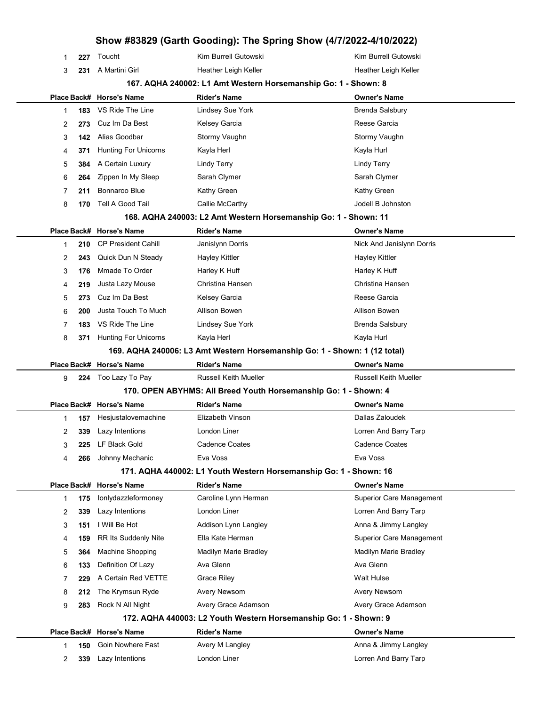|        |            |                                      | Show #83829 (Garth Gooding): The Spring Show (4/7/2022-4/10/2022)         |                                               |
|--------|------------|--------------------------------------|---------------------------------------------------------------------------|-----------------------------------------------|
| 1      | 227        | Toucht                               | Kim Burrell Gutowski                                                      | Kim Burrell Gutowski                          |
| 3      | 231        | A Martini Girl                       | Heather Leigh Keller                                                      | Heather Leigh Keller                          |
|        |            |                                      | 167. AQHA 240002: L1 Amt Western Horsemanship Go: 1 - Shown: 8            |                                               |
|        |            | Place Back# Horse's Name             | <b>Rider's Name</b>                                                       | <b>Owner's Name</b>                           |
| 1      | 183        | VS Ride The Line                     | <b>Lindsey Sue York</b>                                                   | <b>Brenda Salsbury</b>                        |
| 2      | 273        | Cuz Im Da Best                       | Kelsey Garcia                                                             | Reese Garcia                                  |
| 3      | 142        | Alias Goodbar                        | Stormy Vaughn                                                             | Stormy Vaughn                                 |
| 4      | 371        | <b>Hunting For Unicorns</b>          | Kayla Herl                                                                | Kayla Hurl                                    |
| 5      | 384        | A Certain Luxury                     | <b>Lindy Terry</b>                                                        | <b>Lindy Terry</b>                            |
| 6      | 264        | Zippen In My Sleep                   | Sarah Clymer                                                              | Sarah Clymer                                  |
| 7      | 211        | Bonnaroo Blue                        | Kathy Green                                                               | Kathy Green                                   |
| 8      | 170        | Tell A Good Tail                     | Callie McCarthy                                                           | Jodell B Johnston                             |
|        |            |                                      | 168. AQHA 240003: L2 Amt Western Horsemanship Go: 1 - Shown: 11           |                                               |
|        |            | Place Back# Horse's Name             | <b>Rider's Name</b>                                                       | <b>Owner's Name</b>                           |
| 1      | 210        | <b>CP President Cahill</b>           | Janislynn Dorris                                                          | Nick And Janislynn Dorris                     |
| 2      | 243        | Quick Dun N Steady                   | Hayley Kittler                                                            | <b>Hayley Kittler</b>                         |
| 3      | 176        | Mmade To Order                       | Harley K Huff                                                             | Harley K Huff                                 |
| 4      | 219        | Justa Lazy Mouse                     | Christina Hansen                                                          | Christina Hansen                              |
| 5      | 273        | Cuz Im Da Best                       | Kelsey Garcia                                                             | Reese Garcia                                  |
| 6      | 200        | Justa Touch To Much                  | Allison Bowen                                                             | Allison Bowen                                 |
| 7      | 183        | VS Ride The Line                     | <b>Lindsey Sue York</b>                                                   | <b>Brenda Salsbury</b>                        |
| 8      | 371        | <b>Hunting For Unicorns</b>          | Kayla Herl                                                                | Kayla Hurl                                    |
|        |            |                                      | 169. AQHA 240006: L3 Amt Western Horsemanship Go: 1 - Shown: 1 (12 total) |                                               |
|        |            |                                      |                                                                           |                                               |
|        |            | Place Back# Horse's Name             | <b>Rider's Name</b>                                                       | <b>Owner's Name</b>                           |
| 9      | 224        | Too Lazy To Pay                      | Russell Keith Mueller                                                     | Russell Keith Mueller                         |
|        |            |                                      | 170. OPEN ABYHMS: All Breed Youth Horsemanship Go: 1 - Shown: 4           |                                               |
|        |            | Place Back# Horse's Name             | <b>Rider's Name</b>                                                       | <b>Owner's Name</b>                           |
| 1      | 157        | Hesjustalovemachine                  | Elizabeth Vinson                                                          | Dallas Zaloudek                               |
| 2      | 339        | Lazy Intentions                      | London Liner                                                              | Lorren And Barry Tarp                         |
| 3      | 225        | LF Black Gold                        | <b>Cadence Coates</b>                                                     | <b>Cadence Coates</b>                         |
| 4      | 266        | Johnny Mechanic                      | Eva Voss                                                                  | Eva Voss                                      |
|        |            |                                      | 171. AQHA 440002: L1 Youth Western Horsemanship Go: 1 - Shown: 16         |                                               |
|        |            | Place Back# Horse's Name             | <b>Rider's Name</b>                                                       | <b>Owner's Name</b>                           |
| 1      | 175        | lonlydazzleformoney                  | Caroline Lynn Herman                                                      | <b>Superior Care Management</b>               |
| 2      | 339        | Lazy Intentions                      | London Liner                                                              | Lorren And Barry Tarp                         |
| 3      | 151        | I Will Be Hot                        | Addison Lynn Langley                                                      | Anna & Jimmy Langley                          |
| 4      | 159        | <b>RR Its Suddenly Nite</b>          | Ella Kate Herman                                                          | <b>Superior Care Management</b>               |
| 5      | 364        | <b>Machine Shopping</b>              | Madilyn Marie Bradley                                                     | Madilyn Marie Bradley                         |
| 6      | 133        | Definition Of Lazy                   | Ava Glenn                                                                 | Ava Glenn                                     |
| 7      | 229        | A Certain Red VETTE                  | <b>Grace Riley</b>                                                        | <b>Walt Hulse</b>                             |
| 8      | 212        | The Krymsun Ryde                     | Avery Newsom                                                              | Avery Newsom                                  |
| 9      | 283        | Rock N All Night                     | Avery Grace Adamson                                                       | Avery Grace Adamson                           |
|        |            |                                      | 172. AQHA 440003: L2 Youth Western Horsemanship Go: 1 - Shown: 9          |                                               |
|        |            | Place Back# Horse's Name             | <b>Rider's Name</b>                                                       | <b>Owner's Name</b>                           |
| 1<br>2 | 150<br>339 | Goin Nowhere Fast<br>Lazy Intentions | Avery M Langley<br>London Liner                                           | Anna & Jimmy Langley<br>Lorren And Barry Tarp |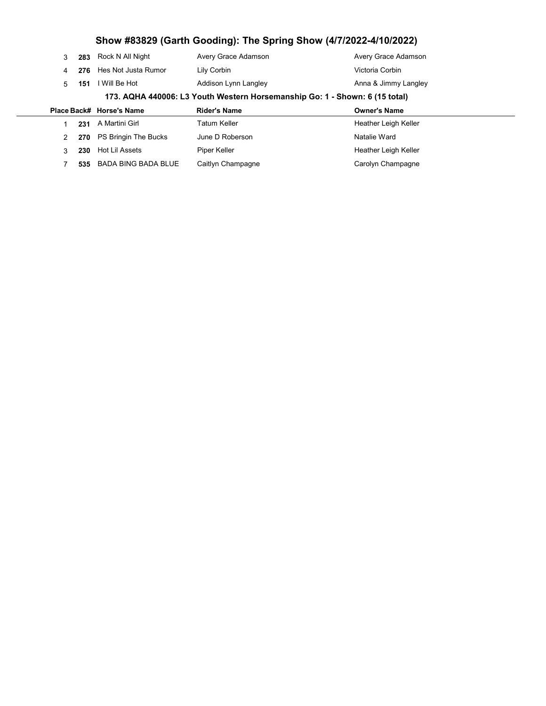|  |                                                                             |           | Place Back# Horse's Name | <b>Rider's Name</b>  | <b>Owner's Name</b>  |  |  |  |
|--|-----------------------------------------------------------------------------|-----------|--------------------------|----------------------|----------------------|--|--|--|
|  | 173. AQHA 440006: L3 Youth Western Horsemanship Go: 1 - Shown: 6 (15 total) |           |                          |                      |                      |  |  |  |
|  |                                                                             | $5 - 151$ | I Will Be Hot            | Addison Lynn Langley | Anna & Jimmy Langley |  |  |  |
|  | 4                                                                           |           | 276 Hes Not Justa Rumor  | Lily Corbin          | Victoria Corbin      |  |  |  |
|  |                                                                             |           | 283 Rock N All Night     | Avery Grace Adamson  | Avery Grace Adamson  |  |  |  |

|     | 231 A Martini Girl       | Tatum Keller      | Heather Leigh Keller |
|-----|--------------------------|-------------------|----------------------|
|     | 270 PS Bringin The Bucks | June D Roberson   | Natalie Ward         |
| 230 | Hot Lil Assets           | Piper Keller      | Heather Leigh Keller |
|     | 535 BADA BING BADA BLUE  | Caitlyn Champagne | Carolyn Champagne    |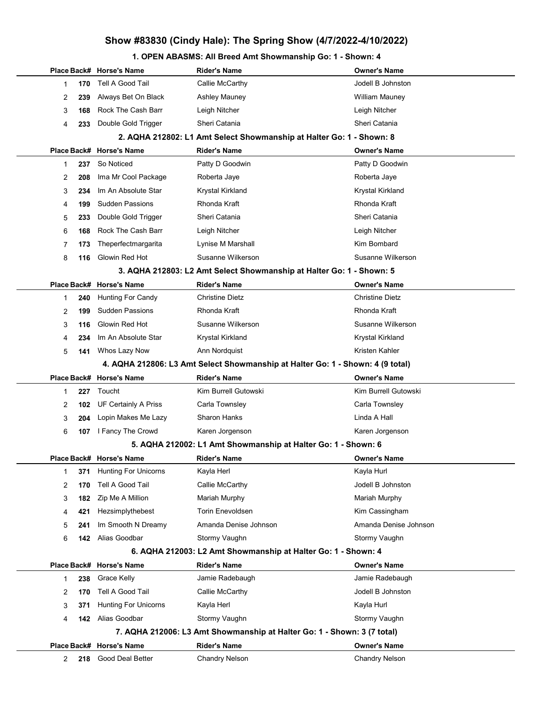## Show #83830 (Cindy Hale): The Spring Show (4/7/2022-4/10/2022)

### 1. OPEN ABASMS: All Breed Amt Showmanship Go: 1 - Shown: 4

|             |     | Place Back# Horse's Name                | <b>Rider's Name</b>                                                            | <b>Owner's Name</b>                          |
|-------------|-----|-----------------------------------------|--------------------------------------------------------------------------------|----------------------------------------------|
| 1           | 170 | Tell A Good Tail                        | Callie McCarthy                                                                | Jodell B Johnston                            |
| 2           | 239 | Always Bet On Black                     | <b>Ashley Mauney</b>                                                           | <b>William Mauney</b>                        |
| 3           | 168 | Rock The Cash Barr                      | Leigh Nitcher                                                                  | Leigh Nitcher                                |
| 4           | 233 | Double Gold Trigger                     | Sheri Catania                                                                  | Sheri Catania                                |
|             |     |                                         | 2. AQHA 212802: L1 Amt Select Showmanship at Halter Go: 1 - Shown: 8           |                                              |
|             |     | Place Back# Horse's Name                | <b>Rider's Name</b>                                                            | <b>Owner's Name</b>                          |
| 1           | 237 | So Noticed                              | Patty D Goodwin                                                                | Patty D Goodwin                              |
| 2           | 208 | Ima Mr Cool Package                     | Roberta Jaye                                                                   | Roberta Jaye                                 |
| 3           | 234 | Im An Absolute Star                     | Krystal Kirkland                                                               | Krystal Kirkland                             |
| 4           | 199 | <b>Sudden Passions</b>                  | Rhonda Kraft                                                                   | Rhonda Kraft                                 |
| 5           | 233 | Double Gold Trigger                     | Sheri Catania                                                                  | Sheri Catania                                |
| 6           | 168 | Rock The Cash Barr                      | Leigh Nitcher                                                                  | Leigh Nitcher                                |
| 7           | 173 | Theperfectmargarita                     | Lynise M Marshall                                                              | Kim Bombard                                  |
| 8           | 116 | Glowin Red Hot                          | Susanne Wilkerson                                                              | Susanne Wilkerson                            |
|             |     |                                         | 3. AQHA 212803: L2 Amt Select Showmanship at Halter Go: 1 - Shown: 5           |                                              |
|             |     | Place Back# Horse's Name                | <b>Rider's Name</b>                                                            | <b>Owner's Name</b>                          |
| 1           | 240 | <b>Hunting For Candy</b>                | <b>Christine Dietz</b>                                                         | <b>Christine Dietz</b>                       |
| 2           | 199 | <b>Sudden Passions</b>                  | Rhonda Kraft                                                                   | Rhonda Kraft                                 |
| 3           | 116 | Glowin Red Hot                          | Susanne Wilkerson                                                              | Susanne Wilkerson                            |
| 4           | 234 | Im An Absolute Star                     | Krystal Kirkland                                                               | Krystal Kirkland                             |
| 5           | 141 | Whos Lazy Now                           | Ann Nordquist                                                                  | Kristen Kahler                               |
|             |     |                                         | 4. AQHA 212806: L3 Amt Select Showmanship at Halter Go: 1 - Shown: 4 (9 total) |                                              |
|             |     |                                         |                                                                                |                                              |
|             |     | Place Back# Horse's Name                | <b>Rider's Name</b>                                                            | <b>Owner's Name</b>                          |
| 1           | 227 | Toucht                                  | Kim Burrell Gutowski                                                           | Kim Burrell Gutowski                         |
| 2           | 102 | UF Certainly A Priss                    | Carla Townsley                                                                 | Carla Townsley                               |
| 3           | 204 | Lopin Makes Me Lazy                     | Sharon Hanks                                                                   | Linda A Hall                                 |
| 6           | 107 | I Fancy The Crowd                       | Karen Jorgenson                                                                | Karen Jorgenson                              |
|             |     |                                         | 5. AQHA 212002: L1 Amt Showmanship at Halter Go: 1 - Shown: 6                  |                                              |
|             |     | Place Back# Horse's Name                | <b>Rider's Name</b>                                                            | <b>Owner's Name</b>                          |
| 1           | 371 | <b>Hunting For Unicorns</b>             | Kayla Herl                                                                     | Kayla Hurl                                   |
| 2           | 170 | Tell A Good Tail                        | Callie McCarthy                                                                | Jodell B Johnston                            |
| 3           | 182 | Zip Me A Million                        | Mariah Murphy                                                                  | Mariah Murphy                                |
| 4           | 421 | Hezsimplythebest                        | <b>Torin Enevoldsen</b>                                                        | Kim Cassingham                               |
| 5           | 241 | Im Smooth N Dreamy                      | Amanda Denise Johnson                                                          | Amanda Denise Johnson                        |
| 6           | 142 | Alias Goodbar                           | Stormy Vaughn                                                                  | Stormy Vaughn                                |
|             |     |                                         | 6. AQHA 212003: L2 Amt Showmanship at Halter Go: 1 - Shown: 4                  |                                              |
|             |     | Place Back# Horse's Name                | <b>Rider's Name</b>                                                            | <b>Owner's Name</b>                          |
| 1           | 238 | Grace Kelly                             | Jamie Radebaugh                                                                | Jamie Radebaugh                              |
| 2           | 170 | Tell A Good Tail                        | Callie McCarthy                                                                | Jodell B Johnston                            |
| 3           | 371 | <b>Hunting For Unicorns</b>             | Kayla Herl                                                                     | Kayla Hurl                                   |
| 4           | 142 | Alias Goodbar                           | Stormy Vaughn                                                                  | Stormy Vaughn                                |
|             |     |                                         | 7. AQHA 212006: L3 Amt Showmanship at Halter Go: 1 - Shown: 3 (7 total)        |                                              |
| Place Back# |     | <b>Horse's Name</b><br>Good Deal Better | <b>Rider's Name</b><br><b>Chandry Nelson</b>                                   | <b>Owner's Name</b><br><b>Chandry Nelson</b> |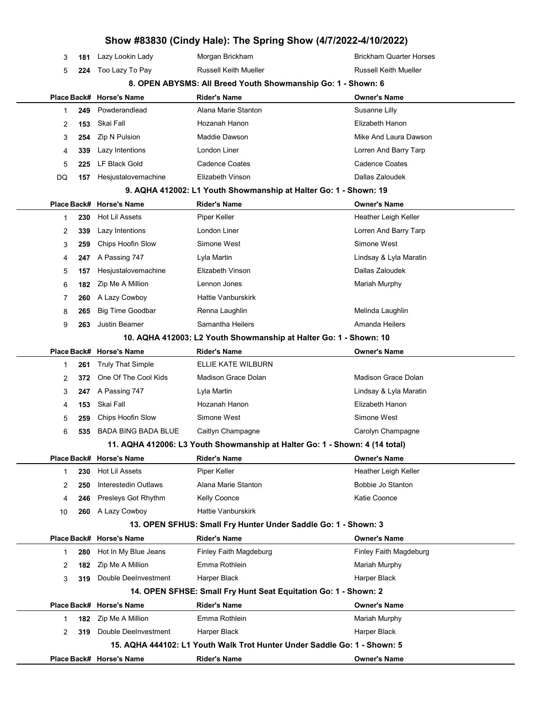| 3  | 181 | Lazy Lookin Lady           | Morgan Brickham                                                             | <b>Brickham Quarter Horses</b> |
|----|-----|----------------------------|-----------------------------------------------------------------------------|--------------------------------|
| 5  | 224 | Too Lazy To Pay            | <b>Russell Keith Mueller</b>                                                | <b>Russell Keith Mueller</b>   |
|    |     |                            | 8. OPEN ABYSMS: All Breed Youth Showmanship Go: 1 - Shown: 6                |                                |
|    |     | Place Back# Horse's Name   | <b>Rider's Name</b>                                                         | <b>Owner's Name</b>            |
| 1  | 249 | Powderandlead              | Alana Marie Stanton                                                         | Susanne Lilly                  |
| 2  | 153 | Skai Fall                  | Hozanah Hanon                                                               | Elizabeth Hanon                |
| 3  | 254 | Zip N Pulsion              | Maddie Dawson                                                               | Mike And Laura Dawson          |
| 4  | 339 | Lazy Intentions            | London Liner                                                                | Lorren And Barry Tarp          |
| 5  | 225 | LF Black Gold              | <b>Cadence Coates</b>                                                       | Cadence Coates                 |
| DQ | 157 | Hesjustalovemachine        | Elizabeth Vinson                                                            | Dallas Zaloudek                |
|    |     |                            | 9. AQHA 412002: L1 Youth Showmanship at Halter Go: 1 - Shown: 19            |                                |
|    |     | Place Back# Horse's Name   | <b>Rider's Name</b>                                                         | <b>Owner's Name</b>            |
| 1  | 230 | Hot Lil Assets             | Piper Keller                                                                | Heather Leigh Keller           |
| 2  | 339 | Lazy Intentions            | London Liner                                                                | Lorren And Barry Tarp          |
| 3  | 259 | Chips Hoofin Slow          | Simone West                                                                 | Simone West                    |
| 4  | 247 | A Passing 747              | Lyla Martin                                                                 | Lindsay & Lyla Maratin         |
| 5  | 157 | Hesjustalovemachine        | Elizabeth Vinson                                                            | Dallas Zaloudek                |
| 6  | 182 | Zip Me A Million           | Lennon Jones                                                                | Mariah Murphy                  |
| 7  | 260 | A Lazy Cowboy              | <b>Hattie Vanburskirk</b>                                                   |                                |
| 8  | 265 | <b>Big Time Goodbar</b>    | Renna Laughlin                                                              | Melinda Laughlin               |
| 9  | 263 | <b>Justin Beamer</b>       | Samantha Heilers                                                            | Amanda Heilers                 |
|    |     |                            | 10. AQHA 412003: L2 Youth Showmanship at Halter Go: 1 - Shown: 10           |                                |
|    |     | Place Back# Horse's Name   | <b>Rider's Name</b>                                                         | <b>Owner's Name</b>            |
| 1  | 261 | <b>Truly That Simple</b>   | ELLIE KATE WILBURN                                                          |                                |
| 2  | 372 | One Of The Cool Kids       | Madison Grace Dolan                                                         | Madison Grace Dolan            |
| 3  | 247 | A Passing 747              | Lyla Martin                                                                 | Lindsay & Lyla Maratin         |
| 4  | 153 | Skai Fall                  | Hozanah Hanon                                                               | Elizabeth Hanon                |
| 5  | 259 | Chips Hoofin Slow          | Simone West                                                                 | Simone West                    |
| 6  | 535 | <b>BADA BING BADA BLUE</b> | Caitlyn Champagne                                                           | Carolyn Champagne              |
|    |     |                            | 11. AQHA 412006: L3 Youth Showmanship at Halter Go: 1 - Shown: 4 (14 total) |                                |
|    |     | Place Back# Horse's Name   | <b>Rider's Name</b>                                                         | <b>Owner's Name</b>            |
| 1  | 230 | Hot Lil Assets             | Piper Keller                                                                | Heather Leigh Keller           |
| 2  | 250 | Interestedin Outlaws       | Alana Marie Stanton                                                         | Bobbie Jo Stanton              |
| 4  | 246 | Presleys Got Rhythm        | Kelly Coonce                                                                | Katie Coonce                   |
| 10 | 260 | A Lazy Cowboy              | <b>Hattie Vanburskirk</b>                                                   |                                |
|    |     |                            | 13. OPEN SFHUS: Small Fry Hunter Under Saddle Go: 1 - Shown: 3              |                                |
|    |     | Place Back# Horse's Name   | <b>Rider's Name</b>                                                         | <b>Owner's Name</b>            |
| 1  | 280 | Hot In My Blue Jeans       | Finley Faith Magdeburg                                                      | Finley Faith Magdeburg         |
| 2  | 182 | Zip Me A Million           | Emma Rothlein                                                               | Mariah Murphy                  |
| 3  | 319 | Double DeeInvestment       | Harper Black                                                                | Harper Black                   |
|    |     |                            | 14. OPEN SFHSE: Small Fry Hunt Seat Equitation Go: 1 - Shown: 2             |                                |
|    |     | Place Back# Horse's Name   | <b>Rider's Name</b>                                                         | <b>Owner's Name</b>            |
| 1  | 182 | Zip Me A Million           | Emma Rothlein                                                               | Mariah Murphy                  |
| 2  | 319 | Double DeeInvestment       | Harper Black                                                                | Harper Black                   |
|    |     |                            | 15. AQHA 444102: L1 Youth Walk Trot Hunter Under Saddle Go: 1 - Shown: 5    |                                |
|    |     | Place Back# Horse's Name   | <b>Rider's Name</b>                                                         | <b>Owner's Name</b>            |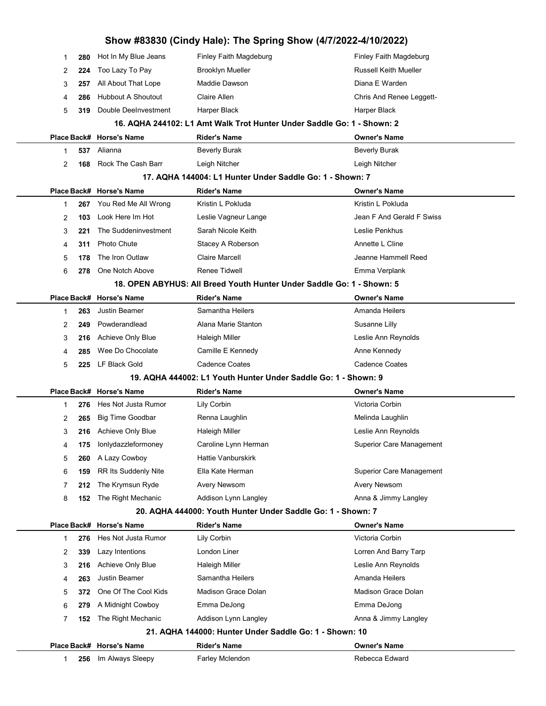|   |     |                           | Show #83830 (Cindy Hale): The Spring Show (4/7/2022-4/10/2022)         |                                 |
|---|-----|---------------------------|------------------------------------------------------------------------|---------------------------------|
| 1 | 280 | Hot In My Blue Jeans      | Finley Faith Magdeburg                                                 | Finley Faith Magdeburg          |
| 2 | 224 | Too Lazy To Pay           | <b>Brooklyn Mueller</b>                                                | <b>Russell Keith Mueller</b>    |
| 3 | 257 | All About That Lope       | Maddie Dawson                                                          | Diana E Warden                  |
| 4 | 286 | <b>Hubbout A Shoutout</b> | Claire Allen                                                           | Chris And Renee Leggett-        |
| 5 | 319 | Double DeeInvestment      | Harper Black                                                           | Harper Black                    |
|   |     |                           | 16. AQHA 244102: L1 Amt Walk Trot Hunter Under Saddle Go: 1 - Shown: 2 |                                 |
|   |     | Place Back# Horse's Name  | <b>Rider's Name</b>                                                    | <b>Owner's Name</b>             |
| 1 | 537 | Alianna                   | <b>Beverly Burak</b>                                                   | <b>Beverly Burak</b>            |
| 2 | 168 | Rock The Cash Barr        | Leigh Nitcher                                                          | Leigh Nitcher                   |
|   |     |                           | 17. AQHA 144004: L1 Hunter Under Saddle Go: 1 - Shown: 7               |                                 |
|   |     | Place Back# Horse's Name  | <b>Rider's Name</b>                                                    | <b>Owner's Name</b>             |
| 1 | 267 | You Red Me All Wrong      | Kristin L Pokluda                                                      | Kristin L Pokluda               |
| 2 | 103 | Look Here Im Hot          | Leslie Vagneur Lange                                                   | Jean F And Gerald F Swiss       |
| 3 | 221 | The Suddeninvestment      | Sarah Nicole Keith                                                     | Leslie Penkhus                  |
| 4 | 311 | Photo Chute               | Stacey A Roberson                                                      | Annette L Cline                 |
| 5 | 178 | The Iron Outlaw           | <b>Claire Marcell</b>                                                  | Jeanne Hammell Reed             |
| 6 | 278 | One Notch Above           | Renee Tidwell                                                          | Emma Verplank                   |
|   |     |                           | 18. OPEN ABYHUS: All Breed Youth Hunter Under Saddle Go: 1 - Shown: 5  |                                 |
|   |     | Place Back# Horse's Name  | <b>Rider's Name</b>                                                    | <b>Owner's Name</b>             |
| 1 | 263 | <b>Justin Beamer</b>      | Samantha Heilers                                                       | Amanda Heilers                  |
| 2 | 249 | Powderandlead             | Alana Marie Stanton                                                    | Susanne Lilly                   |
| 3 | 216 | Achieve Only Blue         | <b>Haleigh Miller</b>                                                  | Leslie Ann Reynolds             |
| 4 | 285 | Wee Do Chocolate          | Camille E Kennedy                                                      | Anne Kennedy                    |
| 5 | 225 | LF Black Gold             | <b>Cadence Coates</b>                                                  | <b>Cadence Coates</b>           |
|   |     |                           | 19. AQHA 444002: L1 Youth Hunter Under Saddle Go: 1 - Shown: 9         |                                 |
|   |     | Place Back# Horse's Name  | <b>Rider's Name</b>                                                    | <b>Owner's Name</b>             |
| 1 | 276 | Hes Not Justa Rumor       | Lily Corbin                                                            | Victoria Corbin                 |
| 2 | 265 | <b>Big Time Goodbar</b>   | Renna Laughlin                                                         | Melinda Laughlin                |
| 3 |     | 216 Achieve Only Blue     | <b>Haleigh Miller</b>                                                  | Leslie Ann Reynolds             |
| 4 | 175 | lonlydazzleformoney       | Caroline Lynn Herman                                                   | <b>Superior Care Management</b> |
| 5 | 260 | A Lazy Cowboy             | <b>Hattie Vanburskirk</b>                                              |                                 |
| 6 | 159 | RR Its Suddenly Nite      | Ella Kate Herman                                                       | <b>Superior Care Management</b> |
| 7 | 212 | The Krymsun Ryde          | <b>Avery Newsom</b>                                                    | Avery Newsom                    |
| 8 | 152 | The Right Mechanic        | Addison Lynn Langley                                                   | Anna & Jimmy Langley            |
|   |     |                           | 20. AQHA 444000: Youth Hunter Under Saddle Go: 1 - Shown: 7            |                                 |
|   |     | Place Back# Horse's Name  | <b>Rider's Name</b>                                                    | <b>Owner's Name</b>             |
| 1 | 276 | Hes Not Justa Rumor       | Lily Corbin                                                            | Victoria Corbin                 |
| 2 | 339 | Lazy Intentions           | London Liner                                                           | Lorren And Barry Tarp           |
| 3 | 216 | Achieve Only Blue         | <b>Haleigh Miller</b>                                                  | Leslie Ann Reynolds             |
| 4 | 263 | Justin Beamer             | Samantha Heilers                                                       | Amanda Heilers                  |
| 5 | 372 | One Of The Cool Kids      | Madison Grace Dolan                                                    | Madison Grace Dolan             |
| 6 | 279 | A Midnight Cowboy         | Emma DeJong                                                            | Emma DeJong                     |
| 7 | 152 | The Right Mechanic        | Addison Lynn Langley                                                   | Anna & Jimmy Langley            |
|   |     |                           | 21. AQHA 144000: Hunter Under Saddle Go: 1 - Shown: 10                 |                                 |
|   |     |                           |                                                                        |                                 |
|   |     | Place Back# Horse's Name  | <b>Rider's Name</b>                                                    | <b>Owner's Name</b>             |

l.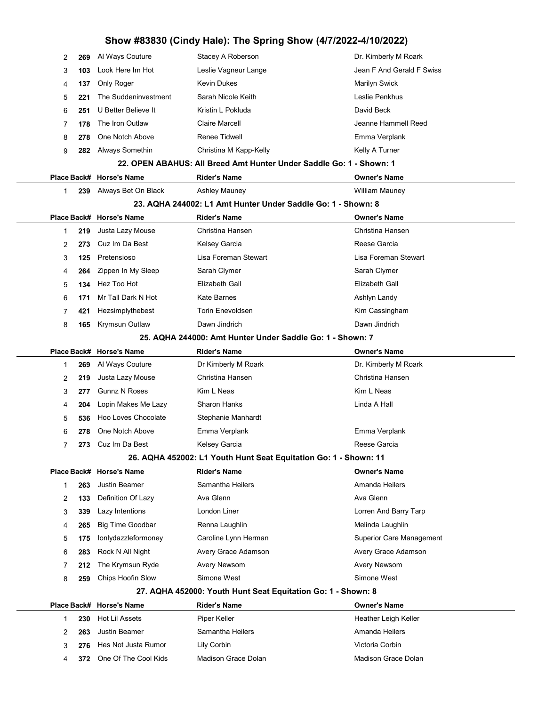# Show #83830 (Cindy Hale): The Spring Show (4/7/2022-4/10/2022)

| 2 | 269 | Al Ways Couture          | Stacey A Roberson                                                   | Dr. Kimberly M Roark            |
|---|-----|--------------------------|---------------------------------------------------------------------|---------------------------------|
| 3 | 103 | Look Here Im Hot         | Leslie Vagneur Lange                                                | Jean F And Gerald F Swiss       |
| 4 | 137 | Only Roger               | <b>Kevin Dukes</b>                                                  | <b>Marilyn Swick</b>            |
| 5 | 221 | The Suddeninvestment     | Sarah Nicole Keith                                                  | Leslie Penkhus                  |
| 6 | 251 | U Better Believe It      | Kristin L Pokluda                                                   | David Beck                      |
| 7 | 178 | The Iron Outlaw          | <b>Claire Marcell</b>                                               | Jeanne Hammell Reed             |
| 8 | 278 | One Notch Above          | Renee Tidwell                                                       | Emma Verplank                   |
| 9 | 282 | Always Somethin          | Christina M Kapp-Kelly                                              | Kelly A Turner                  |
|   |     |                          | 22. OPEN ABAHUS: All Breed Amt Hunter Under Saddle Go: 1 - Shown: 1 |                                 |
|   |     | Place Back# Horse's Name | <b>Rider's Name</b>                                                 | <b>Owner's Name</b>             |
| 1 | 239 | Always Bet On Black      | <b>Ashley Mauney</b>                                                | William Mauney                  |
|   |     |                          | 23. AQHA 244002: L1 Amt Hunter Under Saddle Go: 1 - Shown: 8        |                                 |
|   |     | Place Back# Horse's Name | <b>Rider's Name</b>                                                 | <b>Owner's Name</b>             |
| 1 | 219 | Justa Lazy Mouse         | Christina Hansen                                                    | Christina Hansen                |
| 2 | 273 | Cuz Im Da Best           | Kelsey Garcia                                                       | Reese Garcia                    |
| 3 | 125 | Pretensioso              | Lisa Foreman Stewart                                                | Lisa Foreman Stewart            |
| 4 | 264 | Zippen In My Sleep       | Sarah Clymer                                                        | Sarah Clymer                    |
| 5 | 134 | Hez Too Hot              | Elizabeth Gall                                                      | Elizabeth Gall                  |
| 6 | 171 | Mr Tall Dark N Hot       | Kate Barnes                                                         | Ashlyn Landy                    |
| 7 | 421 | Hezsimplythebest         | <b>Torin Enevoldsen</b>                                             | Kim Cassingham                  |
| 8 | 165 | Krymsun Outlaw           | Dawn Jindrich                                                       | Dawn Jindrich                   |
|   |     |                          | 25. AQHA 244000: Amt Hunter Under Saddle Go: 1 - Shown: 7           |                                 |
|   |     | Place Back# Horse's Name | <b>Rider's Name</b>                                                 | <b>Owner's Name</b>             |
| 1 | 269 | Al Ways Couture          | Dr Kimberly M Roark                                                 | Dr. Kimberly M Roark            |
| 2 | 219 | Justa Lazy Mouse         | Christina Hansen                                                    | Christina Hansen                |
| 3 | 277 | <b>Gunnz N Roses</b>     | Kim L Neas                                                          | Kim L Neas                      |
| 4 | 204 | Lopin Makes Me Lazy      | Sharon Hanks                                                        | Linda A Hall                    |
| 5 | 536 | Hoo Loves Chocolate      | Stephanie Manhardt                                                  |                                 |
| 6 | 278 | One Notch Above          | Emma Verplank                                                       | Emma Verplank                   |
| 7 | 273 | Cuz Im Da Best           | Kelsey Garcia                                                       | Reese Garcia                    |
|   |     |                          | 26. AQHA 452002: L1 Youth Hunt Seat Equitation Go: 1 - Shown: 11    |                                 |
|   |     | Place Back# Horse's Name | <b>Rider's Name</b>                                                 | <b>Owner's Name</b>             |
| 1 | 263 | <b>Justin Beamer</b>     | Samantha Heilers                                                    | Amanda Heilers                  |
| 2 | 133 | Definition Of Lazy       | Ava Glenn                                                           | Ava Glenn                       |
| 3 | 339 | Lazy Intentions          | London Liner                                                        | Lorren And Barry Tarp           |
| 4 | 265 | <b>Big Time Goodbar</b>  | Renna Laughlin                                                      | Melinda Laughlin                |
| 5 | 175 | lonlydazzleformoney      | Caroline Lynn Herman                                                | <b>Superior Care Management</b> |
| 6 | 283 | Rock N All Night         | Avery Grace Adamson                                                 | Avery Grace Adamson             |
| 7 | 212 | The Krymsun Ryde         | <b>Avery Newsom</b>                                                 | Avery Newsom                    |
| 8 | 259 | Chips Hoofin Slow        | Simone West                                                         | Simone West                     |
|   |     |                          | 27. AQHA 452000: Youth Hunt Seat Equitation Go: 1 - Shown: 8        |                                 |
|   |     | Place Back# Horse's Name | <b>Rider's Name</b>                                                 | <b>Owner's Name</b>             |
| 1 | 230 | Hot Lil Assets           | Piper Keller                                                        | Heather Leigh Keller            |
| 2 | 263 | <b>Justin Beamer</b>     | Samantha Heilers                                                    | Amanda Heilers                  |
| 3 | 276 | Hes Not Justa Rumor      | Lily Corbin                                                         | Victoria Corbin                 |
| 4 | 372 | One Of The Cool Kids     | Madison Grace Dolan                                                 | Madison Grace Dolan             |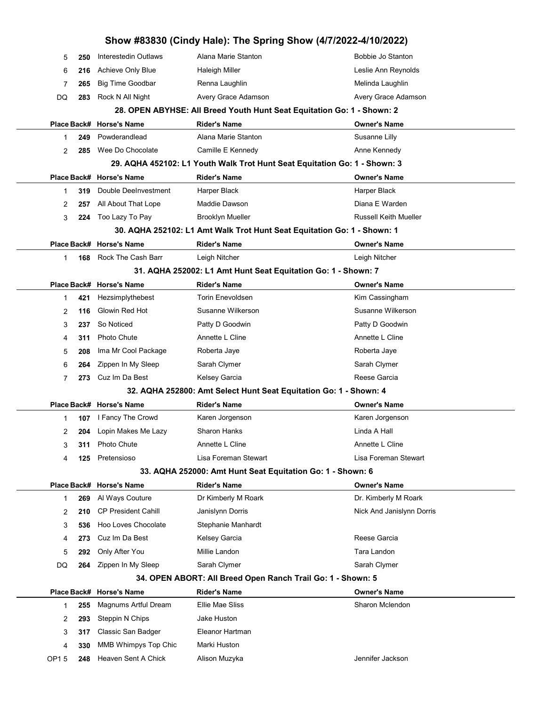|      |     |                            | Show #83830 (Cindy Hale): The Spring Show (4/7/2022-4/10/2022)            |                              |
|------|-----|----------------------------|---------------------------------------------------------------------------|------------------------------|
| 5    | 250 | Interestedin Outlaws       | Alana Marie Stanton                                                       | Bobbie Jo Stanton            |
| 6    | 216 | Achieve Only Blue          | <b>Haleigh Miller</b>                                                     | Leslie Ann Reynolds          |
| 7    | 265 | <b>Big Time Goodbar</b>    | Renna Laughlin                                                            | Melinda Laughlin             |
| DQ   | 283 | Rock N All Night           | Avery Grace Adamson                                                       | Avery Grace Adamson          |
|      |     |                            | 28. OPEN ABYHSE: All Breed Youth Hunt Seat Equitation Go: 1 - Shown: 2    |                              |
|      |     | Place Back# Horse's Name   | <b>Rider's Name</b>                                                       | <b>Owner's Name</b>          |
| 1    | 249 | Powderandlead              | Alana Marie Stanton                                                       | Susanne Lilly                |
| 2    | 285 | Wee Do Chocolate           | Camille E Kennedy                                                         | Anne Kennedy                 |
|      |     |                            | 29. AQHA 452102: L1 Youth Walk Trot Hunt Seat Equitation Go: 1 - Shown: 3 |                              |
|      |     | Place Back# Horse's Name   | <b>Rider's Name</b>                                                       | <b>Owner's Name</b>          |
| 1    | 319 | Double DeeInvestment       | Harper Black                                                              | Harper Black                 |
| 2    | 257 | All About That Lope        | Maddie Dawson                                                             | Diana E Warden               |
| 3    | 224 | Too Lazy To Pay            | <b>Brooklyn Mueller</b>                                                   | <b>Russell Keith Mueller</b> |
|      |     |                            | 30. AQHA 252102: L1 Amt Walk Trot Hunt Seat Equitation Go: 1 - Shown: 1   |                              |
|      |     | Place Back# Horse's Name   | <b>Rider's Name</b>                                                       | <b>Owner's Name</b>          |
| 1    | 168 | Rock The Cash Barr         | Leigh Nitcher                                                             | Leigh Nitcher                |
|      |     |                            | 31. AQHA 252002: L1 Amt Hunt Seat Equitation Go: 1 - Shown: 7             |                              |
|      |     | Place Back# Horse's Name   | <b>Rider's Name</b>                                                       | Owner's Name                 |
| 1    | 421 | Hezsimplythebest           | <b>Torin Enevoldsen</b>                                                   | Kim Cassingham               |
| 2    | 116 | Glowin Red Hot             | Susanne Wilkerson                                                         | Susanne Wilkerson            |
| 3    | 237 | So Noticed                 | Patty D Goodwin                                                           | Patty D Goodwin              |
| 4    | 311 | <b>Photo Chute</b>         | Annette L Cline                                                           | Annette L Cline              |
| 5    | 208 | Ima Mr Cool Package        | Roberta Jaye                                                              | Roberta Jaye                 |
| 6    | 264 | Zippen In My Sleep         | Sarah Clymer                                                              | Sarah Clymer                 |
| 7    | 273 | Cuz Im Da Best             | Kelsey Garcia                                                             | Reese Garcia                 |
|      |     |                            | 32. AQHA 252800: Amt Select Hunt Seat Equitation Go: 1 - Shown: 4         |                              |
|      |     | Place Back# Horse's Name   | <b>Rider's Name</b>                                                       | <b>Owner's Name</b>          |
| 1    | 107 | I Fancy The Crowd          | Karen Jorgenson                                                           | Karen Jorgenson              |
| 2    | 204 | Lopin Makes Me Lazy        | <b>Sharon Hanks</b>                                                       | Linda A Hall                 |
| 3    | 311 | Photo Chute                | Annette L Cline                                                           | Annette L Cline              |
| 4    | 125 | Pretensioso                | Lisa Foreman Stewart                                                      | Lisa Foreman Stewart         |
|      |     |                            | 33. AQHA 252000: Amt Hunt Seat Equitation Go: 1 - Shown: 6                |                              |
|      |     | Place Back# Horse's Name   | <b>Rider's Name</b>                                                       | Owner's Name                 |
| 1    | 269 | Al Ways Couture            | Dr Kimberly M Roark                                                       | Dr. Kimberly M Roark         |
| 2    | 210 | <b>CP President Cahill</b> | Janislynn Dorris                                                          | Nick And Janislynn Dorris    |
| 3    | 536 | Hoo Loves Chocolate        | Stephanie Manhardt                                                        |                              |
| 4    | 273 | Cuz Im Da Best             | Kelsey Garcia                                                             | Reese Garcia                 |
| 5    | 292 | Only After You             | Millie Landon                                                             | Tara Landon                  |
| DQ   | 264 | Zippen In My Sleep         | Sarah Clymer                                                              | Sarah Clymer                 |
|      |     |                            | 34. OPEN ABORT: All Breed Open Ranch Trail Go: 1 - Shown: 5               |                              |
|      |     | Place Back# Horse's Name   | <b>Rider's Name</b>                                                       | <b>Owner's Name</b>          |
| 1    | 255 | Magnums Artful Dream       | Ellie Mae Sliss                                                           | Sharon Mclendon              |
| 2    | 293 | Steppin N Chips            | Jake Huston                                                               |                              |
| 3    | 317 | Classic San Badger         | Eleanor Hartman                                                           |                              |
| 4    | 330 | MMB Whimpys Top Chic       | Marki Huston                                                              |                              |
| OP15 | 248 | Heaven Sent A Chick        | Alison Muzyka                                                             | Jennifer Jackson             |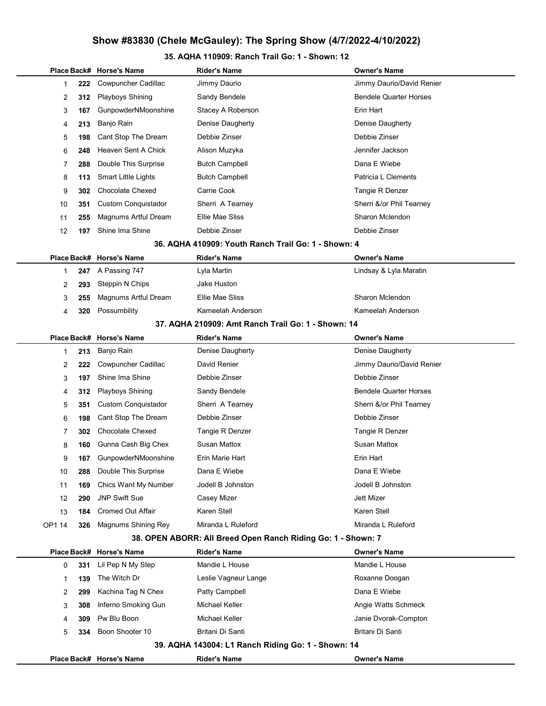#### 35. AQHA 110909: Ranch Trail Go: 1 - Shown: 12

|        |             | Place Back# Horse's Name   | <b>Rider's Name</b>                                          | Owner's Name                  |
|--------|-------------|----------------------------|--------------------------------------------------------------|-------------------------------|
| 1      | 222         | Cowpuncher Cadillac        | Jimmy Daurio                                                 | Jimmy Daurio/David Renier     |
| 2      | 312         | <b>Playboys Shining</b>    | Sandy Bendele                                                | <b>Bendele Quarter Horses</b> |
| 3      | 167         | GunpowderNMoonshine        | Stacey A Roberson                                            | Erin Hart                     |
| 4      | 213         | Banjo Rain                 | Denise Daugherty                                             | Denise Daugherty              |
| 5      | 198         | Cant Stop The Dream        | Debbie Zinser                                                | Debbie Zinser                 |
| 6      | 248         | Heaven Sent A Chick        | Alison Muzyka                                                | Jennifer Jackson              |
| 7      | 288         | Double This Surprise       | <b>Butch Campbell</b>                                        | Dana E Wiebe                  |
| 8      | 113         | <b>Smart Little Lights</b> | <b>Butch Campbell</b>                                        | Patricia L Clements           |
| 9      | 302         | <b>Chocolate Chexed</b>    | Carrie Cook                                                  | Tangie R Denzer               |
| 10     | 351         | <b>Custom Conquistador</b> | Sherri A Tearney                                             | Sherri &/or Phil Tearney      |
| 11     | 255         | Magnums Artful Dream       | Ellie Mae Sliss                                              | Sharon Mclendon               |
| 12     | 197         | Shine Ima Shine            | Debbie Zinser                                                | Debbie Zinser                 |
|        |             |                            | 36. AQHA 410909: Youth Ranch Trail Go: 1 - Shown: 4          |                               |
|        |             | Place Back# Horse's Name   | <b>Rider's Name</b>                                          | <b>Owner's Name</b>           |
| 1      | 247         | A Passing 747              | Lyla Martin                                                  | Lindsay & Lyla Maratin        |
| 2      | 293         | Steppin N Chips            | Jake Huston                                                  |                               |
| 3      | 255         | Magnums Artful Dream       | Ellie Mae Sliss                                              | Sharon Mclendon               |
| 4      | 320         | Possumbility               | Kameelah Anderson                                            | Kameelah Anderson             |
|        |             |                            | 37. AQHA 210909: Amt Ranch Trail Go: 1 - Shown: 14           |                               |
|        | Place Back# | <b>Horse's Name</b>        | <b>Rider's Name</b>                                          | <b>Owner's Name</b>           |
| 1      | 213         | Banjo Rain                 | Denise Daugherty                                             | Denise Daugherty              |
| 2      | 222         | Cowpuncher Cadillac        | David Renier                                                 | Jimmy Daurio/David Renier     |
| 3      | 197         | Shine Ima Shine            | Debbie Zinser                                                | Debbie Zinser                 |
| 4      | 312         | <b>Playboys Shining</b>    | Sandy Bendele                                                | <b>Bendele Quarter Horses</b> |
| 5      | 351         | <b>Custom Conquistador</b> | Sherri A Tearney                                             | Sherri &/or Phil Tearney      |
| 6      | 198         | Cant Stop The Dream        | Debbie Zinser                                                | Debbie Zinser                 |
| 7      | 302         | <b>Chocolate Chexed</b>    | Tangie R Denzer                                              | Tangie R Denzer               |
| 8      | 160         | Gunna Cash Big Chex        | <b>Susan Mattox</b>                                          | <b>Susan Mattox</b>           |
| 9      | 167         | GunpowderNMoonshine        | Erin Marie Hart                                              | Erin Hart                     |
| 10     | 288         | Double This Surprise       | Dana E Wiebe                                                 | Dana E Wiebe                  |
| 11     | 169         | Chics Want My Number       | Jodell B Johnston                                            | Jodell B Johnston             |
| 12     | 290         | <b>JNP Swift Sue</b>       | Casey Mizer                                                  | <b>Jett Mizer</b>             |
| 13     | 184         | <b>Cromed Out Affair</b>   | Karen Stell                                                  | Karen Stell                   |
| OP1 14 | 326         | Magnums Shining Rey        | Miranda L Ruleford                                           | Miranda L Ruleford            |
|        |             |                            | 38. OPEN ABORR: All Breed Open Ranch Riding Go: 1 - Shown: 7 |                               |
|        |             | Place Back# Horse's Name   | <b>Rider's Name</b>                                          | <b>Owner's Name</b>           |
| 0      | 331         | Lil Pep N My Step          | Mandie L House                                               | Mandie L House                |
| 1      | 139         | The Witch Dr               | Leslie Vagneur Lange                                         | Roxanne Doogan                |
| 2      | 299         | Kachina Tag N Chex         | Patty Campbell                                               | Dana E Wiebe                  |
| 3      | 308         | Inferno Smoking Gun        | Michael Keller                                               | Angie Watts Schmeck           |
| 4      | 309         | Pw Blu Boon                | Michael Keller                                               | Janie Dvorak-Compton          |
| 5      | 334         | Boon Shooter 10            | Britani Di Santi                                             | Britani Di Santi              |
|        |             |                            | 39. AQHA 143004: L1 Ranch Riding Go: 1 - Shown: 14           |                               |
|        |             | Place Back# Horse's Name   | <b>Rider's Name</b>                                          | <b>Owner's Name</b>           |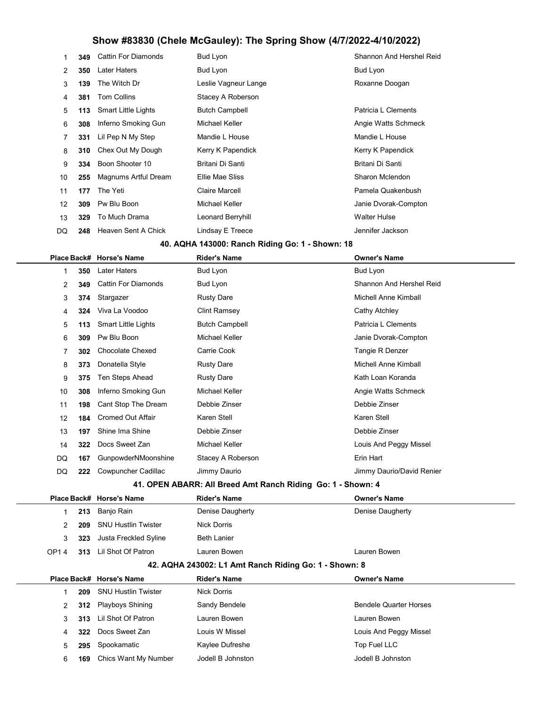|                   | 349 | <b>Cattin For Diamonds</b> | Bud Lyon              | Shannon And Hershel Reid |
|-------------------|-----|----------------------------|-----------------------|--------------------------|
| 2                 | 350 | <b>Later Haters</b>        | Bud Lyon              | Bud Lyon                 |
| 3                 | 139 | The Witch Dr               | Leslie Vagneur Lange  | Roxanne Doogan           |
| 4                 | 381 | <b>Tom Collins</b>         | Stacey A Roberson     |                          |
| 5                 | 113 | <b>Smart Little Lights</b> | <b>Butch Campbell</b> | Patricia L Clements      |
| 6                 | 308 | Inferno Smoking Gun        | Michael Keller        | Angie Watts Schmeck      |
|                   | 331 | Lil Pep N My Step          | Mandie L House        | Mandie L House           |
| 8                 | 310 | Chex Out My Dough          | Kerry K Papendick     | Kerry K Papendick        |
| 9                 | 334 | Boon Shooter 10            | Britani Di Santi      | Britani Di Santi         |
| 10                | 255 | Magnums Artful Dream       | Ellie Mae Sliss       | Sharon Mclendon          |
| 11                | 177 | The Yeti                   | Claire Marcell        | Pamela Quakenbush        |
| $12 \overline{ }$ | 309 | Pw Blu Boon                | Michael Keller        | Janie Dvorak-Compton     |
| 13                | 329 | To Much Drama              | Leonard Berryhill     | <b>Walter Hulse</b>      |
| DQ                | 248 | Heaven Sent A Chick        | Lindsay E Treece      | Jennifer Jackson         |

#### 40. AQHA 143000: Ranch Riding Go: 1 - Shown: 18

|                                                             |     | Place Back# Horse's Name   | <b>Rider's Name</b>   | <b>Owner's Name</b>       |  |  |
|-------------------------------------------------------------|-----|----------------------------|-----------------------|---------------------------|--|--|
|                                                             | 350 | <b>Later Haters</b>        | Bud Lyon              | Bud Lyon                  |  |  |
| 2                                                           | 349 | <b>Cattin For Diamonds</b> | Bud Lyon              | Shannon And Hershel Reid  |  |  |
| 3                                                           | 374 | Stargazer                  | <b>Rusty Dare</b>     | Michell Anne Kimball      |  |  |
| 4                                                           | 324 | Viva La Voodoo             | <b>Clint Ramsey</b>   | Cathy Atchley             |  |  |
| 5                                                           | 113 | <b>Smart Little Lights</b> | <b>Butch Campbell</b> | Patricia L Clements       |  |  |
| 6                                                           | 309 | Pw Blu Boon                | <b>Michael Keller</b> | Janie Dvorak-Compton      |  |  |
| 7                                                           | 302 | <b>Chocolate Chexed</b>    | Carrie Cook           | Tangie R Denzer           |  |  |
| 8                                                           | 373 | Donatella Style            | <b>Rusty Dare</b>     | Michell Anne Kimball      |  |  |
| 9                                                           | 375 | Ten Steps Ahead            | <b>Rusty Dare</b>     | Kath Loan Koranda         |  |  |
| 10                                                          | 308 | Inferno Smoking Gun        | <b>Michael Keller</b> | Angie Watts Schmeck       |  |  |
| 11                                                          | 198 | Cant Stop The Dream        | Debbie Zinser         | Debbie Zinser             |  |  |
| $12 \overline{ }$                                           | 184 | <b>Cromed Out Affair</b>   | Karen Stell           | Karen Stell               |  |  |
| 13                                                          | 197 | Shine Ima Shine            | Debbie Zinser         | Debbie Zinser             |  |  |
| 14                                                          | 322 | Docs Sweet Zan             | <b>Michael Keller</b> | Louis And Peggy Missel    |  |  |
| DQ                                                          | 167 | GunpowderNMoonshine        | Stacey A Roberson     | Erin Hart                 |  |  |
| DQ                                                          | 222 | Cowpuncher Cadillac        | Jimmy Daurio          | Jimmy Daurio/David Renier |  |  |
| 41. OPEN ABARR: All Breed Amt Ranch Riding Go: 1 - Shown: 4 |     |                            |                       |                           |  |  |

|                                                         |     | Place Back# Horse's Name | <b>Rider's Name</b> | <b>Owner's Name</b> |  |  |
|---------------------------------------------------------|-----|--------------------------|---------------------|---------------------|--|--|
|                                                         | 213 | Banjo Rain               | Denise Daugherty    | Denise Daugherty    |  |  |
|                                                         | 209 | SNU Hustlin Twister      | <b>Nick Dorris</b>  |                     |  |  |
| 3                                                       | 323 | Justa Freckled Syline    | <b>Beth Lanier</b>  |                     |  |  |
| OP14                                                    | 313 | Lil Shot Of Patron       | Lauren Bowen        | Lauren Bowen        |  |  |
| $42$ AOHA 243002: 1.1 Amt Ranch Riding Go: 1 - Shown: 8 |     |                          |                     |                     |  |  |

#### 42. AQHA 243002: L1 Amt Ranch Riding Go: 1 - Shown: 8

|   |     | Place Back# Horse's Name | <b>Rider's Name</b> | <b>Owner's Name</b>           |
|---|-----|--------------------------|---------------------|-------------------------------|
|   | 209 | SNU Hustlin Twister      | Nick Dorris         |                               |
| 2 |     | 312 Playboys Shining     | Sandy Bendele       | <b>Bendele Quarter Horses</b> |
| 3 |     | 313 Lil Shot Of Patron   | Lauren Bowen        | Lauren Bowen                  |
| 4 | 322 | Docs Sweet Zan           | Louis W Missel      | Louis And Peggy Missel        |
| 5 | 295 | Spookamatic              | Kaylee Dufreshe     | Top Fuel LLC                  |
| 6 | 169 | Chics Want My Number     | Jodell B Johnston   | Jodell B Johnston             |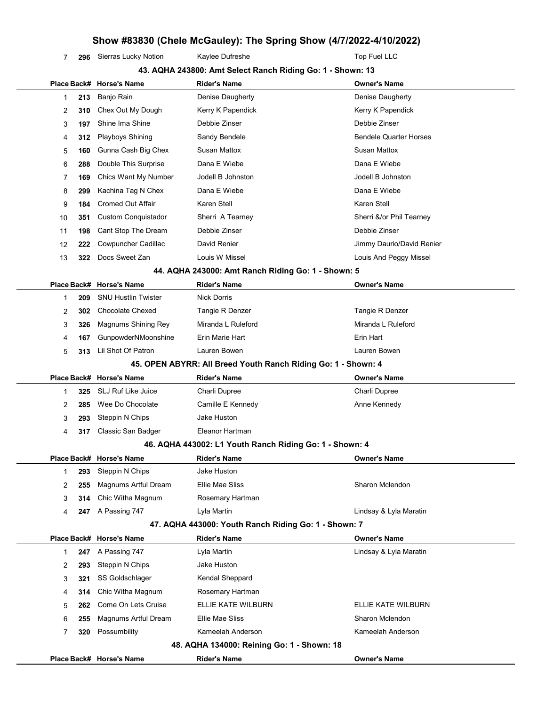7 296 Sierras Lucky Notion Kaylee Dufreshe The Top Fuel LLC

|              |                                   | 43. AQHA 243800: Amt Select Ranch Riding Go: 1 - Shown: 13    |                               |
|--------------|-----------------------------------|---------------------------------------------------------------|-------------------------------|
|              | Place Back# Horse's Name          | <b>Rider's Name</b>                                           | <b>Owner's Name</b>           |
| 1            | Banjo Rain<br>213                 | Denise Daugherty                                              | Denise Daugherty              |
| 2            | Chex Out My Dough<br>310          | Kerry K Papendick                                             | Kerry K Papendick             |
| 3            | Shine Ima Shine<br>197            | Debbie Zinser                                                 | Debbie Zinser                 |
| 4            | <b>Playboys Shining</b><br>312    | Sandy Bendele                                                 | <b>Bendele Quarter Horses</b> |
| 5            | Gunna Cash Big Chex<br>160        | <b>Susan Mattox</b>                                           | <b>Susan Mattox</b>           |
| 6            | Double This Surprise<br>288       | Dana E Wiebe                                                  | Dana E Wiebe                  |
| 7            | Chics Want My Number<br>169       | Jodell B Johnston                                             | Jodell B Johnston             |
| 8            | Kachina Tag N Chex<br>299         | Dana E Wiebe                                                  | Dana E Wiebe                  |
| 9            | <b>Cromed Out Affair</b><br>184   | Karen Stell                                                   | Karen Stell                   |
| 10           | <b>Custom Conquistador</b><br>351 | Sherri A Tearney                                              | Sherri &/or Phil Tearney      |
| 11           | Cant Stop The Dream<br>198        | Debbie Zinser                                                 | Debbie Zinser                 |
| 12           | Cowpuncher Cadillac<br>222        | David Renier                                                  | Jimmy Daurio/David Renier     |
| 13           | Docs Sweet Zan<br>322             | Louis W Missel                                                | Louis And Peggy Missel        |
|              |                                   | 44. AQHA 243000: Amt Ranch Riding Go: 1 - Shown: 5            |                               |
|              | Place Back# Horse's Name          | <b>Rider's Name</b>                                           | <b>Owner's Name</b>           |
| 1            | <b>SNU Hustlin Twister</b><br>209 | <b>Nick Dorris</b>                                            |                               |
| 2            | <b>Chocolate Chexed</b><br>302    | Tangie R Denzer                                               | Tangie R Denzer               |
| 3            | Magnums Shining Rey<br>326        | Miranda L Ruleford                                            | Miranda L Ruleford            |
| 4            | GunpowderNMoonshine<br>167        | Erin Marie Hart                                               | Erin Hart                     |
| 5            | Lil Shot Of Patron<br>313         | Lauren Bowen                                                  | Lauren Bowen                  |
|              |                                   | 45. OPEN ABYRR: All Breed Youth Ranch Riding Go: 1 - Shown: 4 |                               |
|              | Place Back# Horse's Name          | <b>Rider's Name</b>                                           | <b>Owner's Name</b>           |
| 1            | <b>SLJ Ruf Like Juice</b><br>325  | Charli Dupree                                                 | Charli Dupree                 |
| 2            | Wee Do Chocolate<br>285           | Camille E Kennedy                                             | Anne Kennedy                  |
| 3            | Steppin N Chips<br>293            | Jake Huston                                                   |                               |
| 4            | Classic San Badger<br>317         | Eleanor Hartman                                               |                               |
|              |                                   | 46. AQHA 443002: L1 Youth Ranch Riding Go: 1 - Shown: 4       |                               |
|              | Place Back# Horse's Name          | <b>Rider's Name</b>                                           | <b>Owner's Name</b>           |
| 1            | Steppin N Chips<br>293            | Jake Huston                                                   |                               |
| 2            | Magnums Artful Dream<br>255       | Ellie Mae Sliss                                               | Sharon Mclendon               |
| 3            | Chic Witha Magnum<br>314          | Rosemary Hartman                                              |                               |
| 4            | <b>247</b> A Passing 747          | Lyla Martin                                                   | Lindsay & Lyla Maratin        |
|              |                                   | 47. AQHA 443000: Youth Ranch Riding Go: 1 - Shown: 7          |                               |
|              | Place Back# Horse's Name          | <b>Rider's Name</b>                                           | <b>Owner's Name</b>           |
| $\mathbf{1}$ | A Passing 747<br>247              | Lyla Martin                                                   | Lindsay & Lyla Maratin        |
| 2            | Steppin N Chips<br>293            | Jake Huston                                                   |                               |
| 3            | SS Goldschlager<br>321            | Kendal Sheppard                                               |                               |
| 4            | Chic Witha Magnum<br>314          | Rosemary Hartman                                              |                               |
| 5            | Come On Lets Cruise<br>262        | ELLIE KATE WILBURN                                            | ELLIE KATE WILBURN            |
| 6            | Magnums Artful Dream<br>255       | Ellie Mae Sliss                                               | Sharon Mclendon               |
| 7            | Possumbility<br>320               | Kameelah Anderson                                             | Kameelah Anderson             |
|              |                                   | 48. AQHA 134000: Reining Go: 1 - Shown: 18                    |                               |
|              | Place Back# Horse's Name          | <b>Rider's Name</b>                                           | <b>Owner's Name</b>           |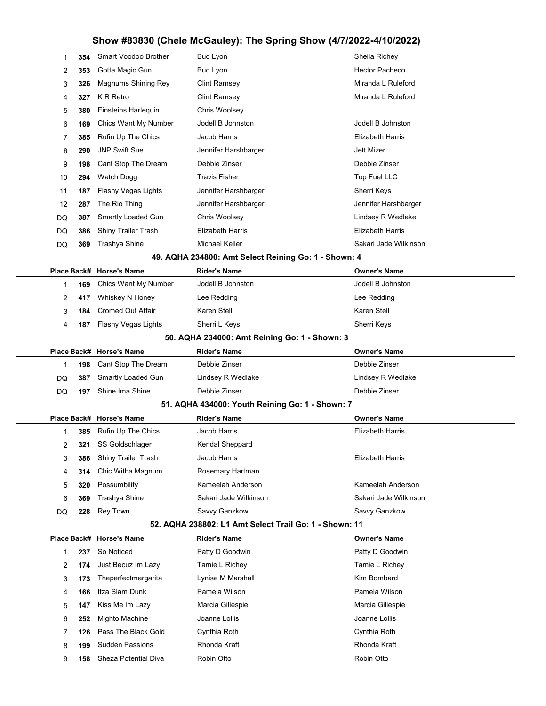| 1  | 354 | Smart Voodoo Brother | Bud Lyon                | Sheila Richey           |
|----|-----|----------------------|-------------------------|-------------------------|
| 2  | 353 | Gotta Magic Gun      | Bud Lyon                | Hector Pacheco          |
| 3  | 326 | Magnums Shining Rey  | Clint Ramsey            | Miranda L Ruleford      |
| 4  | 327 | K R Retro            | Clint Ramsey            | Miranda L Ruleford      |
| 5  | 380 | Einsteins Harlequin  | Chris Woolsey           |                         |
| 6  | 169 | Chics Want My Number | Jodell B Johnston       | Jodell B Johnston       |
| 7  | 385 | Rufin Up The Chics   | Jacob Harris            | <b>Elizabeth Harris</b> |
| 8  | 290 | <b>JNP Swift Sue</b> | Jennifer Harshbarger    | <b>Jett Mizer</b>       |
| 9  | 198 | Cant Stop The Dream  | Debbie Zinser           | Debbie Zinser           |
| 10 | 294 | Watch Dogg           | Travis Fisher           | Top Fuel LLC            |
| 11 | 187 | Flashy Vegas Lights  | Jennifer Harshbarger    | Sherri Keys             |
| 12 | 287 | The Rio Thing        | Jennifer Harshbarger    | Jennifer Harshbarger    |
| DQ | 387 | Smartly Loaded Gun   | Chris Woolsey           | Lindsey R Wedlake       |
| DQ | 386 | Shiny Trailer Trash  | <b>Elizabeth Harris</b> | <b>Elizabeth Harris</b> |
| DQ | 369 | Trashya Shine        | Michael Keller          | Sakari Jade Wilkinson   |
|    |     |                      |                         |                         |

49. AQHA 234800: Amt Select Reining Go: 1 - Shown: 4

|                                               |     | Place Back# Horse's Name | <b>Rider's Name</b> | <b>Owner's Name</b> |  |  |
|-----------------------------------------------|-----|--------------------------|---------------------|---------------------|--|--|
|                                               | 169 | Chics Want My Number     | Jodell B Johnston   | Jodell B Johnston   |  |  |
| $\mathcal{P}$                                 | 417 | Whiskey N Honey          | Lee Redding         | Lee Redding         |  |  |
| 3                                             | 184 | Cromed Out Affair        | Karen Stell         | Karen Stell         |  |  |
| 4                                             | 187 | Flashy Vegas Lights      | Sherri L Keys       | Sherri Keys         |  |  |
| 50. AQHA 234000: Amt Reining Go: 1 - Shown: 3 |     |                          |                     |                     |  |  |
|                                               |     | Place Back# Horse's Name | <b>Rider's Name</b> | <b>Owner's Name</b> |  |  |
|                                               | 198 | Cant Stop The Dream      | Debbie Zinser       | Debbie Zinser       |  |  |

| DQ |  | 387 Smartly Loaded Gun     | Lindsey R Wedlake | Lindsey R Wedlake |  |  |
|----|--|----------------------------|-------------------|-------------------|--|--|
| DQ |  | <b>197</b> Shine Ima Shine | Debbie Zinser     | Debbie Zinser     |  |  |
|    |  |                            |                   |                   |  |  |

#### 51. AQHA 434000: Youth Reining Go: 1 - Shown: 7

|    |     | Place Back# Horse's Name | Rider's Name          | <b>Owner's Name</b>     |
|----|-----|--------------------------|-----------------------|-------------------------|
|    |     | 385 Rufin Up The Chics   | Jacob Harris          | <b>Elizabeth Harris</b> |
| 2  | 321 | <b>SS Goldschlager</b>   | Kendal Sheppard       |                         |
| 3  | 386 | Shiny Trailer Trash      | Jacob Harris          | <b>Elizabeth Harris</b> |
| 4  |     | 314 Chic Witha Magnum    | Rosemary Hartman      |                         |
| 5  | 320 | Possumbility             | Kameelah Anderson     | Kameelah Anderson       |
| 6  | 369 | Trashya Shine            | Sakari Jade Wilkinson | Sakari Jade Wilkinson   |
| DQ | 228 | Rey Town                 | Savvy Ganzkow         | Savvy Ganzkow           |

#### 52. AQHA 238802: L1 Amt Select Trail Go: 1 - Shown: 11

|   |     | Place Back# Horse's Name | <b>Rider's Name</b> | <b>Owner's Name</b> |
|---|-----|--------------------------|---------------------|---------------------|
|   | 237 | So Noticed               | Patty D Goodwin     | Patty D Goodwin     |
| 2 |     | 174 Just Becuz Im Lazy   | Tamie L Richey      | Tamie L Richey      |
| 3 | 173 | Theperfectmargarita      | Lynise M Marshall   | Kim Bombard         |
| 4 | 166 | Itza Slam Dunk           | Pamela Wilson       | Pamela Wilson       |
| 5 | 147 | Kiss Me Im Lazy          | Marcia Gillespie    | Marcia Gillespie    |
| 6 | 252 | Mighto Machine           | Joanne Lollis       | Joanne Lollis       |
|   |     | 126 Pass The Black Gold  | Cynthia Roth        | Cynthia Roth        |
| 8 | 199 | Sudden Passions          | Rhonda Kraft        | Rhonda Kraft        |
| 9 | 158 | Sheza Potential Diva     | Robin Otto          | Robin Otto          |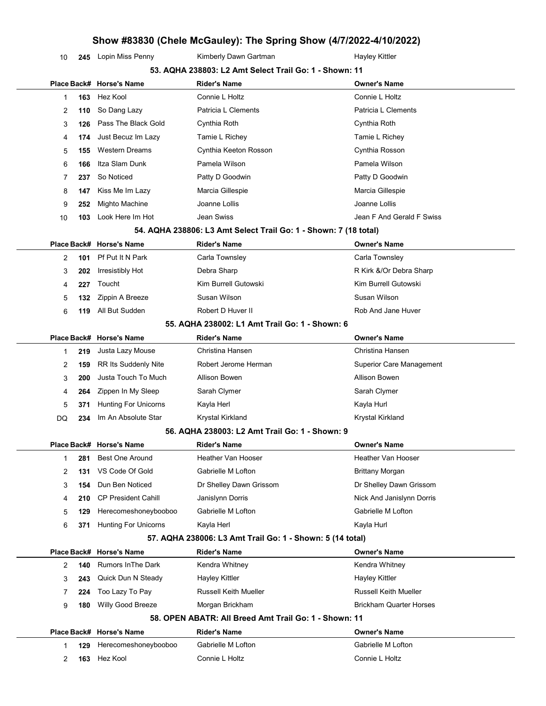10 245 Lopin Miss Penny Kimberly Dawn Gartman Hayley Kittler

|    | 53. AQHA 238803: L2 Amt Select Trail Go: 1 - Shown: 11 |                             |                                                                  |                                 |  |  |  |
|----|--------------------------------------------------------|-----------------------------|------------------------------------------------------------------|---------------------------------|--|--|--|
|    |                                                        | Place Back# Horse's Name    | <b>Rider's Name</b>                                              | <b>Owner's Name</b>             |  |  |  |
| 1  | 163                                                    | Hez Kool                    | Connie L Holtz                                                   | Connie L Holtz                  |  |  |  |
| 2  | 110                                                    | So Dang Lazy                | Patricia L Clements                                              | Patricia L Clements             |  |  |  |
| 3  | 126                                                    | Pass The Black Gold         | Cynthia Roth                                                     | Cynthia Roth                    |  |  |  |
| 4  | 174                                                    | Just Becuz Im Lazy          | Tamie L Richey                                                   | Tamie L Richey                  |  |  |  |
| 5  | 155                                                    | <b>Western Dreams</b>       | Cynthia Keeton Rosson                                            | Cynthia Rosson                  |  |  |  |
| 6  | 166                                                    | Itza Slam Dunk              | Pamela Wilson                                                    | Pamela Wilson                   |  |  |  |
| 7  | 237                                                    | So Noticed                  | Patty D Goodwin                                                  | Patty D Goodwin                 |  |  |  |
| 8  | 147                                                    | Kiss Me Im Lazy             | Marcia Gillespie                                                 | Marcia Gillespie                |  |  |  |
| 9  | 252                                                    | Mighto Machine              | Joanne Lollis                                                    | Joanne Lollis                   |  |  |  |
| 10 | 103                                                    | Look Here Im Hot            | Jean Swiss                                                       | Jean F And Gerald F Swiss       |  |  |  |
|    |                                                        |                             | 54. AQHA 238806: L3 Amt Select Trail Go: 1 - Shown: 7 (18 total) |                                 |  |  |  |
|    |                                                        | Place Back# Horse's Name    | <b>Rider's Name</b>                                              | <b>Owner's Name</b>             |  |  |  |
| 2  | 101                                                    | Pf Put It N Park            | Carla Townsley                                                   | Carla Townsley                  |  |  |  |
| 3  | 202                                                    | Irresistibly Hot            | Debra Sharp                                                      | R Kirk &/Or Debra Sharp         |  |  |  |
| 4  | 227                                                    | Toucht                      | Kim Burrell Gutowski                                             | Kim Burrell Gutowski            |  |  |  |
| 5  | 132                                                    | Zippin A Breeze             | Susan Wilson                                                     | Susan Wilson                    |  |  |  |
| 6  | 119                                                    | All But Sudden              | Robert D Huver II                                                | Rob And Jane Huver              |  |  |  |
|    |                                                        |                             | 55. AQHA 238002: L1 Amt Trail Go: 1 - Shown: 6                   |                                 |  |  |  |
|    |                                                        | Place Back# Horse's Name    | <b>Rider's Name</b>                                              | <b>Owner's Name</b>             |  |  |  |
| 1  | 219                                                    | Justa Lazy Mouse            | Christina Hansen                                                 | Christina Hansen                |  |  |  |
| 2  | 159                                                    | <b>RR Its Suddenly Nite</b> | Robert Jerome Herman                                             | <b>Superior Care Management</b> |  |  |  |
| 3  | 200                                                    | Justa Touch To Much         | Allison Bowen                                                    | Allison Bowen                   |  |  |  |
| 4  | 264                                                    | Zippen In My Sleep          | Sarah Clymer                                                     | Sarah Clymer                    |  |  |  |
| 5  | 371                                                    | <b>Hunting For Unicorns</b> | Kayla Herl                                                       | Kayla Hurl                      |  |  |  |
| DQ | 234                                                    | Im An Absolute Star         | Krystal Kirkland                                                 | Krystal Kirkland                |  |  |  |
|    |                                                        |                             | 56. AQHA 238003: L2 Amt Trail Go: 1 - Shown: 9                   |                                 |  |  |  |
|    |                                                        | Place Back# Horse's Name    | <b>Rider's Name</b>                                              | <b>Owner's Name</b>             |  |  |  |
| 1  | 281                                                    | <b>Best One Around</b>      | Heather Van Hooser                                               | Heather Van Hooser              |  |  |  |
| 2  | 131                                                    | VS Code Of Gold             | Gabrielle M Lofton                                               | <b>Brittany Morgan</b>          |  |  |  |
| 3  | 154                                                    | Dun Ben Noticed             | Dr Shelley Dawn Grissom                                          | Dr Shelley Dawn Grissom         |  |  |  |
| 4  | 210                                                    | <b>CP President Cahill</b>  | Janislynn Dorris                                                 | Nick And Janislynn Dorris       |  |  |  |
| 5  | 129                                                    | Herecomeshoneybooboo        | Gabrielle M Lofton                                               | Gabrielle M Lofton              |  |  |  |
| 6  | 371                                                    | <b>Hunting For Unicorns</b> | Kayla Herl                                                       | Kayla Hurl                      |  |  |  |
|    |                                                        |                             | 57. AQHA 238006: L3 Amt Trail Go: 1 - Shown: 5 (14 total)        |                                 |  |  |  |
|    |                                                        | Place Back# Horse's Name    | <b>Rider's Name</b>                                              | <b>Owner's Name</b>             |  |  |  |
| 2  | 140                                                    | <b>Rumors In The Dark</b>   | Kendra Whitney                                                   | Kendra Whitney                  |  |  |  |
| 3  | 243                                                    | Quick Dun N Steady          | <b>Hayley Kittler</b>                                            | <b>Hayley Kittler</b>           |  |  |  |
| 7  | 224                                                    | Too Lazy To Pay             | <b>Russell Keith Mueller</b>                                     | <b>Russell Keith Mueller</b>    |  |  |  |
| 9  | 180                                                    | Willy Good Breeze           | Morgan Brickham                                                  | <b>Brickham Quarter Horses</b>  |  |  |  |
|    |                                                        |                             | 58. OPEN ABATR: All Breed Amt Trail Go: 1 - Shown: 11            |                                 |  |  |  |
|    |                                                        | Place Back# Horse's Name    | <b>Rider's Name</b>                                              | <b>Owner's Name</b>             |  |  |  |
| 1  | 129                                                    | Herecomeshoneybooboo        | Gabrielle M Lofton                                               | Gabrielle M Lofton              |  |  |  |
| 2  | 163                                                    | Hez Kool                    | Connie L Holtz                                                   | Connie L Holtz                  |  |  |  |
|    |                                                        |                             |                                                                  |                                 |  |  |  |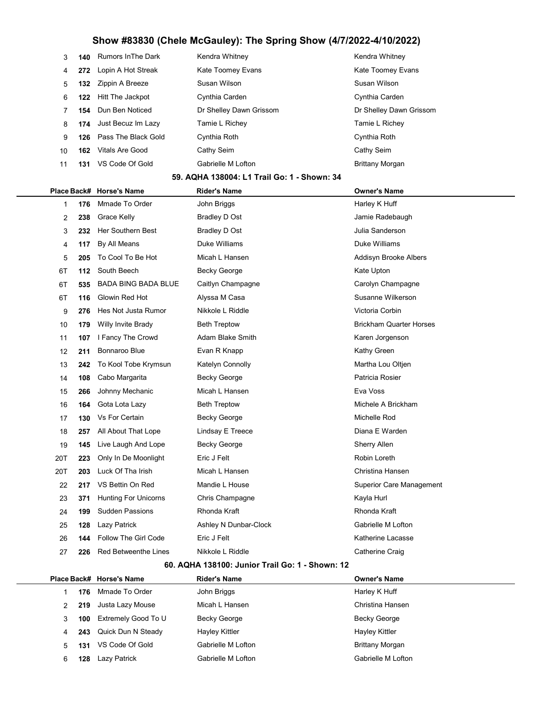| 3  |     | <b>140</b> Rumors In The Dark | Kendra Whitney          | Kendra Whitney          |
|----|-----|-------------------------------|-------------------------|-------------------------|
| 4  |     | 272 Lopin A Hot Streak        | Kate Toomey Evans       | Kate Toomey Evans       |
| 5  | 132 | Zippin A Breeze               | Susan Wilson            | Susan Wilson            |
| 6  | 122 | Hitt The Jackpot              | Cynthia Carden          | Cynthia Carden          |
|    |     | 154 Dun Ben Noticed           | Dr Shelley Dawn Grissom | Dr Shelley Dawn Grissom |
| 8  |     | <b>174</b> Just Becuz Im Lazy | Tamie L Richey          | Tamie L Richey          |
| 9  |     | 126 Pass The Black Gold       | Cynthia Roth            | Cynthia Roth            |
| 10 | 162 | Vitals Are Good               | Cathy Seim              | Cathy Seim              |
| 11 | 131 | VS Code Of Gold               | Gabrielle M Lofton      | Brittany Morgan         |
|    |     |                               |                         |                         |

#### 59. AQHA 138004: L1 Trail Go: 1 - Shown: 34

|     |     | Place Back# Horse's Name    | <b>Rider's Name</b>   | <b>Owner's Name</b>             |
|-----|-----|-----------------------------|-----------------------|---------------------------------|
| 1   | 176 | Mmade To Order              | John Briggs           | Harley K Huff                   |
| 2   | 238 | Grace Kelly                 | Bradley D Ost         | Jamie Radebaugh                 |
| 3   | 232 | Her Southern Best           | Bradley D Ost         | Julia Sanderson                 |
| 4   | 117 | By All Means                | Duke Williams         | Duke Williams                   |
| 5   | 205 | To Cool To Be Hot           | Micah L Hansen        | Addisyn Brooke Albers           |
| 6T  | 112 | South Beech                 | <b>Becky George</b>   | Kate Upton                      |
| 6T  | 535 | <b>BADA BING BADA BLUE</b>  | Caitlyn Champagne     | Carolyn Champagne               |
| 6T  | 116 | Glowin Red Hot              | Alyssa M Casa         | Susanne Wilkerson               |
| 9   | 276 | Hes Not Justa Rumor         | Nikkole L Riddle      | Victoria Corbin                 |
| 10  | 179 | Willy Invite Brady          | <b>Beth Treptow</b>   | <b>Brickham Quarter Horses</b>  |
| 11  | 107 | I Fancy The Crowd           | Adam Blake Smith      | Karen Jorgenson                 |
| 12  | 211 | <b>Bonnaroo Blue</b>        | Evan R Knapp          | Kathy Green                     |
| 13  | 242 | To Kool Tobe Krymsun        | Katelyn Connolly      | Martha Lou Oltjen               |
| 14  | 108 | Cabo Margarita              | Becky George          | Patricia Rosier                 |
| 15  | 266 | Johnny Mechanic             | Micah L Hansen        | Eva Voss                        |
| 16  | 164 | Gota Lota Lazy              | <b>Beth Treptow</b>   | Michele A Brickham              |
| 17  | 130 | Vs For Certain              | Becky George          | Michelle Rod                    |
| 18  | 257 | All About That Lope         | Lindsay E Treece      | Diana E Warden                  |
| 19  | 145 | Live Laugh And Lope         | <b>Becky George</b>   | <b>Sherry Allen</b>             |
| 20T | 223 | Only In De Moonlight        | Eric J Felt           | Robin Loreth                    |
| 20T | 203 | Luck Of Tha Irish           | Micah L Hansen        | Christina Hansen                |
| 22  | 217 | VS Bettin On Red            | Mandie L House        | <b>Superior Care Management</b> |
| 23  | 371 | <b>Hunting For Unicorns</b> | Chris Champagne       | Kayla Hurl                      |
| 24  | 199 | <b>Sudden Passions</b>      | Rhonda Kraft          | Rhonda Kraft                    |
| 25  | 128 | Lazy Patrick                | Ashley N Dunbar-Clock | Gabrielle M Lofton              |
| 26  | 144 | <b>Follow The Girl Code</b> | Eric J Felt           | Katherine Lacasse               |
| 27  | 226 | Red Betweenthe Lines        | Nikkole L Riddle      | Catherine Craig                 |
|     |     |                             |                       |                                 |

#### 60. AQHA 138100: Junior Trail Go: 1 - Shown: 12

|   |     | Place Back# Horse's Name | <b>Rider's Name</b> | <b>Owner's Name</b>    |
|---|-----|--------------------------|---------------------|------------------------|
|   | 176 | Mmade To Order           | John Briggs         | Harley K Huff          |
|   | 219 | Justa Lazy Mouse         | Micah L Hansen      | Christina Hansen       |
| 3 | 100 | Extremely Good To U      | <b>Becky George</b> | <b>Becky George</b>    |
| 4 |     | 243 Quick Dun N Steady   | Hayley Kittler      | Hayley Kittler         |
| 5 | 131 | VS Code Of Gold          | Gabrielle M Lofton  | <b>Brittany Morgan</b> |
| 6 | 128 | Lazy Patrick             | Gabrielle M Lofton  | Gabrielle M Lofton     |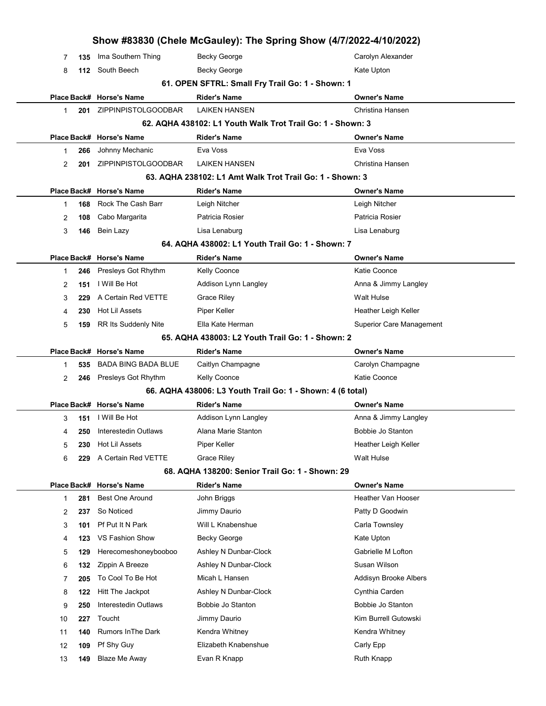|    |     |                                 | Show #83830 (Chele McGauley): The Spring Show (4/7/2022-4/10/2022) |                                 |
|----|-----|---------------------------------|--------------------------------------------------------------------|---------------------------------|
| 7  | 135 | Ima Southern Thing              | <b>Becky George</b>                                                | Carolyn Alexander               |
| 8  |     | 112 South Beech                 | Becky George                                                       | Kate Upton                      |
|    |     |                                 | 61. OPEN SFTRL: Small Fry Trail Go: 1 - Shown: 1                   |                                 |
|    |     | Place Back# Horse's Name        | <b>Rider's Name</b>                                                | <b>Owner's Name</b>             |
| 1  | 201 | ZIPPINPISTOLGOODBAR             | <b>LAIKEN HANSEN</b>                                               | Christina Hansen                |
|    |     |                                 | 62. AQHA 438102: L1 Youth Walk Trot Trail Go: 1 - Shown: 3         |                                 |
|    |     | Place Back# Horse's Name        | <b>Rider's Name</b>                                                | <b>Owner's Name</b>             |
| 1  | 266 | Johnny Mechanic                 | Eva Voss                                                           | Eva Voss                        |
| 2  | 201 | ZIPPINPISTOLGOODBAR             | <b>LAIKEN HANSEN</b>                                               | Christina Hansen                |
|    |     |                                 | 63. AQHA 238102: L1 Amt Walk Trot Trail Go: 1 - Shown: 3           |                                 |
|    |     | Place Back# Horse's Name        | <b>Rider's Name</b>                                                | <b>Owner's Name</b>             |
| 1  | 168 | Rock The Cash Barr              | Leigh Nitcher                                                      | Leigh Nitcher                   |
| 2  | 108 | Cabo Margarita                  | Patricia Rosier                                                    | Patricia Rosier                 |
| 3  | 146 | Bein Lazy                       | Lisa Lenaburg                                                      | Lisa Lenaburg                   |
|    |     |                                 | 64. AQHA 438002: L1 Youth Trail Go: 1 - Shown: 7                   |                                 |
|    |     | Place Back# Horse's Name        | <b>Rider's Name</b>                                                | <b>Owner's Name</b>             |
| 1  | 246 | Presleys Got Rhythm             | Kelly Coonce                                                       | Katie Coonce                    |
| 2  | 151 | I Will Be Hot                   | Addison Lynn Langley                                               | Anna & Jimmy Langley            |
| 3  | 229 | A Certain Red VETTE             | <b>Grace Riley</b>                                                 | Walt Hulse                      |
| 4  | 230 | Hot Lil Assets                  | Piper Keller<br>Ella Kate Herman                                   | Heather Leigh Keller            |
| 5  | 159 | RR Its Suddenly Nite            | 65. AQHA 438003: L2 Youth Trail Go: 1 - Shown: 2                   | <b>Superior Care Management</b> |
|    |     | Place Back# Horse's Name        | <b>Rider's Name</b>                                                | <b>Owner's Name</b>             |
| 1  | 535 | <b>BADA BING BADA BLUE</b>      | Caitlyn Champagne                                                  | Carolyn Champagne               |
| 2  |     | 246 Presleys Got Rhythm         | <b>Kelly Coonce</b>                                                | Katie Coonce                    |
|    |     |                                 | 66. AQHA 438006: L3 Youth Trail Go: 1 - Shown: 4 (6 total)         |                                 |
|    |     | Place Back# Horse's Name        | <b>Rider's Name</b>                                                | <b>Owner's Name</b>             |
| 3  | 151 | I Will Be Hot                   | Addison Lynn Langley                                               | Anna & Jimmy Langley            |
| 4  |     | <b>250</b> Interestedin Outlaws | Alana Marie Stanton                                                | Bobbie Jo Stanton               |
| 5  | 230 | Hot Lil Assets                  | Piper Keller                                                       | Heather Leigh Keller            |
| 6  | 229 | A Certain Red VETTE             | <b>Grace Riley</b>                                                 | Walt Hulse                      |
|    |     |                                 | 68. AQHA 138200: Senior Trail Go: 1 - Shown: 29                    |                                 |
|    |     | Place Back# Horse's Name        | <b>Rider's Name</b>                                                | <b>Owner's Name</b>             |
| 1  | 281 | <b>Best One Around</b>          | John Briggs                                                        | Heather Van Hooser              |
| 2  | 237 | So Noticed                      | Jimmy Daurio                                                       | Patty D Goodwin                 |
| 3  | 101 | Pf Put It N Park                | Will L Knabenshue                                                  | Carla Townsley                  |
| 4  | 123 | VS Fashion Show                 | Becky George                                                       | Kate Upton                      |
| 5  | 129 | Herecomeshoneybooboo            | Ashley N Dunbar-Clock                                              | Gabrielle M Lofton              |
| 6  | 132 | Zippin A Breeze                 | Ashley N Dunbar-Clock                                              | Susan Wilson                    |
| 7  | 205 | To Cool To Be Hot               | Micah L Hansen                                                     | Addisyn Brooke Albers           |
| 8  | 122 | Hitt The Jackpot                | Ashley N Dunbar-Clock                                              | Cynthia Carden                  |
| 9  | 250 | Interestedin Outlaws            | Bobbie Jo Stanton                                                  | Bobbie Jo Stanton               |
| 10 | 227 | Toucht                          | Jimmy Daurio                                                       | Kim Burrell Gutowski            |
| 11 | 140 | <b>Rumors In The Dark</b>       | Kendra Whitney                                                     | Kendra Whitney                  |
| 12 | 109 | Pf Shy Guy                      | Elizabeth Knabenshue                                               | Carly Epp                       |
| 13 | 149 | <b>Blaze Me Away</b>            | Evan R Knapp                                                       | <b>Ruth Knapp</b>               |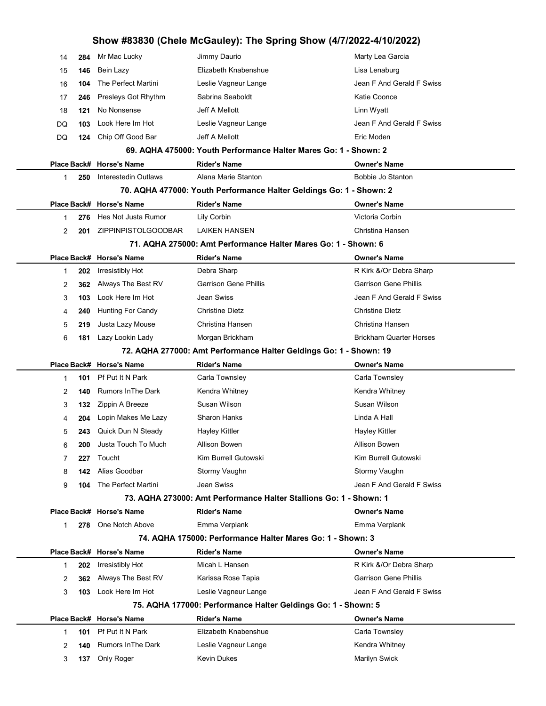| 14     | 284        | Mr Mac Lucky                            | Jimmy Daurio                                                        | Marty Lea Garcia                |
|--------|------------|-----------------------------------------|---------------------------------------------------------------------|---------------------------------|
| 15     | 146        | Bein Lazy                               | Elizabeth Knabenshue                                                | Lisa Lenaburg                   |
| 16     | 104        | The Perfect Martini                     | Leslie Vagneur Lange                                                | Jean F And Gerald F Swiss       |
| 17     | 246        | Presleys Got Rhythm                     | Sabrina Seaboldt                                                    | Katie Coonce                    |
| 18     | 121        | No Nonsense                             | Jeff A Mellott                                                      | Linn Wyatt                      |
| DQ     | 103        | Look Here Im Hot                        | Leslie Vagneur Lange                                                | Jean F And Gerald F Swiss       |
| DQ     | 124        | Chip Off Good Bar                       | Jeff A Mellott                                                      | Eric Moden                      |
|        |            |                                         | 69. AQHA 475000: Youth Performance Halter Mares Go: 1 - Shown: 2    |                                 |
|        |            | Place Back# Horse's Name                | <b>Rider's Name</b>                                                 | <b>Owner's Name</b>             |
| 1      | 250        | Interestedin Outlaws                    | Alana Marie Stanton                                                 | Bobbie Jo Stanton               |
|        |            |                                         | 70. AQHA 477000: Youth Performance Halter Geldings Go: 1 - Shown: 2 |                                 |
|        |            | Place Back# Horse's Name                | <b>Rider's Name</b>                                                 | <b>Owner's Name</b>             |
| 1      | 276        | Hes Not Justa Rumor                     | Lily Corbin                                                         | Victoria Corbin                 |
| 2      | 201        | ZIPPINPISTOLGOODBAR                     | <b>LAIKEN HANSEN</b>                                                | Christina Hansen                |
|        |            |                                         | 71. AQHA 275000: Amt Performance Halter Mares Go: 1 - Shown: 6      |                                 |
|        |            | Place Back# Horse's Name                | <b>Rider's Name</b>                                                 | <b>Owner's Name</b>             |
| 1      | 202        | Irresistibly Hot                        | Debra Sharp                                                         | R Kirk &/Or Debra Sharp         |
| 2      | 362        | Always The Best RV                      | <b>Garrison Gene Phillis</b>                                        | <b>Garrison Gene Phillis</b>    |
| 3      | 103        | Look Here Im Hot                        | Jean Swiss                                                          | Jean F And Gerald F Swiss       |
| 4      | 240        | <b>Hunting For Candy</b>                | <b>Christine Dietz</b>                                              | <b>Christine Dietz</b>          |
| 5      | 219        | Justa Lazy Mouse                        | Christina Hansen                                                    | Christina Hansen                |
| 6      | 181        | Lazy Lookin Lady                        | Morgan Brickham                                                     | <b>Brickham Quarter Horses</b>  |
|        |            |                                         | 72. AQHA 277000: Amt Performance Halter Geldings Go: 1 - Shown: 19  |                                 |
|        |            | Place Back# Horse's Name                | <b>Rider's Name</b>                                                 | <b>Owner's Name</b>             |
|        |            |                                         |                                                                     |                                 |
| 1      | 101        | Pf Put It N Park                        | Carla Townsley                                                      | Carla Townsley                  |
| 2      | 140        | <b>Rumors In The Dark</b>               | Kendra Whitney                                                      | Kendra Whitney                  |
| 3      | 132        | Zippin A Breeze                         | Susan Wilson                                                        | Susan Wilson                    |
| 4      | 204        | Lopin Makes Me Lazy                     | <b>Sharon Hanks</b>                                                 | Linda A Hall                    |
| 5      | 243        | Quick Dun N Steady                      | <b>Hayley Kittler</b>                                               | <b>Hayley Kittler</b>           |
| 6      | 200        | Justa Touch To Much                     | Allison Bowen                                                       | Allison Bowen                   |
| 7      | 227        | Toucht                                  | Kim Burrell Gutowski                                                | Kim Burrell Gutowski            |
| 8      | 142        | Alias Goodbar                           | Stormy Vaughn                                                       | Stormy Vaughn                   |
| 9      | 104        | The Perfect Martini                     | Jean Swiss                                                          | Jean F And Gerald F Swiss       |
|        |            |                                         | 73. AQHA 273000: Amt Performance Halter Stallions Go: 1 - Shown: 1  |                                 |
|        |            | Place Back# Horse's Name                | <b>Rider's Name</b>                                                 | <b>Owner's Name</b>             |
| 1      | 278        | One Notch Above                         | Emma Verplank                                                       | Emma Verplank                   |
|        |            |                                         | 74. AQHA 175000: Performance Halter Mares Go: 1 - Shown: 3          |                                 |
|        |            | Place Back# Horse's Name                | <b>Rider's Name</b>                                                 | <b>Owner's Name</b>             |
| 1      | 202        | Irresistibly Hot                        | Micah L Hansen                                                      | R Kirk &/Or Debra Sharp         |
| 2      | 362        | Always The Best RV                      | Karissa Rose Tapia                                                  | <b>Garrison Gene Phillis</b>    |
| 3      | 103        | Look Here Im Hot                        | Leslie Vagneur Lange                                                | Jean F And Gerald F Swiss       |
|        |            |                                         | 75. AQHA 177000: Performance Halter Geldings Go: 1 - Shown: 5       |                                 |
|        |            | Place Back# Horse's Name                | <b>Rider's Name</b>                                                 | <b>Owner's Name</b>             |
| 1      | 101        | Pf Put It N Park                        | Elizabeth Knabenshue                                                | Carla Townsley                  |
| 2<br>3 | 140<br>137 | <b>Rumors In The Dark</b><br>Only Roger | Leslie Vagneur Lange<br>Kevin Dukes                                 | Kendra Whitney<br>Marilyn Swick |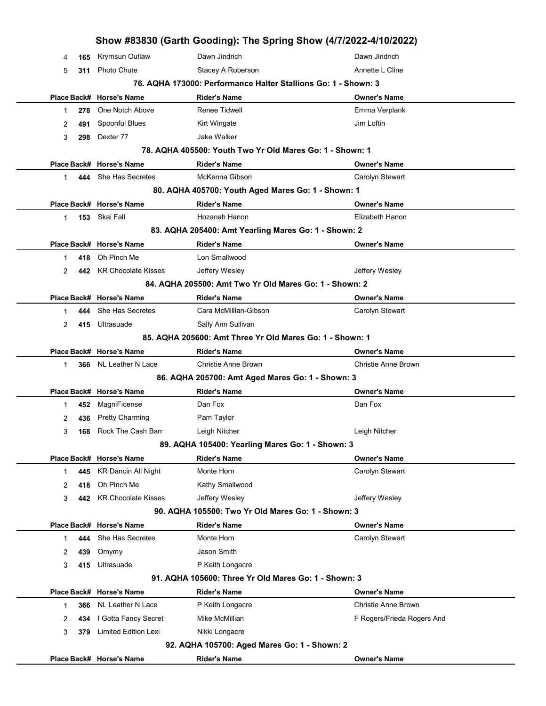| 2 |     | 442 KR Chocolate Kisses     | Jeffery Wesley<br>84. AQHA 205500: Amt Two Yr Old Mares Go: 1 - Shown: 2 | Jeffery Wesley             |  |
|---|-----|-----------------------------|--------------------------------------------------------------------------|----------------------------|--|
|   |     | Place Back# Horse's Name    | <b>Rider's Name</b>                                                      | <b>Owner's Name</b>        |  |
|   |     | She Has Secretes            | Cara McMillian-Gibson                                                    |                            |  |
| 1 | 444 |                             |                                                                          | Carolyn Stewart            |  |
| 2 |     | 415 Ultrasuade              | Sally Ann Sullivan                                                       |                            |  |
|   |     |                             | 85. AQHA 205600: Amt Three Yr Old Mares Go: 1 - Shown: 1                 |                            |  |
|   |     | Place Back# Horse's Name    | <b>Rider's Name</b>                                                      | <b>Owner's Name</b>        |  |
| 1 |     | 366 NL Leather N Lace       | <b>Christie Anne Brown</b>                                               | Christie Anne Brown        |  |
|   |     |                             | 86. AQHA 205700: Amt Aged Mares Go: 1 - Shown: 3                         |                            |  |
|   |     | Place Back# Horse's Name    | <b>Rider's Name</b>                                                      | <b>Owner's Name</b>        |  |
|   | 452 | MagniFicense                | Dan Fox                                                                  | Dan Fox                    |  |
| 1 |     |                             |                                                                          |                            |  |
| 2 | 436 | <b>Pretty Charming</b>      | Pam Taylor                                                               |                            |  |
| 3 | 168 | Rock The Cash Barr          | Leigh Nitcher                                                            | Leigh Nitcher              |  |
|   |     |                             | 89. AQHA 105400: Yearling Mares Go: 1 - Shown: 3                         |                            |  |
|   |     | Place Back# Horse's Name    | <b>Rider's Name</b>                                                      | <b>Owner's Name</b>        |  |
| 1 | 445 | <b>KR Dancin All Night</b>  | Monte Horn                                                               | Carolyn Stewart            |  |
| 2 | 418 | Oh Pinch Me                 | Kathy Smallwood                                                          |                            |  |
| 3 | 442 | <b>KR Chocolate Kisses</b>  |                                                                          |                            |  |
|   |     |                             | Jeffery Wesley<br>90. AQHA 105500: Two Yr Old Mares Go: 1 - Shown: 3     | Jeffery Wesley             |  |
|   |     | Place Back# Horse's Name    | <b>Rider's Name</b>                                                      | <b>Owner's Name</b>        |  |
|   |     | She Has Secretes            | Monte Horn                                                               |                            |  |
| 1 | 444 |                             |                                                                          | Carolyn Stewart            |  |
| 2 | 439 | Omymy                       | Jason Smith                                                              |                            |  |
| 3 | 415 | Ultrasuade                  | P Keith Longacre                                                         |                            |  |
|   |     |                             | 91. AQHA 105600: Three Yr Old Mares Go: 1 - Shown: 3                     |                            |  |
|   |     | Place Back# Horse's Name    | <b>Rider's Name</b>                                                      | <b>Owner's Name</b>        |  |
| 1 | 366 | NL Leather N Lace           | P Keith Longacre                                                         | <b>Christie Anne Brown</b> |  |
| 2 | 434 | I Gotta Fancy Secret        | Mike McMillian                                                           | F Rogers/Frieda Rogers And |  |
| 3 | 379 | <b>Limited Edition Lexi</b> | Nikki Longacre                                                           |                            |  |
|   |     |                             | 92. AQHA 105700: Aged Mares Go: 1 - Shown: 2                             |                            |  |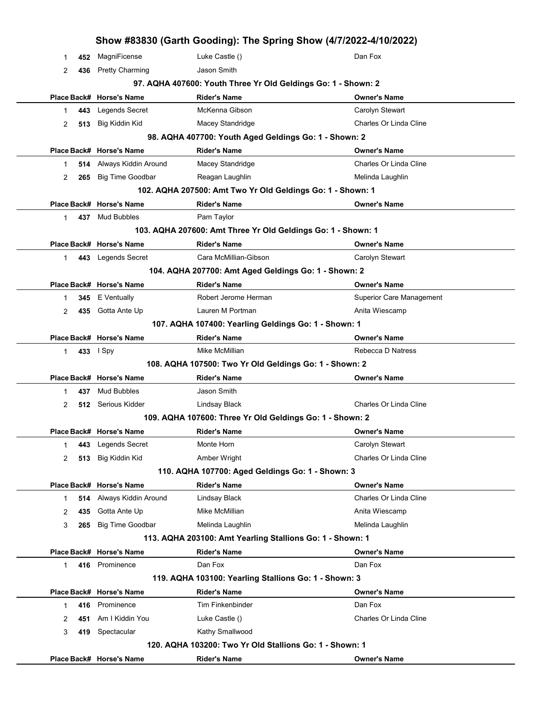|              |     |                          |                                                               | Show #83830 (Garth Gooding): The Spring Show (4/7/2022-4/10/2022) |
|--------------|-----|--------------------------|---------------------------------------------------------------|-------------------------------------------------------------------|
| 1            | 452 | MagniFicense             | Luke Castle ()                                                | Dan Fox                                                           |
| 2            | 436 | <b>Pretty Charming</b>   | Jason Smith                                                   |                                                                   |
|              |     |                          | 97. AQHA 407600: Youth Three Yr Old Geldings Go: 1 - Shown: 2 |                                                                   |
|              |     | Place Back# Horse's Name | <b>Rider's Name</b>                                           | Owner's Name                                                      |
| 1            | 443 | Legends Secret           | McKenna Gibson                                                | Carolyn Stewart                                                   |
| 2            | 513 | Big Kiddin Kid           | Macey Standridge                                              | Charles Or Linda Cline                                            |
|              |     |                          | 98. AQHA 407700: Youth Aged Geldings Go: 1 - Shown: 2         |                                                                   |
|              |     | Place Back# Horse's Name | <b>Rider's Name</b>                                           | <b>Owner's Name</b>                                               |
| 1            | 514 | Always Kiddin Around     | Macey Standridge                                              | Charles Or Linda Cline                                            |
| 2            | 265 | <b>Big Time Goodbar</b>  | Reagan Laughlin                                               | Melinda Laughlin                                                  |
|              |     |                          | 102. AQHA 207500: Amt Two Yr Old Geldings Go: 1 - Shown: 1    |                                                                   |
|              |     | Place Back# Horse's Name | <b>Rider's Name</b>                                           | Owner's Name                                                      |
| $\mathbf 1$  | 437 | <b>Mud Bubbles</b>       | Pam Taylor                                                    |                                                                   |
|              |     |                          | 103. AQHA 207600: Amt Three Yr Old Geldings Go: 1 - Shown: 1  |                                                                   |
|              |     | Place Back# Horse's Name | <b>Rider's Name</b>                                           | Owner's Name                                                      |
| $\mathbf{1}$ | 443 | <b>Legends Secret</b>    | Cara McMillian-Gibson                                         | Carolyn Stewart                                                   |
|              |     |                          | 104. AQHA 207700: Amt Aged Geldings Go: 1 - Shown: 2          |                                                                   |
|              |     | Place Back# Horse's Name | <b>Rider's Name</b>                                           | Owner's Name                                                      |
| 1            | 345 | E Ventually              | Robert Jerome Herman                                          | <b>Superior Care Management</b>                                   |
| 2            | 435 | Gotta Ante Up            | Lauren M Portman                                              | Anita Wiescamp                                                    |
|              |     |                          | 107. AQHA 107400: Yearling Geldings Go: 1 - Shown: 1          |                                                                   |
|              |     | Place Back# Horse's Name | <b>Rider's Name</b>                                           | Owner's Name                                                      |
| $\mathbf{1}$ |     | 433 I Spy                | Mike McMillian                                                | Rebecca D Natress                                                 |
|              |     |                          | 108. AQHA 107500: Two Yr Old Geldings Go: 1 - Shown: 2        |                                                                   |
|              |     | Place Back# Horse's Name | <b>Rider's Name</b>                                           | Owner's Name                                                      |
| 1            | 437 | <b>Mud Bubbles</b>       | Jason Smith                                                   |                                                                   |
| 2            |     | 512 Serious Kidder       | Lindsay Black                                                 | Charles Or Linda Cline                                            |
|              |     |                          | 109. AQHA 107600: Three Yr Old Geldings Go: 1 - Shown: 2      |                                                                   |
|              |     | Place Back# Horse's Name | <b>Rider's Name</b>                                           | <b>Owner's Name</b>                                               |
| 1            | 443 | <b>Legends Secret</b>    | Monte Horn                                                    | Carolyn Stewart                                                   |
| 2            | 513 | Big Kiddin Kid           | Amber Wright                                                  | Charles Or Linda Cline                                            |
|              |     |                          | 110. AQHA 107700: Aged Geldings Go: 1 - Shown: 3              |                                                                   |
|              |     | Place Back# Horse's Name | <b>Rider's Name</b>                                           | <b>Owner's Name</b>                                               |
| 1            | 514 | Always Kiddin Around     | Lindsay Black                                                 | Charles Or Linda Cline                                            |
| 2            | 435 | Gotta Ante Up            | Mike McMillian                                                | Anita Wiescamp                                                    |
| 3            | 265 | <b>Big Time Goodbar</b>  | Melinda Laughlin                                              | Melinda Laughlin                                                  |
|              |     |                          | 113. AQHA 203100: Amt Yearling Stallions Go: 1 - Shown: 1     |                                                                   |
|              |     | Place Back# Horse's Name | <b>Rider's Name</b>                                           | Owner's Name                                                      |
| $\mathbf{1}$ |     | 416 Prominence           | Dan Fox                                                       | Dan Fox                                                           |
|              |     |                          | 119. AQHA 103100: Yearling Stallions Go: 1 - Shown: 3         |                                                                   |
|              |     | Place Back# Horse's Name | <b>Rider's Name</b>                                           | Owner's Name                                                      |
| 1            | 416 | Prominence               | <b>Tim Finkenbinder</b>                                       | Dan Fox                                                           |
| 2            | 451 | Am I Kiddin You          | Luke Castle ()                                                | Charles Or Linda Cline                                            |
| 3            | 419 | Spectacular              | Kathy Smallwood                                               |                                                                   |
|              |     |                          | 120. AQHA 103200: Two Yr Old Stallions Go: 1 - Shown: 1       |                                                                   |
|              |     | Place Back# Horse's Name | <b>Rider's Name</b>                                           | Owner's Name                                                      |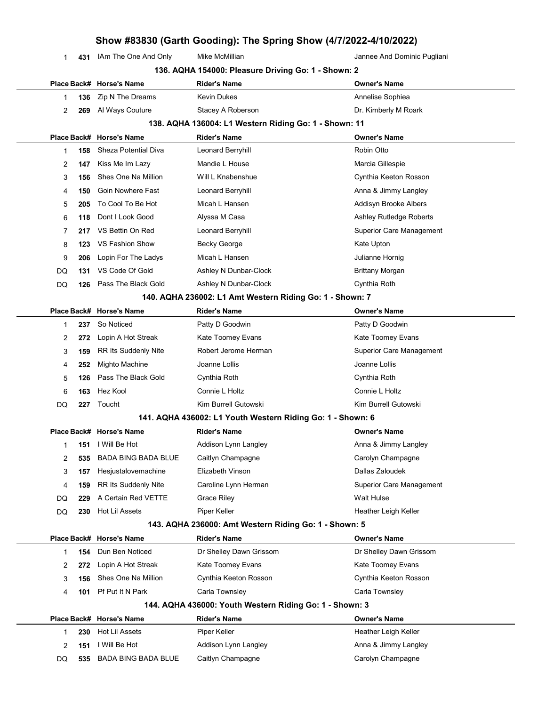|  |  | 1 431 IAm The One And Only | Mike McMillian | Jannee And Dominic Pugliani |
|--|--|----------------------------|----------------|-----------------------------|
|--|--|----------------------------|----------------|-----------------------------|

L,

|              |     |                             | 136. AQHA 154000: Pleasure Driving Go: 1 - Shown: 2        |                                 |
|--------------|-----|-----------------------------|------------------------------------------------------------|---------------------------------|
|              |     | Place Back# Horse's Name    | <b>Rider's Name</b>                                        | <b>Owner's Name</b>             |
| 1            | 136 | Zip N The Dreams            | Kevin Dukes                                                | Annelise Sophiea                |
| 2            | 269 | Al Ways Couture             | Stacey A Roberson                                          | Dr. Kimberly M Roark            |
|              |     |                             | 138. AQHA 136004: L1 Western Riding Go: 1 - Shown: 11      |                                 |
|              |     | Place Back# Horse's Name    | <b>Rider's Name</b>                                        | <b>Owner's Name</b>             |
| 1            | 158 | <b>Sheza Potential Diva</b> | Leonard Berryhill                                          | Robin Otto                      |
| 2            | 147 | Kiss Me Im Lazy             | Mandie L House                                             | Marcia Gillespie                |
| 3            | 156 | Shes One Na Million         | Will L Knabenshue                                          | Cynthia Keeton Rosson           |
| 4            | 150 | Goin Nowhere Fast           | Leonard Berryhill                                          | Anna & Jimmy Langley            |
| 5            | 205 | To Cool To Be Hot           | Micah L Hansen                                             | Addisyn Brooke Albers           |
| 6            | 118 | Dont I Look Good            | Alyssa M Casa                                              | <b>Ashley Rutledge Roberts</b>  |
| 7            | 217 | VS Bettin On Red            | Leonard Berryhill                                          | <b>Superior Care Management</b> |
| 8            | 123 | VS Fashion Show             | <b>Becky George</b>                                        | Kate Upton                      |
| 9            | 206 | Lopin For The Ladys         | Micah L Hansen                                             | Julianne Hornig                 |
| DQ           | 131 | VS Code Of Gold             | Ashley N Dunbar-Clock                                      | <b>Brittany Morgan</b>          |
| DQ           | 126 | Pass The Black Gold         | Ashley N Dunbar-Clock                                      | Cynthia Roth                    |
|              |     |                             | 140. AQHA 236002: L1 Amt Western Riding Go: 1 - Shown: 7   |                                 |
|              |     | Place Back# Horse's Name    | <b>Rider's Name</b>                                        | <b>Owner's Name</b>             |
| 1            | 237 | So Noticed                  | Patty D Goodwin                                            | Patty D Goodwin                 |
| 2            | 272 | Lopin A Hot Streak          | Kate Toomey Evans                                          | Kate Toomey Evans               |
| 3            | 159 | <b>RR Its Suddenly Nite</b> | Robert Jerome Herman                                       | <b>Superior Care Management</b> |
| 4            | 252 | Mighto Machine              | Joanne Lollis                                              | Joanne Lollis                   |
| 5            | 126 | Pass The Black Gold         | Cynthia Roth                                               | Cynthia Roth                    |
| 6            | 163 | Hez Kool                    | Connie L Holtz                                             | Connie L Holtz                  |
| DQ           | 227 | Toucht                      | Kim Burrell Gutowski                                       | Kim Burrell Gutowski            |
|              |     |                             | 141. AQHA 436002: L1 Youth Western Riding Go: 1 - Shown: 6 |                                 |
|              |     | Place Back# Horse's Name    | Rider's Name                                               | <b>Owner's Name</b>             |
| 1            | 151 | I Will Be Hot               | Addison Lynn Langley                                       | Anna & Jimmy Langley            |
| 2            | 535 | BADA BING BADA BLUE         | Caitlyn Champagne                                          | Carolyn Champagne               |
| 3            | 157 | Hesjustalovemachine         | Elizabeth Vinson                                           | Dallas Zaloudek                 |
| 4            | 159 | <b>RR Its Suddenly Nite</b> | Caroline Lynn Herman                                       | <b>Superior Care Management</b> |
| DQ           | 229 | A Certain Red VETTE         | <b>Grace Riley</b>                                         | Walt Hulse                      |
| DQ           | 230 | Hot Lil Assets              | Piper Keller                                               | Heather Leigh Keller            |
|              |     |                             | 143. AQHA 236000: Amt Western Riding Go: 1 - Shown: 5      |                                 |
|              |     | Place Back# Horse's Name    | Rider's Name                                               | <b>Owner's Name</b>             |
| $\mathbf{1}$ | 154 | Dun Ben Noticed             | Dr Shelley Dawn Grissom                                    | Dr Shelley Dawn Grissom         |
| 2            | 272 | Lopin A Hot Streak          | Kate Toomey Evans                                          | Kate Toomey Evans               |
| 3            | 156 | Shes One Na Million         | Cynthia Keeton Rosson                                      | Cynthia Keeton Rosson           |
| 4            | 101 | Pf Put It N Park            | Carla Townsley                                             | Carla Townsley                  |
|              |     |                             | 144. AQHA 436000: Youth Western Riding Go: 1 - Shown: 3    |                                 |
|              |     | Place Back# Horse's Name    | Rider's Name                                               | <b>Owner's Name</b>             |
| 1            | 230 | Hot Lil Assets              | Piper Keller                                               | Heather Leigh Keller            |
| 2            | 151 | I Will Be Hot               | Addison Lynn Langley                                       | Anna & Jimmy Langley            |
| DQ           | 535 | <b>BADA BING BADA BLUE</b>  | Caitlyn Champagne                                          | Carolyn Champagne               |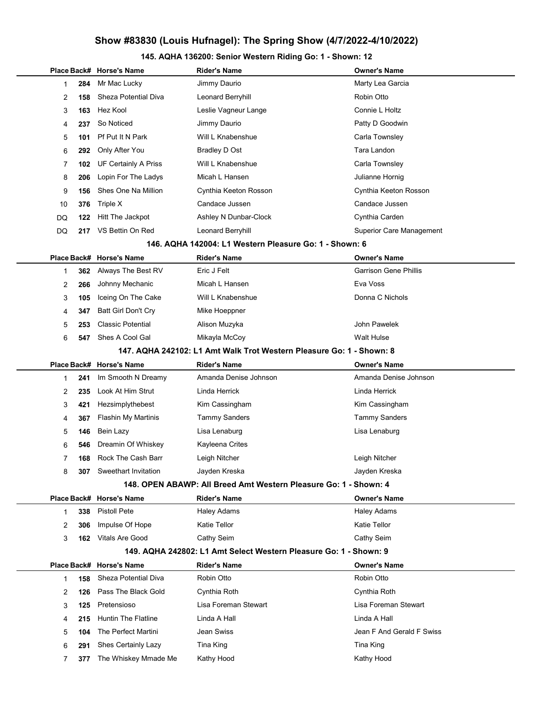### 145. AQHA 136200: Senior Western Riding Go: 1 - Shown: 12

|    |           | Place Back# Horse's Name        | Rider's Name                                                         | <b>Owner's Name</b>             |
|----|-----------|---------------------------------|----------------------------------------------------------------------|---------------------------------|
|    | 1<br>284  | Mr Mac Lucky                    | Jimmy Daurio                                                         | Marty Lea Garcia                |
|    | 2<br>158  | <b>Sheza Potential Diva</b>     | Leonard Berryhill                                                    | Robin Otto                      |
|    | 3<br>163  | Hez Kool                        | Leslie Vagneur Lange                                                 | Connie L Holtz                  |
|    | 4<br>237  | So Noticed                      | Jimmy Daurio                                                         | Patty D Goodwin                 |
|    | 5<br>101  | Pf Put It N Park                | Will L Knabenshue                                                    | Carla Townsley                  |
|    | 6<br>292  | Only After You                  | Bradley D Ost                                                        | Tara Landon                     |
|    | 7<br>102  | <b>UF Certainly A Priss</b>     | Will L Knabenshue                                                    | Carla Townsley                  |
|    | 8<br>206  | Lopin For The Ladys             | Micah L Hansen                                                       | Julianne Hornig                 |
|    | 9<br>156  | Shes One Na Million             | Cynthia Keeton Rosson                                                | Cynthia Keeton Rosson           |
|    | 10<br>376 | Triple X                        | Candace Jussen                                                       | Candace Jussen                  |
| DQ | 122       | Hitt The Jackpot                | Ashley N Dunbar-Clock                                                | Cynthia Carden                  |
| DQ | 217       | VS Bettin On Red                | Leonard Berryhill                                                    | <b>Superior Care Management</b> |
|    |           |                                 | 146. AQHA 142004: L1 Western Pleasure Go: 1 - Shown: 6               |                                 |
|    |           | Place Back# Horse's Name        | <b>Rider's Name</b>                                                  | Owner's Name                    |
|    | 1<br>362  | Always The Best RV              | Eric J Felt                                                          | Garrison Gene Phillis           |
|    | 2<br>266  | Johnny Mechanic                 | Micah L Hansen                                                       | Eva Voss                        |
|    | 3<br>105  | Iceing On The Cake              | Will L Knabenshue                                                    | Donna C Nichols                 |
|    | 347<br>4  | Batt Girl Don't Cry             | Mike Hoeppner                                                        |                                 |
|    | 5<br>253  | <b>Classic Potential</b>        | Alison Muzyka                                                        | John Pawelek                    |
|    | 6<br>547  | Shes A Cool Gal                 | Mikayla McCoy                                                        | <b>Walt Hulse</b>               |
|    |           |                                 | 147. AQHA 242102: L1 Amt Walk Trot Western Pleasure Go: 1 - Shown: 8 |                                 |
|    |           | Place Back# Horse's Name        | <b>Rider's Name</b>                                                  | Owner's Name                    |
|    | 241<br>1  | Im Smooth N Dreamy              | Amanda Denise Johnson                                                | Amanda Denise Johnson           |
|    | 2<br>235  | Look At Him Strut               | Linda Herrick                                                        | Linda Herrick                   |
|    | 3<br>421  | Hezsimplythebest                | Kim Cassingham                                                       | Kim Cassingham                  |
|    | 367<br>4  | <b>Flashin My Martinis</b>      | <b>Tammy Sanders</b>                                                 | <b>Tammy Sanders</b>            |
|    | 5<br>146  | Bein Lazy                       | Lisa Lenaburg                                                        | Lisa Lenaburg                   |
|    | 6<br>546  | Dreamin Of Whiskey              | Kayleena Crites                                                      |                                 |
|    | 7<br>168  | Rock The Cash Barr              | Leigh Nitcher                                                        | Leigh Nitcher                   |
|    | 8         | <b>307</b> Sweethart Invitation | Jayden Kreska                                                        | Jayden Kreska                   |
|    |           |                                 | 148. OPEN ABAWP: All Breed Amt Western Pleasure Go: 1 - Shown: 4     |                                 |
|    |           | Place Back# Horse's Name        | <b>Rider's Name</b>                                                  | <b>Owner's Name</b>             |
|    | 338<br>1  | <b>Pistoll Pete</b>             | <b>Haley Adams</b>                                                   | <b>Haley Adams</b>              |
|    | 2<br>306  | Impulse Of Hope                 | Katie Tellor                                                         | Katie Tellor                    |
|    | 3         | 162 Vitals Are Good             | Cathy Seim                                                           | Cathy Seim                      |
|    |           |                                 | 149. AQHA 242802: L1 Amt Select Western Pleasure Go: 1 - Shown: 9    |                                 |
|    |           | Place Back# Horse's Name        | <b>Rider's Name</b>                                                  | Owner's Name                    |
|    | 1<br>158  | Sheza Potential Diva            | Robin Otto                                                           | Robin Otto                      |
|    | 2<br>126  | Pass The Black Gold             | Cynthia Roth                                                         | Cynthia Roth                    |
|    | 3<br>125  | Pretensioso                     | Lisa Foreman Stewart                                                 | Lisa Foreman Stewart            |
|    | 215<br>4  | <b>Huntin The Flatline</b>      | Linda A Hall                                                         | Linda A Hall                    |
|    | 5<br>104  | The Perfect Martini             | Jean Swiss                                                           | Jean F And Gerald F Swiss       |
|    | 6<br>291  | Shes Certainly Lazy             | Tina King                                                            | Tina King                       |
|    | 7<br>377  | The Whiskey Mmade Me            | Kathy Hood                                                           | Kathy Hood                      |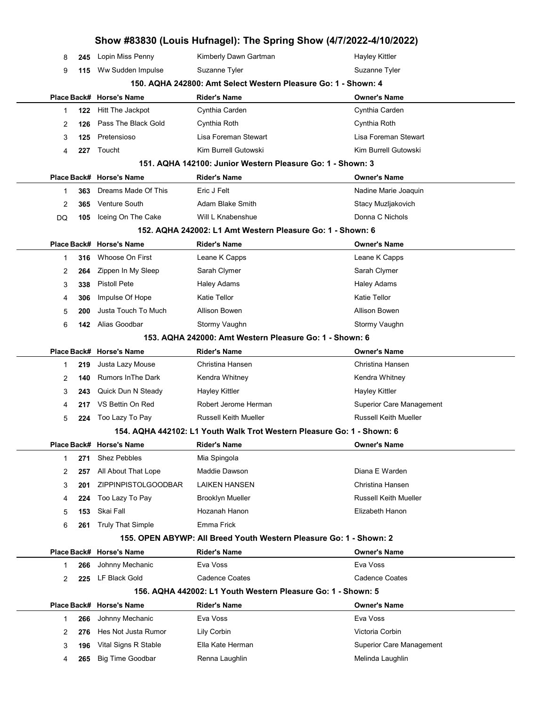|    |     |                                  | Show #83830 (Louis Hufnagel): The Spring Show (4/7/2022-4/10/2022)     |                                 |
|----|-----|----------------------------------|------------------------------------------------------------------------|---------------------------------|
| 8  | 245 | Lopin Miss Penny                 | Kimberly Dawn Gartman                                                  | Hayley Kittler                  |
| 9  |     | 115 Ww Sudden Impulse            | Suzanne Tyler                                                          | Suzanne Tyler                   |
|    |     |                                  | 150. AQHA 242800: Amt Select Western Pleasure Go: 1 - Shown: 4         |                                 |
|    |     | Place Back# Horse's Name         | <b>Rider's Name</b>                                                    | <b>Owner's Name</b>             |
| 1  | 122 | Hitt The Jackpot                 | Cynthia Carden                                                         | Cynthia Carden                  |
| 2  | 126 | Pass The Black Gold              | Cynthia Roth                                                           | Cynthia Roth                    |
| 3  | 125 | Pretensioso                      | Lisa Foreman Stewart                                                   | Lisa Foreman Stewart            |
| 4  | 227 | Toucht                           | Kim Burrell Gutowski                                                   | Kim Burrell Gutowski            |
|    |     |                                  | 151. AQHA 142100: Junior Western Pleasure Go: 1 - Shown: 3             |                                 |
|    |     | Place Back# Horse's Name         | <b>Rider's Name</b>                                                    | <b>Owner's Name</b>             |
| 1  | 363 | Dreams Made Of This              | Eric J Felt                                                            | Nadine Marie Joaquin            |
| 2  | 365 | <b>Venture South</b>             | Adam Blake Smith                                                       | Stacy Muzljakovich              |
| DQ | 105 | Iceing On The Cake               | Will L Knabenshue                                                      | Donna C Nichols                 |
|    |     |                                  | 152. AQHA 242002: L1 Amt Western Pleasure Go: 1 - Shown: 6             |                                 |
|    |     | Place Back# Horse's Name         | <b>Rider's Name</b>                                                    | <b>Owner's Name</b>             |
| 1  | 316 | Whoose On First                  | Leane K Capps                                                          | Leane K Capps                   |
| 2  | 264 | Zippen In My Sleep               | Sarah Clymer                                                           | Sarah Clymer                    |
| 3  | 338 | <b>Pistoll Pete</b>              | <b>Haley Adams</b>                                                     | <b>Haley Adams</b>              |
| 4  | 306 | Impulse Of Hope                  | <b>Katie Tellor</b>                                                    | <b>Katie Tellor</b>             |
| 5  | 200 | Justa Touch To Much              | Allison Bowen                                                          | Allison Bowen                   |
| 6  | 142 | Alias Goodbar                    | Stormy Vaughn                                                          | Stormy Vaughn                   |
|    |     |                                  | 153. AQHA 242000: Amt Western Pleasure Go: 1 - Shown: 6                |                                 |
|    |     | Place Back# Horse's Name         | <b>Rider's Name</b>                                                    | <b>Owner's Name</b>             |
| 1  | 219 | Justa Lazy Mouse                 | Christina Hansen                                                       | Christina Hansen                |
| 2  | 140 | <b>Rumors In The Dark</b>        | Kendra Whitney                                                         | Kendra Whitney                  |
| 3  | 243 | Quick Dun N Steady               | Hayley Kittler                                                         | Hayley Kittler                  |
| 4  | 217 | VS Bettin On Red                 | Robert Jerome Herman                                                   | <b>Superior Care Management</b> |
| 5  | 224 | Too Lazy To Pay                  | <b>Russell Keith Mueller</b>                                           | <b>Russell Keith Mueller</b>    |
|    |     |                                  | 154. AQHA 442102: L1 Youth Walk Trot Western Pleasure Go: 1 - Shown: 6 |                                 |
|    |     | Place Back# Horse's Name         | Rider's Name                                                           | <b>Owner's Name</b>             |
| 1  | 271 | <b>Shez Pebbles</b>              | Mia Spingola                                                           |                                 |
| 2  | 257 | All About That Lope              | Maddie Dawson                                                          | Diana E Warden                  |
| 3  | 201 | <b>ZIPPINPISTOLGOODBAR</b>       | <b>LAIKEN HANSEN</b>                                                   | Christina Hansen                |
| 4  | 224 | Too Lazy To Pay                  | <b>Brooklyn Mueller</b>                                                | <b>Russell Keith Mueller</b>    |
| 5  | 153 | Skai Fall                        | Hozanah Hanon                                                          | Elizabeth Hanon                 |
| 6  | 261 | <b>Truly That Simple</b>         | Emma Frick                                                             |                                 |
|    |     |                                  | 155. OPEN ABYWP: All Breed Youth Western Pleasure Go: 1 - Shown: 2     |                                 |
|    |     | Place Back# Horse's Name         | Rider's Name<br>Eva Voss                                               | <b>Owner's Name</b><br>Eva Voss |
| 1  | 266 | Johnny Mechanic<br>LF Black Gold | <b>Cadence Coates</b>                                                  | <b>Cadence Coates</b>           |
| 2  | 225 |                                  | 156. AQHA 442002: L1 Youth Western Pleasure Go: 1 - Shown: 5           |                                 |
|    |     | Place Back# Horse's Name         | Rider's Name                                                           | <b>Owner's Name</b>             |
| 1  | 266 | Johnny Mechanic                  | Eva Voss                                                               | Eva Voss                        |
| 2  | 276 | Hes Not Justa Rumor              | Lily Corbin                                                            | Victoria Corbin                 |
| 3  | 196 | Vital Signs R Stable             | Ella Kate Herman                                                       | Superior Care Management        |
| 4  | 265 | <b>Big Time Goodbar</b>          | Renna Laughlin                                                         | Melinda Laughlin                |
|    |     |                                  |                                                                        |                                 |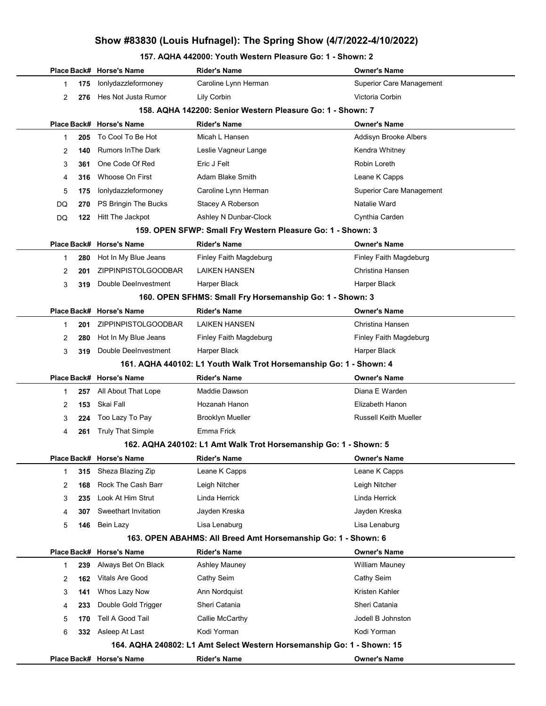#### 157. AQHA 442000: Youth Western Pleasure Go: 1 - Shown: 2

|                      | Place Back# Horse's Name   | Rider's Name                                                                   | <b>Owner's Name</b>             |
|----------------------|----------------------------|--------------------------------------------------------------------------------|---------------------------------|
| 175<br>1             | lonlydazzleformoney        | Caroline Lynn Herman                                                           | <b>Superior Care Management</b> |
| 2<br>276             | Hes Not Justa Rumor        | Lily Corbin                                                                    | Victoria Corbin                 |
|                      |                            | 158. AQHA 142200: Senior Western Pleasure Go: 1 - Shown: 7                     |                                 |
|                      | Place Back# Horse's Name   | Rider's Name                                                                   | <b>Owner's Name</b>             |
| 1<br>205             | To Cool To Be Hot          | Micah L Hansen                                                                 | Addisyn Brooke Albers           |
| 140<br>2             | <b>Rumors In The Dark</b>  | Leslie Vagneur Lange                                                           | Kendra Whitney                  |
| 3<br>361             | One Code Of Red            | Eric J Felt                                                                    | Robin Loreth                    |
| 4<br>316             | Whoose On First            | Adam Blake Smith                                                               | Leane K Capps                   |
| 5<br>175             | lonlydazzleformoney        | Caroline Lynn Herman                                                           | <b>Superior Care Management</b> |
| DQ<br>270            | PS Bringin The Bucks       | Stacey A Roberson                                                              | Natalie Ward                    |
| DQ<br>122            | Hitt The Jackpot           | Ashley N Dunbar-Clock                                                          | Cynthia Carden                  |
|                      |                            | 159. OPEN SFWP: Small Fry Western Pleasure Go: 1 - Shown: 3                    |                                 |
|                      | Place Back# Horse's Name   | <b>Rider's Name</b>                                                            | <b>Owner's Name</b>             |
| 280<br>1             | Hot In My Blue Jeans       | Finley Faith Magdeburg                                                         | Finley Faith Magdeburg          |
| 2<br>201             | ZIPPINPISTOLGOODBAR        | LAIKEN HANSEN                                                                  | Christina Hansen                |
| 3<br>319             | Double DeeInvestment       | Harper Black                                                                   | Harper Black                    |
|                      |                            | 160. OPEN SFHMS: Small Fry Horsemanship Go: 1 - Shown: 3                       |                                 |
|                      | Place Back# Horse's Name   | <b>Rider's Name</b>                                                            | <b>Owner's Name</b>             |
| 201<br>1             | <b>ZIPPINPISTOLGOODBAR</b> | <b>LAIKEN HANSEN</b>                                                           | Christina Hansen                |
| 2<br>280             | Hot In My Blue Jeans       | Finley Faith Magdeburg                                                         | Finley Faith Magdeburg          |
| 3<br>319             | Double DeeInvestment       | Harper Black                                                                   | Harper Black                    |
|                      |                            | 161. AQHA 440102: L1 Youth Walk Trot Horsemanship Go: 1 - Shown: 4             |                                 |
|                      | Place Back# Horse's Name   | <b>Rider's Name</b>                                                            | Owner's Name                    |
| 1<br>257             | All About That Lope        | Maddie Dawson                                                                  | Diana E Warden                  |
| 2<br>153             | Skai Fall                  | Hozanah Hanon                                                                  | Elizabeth Hanon                 |
| 3<br>224             | Too Lazy To Pay            | <b>Brooklyn Mueller</b>                                                        | Russell Keith Mueller           |
| 4<br>261             | <b>Truly That Simple</b>   | Emma Frick                                                                     |                                 |
|                      |                            | 162. AQHA 240102: L1 Amt Walk Trot Horsemanship Go: 1 - Shown: 5               |                                 |
|                      | Place Back# Horse's Name   | Rider's Name                                                                   | Owner's Name                    |
| 315<br>1             | Sheza Blazing Zip          | Leane K Capps                                                                  | Leane K Capps                   |
| 2<br>168             | Rock The Cash Barr         | Leigh Nitcher                                                                  | Leigh Nitcher                   |
| 3<br>235             | Look At Him Strut          | Linda Herrick                                                                  | Linda Herrick                   |
| 307<br>4             | Sweethart Invitation       | Jayden Kreska                                                                  | Jayden Kreska                   |
| 5<br>146             | Bein Lazy                  | Lisa Lenaburg<br>163. OPEN ABAHMS: All Breed Amt Horsemanship Go: 1 - Shown: 6 | Lisa Lenaburg                   |
|                      | Place Back# Horse's Name   | <b>Rider's Name</b>                                                            | Owner's Name                    |
| 239<br>1             | Always Bet On Black        | Ashley Mauney                                                                  | William Mauney                  |
|                      | Vitals Are Good            | Cathy Seim                                                                     | Cathy Seim                      |
| 2<br>162<br>3<br>141 | Whos Lazy Now              | Ann Nordquist                                                                  | Kristen Kahler                  |
|                      | Double Gold Trigger        | Sheri Catania                                                                  | Sheri Catania                   |
| 233<br>4<br>5<br>170 | Tell A Good Tail           | Callie McCarthy                                                                | Jodell B Johnston               |
| 6<br>332             | Asleep At Last             | Kodi Yorman                                                                    | Kodi Yorman                     |
|                      |                            | 164. AQHA 240802: L1 Amt Select Western Horsemanship Go: 1 - Shown: 15         |                                 |
|                      |                            | <b>Rider's Name</b>                                                            | <b>Owner's Name</b>             |
|                      | Place Back# Horse's Name   |                                                                                |                                 |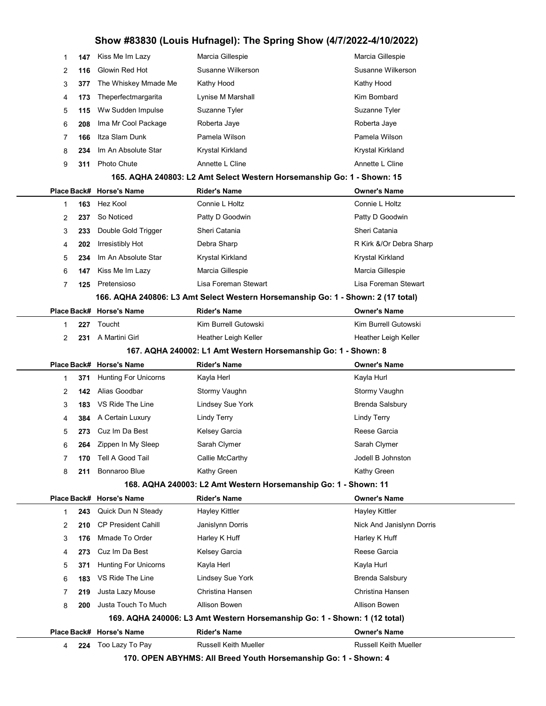| 1 | 147 | Kiss Me Im Lazy             | Marcia Gillespie                                                                                | Marcia Gillespie             |
|---|-----|-----------------------------|-------------------------------------------------------------------------------------------------|------------------------------|
| 2 | 116 | Glowin Red Hot              | Susanne Wilkerson                                                                               | Susanne Wilkerson            |
| 3 | 377 | The Whiskey Mmade Me        | Kathy Hood                                                                                      | Kathy Hood                   |
| 4 | 173 | Theperfectmargarita         | Lynise M Marshall                                                                               | Kim Bombard                  |
| 5 | 115 | Ww Sudden Impulse           | Suzanne Tyler                                                                                   | Suzanne Tyler                |
| 6 | 208 | Ima Mr Cool Package         | Roberta Jaye                                                                                    | Roberta Jaye                 |
| 7 | 166 | Itza Slam Dunk              | Pamela Wilson                                                                                   | Pamela Wilson                |
| 8 | 234 | Im An Absolute Star         | Krystal Kirkland                                                                                | Krystal Kirkland             |
| 9 | 311 | Photo Chute                 | Annette L Cline                                                                                 | Annette L Cline              |
|   |     |                             | 165. AQHA 240803: L2 Amt Select Western Horsemanship Go: 1 - Shown: 15                          |                              |
|   |     | Place Back# Horse's Name    | <b>Rider's Name</b>                                                                             | <b>Owner's Name</b>          |
| 1 | 163 | Hez Kool                    | Connie L Holtz                                                                                  | Connie L Holtz               |
| 2 | 237 | So Noticed                  | Patty D Goodwin                                                                                 | Patty D Goodwin              |
| 3 | 233 | Double Gold Trigger         | Sheri Catania                                                                                   | Sheri Catania                |
| 4 | 202 | Irresistibly Hot            | Debra Sharp                                                                                     | R Kirk &/Or Debra Sharp      |
| 5 | 234 | Im An Absolute Star         | Krystal Kirkland                                                                                | Krystal Kirkland             |
| 6 | 147 | Kiss Me Im Lazy             | Marcia Gillespie                                                                                | Marcia Gillespie             |
| 7 | 125 | Pretensioso                 | Lisa Foreman Stewart                                                                            | Lisa Foreman Stewart         |
|   |     |                             | 166. AQHA 240806: L3 Amt Select Western Horsemanship Go: 1 - Shown: 2 (17 total)                |                              |
|   |     | Place Back# Horse's Name    | <b>Rider's Name</b>                                                                             | <b>Owner's Name</b>          |
| 1 | 227 | Toucht                      | Kim Burrell Gutowski                                                                            | Kim Burrell Gutowski         |
| 2 | 231 | A Martini Girl              | Heather Leigh Keller                                                                            | Heather Leigh Keller         |
|   |     |                             | 167. AQHA 240002: L1 Amt Western Horsemanship Go: 1 - Shown: 8                                  |                              |
|   |     | Place Back# Horse's Name    |                                                                                                 | <b>Owner's Name</b>          |
|   |     |                             | <b>Rider's Name</b>                                                                             |                              |
| 1 | 371 | <b>Hunting For Unicorns</b> | Kayla Herl                                                                                      | Kayla Hurl                   |
| 2 | 142 | Alias Goodbar               | Stormy Vaughn                                                                                   | Stormy Vaughn                |
| 3 | 183 | VS Ride The Line            | Lindsey Sue York                                                                                | <b>Brenda Salsbury</b>       |
| 4 | 384 | A Certain Luxury            | <b>Lindy Terry</b>                                                                              | <b>Lindy Terry</b>           |
| 5 | 273 | Cuz Im Da Best              | Kelsey Garcia                                                                                   | Reese Garcia                 |
| 6 | 264 | Zippen In My Sleep          | Sarah Clymer                                                                                    | Sarah Clymer                 |
| 7 | 170 | Tell A Good Tail            | Callie McCarthy                                                                                 | Jodell B Johnston            |
| 8 | 211 | Bonnaroo Blue               | Kathy Green                                                                                     | Kathy Green                  |
|   |     |                             | 168. AQHA 240003: L2 Amt Western Horsemanship Go: 1 - Shown: 11                                 |                              |
|   |     | Place Back# Horse's Name    | <b>Rider's Name</b>                                                                             | <b>Owner's Name</b>          |
| 1 | 243 | Quick Dun N Steady          | <b>Hayley Kittler</b>                                                                           | <b>Hayley Kittler</b>        |
| 2 | 210 | <b>CP President Cahill</b>  | Janislynn Dorris                                                                                | Nick And Janislynn Dorris    |
| 3 | 176 | Mmade To Order              | Harley K Huff                                                                                   | Harley K Huff                |
| 4 | 273 | Cuz Im Da Best              | Kelsey Garcia                                                                                   | Reese Garcia                 |
| 5 | 371 | <b>Hunting For Unicorns</b> | Kayla Herl                                                                                      | Kayla Hurl                   |
| 6 | 183 | VS Ride The Line            | Lindsey Sue York                                                                                | <b>Brenda Salsbury</b>       |
| 7 | 219 | Justa Lazy Mouse            | Christina Hansen                                                                                | Christina Hansen             |
| 8 | 200 | Justa Touch To Much         | Allison Bowen                                                                                   | Allison Bowen                |
|   |     |                             | 169. AQHA 240006: L3 Amt Western Horsemanship Go: 1 - Shown: 1 (12 total)                       |                              |
|   |     | Place Back# Horse's Name    | <b>Rider's Name</b>                                                                             | <b>Owner's Name</b>          |
| 4 | 224 | Too Lazy To Pay             | <b>Russell Keith Mueller</b><br>170. OPEN ABYHMS: All Breed Youth Horsemanship Go: 1 - Shown: 4 | <b>Russell Keith Mueller</b> |